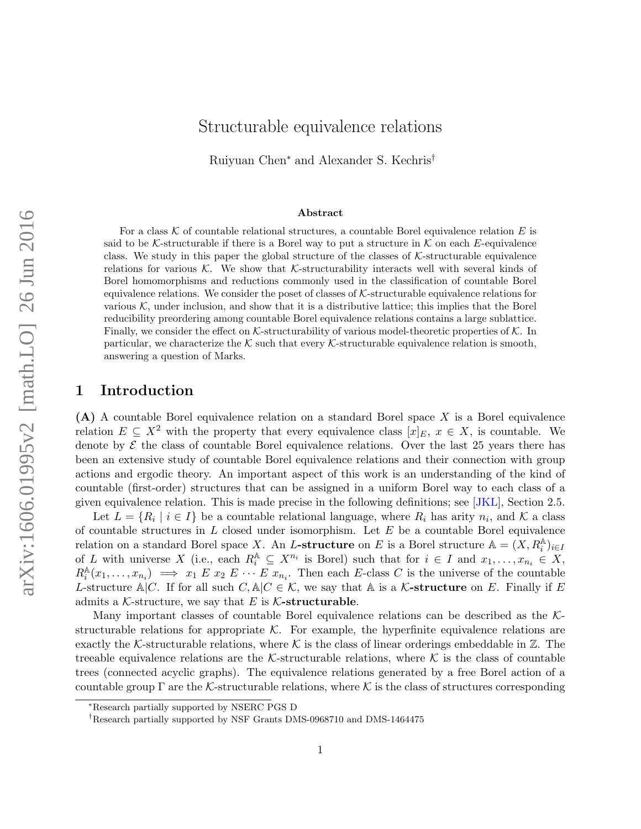# Structurable equivalence relations

Ruiyuan Chen<sup>∗</sup> and Alexander S. Kechris†

#### Abstract

For a class K of countable relational structures, a countable Borel equivalence relation E is said to be K-structurable if there is a Borel way to put a structure in K on each E-equivalence class. We study in this paper the global structure of the classes of  $K$ -structurable equivalence relations for various K. We show that K-structurability interacts well with several kinds of Borel homomorphisms and reductions commonly used in the classification of countable Borel equivalence relations. We consider the poset of classes of K-structurable equivalence relations for various  $K$ , under inclusion, and show that it is a distributive lattice; this implies that the Borel reducibility preordering among countable Borel equivalence relations contains a large sublattice. Finally, we consider the effect on  $K$ -structurability of various model-theoretic properties of  $K$ . In particular, we characterize the  $K$  such that every  $K$ -structurable equivalence relation is smooth, answering a question of Marks.

## 1 Introduction

(A) A countable Borel equivalence relation on a standard Borel space X is a Borel equivalence relation  $E \subseteq X^2$  with the property that every equivalence class  $[x]_E, x \in X$ , is countable. We denote by  $\mathcal E$  the class of countable Borel equivalence relations. Over the last 25 years there has been an extensive study of countable Borel equivalence relations and their connection with group actions and ergodic theory. An important aspect of this work is an understanding of the kind of countable (first-order) structures that can be assigned in a uniform Borel way to each class of a given equivalence relation. This is made precise in the following definitions; see [\[JKL\]](#page-70-0), Section 2.5.

Let  $L = \{R_i \mid i \in I\}$  be a countable relational language, where  $R_i$  has arity  $n_i$ , and K a class of countable structures in  $L$  closed under isomorphism. Let  $E$  be a countable Borel equivalence relation on a standard Borel space X. An L-structure on E is a Borel structure  $\mathbb{A} = (X, R_i^{\mathbb{A}})_{i \in I}$ of L with universe X (i.e., each  $R_i^{\mathbb{A}} \subseteq X^{n_i}$  is Borel) such that for  $i \in I$  and  $x_1, \ldots, x_{n_i} \in X$ ,  $R_i^{\mathbb{A}}(x_1,\ldots,x_{n_i}) \implies x_1 \ E \ x_2 \ E \ \cdots \ E \ x_{n_i}$ . Then each E-class C is the universe of the countable L-structure A|C. If for all such  $C, \mathbb{A}|C \in \mathcal{K}$ , we say that A is a K-structure on E. Finally if E admits a K-structure, we say that E is K-structurable.

Many important classes of countable Borel equivalence relations can be described as the  $K$ structurable relations for appropriate  $K$ . For example, the hyperfinite equivalence relations are exactly the K-structurable relations, where K is the class of linear orderings embeddable in  $\mathbb{Z}$ . The treeable equivalence relations are the K-structurable relations, where K is the class of countable trees (connected acyclic graphs). The equivalence relations generated by a free Borel action of a countable group  $\Gamma$  are the K-structurable relations, where K is the class of structures corresponding

<sup>∗</sup>Research partially supported by NSERC PGS D

<sup>†</sup>Research partially supported by NSF Grants DMS-0968710 and DMS-1464475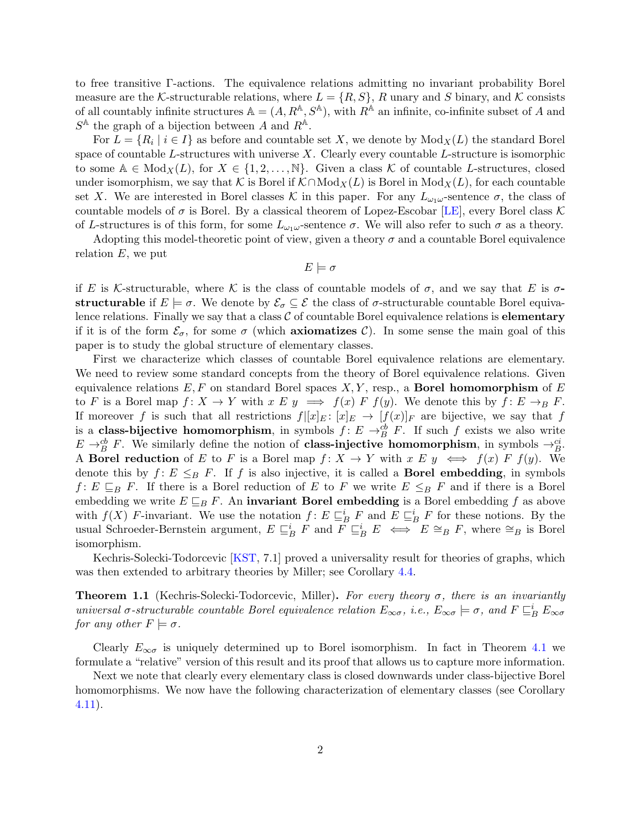to free transitive Γ-actions. The equivalence relations admitting no invariant probability Borel measure are the K-structurable relations, where  $L = \{R, S\}$ , R unary and S binary, and K consists of all countably infinite structures  $A = (A, R^{\mathbb{A}}, S^{\mathbb{A}})$ , with  $R^{\mathbb{A}}$  an infinite, co-infinite subset of A and  $S^{\mathbb{A}}$  the graph of a bijection between A and  $R^{\mathbb{A}}$ .

For  $L = \{R_i \mid i \in I\}$  as before and countable set X, we denote by  $Mod_X(L)$  the standard Borel space of countable L-structures with universe  $X$ . Clearly every countable L-structure is isomorphic to some  $A \in Mod_X(L)$ , for  $X \in \{1, 2, ..., N\}$ . Given a class K of countable L-structures, closed under isomorphism, we say that K is Borel if  $K \cap \text{Mod}_X(L)$  is Borel in  $\text{Mod}_X(L)$ , for each countable set X. We are interested in Borel classes K in this paper. For any  $L_{\omega_1\omega}$ -sentence  $\sigma$ , the class of countable models of  $\sigma$  is Borel. By a classical theorem of Lopez-Escobar [\[LE\]](#page-71-0), every Borel class  $\mathcal K$ of L-structures is of this form, for some  $L_{\omega_1\omega}$ -sentence  $\sigma$ . We will also refer to such  $\sigma$  as a theory.

Adopting this model-theoretic point of view, given a theory  $\sigma$  and a countable Borel equivalence relation  $E$ , we put

 $E \models \sigma$ 

if E is K-structurable, where K is the class of countable models of  $\sigma$ , and we say that E is  $\sigma$ structurable if  $E \models \sigma$ . We denote by  $\mathcal{E}_{\sigma} \subseteq \mathcal{E}$  the class of  $\sigma$ -structurable countable Borel equivalence relations. Finally we say that a class  $C$  of countable Borel equivalence relations is **elementary** if it is of the form  $\mathcal{E}_{\sigma}$ , for some  $\sigma$  (which **axiomatizes** C). In some sense the main goal of this paper is to study the global structure of elementary classes.

First we characterize which classes of countable Borel equivalence relations are elementary. We need to review some standard concepts from the theory of Borel equivalence relations. Given equivalence relations  $E, F$  on standard Borel spaces  $X, Y$ , resp., a **Borel homomorphism** of E to F is a Borel map  $f: X \to Y$  with  $x \to y \implies f(x) \to f(y)$ . We denote this by  $f: E \to_B F$ . If moreover f is such that all restrictions  $f|[x]_E : [x]_E \to [f(x)]_F$  are bijective, we say that f is a **class-bijective homomorphism**, in symbols  $f: E \to_B^{cb} F$ . If such f exists we also write  $E \rightarrow_B^{\text{cb}} F$ . We similarly define the notion of **class-injective homomorphism**, in symbols  $\rightarrow_B^{\text{ci}}$ . A **Borel reduction** of E to F is a Borel map  $f: X \to Y$  with  $x \to Y$   $\iff f(x) \in F(y)$ . We denote this by  $f: E \leq_B F$ . If f is also injective, it is called a **Borel embedding**, in symbols  $f: E \sqsubseteq_B F$ . If there is a Borel reduction of E to F we write  $E \leq_B F$  and if there is a Borel embedding we write  $E \sqsubseteq_B F$ . An **invariant Borel embedding** is a Borel embedding f as above with  $f(X)$  F-invariant. We use the notation  $f: E \sqsubseteq_B^i F$  and  $E \sqsubseteq_B^i F$  for these notions. By the usual Schroeder-Bernstein argument,  $E \subseteq_B^i F$  and  $F \subseteq_B^i E \iff E \cong_B F$ , where  $\cong_B$  is Borel isomorphism.

Kechris-Solecki-Todorcevic [\[KST,](#page-70-1) 7.1] proved a universality result for theories of graphs, which was then extended to arbitrary theories by Miller; see Corollary [4.4.](#page-14-0)

<span id="page-1-1"></span>**Theorem 1.1** (Kechris-Solecki-Todorcevic, Miller). For every theory  $\sigma$ , there is an invariantly universal  $\sigma$ -structurable countable Borel equivalence relation  $E_{\infty\sigma}$ , i.e.,  $E_{\infty\sigma} \models \sigma$ , and  $F \sqsubseteq_B^i E_{\infty\sigma}$ for any other  $F \models \sigma$ .

Clearly  $E_{\infty\sigma}$  is uniquely determined up to Borel isomorphism. In fact in Theorem [4.1](#page-13-0) we formulate a "relative" version of this result and its proof that allows us to capture more information.

<span id="page-1-0"></span>Next we note that clearly every elementary class is closed downwards under class-bijective Borel homomorphisms. We now have the following characterization of elementary classes (see Corollary [4.11\)](#page-18-0).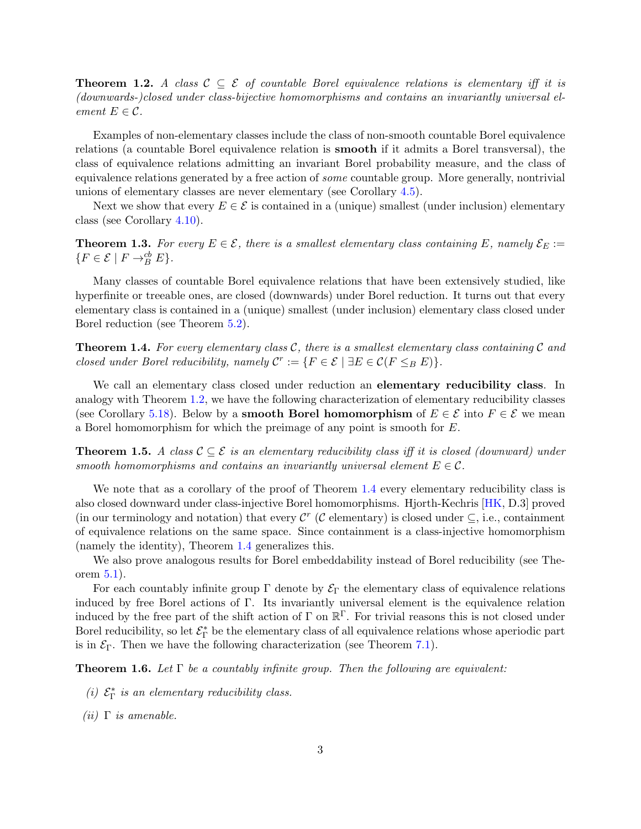**Theorem 1.2.** A class  $C \subseteq \mathcal{E}$  of countable Borel equivalence relations is elementary iff it is (downwards-)closed under class-bijective homomorphisms and contains an invariantly universal element  $E \in \mathcal{C}$ .

Examples of non-elementary classes include the class of non-smooth countable Borel equivalence relations (a countable Borel equivalence relation is smooth if it admits a Borel transversal), the class of equivalence relations admitting an invariant Borel probability measure, and the class of equivalence relations generated by a free action of some countable group. More generally, nontrivial unions of elementary classes are never elementary (see Corollary [4.5\)](#page-15-0).

Next we show that every  $E \in \mathcal{E}$  is contained in a (unique) smallest (under inclusion) elementary class (see Corollary [4.10\)](#page-17-0).

<span id="page-2-1"></span>**Theorem 1.3.** For every  $E \in \mathcal{E}$ , there is a smallest elementary class containing E, namely  $\mathcal{E}_E :=$  $\{F \in \mathcal{E} \mid F \rightarrow_B^{cb} E\}.$ 

Many classes of countable Borel equivalence relations that have been extensively studied, like hyperfinite or treeable ones, are closed (downwards) under Borel reduction. It turns out that every elementary class is contained in a (unique) smallest (under inclusion) elementary class closed under Borel reduction (see Theorem [5.2\)](#page-23-0).

<span id="page-2-0"></span>**Theorem 1.4.** For every elementary class  $C$ , there is a smallest elementary class containing  $C$  and closed under Borel reducibility, namely  $\mathcal{C}^r := \{ F \in \mathcal{E} \mid \exists E \in \mathcal{C}(F \leq_B E) \}.$ 

We call an elementary class closed under reduction an **elementary reducibility class**. In analogy with Theorem [1.2,](#page-1-0) we have the following characterization of elementary reducibility classes (see Corollary [5.18\)](#page-28-0). Below by a smooth Borel homomorphism of  $E \in \mathcal{E}$  into  $F \in \mathcal{E}$  we mean a Borel homomorphism for which the preimage of any point is smooth for E.

**Theorem 1.5.** A class  $C \subseteq \mathcal{E}$  is an elementary reducibility class iff it is closed (downward) under smooth homomorphisms and contains an invariantly universal element  $E \in \mathcal{C}$ .

We note that as a corollary of the proof of Theorem [1.4](#page-2-0) every elementary reducibility class is also closed downward under class-injective Borel homomorphisms. Hjorth-Kechris [\[HK,](#page-70-2) D.3] proved (in our terminology and notation) that every  $\mathcal{C}^r$  ( $\mathcal{C}$  elementary) is closed under  $\subseteq$ , i.e., containment of equivalence relations on the same space. Since containment is a class-injective homomorphism (namely the identity), Theorem [1.4](#page-2-0) generalizes this.

We also prove analogous results for Borel embeddability instead of Borel reducibility (see Theorem [5.1\)](#page-23-1).

For each countably infinite group  $\Gamma$  denote by  $\mathcal{E}_{\Gamma}$  the elementary class of equivalence relations induced by free Borel actions of Γ. Its invariantly universal element is the equivalence relation induced by the free part of the shift action of  $\Gamma$  on  $\mathbb{R}^{\Gamma}$ . For trivial reasons this is not closed under Borel reducibility, so let  $\mathcal{E}_{\Gamma}^{*}$  be the elementary class of all equivalence relations whose aperiodic part is in  $\mathcal{E}_{\Gamma}$ . Then we have the following characterization (see Theorem [7.1\)](#page-39-0).

**Theorem 1.6.** Let  $\Gamma$  be a countably infinite group. Then the following are equivalent:

- (i)  $\mathcal{E}^{\ast}_{\Gamma}$  is an elementary reducibility class.
- (*ii*)  $\Gamma$  *is amenable.*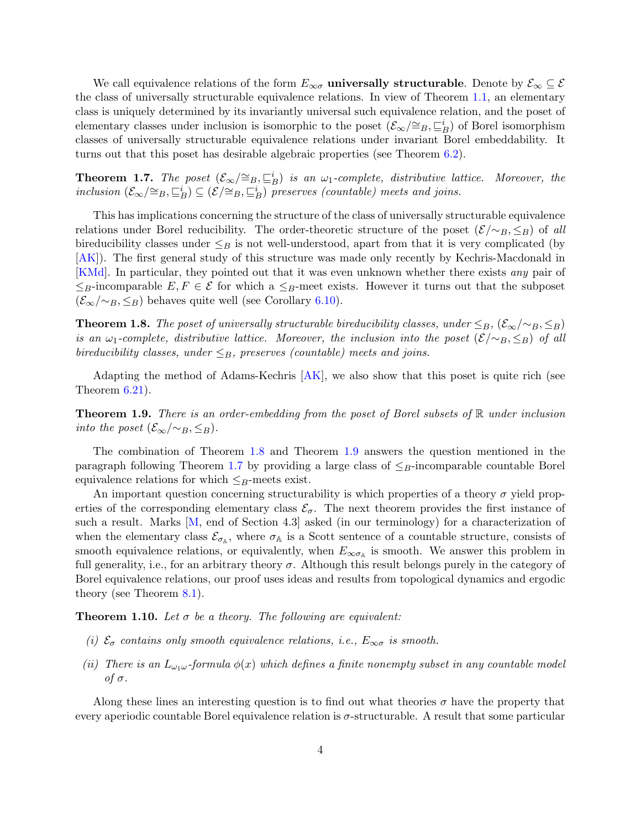We call equivalence relations of the form  $E_{\infty \sigma}$  universally structurable. Denote by  $\mathcal{E}_{\infty} \subseteq \mathcal{E}$ the class of universally structurable equivalence relations. In view of Theorem [1.1,](#page-1-1) an elementary class is uniquely determined by its invariantly universal such equivalence relation, and the poset of elementary classes under inclusion is isomorphic to the poset  $(\mathcal{E}_{\infty}/\cong_B,\sqsubseteq_B^i)$  of Borel isomorphism classes of universally structurable equivalence relations under invariant Borel embeddability. It turns out that this poset has desirable algebraic properties (see Theorem [6.2\)](#page-32-0).

<span id="page-3-2"></span>**Theorem 1.7.** The poset  $(\mathcal{E}_{\infty}/\cong_B, \sqsubseteq_B^i)$  is an  $\omega_1$ -complete, distributive lattice. Moreover, the inclusion  $(\mathcal{E}_{\infty}/\cong_B, \sqsubseteq_B^i) \subseteq (\mathcal{E}/\cong_B, \sqsubseteq_B^i)$  preserves (countable) meets and joins.

This has implications concerning the structure of the class of universally structurable equivalence relations under Borel reducibility. The order-theoretic structure of the poset  $(\mathcal{E}/\sim_B, \leq_B)$  of all bireducibility classes under  $\leq_B$  is not well-understood, apart from that it is very complicated (by [\[AK\]](#page-69-0)). The first general study of this structure was made only recently by Kechris-Macdonald in [\[KMd\]](#page-70-3). In particular, they pointed out that it was even unknown whether there exists any pair of  $\leq_B$ -incomparable  $E, F \in \mathcal{E}$  for which a  $\leq_B$ -meet exists. However it turns out that the subposet  $(\mathcal{E}_{\infty}/\sim_B, \leq_B)$  behaves quite well (see Corollary [6.10\)](#page-34-0).

<span id="page-3-0"></span>**Theorem 1.8.** The poset of universally structurable bireducibility classes, under  $\leq_B$ ,  $(\mathcal{E}_{\infty}/\sim_B, \leq_B)$ is an  $\omega_1$ -complete, distributive lattice. Moreover, the inclusion into the poset  $(\mathcal{E}/\sim_B, \leq_B)$  of all bireducibility classes, under  $\leq_B$ , preserves (countable) meets and joins.

Adapting the method of Adams-Kechris [\[AK\]](#page-69-0), we also show that this poset is quite rich (see Theorem [6.21\)](#page-37-0).

<span id="page-3-1"></span>**Theorem 1.9.** There is an order-embedding from the poset of Borel subsets of  $\mathbb{R}$  under inclusion into the poset  $(\mathcal{E}_{\infty}/\sim_B, \leq_B)$ .

The combination of Theorem [1.8](#page-3-0) and Theorem [1.9](#page-3-1) answers the question mentioned in the paragraph following Theorem [1.7](#page-3-2) by providing a large class of  $\leq_B$ -incomparable countable Borel equivalence relations for which  $\leq_B$ -meets exist.

An important question concerning structurability is which properties of a theory  $\sigma$  yield properties of the corresponding elementary class  $\mathcal{E}_{\sigma}$ . The next theorem provides the first instance of such a result. Marks [\[M,](#page-71-1) end of Section 4.3] asked (in our terminology) for a characterization of when the elementary class  $\mathcal{E}_{\sigma_{\mathbb{A}}}$ , where  $\sigma_{\mathbb{A}}$  is a Scott sentence of a countable structure, consists of smooth equivalence relations, or equivalently, when  $E_{\infty \sigma_{\mathbb{A}}}$  is smooth. We answer this problem in full generality, i.e., for an arbitrary theory  $\sigma$ . Although this result belongs purely in the category of Borel equivalence relations, our proof uses ideas and results from topological dynamics and ergodic theory (see Theorem [8.1\)](#page-41-0).

**Theorem 1.10.** Let  $\sigma$  be a theory. The following are equivalent:

- (i)  $\mathcal{E}_{\sigma}$  contains only smooth equivalence relations, i.e.,  $E_{\infty\sigma}$  is smooth.
- (ii) There is an  $L_{\omega_1\omega}$ -formula  $\phi(x)$  which defines a finite nonempty subset in any countable model of σ.

Along these lines an interesting question is to find out what theories  $\sigma$  have the property that every aperiodic countable Borel equivalence relation is σ-structurable. A result that some particular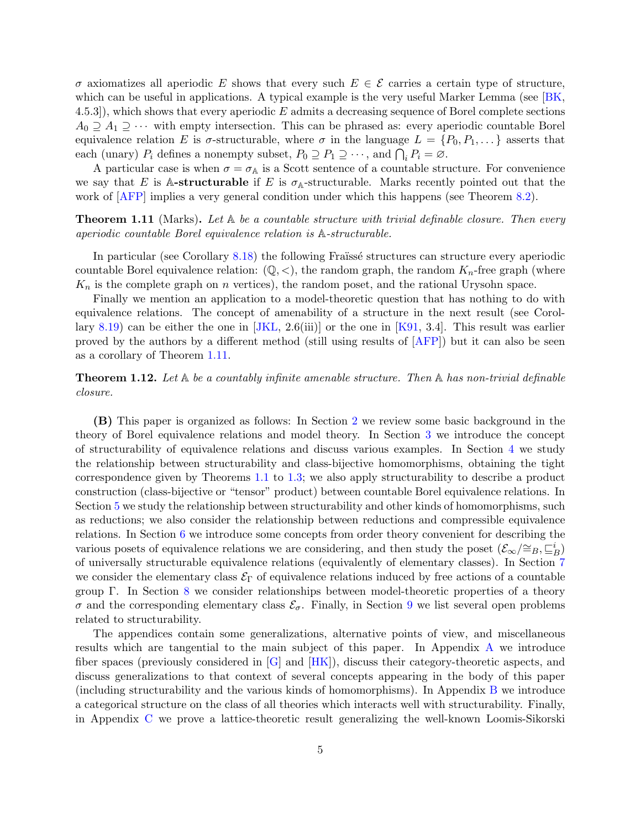$\sigma$  axiomatizes all aperiodic E shows that every such  $E \in \mathcal{E}$  carries a certain type of structure, which can be useful in applications. A typical example is the very useful Marker Lemma (see [\[BK,](#page-69-1)  $(4.5.3)$ , which shows that every aperiodic E admits a decreasing sequence of Borel complete sections  $A_0 \supseteq A_1 \supseteq \cdots$  with empty intersection. This can be phrased as: every aperiodic countable Borel equivalence relation E is  $\sigma$ -structurable, where  $\sigma$  in the language  $L = \{P_0, P_1, \dots\}$  asserts that each (unary)  $P_i$  defines a nonempty subset,  $P_0 \supseteq P_1 \supseteq \cdots$ , and  $\bigcap_i P_i = \emptyset$ .

A particular case is when  $\sigma = \sigma_{\mathbb{A}}$  is a Scott sentence of a countable structure. For convenience we say that E is A-structurable if E is  $\sigma_{\mathbb{A}}$ -structurable. Marks recently pointed out that the work of [\[AFP\]](#page-69-2) implies a very general condition under which this happens (see Theorem [8.2\)](#page-41-1).

<span id="page-4-0"></span>**Theorem 1.11** (Marks). Let  $A$  be a countable structure with trivial definable closure. Then every aperiodic countable Borel equivalence relation is A-structurable.

In particular (see Corollary  $8.18$ ) the following Fraïssé structures can structure every aperiodic countable Borel equivalence relation:  $(\mathbb{Q}, \leq)$ , the random graph, the random  $K_n$ -free graph (where  $K_n$  is the complete graph on n vertices), the random poset, and the rational Urysohn space.

Finally we mention an application to a model-theoretic question that has nothing to do with equivalence relations. The concept of amenability of a structure in the next result (see Corol-lary [8.19\)](#page-48-1) can be either the one in  $[JKL, 2.6(iii)]$  or the one in [\[K91,](#page-70-4) 3.4]. This result was earlier proved by the authors by a different method (still using results of [\[AFP\]](#page-69-2)) but it can also be seen as a corollary of Theorem [1.11.](#page-4-0)

**Theorem 1.12.** Let  $A$  be a countably infinite amenable structure. Then  $A$  has non-trivial definable closure.

(B) This paper is organized as follows: In Section [2](#page-5-0) we review some basic background in the theory of Borel equivalence relations and model theory. In Section [3](#page-11-0) we introduce the concept of structurability of equivalence relations and discuss various examples. In Section [4](#page-13-1) we study the relationship between structurability and class-bijective homomorphisms, obtaining the tight correspondence given by Theorems [1.1](#page-1-1) to [1.3;](#page-2-1) we also apply structurability to describe a product construction (class-bijective or "tensor" product) between countable Borel equivalence relations. In Section [5](#page-23-2) we study the relationship between structurability and other kinds of homomorphisms, such as reductions; we also consider the relationship between reductions and compressible equivalence relations. In Section [6](#page-30-0) we introduce some concepts from order theory convenient for describing the various posets of equivalence relations we are considering, and then study the poset  $(\mathcal{E}_{\infty}/\cong_B, \sqsubseteq_B^i)$ of universally structurable equivalence relations (equivalently of elementary classes). In Section [7](#page-38-0) we consider the elementary class  $\mathcal{E}_{\Gamma}$  of equivalence relations induced by free actions of a countable group Γ. In Section [8](#page-41-2) we consider relationships between model-theoretic properties of a theory  $\sigma$  and the corresponding elementary class  $\mathcal{E}_{\sigma}$ . Finally, in Section [9](#page-50-0) we list several open problems related to structurability.

The appendices contain some generalizations, alternative points of view, and miscellaneous results which are tangential to the main subject of this paper. In Appendix [A](#page-54-0) we introduce fiber spaces (previously considered in [\[G\]](#page-70-5) and [\[HK\]](#page-70-2)), discuss their category-theoretic aspects, and discuss generalizations to that context of several concepts appearing in the body of this paper (including structurability and the various kinds of homomorphisms). In Appendix [B](#page-61-0) we introduce a categorical structure on the class of all theories which interacts well with structurability. Finally, in Appendix [C](#page-68-0) we prove a lattice-theoretic result generalizing the well-known Loomis-Sikorski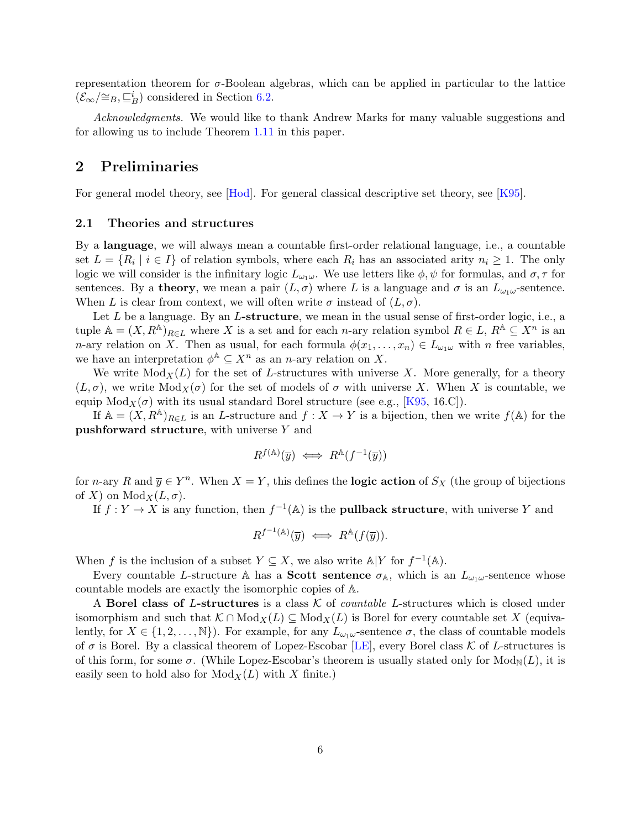representation theorem for  $\sigma$ -Boolean algebras, which can be applied in particular to the lattice  $(\mathcal{E}_{\infty}/\cong_B, \sqsubseteq_B^i)$  considered in Section [6.2.](#page-32-1)

Acknowledgments. We would like to thank Andrew Marks for many valuable suggestions and for allowing us to include Theorem [1.11](#page-4-0) in this paper.

# <span id="page-5-0"></span>2 Preliminaries

For general model theory, see [\[Hod\]](#page-70-6). For general classical descriptive set theory, see [\[K95\]](#page-70-7).

#### 2.1 Theories and structures

By a language, we will always mean a countable first-order relational language, i.e., a countable set  $L = \{R_i \mid i \in I\}$  of relation symbols, where each  $R_i$  has an associated arity  $n_i \geq 1$ . The only logic we will consider is the infinitary logic  $L_{\omega_1\omega}$ . We use letters like  $\phi, \psi$  for formulas, and  $\sigma, \tau$  for sentences. By a theory, we mean a pair  $(L, \sigma)$  where L is a language and  $\sigma$  is an  $L_{\omega_1\omega}$ -sentence. When L is clear from context, we will often write  $\sigma$  instead of  $(L, \sigma)$ .

Let  $L$  be a language. By an  $L$ -structure, we mean in the usual sense of first-order logic, i.e., a tuple  $\mathbb{A} = (X, R^{\mathbb{A}})_{R \in L}$  where X is a set and for each *n*-ary relation symbol  $R \in L$ ,  $R^{\mathbb{A}} \subseteq X^n$  is an n-ary relation on X. Then as usual, for each formula  $\phi(x_1, \ldots, x_n) \in L_{\omega_1 \omega}$  with n free variables, we have an interpretation  $\phi^{\mathbb{A}} \subseteq X^n$  as an *n*-ary relation on X.

We write  $Mod_X(L)$  for the set of L-structures with universe X. More generally, for a theory  $(L, \sigma)$ , we write  $Mod_X(\sigma)$  for the set of models of  $\sigma$  with universe X. When X is countable, we equip  $Mod_X(\sigma)$  with its usual standard Borel structure (see e.g., [\[K95,](#page-70-7) 16.C]).

If  $\mathbb{A} = (X, R^{\mathbb{A}})_{R \in L}$  is an L-structure and  $f : X \to Y$  is a bijection, then we write  $f(\mathbb{A})$  for the pushforward structure, with universe Y and

$$
R^{f(\mathbb{A})}(\overline{y}) \iff R^{\mathbb{A}}(f^{-1}(\overline{y}))
$$

for *n*-ary R and  $\overline{y} \in Y^n$ . When  $X = Y$ , this defines the **logic action** of  $S_X$  (the group of bijections of X) on  $Mod_X(L, \sigma)$ .

If  $f: Y \to X$  is any function, then  $f^{-1}(\mathbb{A})$  is the **pullback structure**, with universe Y and

$$
R^{f^{-1}(\mathbb{A})}(\overline{y}) \iff R^{\mathbb{A}}(f(\overline{y})).
$$

When f is the inclusion of a subset  $Y \subseteq X$ , we also write  $\mathbb{A}|Y$  for  $f^{-1}(\mathbb{A})$ .

Every countable L-structure A has a **Scott sentence**  $\sigma_A$ , which is an  $L_{\omega_1\omega}$ -sentence whose countable models are exactly the isomorphic copies of A.

A Borel class of L-structures is a class  $K$  of *countable L*-structures which is closed under isomorphism and such that  $K \cap Mod_X(L) \subseteq Mod_X(L)$  is Borel for every countable set X (equivalently, for  $X \in \{1, 2, ..., N\}$ . For example, for any  $L_{\omega_1\omega}$ -sentence  $\sigma$ , the class of countable models of  $\sigma$  is Borel. By a classical theorem of Lopez-Escobar [\[LE\]](#page-71-0), every Borel class K of L-structures is of this form, for some  $\sigma$ . (While Lopez-Escobar's theorem is usually stated only for  $Mod_{\mathbb{N}}(L)$ , it is easily seen to hold also for  $Mod_X(L)$  with X finite.)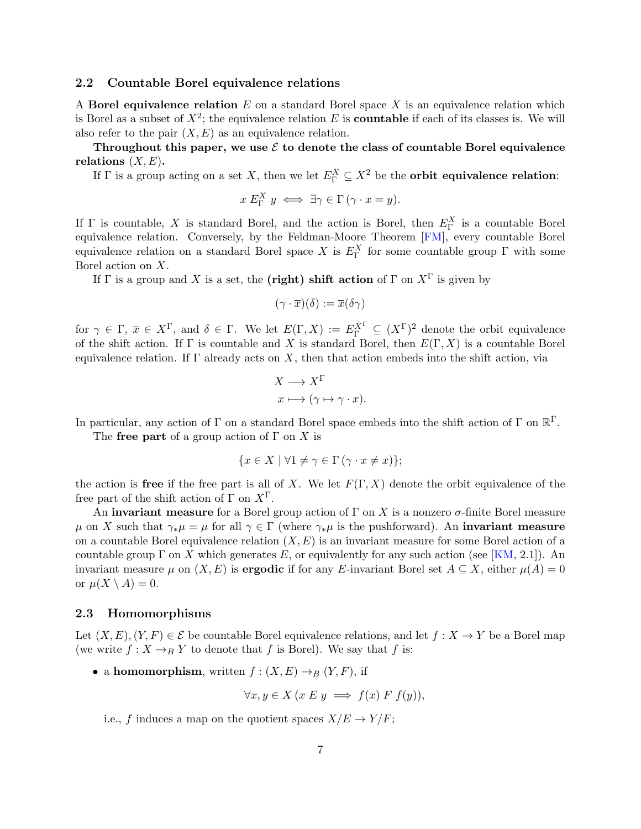#### 2.2 Countable Borel equivalence relations

A Borel equivalence relation  $E$  on a standard Borel space  $X$  is an equivalence relation which is Borel as a subset of  $X^2$ ; the equivalence relation E is **countable** if each of its classes is. We will also refer to the pair  $(X, E)$  as an equivalence relation.

Throughout this paper, we use  $\mathcal E$  to denote the class of countable Borel equivalence relations  $(X, E)$ .

If  $\Gamma$  is a group acting on a set X, then we let  $E_{\Gamma}^X \subseteq X^2$  be the **orbit equivalence relation**:

$$
x E_{\Gamma}^{X} y \iff \exists \gamma \in \Gamma (\gamma \cdot x = y).
$$

If  $\Gamma$  is countable, X is standard Borel, and the action is Borel, then  $E_{\Gamma}^X$  is a countable Borel equivalence relation. Conversely, by the Feldman-Moore Theorem [\[FM\]](#page-70-8), every countable Borel equivalence relation on a standard Borel space X is  $E_{\Gamma}^X$  for some countable group  $\Gamma$  with some Borel action on X.

If  $\Gamma$  is a group and X is a set, the (right) shift action of  $\Gamma$  on  $X^{\Gamma}$  is given by

$$
(\gamma \cdot \overline{x})(\delta) := \overline{x}(\delta \gamma)
$$

for  $\gamma \in \Gamma$ ,  $\overline{x} \in X^{\Gamma}$ , and  $\delta \in \Gamma$ . We let  $E(\Gamma, X) := E_{\Gamma}^{X^{\Gamma}} \subseteq (X^{\Gamma})^2$  denote the orbit equivalence of the shift action. If  $\Gamma$  is countable and X is standard Borel, then  $E(\Gamma, X)$  is a countable Borel equivalence relation. If  $\Gamma$  already acts on X, then that action embeds into the shift action, via

$$
X \longrightarrow X^{\Gamma}
$$

$$
x \longmapsto (\gamma \mapsto \gamma \cdot x).
$$

In particular, any action of  $\Gamma$  on a standard Borel space embeds into the shift action of  $\Gamma$  on  $\mathbb{R}^{\Gamma}$ .

The free part of a group action of  $\Gamma$  on X is

$$
\{x \in X \mid \forall 1 \neq \gamma \in \Gamma \, (\gamma \cdot x \neq x)\};
$$

the action is free if the free part is all of X. We let  $F(\Gamma, X)$  denote the orbit equivalence of the free part of the shift action of  $\Gamma$  on  $X^{\Gamma}$ .

An **invariant measure** for a Borel group action of  $\Gamma$  on X is a nonzero  $\sigma$ -finite Borel measure  $\mu$  on X such that  $\gamma_*\mu = \mu$  for all  $\gamma \in \Gamma$  (where  $\gamma_*\mu$  is the pushforward). An **invariant measure** on a countable Borel equivalence relation  $(X, E)$  is an invariant measure for some Borel action of a countable group  $\Gamma$  on X which generates E, or equivalently for any such action (see [\[KM,](#page-70-9) 2.1]). An invariant measure  $\mu$  on  $(X, E)$  is **ergodic** if for any E-invariant Borel set  $A \subseteq X$ , either  $\mu(A) = 0$ or  $\mu(X \setminus A) = 0$ .

#### <span id="page-6-0"></span>2.3 Homomorphisms

Let  $(X, E), (Y, F) \in \mathcal{E}$  be countable Borel equivalence relations, and let  $f : X \to Y$  be a Borel map (we write  $f: X \rightarrow_B Y$  to denote that f is Borel). We say that f is:

• a homomorphism, written  $f : (X, E) \rightarrow_B (Y, F)$ , if

$$
\forall x, y \in X \, (x \, E \, y \implies f(x) \, F \, f(y)),
$$

i.e., f induces a map on the quotient spaces  $X/E \to Y/F$ ;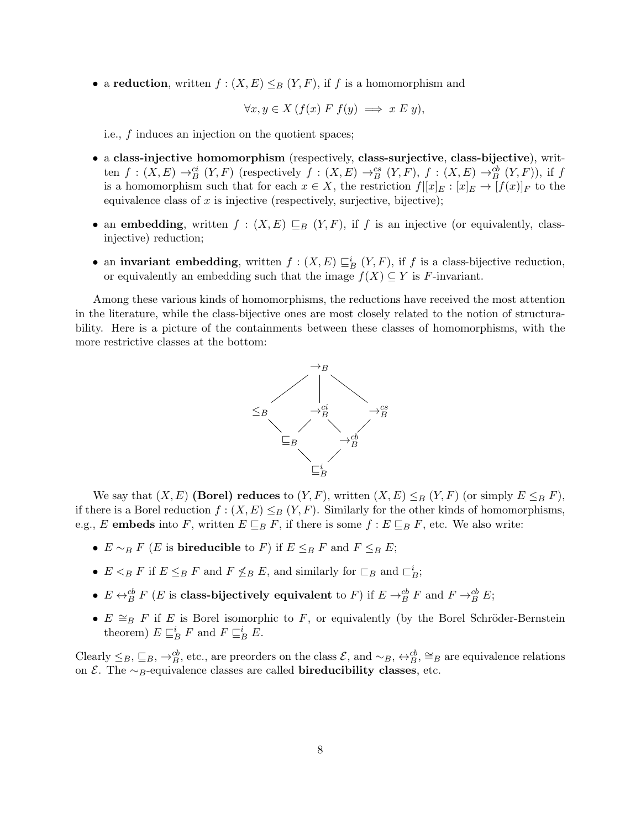• a reduction, written  $f : (X, E) \leq_B (Y, F)$ , if f is a homomorphism and

$$
\forall x, y \in X \, (f(x) \, F \, f(y) \implies x \, E \, y),
$$

i.e., f induces an injection on the quotient spaces;

- a class-injective homomorphism (respectively, class-surjective, class-bijective), written  $f:(X,E)\to_B^{ci}(Y,F)$  (respectively  $f:(X,E)\to_B^{cs}(Y,F)$ ,  $f:(X,E)\to_B^{cb}(Y,F)$ ), if f is a homomorphism such that for each  $x \in X$ , the restriction  $f|[x]_E : [x]_E \to [f(x)]_F$  to the equivalence class of  $x$  is injective (respectively, surjective, bijective);
- an embedding, written  $f : (X, E) \sqsubseteq_B (Y, F)$ , if f is an injective (or equivalently, classinjective) reduction;
- an invariant embedding, written  $f : (X, E) \sqsubseteq_B^i (Y, F)$ , if f is a class-bijective reduction, or equivalently an embedding such that the image  $f(X) \subseteq Y$  is F-invariant.

Among these various kinds of homomorphisms, the reductions have received the most attention in the literature, while the class-bijective ones are most closely related to the notion of structurability. Here is a picture of the containments between these classes of homomorphisms, with the more restrictive classes at the bottom:



We say that  $(X, E)$  (Borel) reduces to  $(Y, F)$ , written  $(X, E) \leq_B (Y, F)$  (or simply  $E \leq_B F$ ), if there is a Borel reduction  $f : (X, E) \leq_B (Y, F)$ . Similarly for the other kinds of homomorphisms, e.g., E embeds into F, written  $E \sqsubseteq_B F$ , if there is some  $f : E \sqsubseteq_B F$ , etc. We also write:

- $E \sim_B F$  (E is bireducible to F) if  $E \leq_B F$  and  $F \leq_B E$ ;
- $E \leq_B F$  if  $E \leq_B F$  and  $F \nleq_B E$ , and similarly for  $\Box_B$  and  $\Box_B^i$ ;
- $E \leftrightarrow_B^{\text{cb}} F$  (*E* is class-bijectively equivalent to *F*) if  $E \to_B^{\text{cb}} F$  and  $F \to_B^{\text{cb}} E$ ;
- $E \cong_B F$  if E is Borel isomorphic to F, or equivalently (by the Borel Schröder-Bernstein theorem)  $E \sqsubseteq_B^i F$  and  $F \sqsubseteq_B^i E$ .

Clearly  $\leq_B$ ,  $\sqsubseteq_B$ ,  $\rightarrow_B^{\text{cb}}$ , etc., are preorders on the class  $\mathcal{E}$ , and  $\sim_B$ ,  $\leftrightarrow_B^{\text{cb}}$ ,  $\cong_B$  are equivalence relations on  $\mathcal{E}$ . The ∼<sub>B</sub>-equivalence classes are called **bireducibility classes**, etc.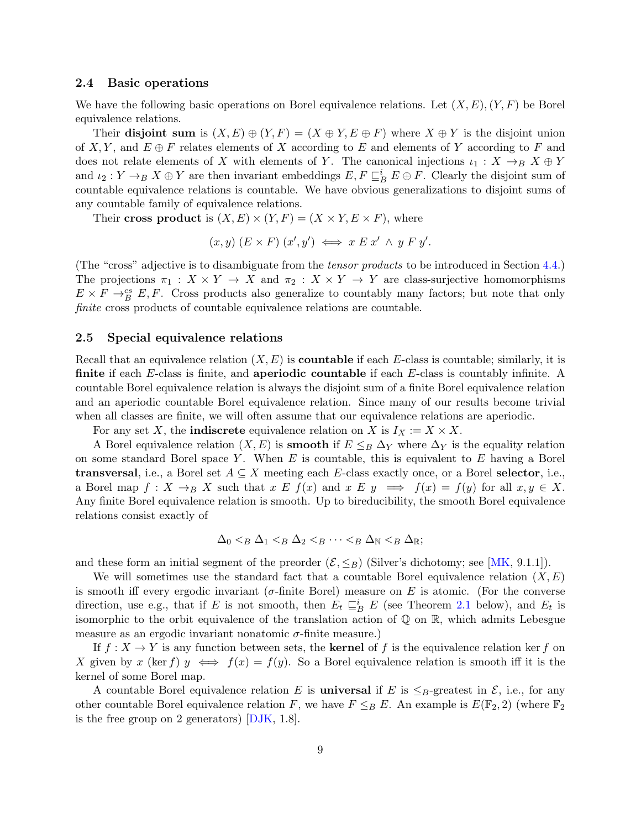## 2.4 Basic operations

We have the following basic operations on Borel equivalence relations. Let  $(X, E), (Y, F)$  be Borel equivalence relations.

Their disjoint sum is  $(X, E) \oplus (Y, F) = (X \oplus Y, E \oplus F)$  where  $X \oplus Y$  is the disjoint union of X, Y, and  $E \oplus F$  relates elements of X according to E and elements of Y according to F and does not relate elements of X with elements of Y. The canonical injections  $\iota_1 : X \to_B X \oplus Y$ and  $\iota_2: Y \to_B X \oplus Y$  are then invariant embeddings  $E, F \sqsubseteq_B^i E \oplus F$ . Clearly the disjoint sum of countable equivalence relations is countable. We have obvious generalizations to disjoint sums of any countable family of equivalence relations.

Their cross product is  $(X, E) \times (Y, F) = (X \times Y, E \times F)$ , where

$$
(x,y) (E \times F) (x',y') \iff x E x' \land y F y'.
$$

(The "cross" adjective is to disambiguate from the tensor products to be introduced in Section [4.4.](#page-19-0)) The projections  $\pi_1 : X \times Y \to X$  and  $\pi_2 : X \times Y \to Y$  are class-surjective homomorphisms  $E \times F \to_B^{cs} E, F$ . Cross products also generalize to countably many factors; but note that only finite cross products of countable equivalence relations are countable.

#### 2.5 Special equivalence relations

Recall that an equivalence relation  $(X, E)$  is **countable** if each E-class is countable; similarly, it is finite if each E-class is finite, and aperiodic countable if each E-class is countably infinite. A countable Borel equivalence relation is always the disjoint sum of a finite Borel equivalence relation and an aperiodic countable Borel equivalence relation. Since many of our results become trivial when all classes are finite, we will often assume that our equivalence relations are aperiodic.

For any set X, the **indiscrete** equivalence relation on X is  $I_X := X \times X$ .

A Borel equivalence relation  $(X, E)$  is smooth if  $E \leq_B \Delta_Y$  where  $\Delta_Y$  is the equality relation on some standard Borel space Y. When  $E$  is countable, this is equivalent to  $E$  having a Borel transversal, i.e., a Borel set  $A \subseteq X$  meeting each E-class exactly once, or a Borel selector, i.e., a Borel map  $f: X \to_B X$  such that  $x \in f(x)$  and  $x \in y \implies f(x) = f(y)$  for all  $x, y \in X$ . Any finite Borel equivalence relation is smooth. Up to bireducibility, the smooth Borel equivalence relations consist exactly of

$$
\Delta_0 <_B \Delta_1 <_B \Delta_2 <_B \cdots <_B \Delta_N <_B \Delta_{\mathbb{R}};
$$

and these form an initial segment of the preorder  $(\mathcal{E}, \leq_B)$  (Silver's dichotomy; see [\[MK,](#page-71-2) 9.1.1]).

We will sometimes use the standard fact that a countable Borel equivalence relation  $(X, E)$ is smooth iff every ergodic invariant ( $\sigma$ -finite Borel) measure on E is atomic. (For the converse direction, use e.g., that if E is not smooth, then  $E_t \sqsubseteq_B^i E$  (see Theorem [2.1](#page-9-0) below), and  $E_t$  is isomorphic to the orbit equivalence of the translation action of  $\mathbb Q$  on  $\mathbb R$ , which admits Lebesgue measure as an ergodic invariant nonatomic  $\sigma$ -finite measure.)

If  $f: X \to Y$  is any function between sets, the **kernel** of f is the equivalence relation ker f on X given by x (ker f)  $y \iff f(x) = f(y)$ . So a Borel equivalence relation is smooth iff it is the kernel of some Borel map.

A countable Borel equivalence relation E is **universal** if E is  $\leq_B$ -greatest in E, i.e., for any other countable Borel equivalence relation F, we have  $F \leq_B E$ . An example is  $E(\mathbb{F}_2, 2)$  (where  $\mathbb{F}_2$ is the free group on 2 generators) [\[DJK,](#page-70-10) 1.8].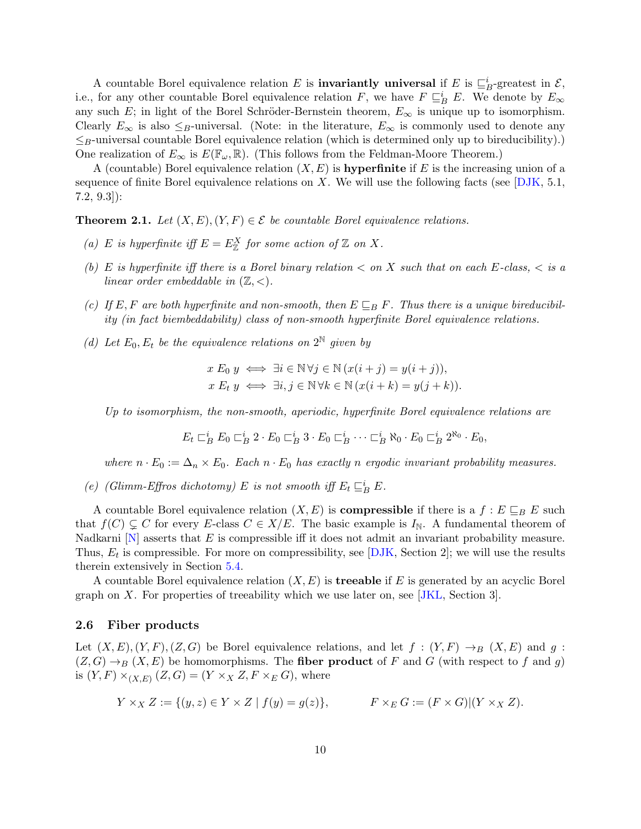A countable Borel equivalence relation E is **invariantly universal** if E is  $\sqsubseteq_B^i$ -greatest in  $\mathcal{E}$ , i.e., for any other countable Borel equivalence relation F, we have  $F \subseteq_B^i E$ . We denote by  $E_{\infty}$ any such E; in light of the Borel Schröder-Bernstein theorem,  $E_{\infty}$  is unique up to isomorphism. Clearly  $E_{\infty}$  is also  $\leq_B$ -universal. (Note: in the literature,  $E_{\infty}$  is commonly used to denote any  $\leq_B$ -universal countable Borel equivalence relation (which is determined only up to bireducibility).) One realization of  $E_{\infty}$  is  $E(\mathbb{F}_{\omega}, \mathbb{R})$ . (This follows from the Feldman-Moore Theorem.)

A (countable) Borel equivalence relation  $(X, E)$  is **hyperfinite** if E is the increasing union of a sequence of finite Borel equivalence relations on X. We will use the following facts (see  $[DJK, 5.1,$ 7.2, 9.3]):

<span id="page-9-0"></span>**Theorem 2.1.** Let  $(X, E), (Y, F) \in \mathcal{E}$  be countable Borel equivalence relations.

- (a) E is hyperfinite iff  $E = E_{\mathbb{Z}}^X$  for some action of  $\mathbb{Z}$  on X.
- (b) E is hyperfinite iff there is a Borel binary relation  $\lt$  on X such that on each E-class,  $\lt$  is a linear order embeddable in  $(\mathbb{Z}, \langle \rangle)$ .
- (c) If E, F are both hyperfinite and non-smooth, then  $E \sqsubseteq_B F$ . Thus there is a unique bireducibility (in fact biembeddability) class of non-smooth hyperfinite Borel equivalence relations.
- (d) Let  $E_0, E_t$  be the equivalence relations on  $2^{\mathbb{N}}$  given by

$$
x E_0 y \iff \exists i \in \mathbb{N} \forall j \in \mathbb{N} \ (x(i+j) = y(i+j)),
$$
  
\n
$$
x E_t y \iff \exists i, j \in \mathbb{N} \forall k \in \mathbb{N} \ (x(i+k) = y(j+k)).
$$

Up to isomorphism, the non-smooth, aperiodic, hyperfinite Borel equivalence relations are

$$
E_t \sqsubset_B^i E_0 \sqsubset_B^i 2 \cdot E_0 \sqsubset_B^i 3 \cdot E_0 \sqsubset_B^i \cdots \sqsubset_B^i \aleph_0 \cdot E_0 \sqsubset_B^i 2^{\aleph_0} \cdot E_0,
$$

where  $n \cdot E_0 := \Delta_n \times E_0$ . Each  $n \cdot E_0$  has exactly n ergodic invariant probability measures.

(e) (Glimm-Effros dichotomy) E is not smooth iff  $E_t \sqsubseteq_B^i E$ .

A countable Borel equivalence relation  $(X, E)$  is **compressible** if there is a  $f : E \sqsubseteq_B E$  such that  $f(C) \subsetneq C$  for every E-class  $C \in X/E$ . The basic example is  $I_{\mathbb{N}}$ . A fundamental theorem of Nadkarni  $[N]$  asserts that E is compressible iff it does not admit an invariant probability measure. Thus,  $E_t$  is compressible. For more on compressibility, see [\[DJK,](#page-70-10) Section 2]; we will use the results therein extensively in Section [5.4.](#page-29-0)

A countable Borel equivalence relation  $(X, E)$  is **treeable** if E is generated by an acyclic Borel graph on X. For properties of treeability which we use later on, see [\[JKL,](#page-70-0) Section 3].

#### <span id="page-9-1"></span>2.6 Fiber products

Let  $(X, E), (Y, F), (Z, G)$  be Borel equivalence relations, and let  $f : (Y, F) \rightarrow_B (X, E)$  and g:  $(Z, G) \rightarrow_B (X, E)$  be homomorphisms. The fiber product of F and G (with respect to f and g) is  $(Y, F) \times_{(X, E)} (Z, G) = (Y \times_X Z, F \times_E G)$ , where

$$
Y \times_X Z := \{ (y, z) \in Y \times Z \mid f(y) = g(z) \}, \qquad F \times_E G := (F \times G) \mid (Y \times_X Z).
$$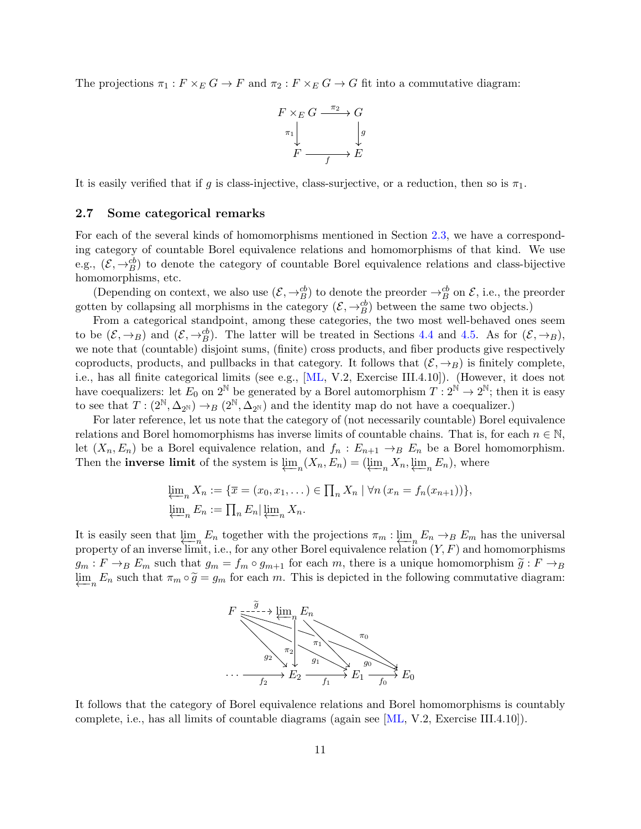The projections  $\pi_1 : F \times_E G \to F$  and  $\pi_2 : F \times_E G \to G$  fit into a commutative diagram:



It is easily verified that if g is class-injective, class-surjective, or a reduction, then so is  $\pi_1$ .

#### <span id="page-10-0"></span>2.7 Some categorical remarks

For each of the several kinds of homomorphisms mentioned in Section [2.3,](#page-6-0) we have a corresponding category of countable Borel equivalence relations and homomorphisms of that kind. We use e.g.,  $(\mathcal{E}, \rightarrow_B^{cb})$  to denote the category of countable Borel equivalence relations and class-bijective homomorphisms, etc.

(Depending on context, we also use  $(\mathcal{E}, \to_B^{\text{cb}})$  to denote the preorder  $\to_B^{\text{cb}}$  on  $\mathcal{E}$ , i.e., the preorder gotten by collapsing all morphisms in the category  $(\mathcal{E}, \rightarrow_B^{cb})$  between the same two objects.)

From a categorical standpoint, among these categories, the two most well-behaved ones seem to be  $(\mathcal{E}, \rightarrow_B)$  and  $(\mathcal{E}, \rightarrow_B^{\text{cb}})$ . The latter will be treated in Sections [4.4](#page-19-0) and [4.5.](#page-22-0) As for  $(\mathcal{E}, \rightarrow_B)$ , we note that (countable) disjoint sums, (finite) cross products, and fiber products give respectively coproducts, products, and pullbacks in that category. It follows that  $(\mathcal{E}, \rightarrow_B)$  is finitely complete, i.e., has all finite categorical limits (see e.g., [\[ML,](#page-71-4) V.2, Exercise III.4.10]). (However, it does not have coequalizers: let  $E_0$  on  $2^{\mathbb{N}}$  be generated by a Borel automorphism  $T: 2^{\mathbb{N}} \to 2^{\mathbb{N}}$ ; then it is easy to see that  $T: (2^{\mathbb{N}}, \Delta_{2^{\mathbb{N}}}) \to_B (2^{\mathbb{N}}, \Delta_{2^{\mathbb{N}}})$  and the identity map do not have a coequalizer.)

For later reference, let us note that the category of (not necessarily countable) Borel equivalence relations and Borel homomorphisms has inverse limits of countable chains. That is, for each  $n \in \mathbb{N}$ , let  $(X_n, E_n)$  be a Borel equivalence relation, and  $f_n : E_{n+1} \to_B E_n$  be a Borel homomorphism. Then the **inverse limit** of the system is  $\underleftarrow{\lim}_{n}(X_n, E_n) = (\underleftarrow{\lim}_{n} X_n, \underleftarrow{\lim}_{n} E_n)$ , where

$$
\varprojlim_n X_n := \{ \overline{x} = (x_0, x_1, \dots) \in \prod_n X_n \mid \forall n \, (x_n = f_n(x_{n+1})) \},
$$
  

$$
\varprojlim_n E_n := \prod_n E_n | \varprojlim_n X_n.
$$

It is easily seen that  $\lim_{n \to \infty} E_n$  together with the projections  $\pi_m : \lim_{n \to \infty} E_n \to B_n$  has the universal<br>property of an inverse limit i.e. for any other Borel equivalence relation  $(Y, F)$  and homomorphisms property of an inverse limit, i.e., for any other Borel equivalence relation  $(Y, F)$  and homomorphisms  $g_m : F \to_B E_m$  such that  $g_m = f_m \circ g_{m+1}$  for each m, there is a unique homomorphism  $\tilde{g} : F \to_B F_m$  $\varprojlim_{n} E_{n}$  such that  $\pi_{m} \circ \widetilde{g} = g_{m}$  for each m. This is depicted in the following commutative diagram:



It follows that the category of Borel equivalence relations and Borel homomorphisms is countably complete, i.e., has all limits of countable diagrams (again see [\[ML,](#page-71-4) V.2, Exercise III.4.10]).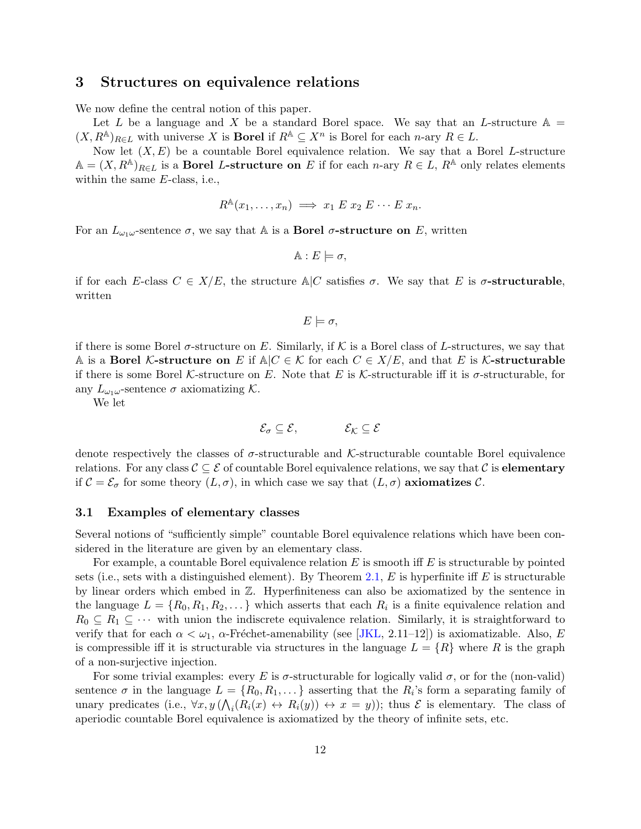## <span id="page-11-0"></span>3 Structures on equivalence relations

We now define the central notion of this paper.

Let L be a language and X be a standard Borel space. We say that an L-structure  $\mathbb{A} =$  $(X, R^{\mathbb{A}})_{R \in L}$  with universe X is **Borel** if  $R^{\mathbb{A}} \subseteq X^n$  is Borel for each *n*-ary  $R \in L$ .

Now let  $(X, E)$  be a countable Borel equivalence relation. We say that a Borel L-structure  $A = (X, R^{\mathbb{A}})_{R \in L}$  is a **Borel L-structure on** E if for each n-ary  $R \in L$ ,  $R^{\mathbb{A}}$  only relates elements within the same E-class, i.e.,

$$
R^{\mathbb{A}}(x_1,\ldots,x_n) \implies x_1 \ E \ x_2 \ E \ \cdots \ E \ x_n.
$$

For an  $L_{\omega_1\omega}$ -sentence  $\sigma$ , we say that A is a **Borel**  $\sigma$ -structure on E, written

$$
\mathbb{A}:E\models\sigma,
$$

if for each E-class  $C \in X/E$ , the structure  $\mathbb{A}|C$  satisfies  $\sigma$ . We say that E is  $\sigma$ -structurable, written

$$
E \models \sigma,
$$

if there is some Borel  $\sigma$ -structure on E. Similarly, if K is a Borel class of L-structures, we say that A is a Borel K-structure on E if  $\mathbb{A}|C \in \mathcal{K}$  for each  $C \in X/E$ , and that E is K-structurable if there is some Borel K-structure on E. Note that E is K-structurable iff it is  $\sigma$ -structurable, for any  $L_{\omega_1\omega}$ -sentence  $\sigma$  axiomatizing K.

We let

$$
\mathcal{E}_{\sigma} \subseteq \mathcal{E}, \qquad \qquad \mathcal{E}_{\mathcal{K}} \subseteq \mathcal{E}
$$

denote respectively the classes of  $\sigma$ -structurable and K-structurable countable Borel equivalence relations. For any class  $\mathcal{C} \subseteq \mathcal{E}$  of countable Borel equivalence relations, we say that C is **elementary** if  $C = \mathcal{E}_{\sigma}$  for some theory  $(L, \sigma)$ , in which case we say that  $(L, \sigma)$  axiomatizes C.

#### <span id="page-11-1"></span>3.1 Examples of elementary classes

Several notions of "sufficiently simple" countable Borel equivalence relations which have been considered in the literature are given by an elementary class.

For example, a countable Borel equivalence relation  $E$  is smooth iff  $E$  is structurable by pointed sets (i.e., sets with a distinguished element). By Theorem [2.1,](#page-9-0)  $E$  is hyperfinite iff  $E$  is structurable by linear orders which embed in Z. Hyperfiniteness can also be axiomatized by the sentence in the language  $L = \{R_0, R_1, R_2, \dots\}$  which asserts that each  $R_i$  is a finite equivalence relation and  $R_0 \subseteq R_1 \subseteq \cdots$  with union the indiscrete equivalence relation. Similarly, it is straightforward to verify that for each  $\alpha < \omega_1$ ,  $\alpha$ -Fréchet-amenability (see [\[JKL,](#page-70-0) 2.11–12]) is axiomatizable. Also, E is compressible iff it is structurable via structures in the language  $L = \{R\}$  where R is the graph of a non-surjective injection.

For some trivial examples: every E is  $\sigma$ -structurable for logically valid  $\sigma$ , or for the (non-valid) sentence  $\sigma$  in the language  $L = \{R_0, R_1, \dots\}$  asserting that the  $R_i$ 's form a separating family of unary predicates (i.e.,  $\forall x, y \ (\bigwedge_i (R_i(x) \leftrightarrow R_i(y)) \leftrightarrow x = y)$ ); thus  $\mathcal E$  is elementary. The class of aperiodic countable Borel equivalence is axiomatized by the theory of infinite sets, etc.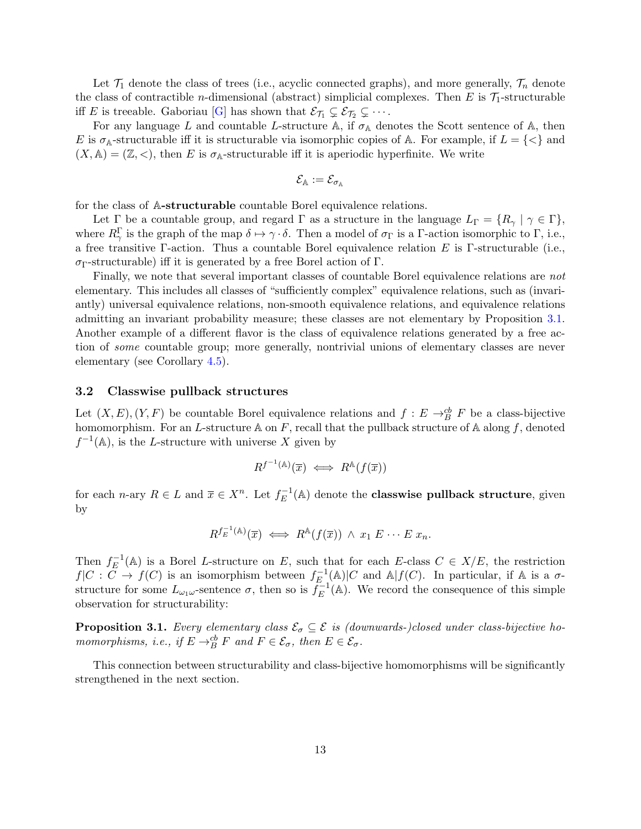Let  $\mathcal{T}_1$  denote the class of trees (i.e., acyclic connected graphs), and more generally,  $\mathcal{T}_n$  denote the class of contractible *n*-dimensional (abstract) simplicial complexes. Then E is  $\mathcal{T}_1$ -structurable iff E is treeable. Gaboriau [\[G\]](#page-70-5) has shown that  $\mathcal{E}_{\mathcal{T}_1} \subsetneq \mathcal{E}_{\mathcal{T}_2} \subsetneq \cdots$ .

For any language L and countable L-structure A, if  $\sigma_{A}$  denotes the Scott sentence of A, then E is  $\sigma_{\mathbb{A}}$ -structurable iff it is structurable via isomorphic copies of A. For example, if  $L = \{ \leq \}$  and  $(X, A) = (Z, <)$ , then E is  $\sigma_A$ -structurable iff it is aperiodic hyperfinite. We write

$$
\mathcal{E}_{\mathbb{A}}:=\mathcal{E}_{\sigma_{\mathbb{A}}}
$$

for the class of A-structurable countable Borel equivalence relations.

Let  $\Gamma$  be a countable group, and regard  $\Gamma$  as a structure in the language  $L_{\Gamma} = \{R_{\gamma} \mid \gamma \in \Gamma\},\$ where  $R_{\gamma}^{\Gamma}$  is the graph of the map  $\delta \mapsto \gamma \cdot \delta$ . Then a model of  $\sigma_{\Gamma}$  is a  $\Gamma$ -action isomorphic to  $\Gamma$ , i.e., a free transitive Γ-action. Thus a countable Borel equivalence relation E is Γ-structurable (i.e., σΓ-structurable) iff it is generated by a free Borel action of Γ.

Finally, we note that several important classes of countable Borel equivalence relations are *not* elementary. This includes all classes of "sufficiently complex" equivalence relations, such as (invariantly) universal equivalence relations, non-smooth equivalence relations, and equivalence relations admitting an invariant probability measure; these classes are not elementary by Proposition [3.1.](#page-12-0) Another example of a different flavor is the class of equivalence relations generated by a free action of some countable group; more generally, nontrivial unions of elementary classes are never elementary (see Corollary [4.5\)](#page-15-0).

#### 3.2 Classwise pullback structures

Let  $(X, E), (Y, F)$  be countable Borel equivalence relations and  $f : E \to_B^{cb} F$  be a class-bijective homomorphism. For an L-structure  $A$  on F, recall that the pullback structure of  $A$  along  $f$ , denoted  $f^{-1}(\mathbb{A})$ , is the L-structure with universe X given by

$$
R^{f^{-1}(\mathbb{A})}(\overline{x}) \iff R^{\mathbb{A}}(f(\overline{x}))
$$

for each *n*-ary  $R \in L$  and  $\overline{x} \in X^n$ . Let  $f_E^{-1}$  $E^{-1}(\mathbb{A})$  denote the **classwise pullback structure**, given by

$$
R^{f_E^{-1}(\mathbb{A})}(\overline{x}) \iff R^{\mathbb{A}}(f(\overline{x})) \land x_1 \mathbb{E} \cdots \mathbb{E} x_n.
$$

Then  $f_E^{-1}$  $E^{-1}(\mathbb{A})$  is a Borel L-structure on E, such that for each E-class  $C \in X/E$ , the restriction  $f|C : \tilde{C} \to f(C)$  is an isomorphism between  $f_{E_1}^{-1}$  $E^{-1}_E(A)|C$  and  $A|f(C)$ . In particular, if A is a  $\sigma$ structure for some  $L_{\omega_1\omega}$ -sentence  $\sigma$ , then so is  $\tilde{f}_E^{-1}$  $E^{-1}(\mathbb{A})$ . We record the consequence of this simple observation for structurability:

<span id="page-12-0"></span>**Proposition 3.1.** Every elementary class  $\mathcal{E}_{\sigma} \subseteq \mathcal{E}$  is (downwards-)closed under class-bijective homomorphisms, i.e., if  $E \rightarrow_B^{\text{cb}} F$  and  $F \in \mathcal{E}_{\sigma}$ , then  $E \in \mathcal{E}_{\sigma}$ .

This connection between structurability and class-bijective homomorphisms will be significantly strengthened in the next section.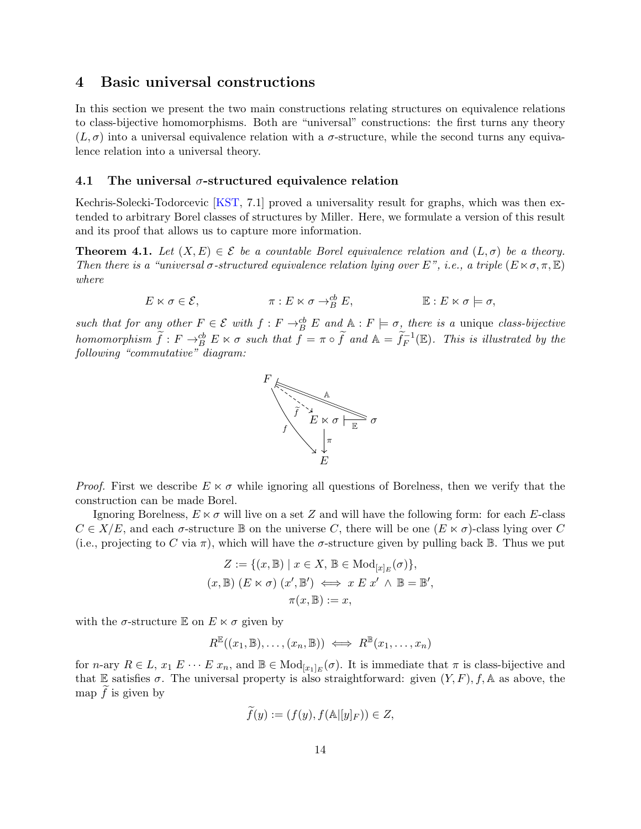## <span id="page-13-1"></span>4 Basic universal constructions

In this section we present the two main constructions relating structures on equivalence relations to class-bijective homomorphisms. Both are "universal" constructions: the first turns any theory  $(L, \sigma)$  into a universal equivalence relation with a  $\sigma$ -structure, while the second turns any equivalence relation into a universal theory.

#### <span id="page-13-2"></span>4.1 The universal  $\sigma$ -structured equivalence relation

Kechris-Solecki-Todorcevic [\[KST,](#page-70-1) 7.1] proved a universality result for graphs, which was then extended to arbitrary Borel classes of structures by Miller. Here, we formulate a version of this result and its proof that allows us to capture more information.

<span id="page-13-0"></span>**Theorem 4.1.** Let  $(X, E) \in \mathcal{E}$  be a countable Borel equivalence relation and  $(L, \sigma)$  be a theory. Then there is a "universal  $\sigma$ -structured equivalence relation lying over E", i.e., a triple  $(E \ltimes \sigma, \pi, \mathbb{E})$ where

$$
E \ltimes \sigma \in \mathcal{E}, \qquad \qquad \pi: E \ltimes \sigma \to_B^{\text{cb}} E, \qquad \qquad \mathbb{E}: E \ltimes \sigma \models \sigma,
$$

such that for any other  $F \in \mathcal{E}$  with  $f : F \to_B^{\text{cb}} E$  and  $\mathbb{A} : F \models \sigma$ , there is a unique class-bijective homomorphism  $\widetilde{f}: F \to_{B}^{\text{cb}} E \ltimes \sigma$  such that  $f = \pi \circ \widetilde{f}$  and  $\mathbb{A} = \widetilde{f}_{F}^{-1}(\mathbb{E})$ . This is illustrated by the following "commutative" diagram:



*Proof.* First we describe  $E \ltimes \sigma$  while ignoring all questions of Borelness, then we verify that the construction can be made Borel.

Ignoring Borelness,  $E \ltimes \sigma$  will live on a set Z and will have the following form: for each E-class  $C \in X/E$ , and each  $\sigma$ -structure  $\mathbb B$  on the universe C, there will be one  $(E \ltimes \sigma)$ -class lying over C (i.e., projecting to C via  $\pi$ ), which will have the  $\sigma$ -structure given by pulling back  $\mathbb B$ . Thus we put

$$
Z := \{ (x, \mathbb{B}) \mid x \in X, \mathbb{B} \in \text{Mod}_{[x]_E}(\sigma) \},\
$$

$$
(x, \mathbb{B}) \ (E \ltimes \sigma) \ (x', \mathbb{B}') \iff x \ E \ x' \land \mathbb{B} = \mathbb{B}',\
$$

$$
\pi(x, \mathbb{B}) := x,
$$

with the  $\sigma$ -structure E on  $E \ltimes \sigma$  given by

$$
R^{\mathbb{E}}((x_1,\mathbb{B}),\ldots,(x_n,\mathbb{B})) \iff R^{\mathbb{B}}(x_1,\ldots,x_n)
$$

for *n*-ary  $R \in L$ ,  $x_1 E \cdots E x_n$ , and  $\mathbb{B} \in Mod_{[x_1]_E}(\sigma)$ . It is immediate that  $\pi$  is class-bijective and that E satisfies  $\sigma$ . The universal property is also straightforward: given  $(Y, F)$ , f, A as above, the map  $\tilde{f}$  is given by

$$
f(y) := (f(y), f(\mathbb{A}[[y]_F)) \in Z,
$$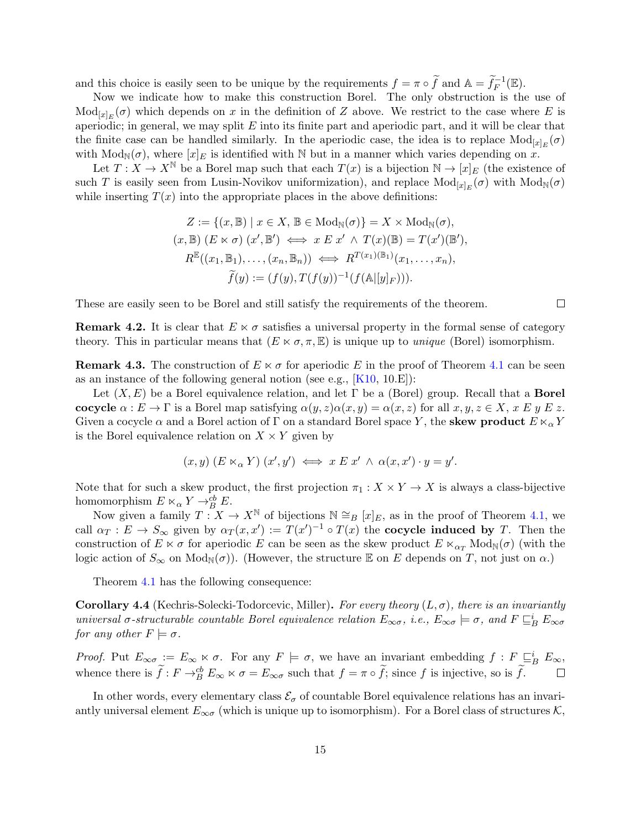and this choice is easily seen to be unique by the requirements  $f = \pi \circ \tilde{f}$  and  $A = \tilde{f}_F^{-1}(\mathbb{E})$ .

Now we indicate how to make this construction Borel. The only obstruction is the use of  $\text{Mod}_{[x]_E}(\sigma)$  which depends on x in the definition of Z above. We restrict to the case where E is aperiodic; in general, we may split  $E$  into its finite part and aperiodic part, and it will be clear that the finite case can be handled similarly. In the aperiodic case, the idea is to replace  $Mod_{[x]_E}(\sigma)$ with  $Mod_{\mathbb{N}}(\sigma)$ , where  $[x]_E$  is identified with N but in a manner which varies depending on x.

Let  $T: X \to X^{\mathbb{N}}$  be a Borel map such that each  $T(x)$  is a bijection  $\mathbb{N} \to [x]_E$  (the existence of such T is easily seen from Lusin-Novikov uniformization), and replace  $Mod_{[x]_E}(\sigma)$  with  $Mod_{\mathbb{N}}(\sigma)$ while inserting  $T(x)$  into the appropriate places in the above definitions:

$$
Z := \{(x, \mathbb{B}) \mid x \in X, \mathbb{B} \in \text{Mod}_{\mathbb{N}}(\sigma)\} = X \times \text{Mod}_{\mathbb{N}}(\sigma),
$$
  
\n
$$
(x, \mathbb{B}) (E \times \sigma) (x', \mathbb{B}') \iff x \in x' \land T(x)(\mathbb{B}) = T(x')(\mathbb{B}'),
$$
  
\n
$$
R^{\mathbb{E}}((x_1, \mathbb{B}_1), \dots, (x_n, \mathbb{B}_n)) \iff R^{T(x_1)(\mathbb{B}_1)}(x_1, \dots, x_n),
$$
  
\n
$$
\widetilde{f}(y) := (f(y), T(f(y))^{-1}(f(\mathbb{A}[[y]_F))).
$$

These are easily seen to be Borel and still satisfy the requirements of the theorem.

 $\Box$ 

**Remark 4.2.** It is clear that  $E \times \sigma$  satisfies a universal property in the formal sense of category theory. This in particular means that  $(E \ltimes \sigma, \pi, \mathbb{E})$  is unique up to *unique* (Borel) isomorphism.

**Remark 4.3.** The construction of  $E \ltimes \sigma$  for aperiodic E in the proof of Theorem [4.1](#page-13-0) can be seen as an instance of the following general notion (see e.g.,  $[K10, 10.E]$ ):

Let  $(X, E)$  be a Borel equivalence relation, and let  $\Gamma$  be a (Borel) group. Recall that a **Borel** cocycle  $\alpha : E \to \Gamma$  is a Borel map satisfying  $\alpha(y, z)\alpha(x, y) = \alpha(x, z)$  for all  $x, y, z \in X$ ,  $x \in y \in \mathcal{Z}$ . Given a cocycle  $\alpha$  and a Borel action of  $\Gamma$  on a standard Borel space Y, the **skew product**  $E \ltimes_{\alpha} Y$ is the Borel equivalence relation on  $X \times Y$  given by

$$
(x,y)\; (E\ltimes_{\alpha} Y)\; (x',y') \iff x\; E\; x'\; \wedge\; \alpha(x,x')\cdot y=y'.
$$

Note that for such a skew product, the first projection  $\pi_1 : X \times Y \to X$  is always a class-bijective homomorphism  $E \ltimes_{\alpha} Y \to_B^{cb} E$ .

Now given a family  $T: X \to X^{\mathbb{N}}$  of bijections  $\mathbb{N} \cong_B [x]_E$ , as in the proof of Theorem [4.1,](#page-13-0) we call  $\alpha_T : E \to S_\infty$  given by  $\alpha_T(x, x') := T(x')^{-1} \circ T(x)$  the cocycle induced by T. Then the construction of  $E \ltimes \sigma$  for aperiodic E can be seen as the skew product  $E \ltimes_{\alpha_T} Mod_{\mathbb{N}}(\sigma)$  (with the logic action of  $S_{\infty}$  on  $Mod_{\mathbb{N}}(\sigma)$ . (However, the structure E on E depends on T, not just on  $\alpha$ .)

Theorem [4.1](#page-13-0) has the following consequence:

<span id="page-14-0"></span>**Corollary 4.4** (Kechris-Solecki-Todorcevic, Miller). For every theory  $(L, \sigma)$ , there is an invariantly universal  $\sigma$ -structurable countable Borel equivalence relation  $E_{\infty\sigma}$ , i.e.,  $E_{\infty\sigma} \models \sigma$ , and  $F \sqsubseteq_B^i E_{\infty\sigma}$ for any other  $F \models \sigma$ .

Proof. Put  $E_{\infty \sigma} := E_{\infty} \ltimes \sigma$ . For any  $F \models \sigma$ , we have an invariant embedding  $f : F \subseteq_B^i E_{\infty}$ , whence there is  $\tilde{f}: F \to_B^{\text{cb}} E_\infty \ltimes \sigma = E_{\infty \sigma}$  such that  $f = \pi \circ \tilde{f}$ ; since f is injective, so is  $\tilde{f}$ .

In other words, every elementary class  $\mathcal{E}_{\sigma}$  of countable Borel equivalence relations has an invariantly universal element  $E_{\infty \sigma}$  (which is unique up to isomorphism). For a Borel class of structures K,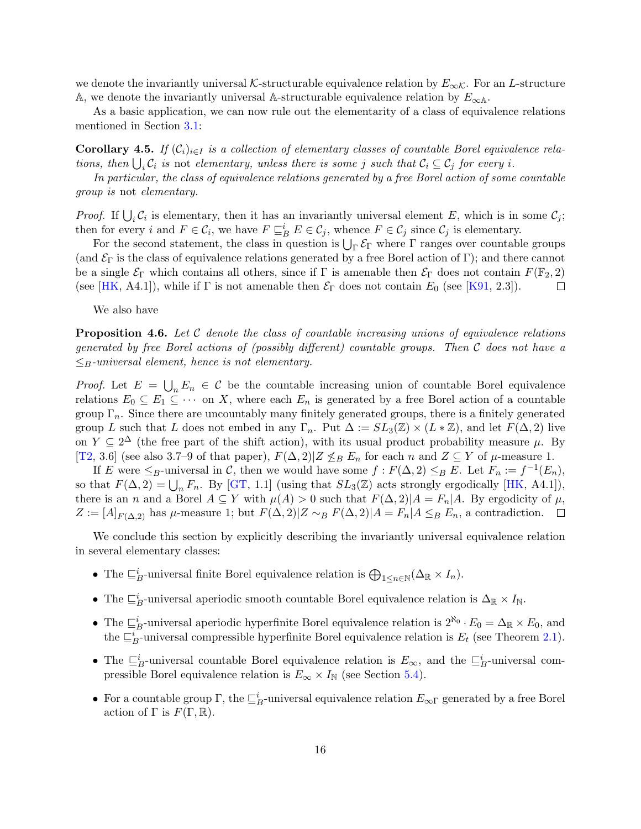we denote the invariantly universal K-structurable equivalence relation by  $E_{\infty}$ K. For an L-structure A, we denote the invariantly universal A-structurable equivalence relation by  $E_{\infty \mathbb{A}}$ .

As a basic application, we can now rule out the elementarity of a class of equivalence relations mentioned in Section [3.1:](#page-11-1)

<span id="page-15-0"></span>**Corollary 4.5.** If  $(C_i)_{i\in I}$  is a collection of elementary classes of countable Borel equivalence relations, then  $\bigcup_i C_i$  is not elementary, unless there is some j such that  $C_i \subseteq C_j$  for every i.

In particular, the class of equivalence relations generated by a free Borel action of some countable group is not elementary.

*Proof.* If  $\bigcup_i C_i$  is elementary, then it has an invariantly universal element E, which is in some  $C_j$ ; then for every i and  $F \in \mathcal{C}_i$ , we have  $F \sqsubseteq_B^i E \in \mathcal{C}_j$ , whence  $F \in \mathcal{C}_j$  since  $\mathcal{C}_j$  is elementary.

For the second statement, the class in question is  $\bigcup_{\Gamma} \mathcal{E}_{\Gamma}$  where  $\Gamma$  ranges over countable groups (and  $\mathcal{E}_{\Gamma}$  is the class of equivalence relations generated by a free Borel action of Γ); and there cannot be a single  $\mathcal{E}_{\Gamma}$  which contains all others, since if  $\Gamma$  is amenable then  $\mathcal{E}_{\Gamma}$  does not contain  $F(\mathbb{F}_2, 2)$  (see [HK, A4.1]), while if  $\Gamma$  is not amenable then  $\mathcal{E}_{\Gamma}$  does not contain  $E_0$  (see [K (see [\[HK,](#page-70-2) A4.1]), while if  $\Gamma$  is not amenable then  $\mathcal{E}_{\Gamma}$  does not contain  $E_0$  (see [\[K91,](#page-70-4) 2.3]).

We also have

**Proposition 4.6.** Let C denote the class of countable increasing unions of equivalence relations generated by free Borel actions of (possibly different) countable groups. Then C does not have a  $\leq_B$ -universal element, hence is not elementary.

*Proof.* Let  $E = \bigcup_n E_n \in \mathcal{C}$  be the countable increasing union of countable Borel equivalence relations  $E_0 \subseteq E_1 \subseteq \cdots$  on X, where each  $E_n$  is generated by a free Borel action of a countable group  $\Gamma_n$ . Since there are uncountably many finitely generated groups, there is a finitely generated group L such that L does not embed in any  $\Gamma_n$ . Put  $\Delta := SL_3(\mathbb{Z}) \times (L \times \mathbb{Z})$ , and let  $F(\Delta, 2)$  live on  $Y \subseteq 2^{\Delta}$  (the free part of the shift action), with its usual product probability measure  $\mu$ . By [\[T2,](#page-71-5) 3.6] (see also 3.7–9 of that paper),  $F(\Delta,2)|Z \nleq_B E_n$  for each n and  $Z \subseteq Y$  of  $\mu$ -measure 1.

If E were  $\leq_B$ -universal in C, then we would have some  $f : F(\Delta, 2) \leq_B E$ . Let  $F_n := f^{-1}(E_n)$ , so that  $F(\Delta, 2) = \bigcup_n F_n$ . By [\[GT,](#page-70-12) 1.1] (using that  $SL_3(\mathbb{Z})$  acts strongly ergodically [\[HK,](#page-70-2) A4.1]), there is an *n* and a Borel  $A \subseteq Y$  with  $\mu(A) > 0$  such that  $F(\Delta, 2)|A = F_n|A$ . By ergodicity of  $\mu$ ,  $Z := [A]_{F(\Delta,2)}$  has  $\mu$ -measure 1; but  $F(\Delta,2)|Z \sim_B F(\Delta,2)|A = F_n|A \leq_B E_n$ , a contradiction.  $\square$ 

We conclude this section by explicitly describing the invariantly universal equivalence relation in several elementary classes:

- The  $\sqsubseteq_B^i$ -universal finite Borel equivalence relation is  $\bigoplus_{1\leq n\in\mathbb{N}}(\Delta_\mathbb{R}\times I_n)$ .
- The  $\sqsubseteq_B^i$ -universal aperiodic smooth countable Borel equivalence relation is  $\Delta_{\mathbb{R}} \times I_{\mathbb{N}}$ .
- The  $\sqsubseteq_B^i$ -universal aperiodic hyperfinite Borel equivalence relation is  $2^{\aleph_0} \cdot E_0 = \Delta_{\mathbb{R}} \times E_0$ , and the  $\sqsubseteq_B^i$ -universal compressible hyperfinite Borel equivalence relation is  $E_t$  (see Theorem [2.1\)](#page-9-0).
- The  $\sqsubseteq_B^i$ -universal countable Borel equivalence relation is  $E_\infty$ , and the  $\sqsubseteq_B^i$ -universal compressible Borel equivalence relation is  $E_{\infty} \times I_{\mathbb{N}}$  (see Section [5.4\)](#page-29-0).
- For a countable group  $\Gamma$ , the  $\sqsubseteq_B^i$ -universal equivalence relation  $E_{\infty\Gamma}$  generated by a free Borel action of  $\Gamma$  is  $F(\Gamma,\mathbb{R})$ .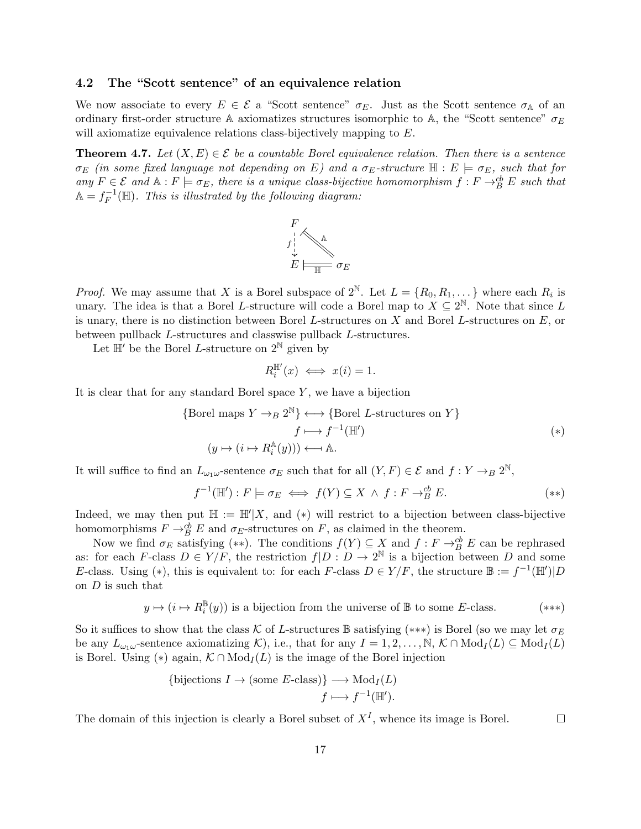## 4.2 The "Scott sentence" of an equivalence relation

We now associate to every  $E \in \mathcal{E}$  a "Scott sentence"  $\sigma_E$ . Just as the Scott sentence  $\sigma_A$  of an ordinary first-order structure A axiomatizes structures isomorphic to A, the "Scott sentence"  $\sigma_E$ will axiomatize equivalence relations class-bijectively mapping to  $E$ .

<span id="page-16-0"></span>**Theorem 4.7.** Let  $(X, E) \in \mathcal{E}$  be a countable Borel equivalence relation. Then there is a sentence  $\sigma_E$  (in some fixed language not depending on E) and a  $\sigma_E$ -structure  $\mathbb{H}: E \models \sigma_E$ , such that for any  $F \in \mathcal{E}$  and  $\mathbb{A}: F \models \sigma_E$ , there is a unique class-bijective homomorphism  $f: F \to_B^{\text{cb}} E$  such that  $\mathbb{A}=f_F^{-1}$  $\mathcal{F}_F^{-1}(\mathbb{H})$ . This is illustrated by the following diagram:



*Proof.* We may assume that X is a Borel subspace of  $2^{\mathbb{N}}$ . Let  $L = \{R_0, R_1, \ldots\}$  where each  $R_i$  is unary. The idea is that a Borel L-structure will code a Borel map to  $X \subseteq 2^{\mathbb{N}}$ . Note that since L is unary, there is no distinction between Borel L-structures on  $X$  and Borel L-structures on  $E$ , or between pullback L-structures and classwise pullback L-structures.

Let  $\mathbb{H}'$  be the Borel *L*-structure on  $2^{\mathbb{N}}$  given by

$$
R_i^{\mathbb{H}'}(x) \iff x(i) = 1.
$$

It is clear that for any standard Borel space  $Y$ , we have a bijection

{Borel maps 
$$
Y \to_B 2^{\mathbb{N}} \longleftrightarrow \{\text{Borel } L\text{-structures on } Y\}
$$
  
\n $f \longmapsto f^{-1}(\mathbb{H}')$  (\*)  
\n $(y \mapsto (i \mapsto R_i^{\mathbb{A}}(y))) \longleftrightarrow \mathbb{A}.$  (\*)

It will suffice to find an  $L_{\omega_1\omega}$ -sentence  $\sigma_E$  such that for all  $(Y, F) \in \mathcal{E}$  and  $f: Y \to_B 2^{\mathbb{N}},$ 

$$
f^{-1}(\mathbb{H}'): F \models \sigma_E \iff f(Y) \subseteq X \land f : F \to_B^{\text{cb}} E. \tag{**}
$$

 $\Box$ 

Indeed, we may then put  $\mathbb{H} := \mathbb{H}'|X$ , and (\*) will restrict to a bijection between class-bijective homomorphisms  $F \to_B^{\text{cb}} E$  and  $\sigma_E$ -structures on F, as claimed in the theorem.

Now we find  $\sigma_E$  satisfying (\*\*). The conditions  $f(Y) \subseteq X$  and  $f: F \to_B^{cb} E$  can be rephrased as: for each F-class  $D \in Y/F$ , the restriction  $f|D: D \to 2^{\mathbb{N}}$  is a bijection between D and some E-class. Using (\*), this is equivalent to: for each F-class  $D \in Y/F$ , the structure  $\mathbb{B} := f^{-1}(\mathbb{H}')|D$ on  $D$  is such that

$$
y \mapsto (i \mapsto R_i^{\mathbb{B}}(y))
$$
 is a bijection from the universe of  $\mathbb{B}$  to some *E*-class.  $(***)$ 

So it suffices to show that the class K of L-structures B satisfying (\*\*\*) is Borel (so we may let  $\sigma_E$ be any  $L_{\omega_1\omega}$ -sentence axiomatizing K), i.e., that for any  $I = 1, 2, ..., N$ ,  $K \cap Mod_I(L) \subseteq Mod_I(L)$ is Borel. Using (\*) again,  $K \cap Mod<sub>I</sub>(L)$  is the image of the Borel injection

$$
\{\text{bijections } I \to \text{(some } E\text{-class)}\} \longrightarrow \text{Mod}_I(L)
$$

$$
f \longmapsto f^{-1}(\mathbb{H}').
$$

The domain of this injection is clearly a Borel subset of  $X<sup>I</sup>$ , whence its image is Borel.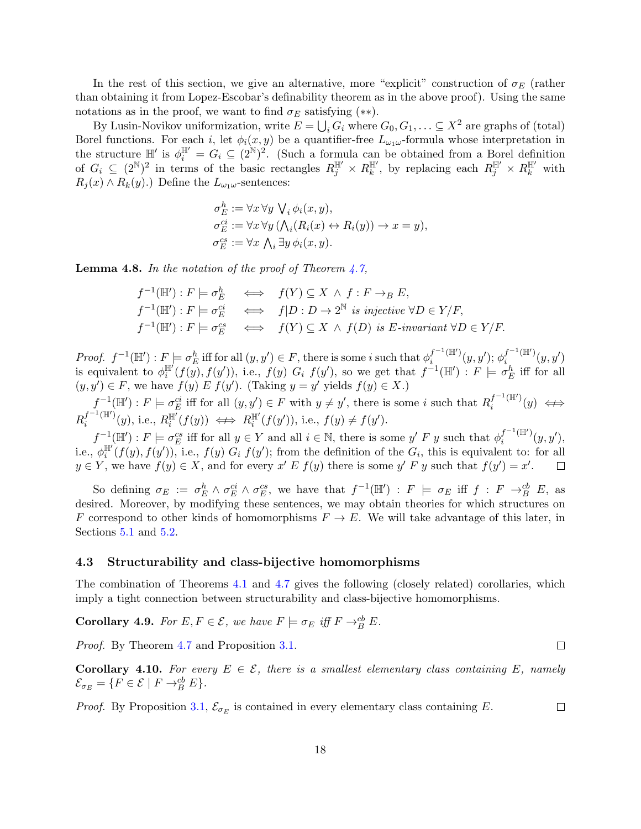In the rest of this section, we give an alternative, more "explicit" construction of  $\sigma_E$  (rather than obtaining it from Lopez-Escobar's definability theorem as in the above proof). Using the same notations as in the proof, we want to find  $\sigma_E$  satisfying (\*\*).

By Lusin-Novikov uniformization, write  $E = \bigcup_i G_i$  where  $G_0, G_1, \ldots \subseteq X^2$  are graphs of (total) Borel functions. For each i, let  $\phi_i(x, y)$  be a quantifier-free  $L_{\omega_1\omega}$ -formula whose interpretation in the structure  $\mathbb{H}'$  is  $\phi_i^{\mathbb{H}'} = G_i \subseteq (2^{\mathbb{N}})^2$ . (Such a formula can be obtained from a Borel definition of  $G_i \subseteq (2^{\mathbb{N}})^2$  in terms of the basic rectangles  $R_j^{\mathbb{H}'} \times R_k^{\mathbb{H}'}$ , by replacing each  $R_j^{\mathbb{H}'} \times R_k^{\mathbb{H}'}$  with  $R_i(x) \wedge R_k(y)$ .) Define the  $L_{\omega_1\omega}$ -sentences:

$$
\sigma_E^h := \forall x \,\forall y \,\bigvee_i \phi_i(x, y),
$$
  
\n
$$
\sigma_E^{\dot{c}i} := \forall x \,\forall y \, \big(\bigwedge_i (R_i(x) \leftrightarrow R_i(y)) \rightarrow x = y\big),
$$
  
\n
$$
\sigma_E^{cs} := \forall x \,\bigwedge_i \exists y \,\phi_i(x, y).
$$

<span id="page-17-3"></span>**Lemma 4.8.** In the notation of the proof of Theorem  $\angle 4.7$ ,

$$
f^{-1}(\mathbb{H}'): F \models \sigma_E^h \iff f(Y) \subseteq X \land f : F \to_B E,
$$
  
\n
$$
f^{-1}(\mathbb{H}'): F \models \sigma_E^{ci} \iff f|D: D \to 2^{\mathbb{N}} \text{ is injective } \forall D \in Y/F,
$$
  
\n
$$
f^{-1}(\mathbb{H}'): F \models \sigma_E^{cs} \iff f(Y) \subseteq X \land f(D) \text{ is } E\text{-invariant } \forall D \in Y/F.
$$

Proof.  $f^{-1}(\mathbb{H}') : F \models \sigma_E^h$  iff for all  $(y, y') \in F$ , there is some i such that  $\phi_i^{f^{-1}(\mathbb{H}')}$  $\phi^{f^{-1}(\mathbb{H}')}_i(y,y');\,\phi^{f^{-1}(\mathbb{H}')}_i$  $\int\limits_{i}^{f^{-1}(\mathbb{H}')} (y, y')$ is equivalent to  $\phi_i^{\mathbb{H}'}(f(y), f(y'))$ , i.e.,  $f(y)$  G<sub>i</sub>  $f(y')$ , so we get that  $f^{-1}(\mathbb{H}')$ :  $F \models \sigma_E^h$  iff for all  $(y, y') \in F$ , we have  $f(y) \mathop{E} f(y')$ . (Taking  $y = y'$  yields  $f(y) \in X$ .)

 $f^{-1}(\mathbb{H}') : F \models \sigma_E^{ci}$  iff for all  $(y, y') \in F$  with  $y \neq y'$ , there is some i such that  $R_i^{f^{-1}(\mathbb{H}')}$  $\underset{i}{\overset{j}{\cdot}}$   $\overset{(ii)}{\cdot}(y) \leftrightarrow$  $R_i^{f^{-1}(\mathbb{H}')}$  $\begin{array}{ll} f^{-1}(\mathbb{H}'), \text{ i.e., } R_i^{\mathbb{H}'}(f(y)) \iff R_i^{\mathbb{H}'}(f(y')), \text{ i.e., } f(y) \neq f(y'). \end{array}$ 

 $f^{-1}(\mathbb{H}') : F \models \sigma_E^{cs}$  iff for all  $y \in Y$  and all  $i \in \mathbb{N}$ , there is some  $y' F y$  such that  $\phi_i^{f^{-1}(\mathbb{H}')}$  $\int_{i}^{f^{-1}(\mathbb{H}')}(y,y'),$ i.e.,  $\phi_i^{\mathbb{H}'}(f(y), f(y'))$ , i.e.,  $f(y)$   $G_i$   $f(y')$ ; from the definition of the  $G_i$ , this is equivalent to: for all  $y \in Y$ , we have  $f(y) \in X$ , and for every  $x' \mathcal{L} f(y)$  there is some  $y' \mathcal{L} f(y)$  such that  $f(y') = x'$ .  $\Box$ 

So defining  $\sigma_E := \sigma_E^h \wedge \sigma_E^{ci} \wedge \sigma_E^{cs}$ , we have that  $f^{-1}(\mathbb{H}') : F \models \sigma_E$  iff  $f : F \rightarrow_B^{cb} E$ , as desired. Moreover, by modifying these sentences, we may obtain theories for which structures on F correspond to other kinds of homomorphisms  $F \to E$ . We will take advantage of this later, in Sections [5.1](#page-24-0) and [5.2.](#page-25-0)

#### <span id="page-17-1"></span>4.3 Structurability and class-bijective homomorphisms

The combination of Theorems [4.1](#page-13-0) and [4.7](#page-16-0) gives the following (closely related) corollaries, which imply a tight connection between structurability and class-bijective homomorphisms.

<span id="page-17-2"></span>**Corollary 4.9.** For  $E, F \in \mathcal{E}$ , we have  $F \models \sigma_E$  iff  $F \rightarrow_B^{\text{cb}} E$ .

Proof. By Theorem [4.7](#page-16-0) and Proposition [3.1.](#page-12-0)

<span id="page-17-0"></span>**Corollary 4.10.** For every  $E \in \mathcal{E}$ , there is a smallest elementary class containing E, namely  $\mathcal{E}_{\sigma_E} = \{ F \in \mathcal{E} \mid F \rightarrow_B^{cb} E \}.$ 

*Proof.* By Proposition [3.1,](#page-12-0)  $\mathcal{E}_{\sigma_E}$  is contained in every elementary class containing E.  $\Box$ 

 $\Box$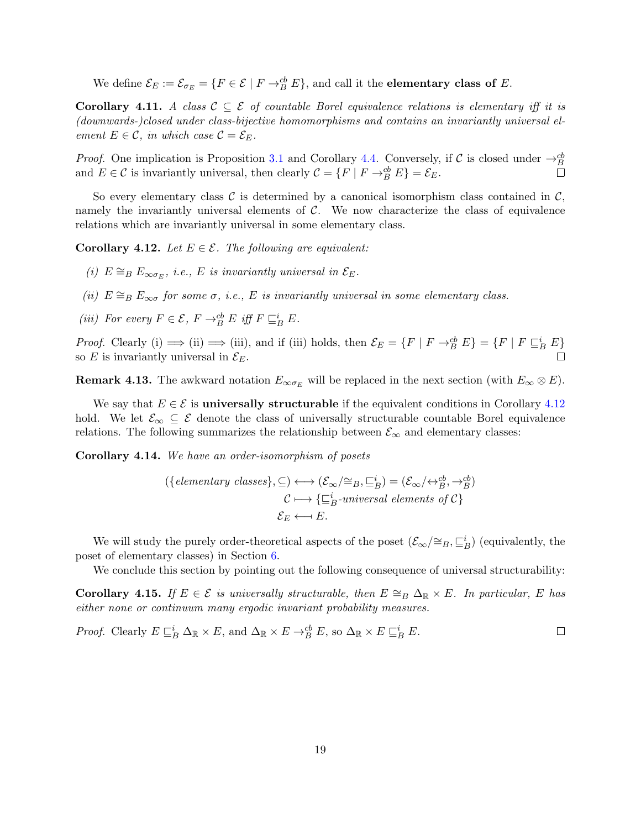We define  $\mathcal{E}_E := \mathcal{E}_{\sigma_E} = \{ F \in \mathcal{E} \mid F \to_B^{\text{cb}} E \}$ , and call it the **elementary class of** E.

<span id="page-18-0"></span>**Corollary 4.11.** A class  $C \subseteq \mathcal{E}$  of countable Borel equivalence relations is elementary iff it is (downwards-)closed under class-bijective homomorphisms and contains an invariantly universal element  $E \in \mathcal{C}$ , in which case  $\mathcal{C} = \mathcal{E}_E$ .

*Proof.* One implication is Proposition [3.1](#page-12-0) and Corollary [4.4.](#page-14-0) Conversely, if C is closed under  $\rightarrow_B^{\text{cb}}$ and  $E \in \mathcal{C}$  is invariantly universal, then clearly  $\mathcal{C} = \{F \mid F \rightarrow_B^{cb} E\} = \mathcal{E}_E$ .

So every elementary class  $\mathcal C$  is determined by a canonical isomorphism class contained in  $\mathcal C$ , namely the invariantly universal elements of  $C$ . We now characterize the class of equivalence relations which are invariantly universal in some elementary class.

<span id="page-18-1"></span>Corollary 4.12. Let  $E \in \mathcal{E}$ . The following are equivalent:

- (i)  $E \cong_B E_{\infty \sigma_E}$ , i.e., E is invariantly universal in  $\mathcal{E}_E$ .
- (ii)  $E \cong_B E_{\infty \sigma}$  for some  $\sigma$ , i.e., E is invariantly universal in some elementary class.
- (iii) For every  $F \in \mathcal{E}$ ,  $F \rightarrow_B^{\text{cb}} E$  iff  $F \sqsubseteq_B^i E$ .

*Proof.* Clearly (i)  $\implies$  (ii)  $\implies$  (iii), and if (iii) holds, then  $\mathcal{E}_E = \{F \mid F \to_B^{\text{cb}} E\} = \{F \mid F \sqsubseteq_B^i E\}$ so E is invariantly universal in  $\mathcal{E}_E$ .

**Remark 4.13.** The awkward notation  $E_{\infty \sigma_E}$  will be replaced in the next section (with  $E_{\infty} \otimes E$ ).

We say that  $E \in \mathcal{E}$  is **universally structurable** if the equivalent conditions in Corollary [4.12](#page-18-1) hold. We let  $\mathcal{E}_{\infty} \subseteq \mathcal{E}$  denote the class of universally structurable countable Borel equivalence relations. The following summarizes the relationship between  $\mathcal{E}_{\infty}$  and elementary classes:

Corollary 4.14. We have an order-isomorphism of posets

$$
(\{elementary classes\}, \subseteq) \longleftrightarrow (\mathcal{E}_{\infty}/\cong_B, \subseteq_B^i) = (\mathcal{E}_{\infty}/\leftrightarrow_B^{\text{cb}}, \rightarrow_B^{\text{cb}})
$$

$$
\mathcal{C} \longmapsto \{\subseteq_B^i\text{-universal elements of }\mathcal{C}\}
$$

$$
\mathcal{E}_E \longleftrightarrow E.
$$

We will study the purely order-theoretical aspects of the poset  $(\mathcal{E}_{\infty}/\cong_B, \sqsubseteq_B^i)$  (equivalently, the poset of elementary classes) in Section [6.](#page-30-0)

We conclude this section by pointing out the following consequence of universal structurability:

<span id="page-18-2"></span>Corollary 4.15. If  $E \in \mathcal{E}$  is universally structurable, then  $E \cong_B \Delta_{\mathbb{R}} \times E$ . In particular, E has either none or continuum many ergodic invariant probability measures.

*Proof.* Clearly  $E \sqsubseteq_B^i \Delta_{\mathbb{R}} \times E$ , and  $\Delta_{\mathbb{R}} \times E \to_B^{cb} E$ , so  $\Delta_{\mathbb{R}} \times E \sqsubseteq_B^i E$ .  $\Box$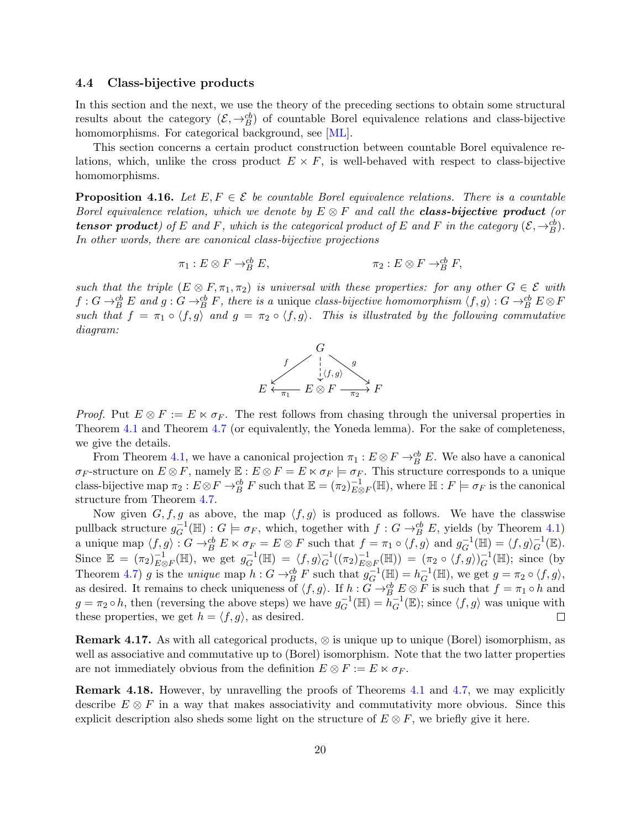#### <span id="page-19-0"></span>4.4 Class-bijective products

In this section and the next, we use the theory of the preceding sections to obtain some structural results about the category  $(\mathcal{E}, \rightarrow_B^{\text{cb}})$  of countable Borel equivalence relations and class-bijective homomorphisms. For categorical background, see [\[ML\]](#page-71-4).

This section concerns a certain product construction between countable Borel equivalence relations, which, unlike the cross product  $E \times F$ , is well-behaved with respect to class-bijective homomorphisms.

<span id="page-19-1"></span>**Proposition 4.16.** Let  $E, F \in \mathcal{E}$  be countable Borel equivalence relations. There is a countable Borel equivalence relation, which we denote by  $E \otimes F$  and call the **class-bijective product** (or **tensor product**) of E and F, which is the categorical product of E and F in the category  $(\mathcal{E}, \rightarrow_B^{\text{cb}})$ . In other words, there are canonical class-bijective projections

$$
\pi_1: E \otimes F \to_B^{\text{cb}} E, \qquad \qquad \pi_2: E \otimes F \to_B^{\text{cb}} F,
$$

such that the triple  $(E \otimes F, \pi_1, \pi_2)$  is universal with these properties: for any other  $G \in \mathcal{E}$  with  $f: G \to_B^{cb} E$  and  $g: G \to_B^{cb} F$ , there is a unique class-bijective homomorphism  $\langle f, g \rangle : G \to_B^{cb} E \otimes F$ such that  $f = \pi_1 \circ \langle f, g \rangle$  and  $g = \pi_2 \circ \langle f, g \rangle$ . This is illustrated by the following commutative diagram:



*Proof.* Put  $E \otimes F := E \times \sigma_F$ . The rest follows from chasing through the universal properties in Theorem [4.1](#page-13-0) and Theorem [4.7](#page-16-0) (or equivalently, the Yoneda lemma). For the sake of completeness, we give the details.

From Theorem [4.1,](#page-13-0) we have a canonical projection  $\pi_1 : E \otimes F \to_B^{\text{cb}} E$ . We also have a canonical  $\sigma_F$ -structure on  $E \otimes F$ , namely  $\mathbb{E} : E \otimes F = E \ltimes \sigma_F \models \sigma_F$ . This structure corresponds to a unique class-bijective map  $\pi_2 : E \otimes F \to_B^{cb} F$  such that  $\mathbb{E} = (\pi_2)_{E \otimes F}^{-1}$  $\mathcal{L}_{E\otimes F}^{-1}(\mathbb{H}),$  where  $\mathbb{H}: F \models \sigma_F$  is the canonical structure from Theorem [4.7.](#page-16-0)

Now given  $G, f, g$  as above, the map  $\langle f, g \rangle$  is produced as follows. We have the classwise pullback structure  $g_G^{-1}$  $G^{-1}(\mathbb{H})$ :  $G \models \sigma_F$ , which, together with  $f : G \rightarrow_B^{\text{cb}} E$ , yields (by Theorem [4.1\)](#page-13-0) a unique map  $\langle f, g \rangle : G \to_B^{cb} E \ltimes \sigma_F = E \otimes F$  such that  $f = \pi_1 \circ \langle f, g \rangle$  and  $g_G^{-1}$  $G^{-1}(\mathbb{H}) = \langle f, g \rangle_G^{-1}(\mathbb{E}).$ Since  $\mathbb{E} = (\pi_2)_{E \otimes}^{-1}$  $_{E\otimes F}^{-1}(\mathbb{H}),$  we get  $g_G^{-1}$  $\overline{G}^1(\mathbb{H}) \ = \ \langle f , g \rangle^{-1}_G ((\pi_2)^{-1}_{E \otimes \mathbb{H}})$  $\frac{-1}{E\otimes F}(\mathbb{H})) = (\pi_2 \circ \langle f, g \rangle)_G^{-1}$  $_G^{-1}(\mathbb{H});$  since (by Theorem [4.7\)](#page-16-0) g is the *unique* map  $h: G \rightarrow_B^{\text{cb}} F$  such that  $g_G^{-1}$  $\bar{h}_G^{-1}(\mathbb{H}) = h_G^{-1}$  $_G^{-1}(\mathbb{H}),$  we get  $g = \pi_2 \circ \langle f, g \rangle$ , as desired. It remains to check uniqueness of  $\langle f, g \rangle$ . If  $h : \tilde{G} \to_B^{\text{cb}} E \otimes F$  is such that  $f = \pi_1 \circ h$  and  $g = \pi_2 \circ h$ , then (reversing the above steps) we have  $g_G^{-1}$  $\bar{h}_G^{-1}(\mathbb{H}) = \bar{h}_G^{-1}$  $_G^{-1}(\mathbb{E});$  since  $\langle f, g \rangle$  was unique with these properties, we get  $h = \langle f, g \rangle$ , as desired.

**Remark 4.17.** As with all categorical products,  $\otimes$  is unique up to unique (Borel) isomorphism, as well as associative and commutative up to (Borel) isomorphism. Note that the two latter properties are not immediately obvious from the definition  $E \otimes F := E \times \sigma_F$ .

<span id="page-19-2"></span>Remark 4.18. However, by unravelling the proofs of Theorems [4.1](#page-13-0) and [4.7,](#page-16-0) we may explicitly describe  $E \otimes F$  in a way that makes associativity and commutativity more obvious. Since this explicit description also sheds some light on the structure of  $E \otimes F$ , we briefly give it here.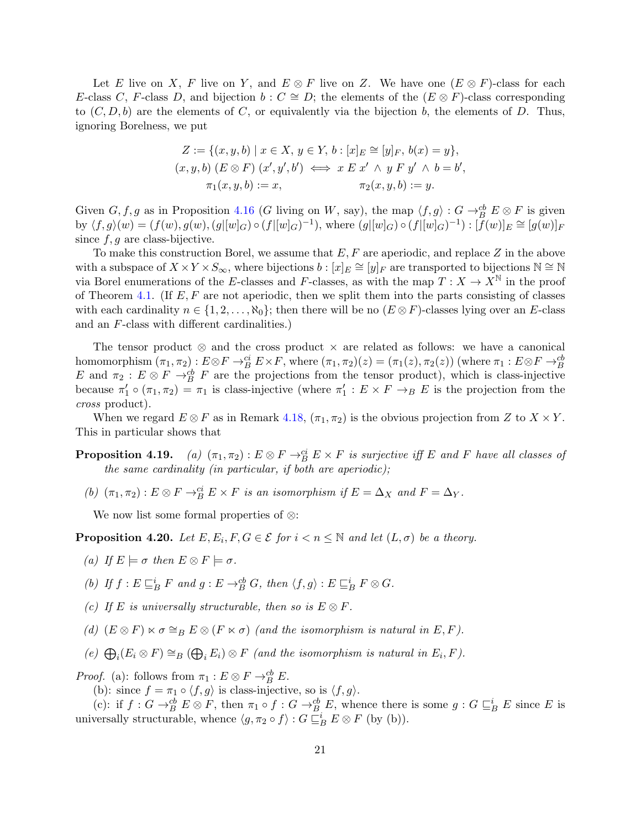Let E live on X, F live on Y, and  $E \otimes F$  live on Z. We have one  $(E \otimes F)$ -class for each E-class C, F-class D, and bijection  $b : C \cong D$ ; the elements of the  $(E \otimes F)$ -class corresponding to  $(C, D, b)$  are the elements of C, or equivalently via the bijection b, the elements of D. Thus, ignoring Borelness, we put

$$
Z := \{(x, y, b) \mid x \in X, y \in Y, b : [x]_E \cong [y]_F, b(x) = y\},\
$$

$$
(x, y, b) (E \otimes F) (x', y', b') \iff x E x' \land y F y' \land b = b',\
$$

$$
\pi_1(x, y, b) := x, \qquad \pi_2(x, y, b) := y.
$$

Given  $G, f, g$  as in Proposition [4.16](#page-19-1) (G living on W, say), the map  $\langle f, g \rangle : G \to_B^{cb} E \otimes F$  is given by  $\langle f, g \rangle(w) = (f(w), g(w), (g|[w]_G) \circ (f|[w]_G)^{-1}),$  where  $(g|[w]_G) \circ (f|[w]_G)^{-1}) : [\overline{f}(w)]_E \cong [g(w)]_F$ since  $f, g$  are class-bijective.

To make this construction Borel, we assume that  $E, F$  are aperiodic, and replace Z in the above with a subspace of  $X \times Y \times S_{\infty}$ , where bijections  $b : [x]_E \cong [y]_F$  are transported to bijections  $\mathbb{N} \cong \mathbb{N}$ via Borel enumerations of the E-classes and F-classes, as with the map  $T : X \to X^{\mathbb{N}}$  in the proof of Theorem [4.1.](#page-13-0) (If  $E, F$  are not aperiodic, then we split them into the parts consisting of classes with each cardinality  $n \in \{1, 2, ..., \aleph_0\}$ ; then there will be no  $(E \otimes F)$ -classes lying over an E-class and an F-class with different cardinalities.)

The tensor product  $\otimes$  and the cross product  $\times$  are related as follows: we have a canonical homomorphism  $(\pi_1, \pi_2)$ :  $E \otimes F \to_B^{\text{ci}} E \times F$ , where  $(\pi_1, \pi_2)(z) = (\pi_1(z), \pi_2(z))$  (where  $\pi_1 : E \otimes F \to_B^{\text{cb}}$ E and  $\pi_2$ :  $E \otimes F \to_B^{\text{cb}} F$  are the projections from the tensor product), which is class-injective because  $\pi'_1 \circ (\pi_1, \pi_2) = \pi_1$  is class-injective (where  $\pi'_1 : E \times F \to_B E$  is the projection from the cross product).

When we regard  $E \otimes F$  as in Remark [4.18,](#page-19-2)  $(\pi_1, \pi_2)$  is the obvious projection from Z to  $X \times Y$ . This in particular shows that

- <span id="page-20-1"></span>**Proposition 4.19.** (a)  $(\pi_1, \pi_2) : E \otimes F \to_B^{ci} E \times F$  is surjective iff E and F have all classes of the same cardinality (in particular, if both are aperiodic);
	- (b)  $(\pi_1, \pi_2) : E \otimes F \to_B^{\text{ci}} E \times F$  is an isomorphism if  $E = \Delta_X$  and  $F = \Delta_Y$ .

We now list some formal properties of ⊗:

<span id="page-20-0"></span>**Proposition 4.20.** Let  $E, E_i, F, G \in \mathcal{E}$  for  $i < n \leq \mathbb{N}$  and let  $(L, \sigma)$  be a theory.

- (a) If  $E \models \sigma$  then  $E \otimes F \models \sigma$ .
- (b) If  $f : E \sqsubseteq_B^i F$  and  $g : E \to_B^c G$ , then  $\langle f, g \rangle : E \sqsubseteq_B^i F \otimes G$ .
- (c) If E is universally structurable, then so is  $E \otimes F$ .
- (d)  $(E \otimes F) \ltimes \sigma \cong_B E \otimes (F \ltimes \sigma)$  (and the isomorphism is natural in E, F).
- (e)  $\bigoplus_i (E_i \otimes F) \cong_B (\bigoplus_i E_i) \otimes F$  (and the isomorphism is natural in  $E_i, F$ ).

*Proof.* (a): follows from  $\pi_1 : E \otimes F \to_B^{\text{cb}} E$ .

(b): since  $f = \pi_1 \circ \langle f, g \rangle$  is class-injective, so is  $\langle f, g \rangle$ .

(c): if  $f: G \to_B^{\text{cb}} E \otimes F$ , then  $\pi_1 \circ f: G \to_B^{\text{cb}} E$ , whence there is some  $g: G \sqsubseteq_B^i E$  since E is universally structurable, whence  $\langle g, \pi_2 \circ f \rangle : G \sqsubseteq_B^i E \otimes F$  (by (b)).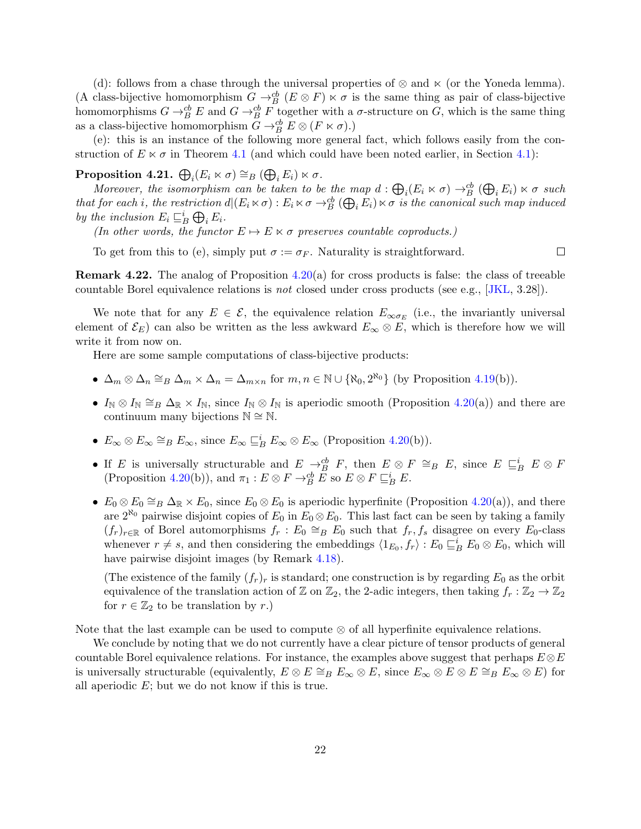(d): follows from a chase through the universal properties of  $\otimes$  and  $\ltimes$  (or the Yoneda lemma). (A class-bijective homomorphism  $G \rightarrow_B^{\text{cb}} (E \otimes F) \ltimes \sigma$  is the same thing as pair of class-bijective homomorphisms  $G \to_B^{\text{cb}} E$  and  $G \to_B^{\text{cb}} F$  together with a  $\sigma$ -structure on G, which is the same thing as a class-bijective homomorphism  $G \rightarrow_B^{\text{cb}} E \otimes (F \ltimes \sigma)$ .)

(e): this is an instance of the following more general fact, which follows easily from the construction of  $E \times \sigma$  in Theorem [4.1](#page-13-0) (and which could have been noted earlier, in Section [4.1\)](#page-13-2):

 $\textbf{Proposition 4.21.} \bigoplus_i (E_i\ltimes \sigma) \cong_B (\bigoplus_i E_i)\ltimes \sigma.$ 

Moreover, the isomorphism can be taken to be the map  $d : \bigoplus_i (E_i \ltimes \sigma) \to_B^{cb} (\bigoplus_i E_i) \ltimes \sigma$  such that for each i, the restriction  $d|(E_i \times \sigma) : E_i \times \sigma \to_B^{cb} (\bigoplus_i E_i) \times \sigma$  is the canonical such map induced by the inclusion  $E_i \sqsubseteq_B^i \bigoplus_i E_i$ .

(In other words, the functor  $E \mapsto E \ltimes \sigma$  preserves countable coproducts.)

To get from this to (e), simply put  $\sigma := \sigma_F$ . Naturality is straightforward.

 $\Box$ 

**Remark 4.22.** The analog of Proposition  $4.20(a)$  $4.20(a)$  for cross products is false: the class of treeable countable Borel equivalence relations is not closed under cross products (see e.g., [\[JKL,](#page-70-0) 3.28]).

We note that for any  $E \in \mathcal{E}$ , the equivalence relation  $E_{\infty \sigma_E}$  (i.e., the invariantly universal element of  $\mathcal{E}_E$ ) can also be written as the less awkward  $E_{\infty} \otimes E$ , which is therefore how we will write it from now on.

Here are some sample computations of class-bijective products:

- $\Delta_m \otimes \Delta_n \cong_B \Delta_m \times \Delta_n = \Delta_{m \times n}$  for  $m, n \in \mathbb{N} \cup \{ \aleph_0, 2^{\aleph_0} \}$  (by Proposition [4.19\(](#page-20-1)b)).
- $I_{\mathbb{N}} \otimes I_{\mathbb{N}} \cong_B \Delta_{\mathbb{R}} \times I_{\mathbb{N}}$ , since  $I_{\mathbb{N}} \otimes I_{\mathbb{N}}$  is aperiodic smooth (Proposition [4.20\(](#page-20-0)a)) and there are continuum many bijections  $\mathbb{N} \cong \mathbb{N}$ .
- $E_{\infty} \otimes E_{\infty} \cong_B E_{\infty}$ , since  $E_{\infty} \sqsubseteq_B^i E_{\infty} \otimes E_{\infty}$  (Proposition [4.20\(](#page-20-0)b)).
- If E is universally structurable and  $E \to_B^{\text{cb}} F$ , then  $E \otimes F \cong_B E$ , since  $E \subseteq_B^i E \otimes F$ (Proposition [4.20\(](#page-20-0)b)), and  $\pi_1 : E \otimes F \to_B^{\text{cb}} E$  so  $E \otimes F \sqsubseteq_B^i E$ .
- $E_0 \otimes E_0 \cong_B \Delta_{\mathbb{R}} \times E_0$ , since  $E_0 \otimes E_0$  is aperiodic hyperfinite (Proposition [4.20\(](#page-20-0)a)), and there are  $2^{\aleph_0}$  pairwise disjoint copies of  $E_0$  in  $E_0 \otimes E_0$ . This last fact can be seen by taking a family  $(f_r)_{r \in \mathbb{R}}$  of Borel automorphisms  $f_r : E_0 \cong_B E_0$  such that  $f_r, f_s$  disagree on every  $E_0$ -class whenever  $r \neq s$ , and then considering the embeddings  $\langle 1_{E_0}, f_r \rangle : E_0 \sqsubseteq_B^i E_0 \otimes E_0$ , which will have pairwise disjoint images (by Remark [4.18\)](#page-19-2).

(The existence of the family  $(f_r)_r$  is standard; one construction is by regarding  $E_0$  as the orbit equivalence of the translation action of Z on  $\mathbb{Z}_2$ , the 2-adic integers, then taking  $f_r : \mathbb{Z}_2 \to \mathbb{Z}_2$ for  $r \in \mathbb{Z}_2$  to be translation by r.)

Note that the last example can be used to compute  $\otimes$  of all hyperfinite equivalence relations.

We conclude by noting that we do not currently have a clear picture of tensor products of general countable Borel equivalence relations. For instance, the examples above suggest that perhaps  $E \otimes E$ is universally structurable (equivalently,  $E \otimes E \cong_B E_\infty \otimes E$ , since  $E_\infty \otimes E \otimes E \cong_B E_\infty \otimes E$ ) for all aperiodic  $E$ ; but we do not know if this is true.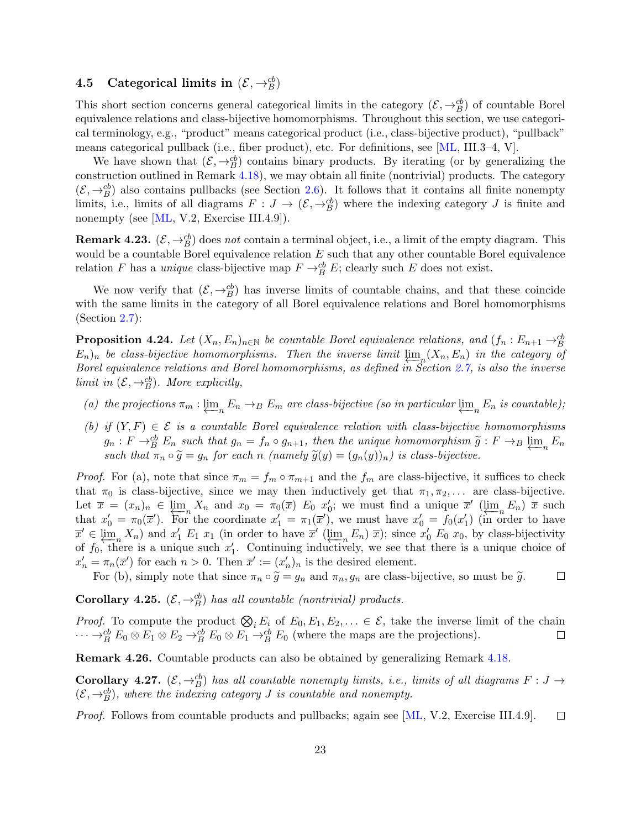# <span id="page-22-0"></span>4.5 Categorical limits in  $(\mathcal{E}, \rightarrow_B^{\text{cb}})$

This short section concerns general categorical limits in the category  $(\mathcal{E}, \rightarrow_B^{cb})$  of countable Borel equivalence relations and class-bijective homomorphisms. Throughout this section, we use categorical terminology, e.g., "product" means categorical product (i.e., class-bijective product), "pullback" means categorical pullback (i.e., fiber product), etc. For definitions, see [\[ML,](#page-71-4) III.3–4, V].

We have shown that  $(\mathcal{E}, \rightarrow_B^{\text{cb}})$  contains binary products. By iterating (or by generalizing the construction outlined in Remark [4.18\)](#page-19-2), we may obtain all finite (nontrivial) products. The category  $(\mathcal{E}, \rightarrow_B^{\text{cb}})$  also contains pullbacks (see Section [2.6\)](#page-9-1). It follows that it contains all finite nonempty limits, i.e., limits of all diagrams  $F: J \to (\mathcal{E}, \to_B^{\text{cb}})$  where the indexing category J is finite and nonempty (see [\[ML,](#page-71-4) V.2, Exercise III.4.9]).

**Remark 4.23.**  $(\mathcal{E}, \rightarrow_B^{\text{cb}})$  does not contain a terminal object, i.e., a limit of the empty diagram. This would be a countable Borel equivalence relation  $E$  such that any other countable Borel equivalence relation F has a *unique* class-bijective map  $F \rightarrow_B^{\text{cb}} E$ ; clearly such E does not exist.

We now verify that  $(\mathcal{E}, \rightarrow_B^{\text{cb}})$  has inverse limits of countable chains, and that these coincide with the same limits in the category of all Borel equivalence relations and Borel homomorphisms (Section [2.7\)](#page-10-0):

**Proposition 4.24.** Let  $(X_n, E_n)_{n \in \mathbb{N}}$  be countable Borel equivalence relations, and  $(f_n : E_{n+1} \to_B^{\text{cb}})$  $(E_n)_n$  be class-bijective homomorphisms. Then the inverse limit  $\varprojlim_n (X_n, E_n)$  in the category of  $E_n$ ,  $E_n$  are equivalence relations and Borel homomorphisms, as defined in Section [2.7,](#page-10-0) is also the inverse limit in  $(\mathcal{E}, \rightarrow_B^{\text{cb}})$ . More explicitly,

- (a) the projections  $\pi_m : \varprojlim_n E_n \to_B E_m$  are class-bijective (so in particular  $\varprojlim_n E_n$  is countable);
- (b) if  $(Y, F) \in \mathcal{E}$  is a countable Borel equivalence relation with class-bijective homomorphisms  $g_n: F \to_B^{cb} E_n$  such that  $g_n = f_n \circ g_{n+1}$ , then the unique homomorphism  $\tilde{g}: F \to_B \varprojlim_n E_n$ <br>such that  $\pi \circ \tilde{g} = g$  for each  $n$  (namely  $\tilde{g}(u) = (g(u))$ ) is class-bijective such that  $\pi_n \circ \tilde{g} = g_n$  for each n (namely  $\tilde{g}(y) = (g_n(y))_n$ ) is class-bijective.

*Proof.* For (a), note that since  $\pi_m = f_m \circ \pi_{m+1}$  and the  $f_m$  are class-bijective, it suffices to check that  $\pi_0$  is class-bijective, since we may then inductively get that  $\pi_1, \pi_2, \ldots$  are class-bijective. Let  $\overline{x} = (x_n)_n \in \varprojlim_n X_n$  and  $x_0 = \pi_0(\overline{x})$   $E_0$   $x'_0$ ; we must find a unique  $\overline{x}'$   $(\varprojlim_n E_n)$   $\overline{x}$  such that  $x'_1 = \pi_0(\overline{x}')$  for the coordinate  $x'_1 = \pi_1(\overline{x}')$  we must have  $x'_1 = f_0(x')$  (in order to have that  $x'_0 = \pi_0(\overline{x}')$ . For the coordinate  $x'_1 = \pi_1(\overline{x}')$ , we must have  $x'_0 = f_0(x'_1)$  (in order to have  $\overline{x}' \in \varprojlim_n X_n$ ) and  $x'_1 E_1 x_1$  (in order to have  $\overline{x}'$  ( $\varprojlim_n E_n$ )  $\overline{x}$ ); since  $x'_0 E_0 x_0$ , by class-bijectivity<br>of  $f_0$ , there is a unique such  $x'_1$ . Continuing inductively we see that there is a unique choice  $\sum_{i=1}^{\infty} \frac{1}{n} \sum_{i=1}^{n} \sum_{i=1}^{n} \sum_{i=1}^{n} \sum_{j=1}^{n} \sum_{i=1}^{n} \sum_{j=1}^{n} \sum_{j=1}^{n} \sum_{i=1}^{n} \sum_{j=1}^{n} \sum_{j=1}^{n} \sum_{j=1}^{n} \sum_{j=1}^{n} \sum_{j=1}^{n} \sum_{j=1}^{n} \sum_{j=1}^{n} \sum_{j=1}^{n} \sum_{j=1}^{n} \sum_{j=1}^{n} \sum_{j=1}^{n} \sum_{j=1}^{n} \$  $x'_n = \pi_n(\overline{x}')$  for each  $n > 0$ . Then  $\overline{x}' := (x'_n)_n$  is the desired element.

For (b), simply note that since  $\pi_n \circ \tilde{g} = g_n$  and  $\pi_n, g_n$  are class-bijective, so must be  $\tilde{g}$ .  $\Box$ 

**Corollary 4.25.**  $(\mathcal{E}, \rightarrow_B^{cb})$  has all countable (nontrivial) products.

*Proof.* To compute the product  $\bigotimes_i E_i$  of  $E_0, E_1, E_2, \ldots \in \mathcal{E}$ , take the inverse limit of the chain  $\cdots \rightarrow_B^{\text{cb}} E_0 \otimes E_1 \otimes E_2 \rightarrow_B^{\text{cb}} E_0 \otimes E_1 \rightarrow_B^{\text{cb}} E_0$  (where the maps are the projections).

Remark 4.26. Countable products can also be obtained by generalizing Remark [4.18.](#page-19-2)

**Corollary 4.27.**  $(\mathcal{E}, \rightarrow_B^{\text{cb}})$  has all countable nonempty limits, i.e., limits of all diagrams  $F : J \rightarrow$  $(\mathcal{E}, \rightarrow_B^{\text{cb}})$ , where the indexing category J is countable and nonempty.

Proof. Follows from countable products and pullbacks; again see [\[ML,](#page-71-4) V.2, Exercise III.4.9].  $\Box$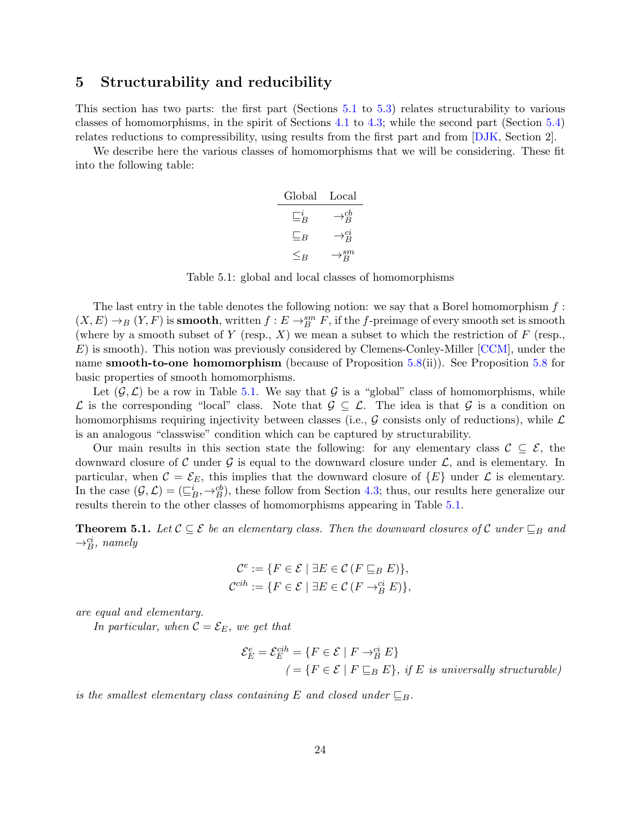## <span id="page-23-2"></span>5 Structurability and reducibility

This section has two parts: the first part (Sections [5.1](#page-24-0) to [5.3\)](#page-28-1) relates structurability to various classes of homomorphisms, in the spirit of Sections [4.1](#page-13-2) to [4.3;](#page-17-1) while the second part (Section [5.4\)](#page-29-0) relates reductions to compressibility, using results from the first part and from [\[DJK,](#page-70-10) Section 2].

<span id="page-23-3"></span>We describe here the various classes of homomorphisms that we will be considering. These fit into the following table:

| Global                   | Local                 |
|--------------------------|-----------------------|
| $\sqsubseteq_B^{\imath}$ | $\rightarrow_B^{cb}$  |
| $\sqcup_B$               | $\rightarrow_B^{c_i}$ |
| $\lt_R$                  | $\rightarrow_R^{sm}$  |

Table 5.1: global and local classes of homomorphisms

The last entry in the table denotes the following notion: we say that a Borel homomorphism  $f$ :  $(X, E) \to_B (Y, F)$  is **smooth**, written  $f : E \to_B^{sm} F$ , if the f-preimage of every smooth set is smooth (where by a smooth subset of Y (resp., X) we mean a subset to which the restriction of F (resp.,  $E$ ) is smooth). This notion was previously considered by Clemens-Conley-Miller  $[CCM]$ , under the name **smooth-to-one homomorphism** (because of Proposition [5.8\(](#page-25-1)ii)). See Proposition [5.8](#page-25-1) for basic properties of smooth homomorphisms.

Let  $(\mathcal{G}, \mathcal{L})$  be a row in Table [5.1.](#page-23-3) We say that  $\mathcal{G}$  is a "global" class of homomorphisms, while  $\mathcal L$  is the corresponding "local" class. Note that  $\mathcal G \subseteq \mathcal L$ . The idea is that  $\mathcal G$  is a condition on homomorphisms requiring injectivity between classes (i.e.,  $\mathcal G$  consists only of reductions), while  $\mathcal L$ is an analogous "classwise" condition which can be captured by structurability.

Our main results in this section state the following: for any elementary class  $\mathcal{C} \subseteq \mathcal{E}$ , the downward closure of C under G is equal to the downward closure under  $\mathcal{L}$ , and is elementary. In particular, when  $C = \mathcal{E}_E$ , this implies that the downward closure of  $\{E\}$  under  $\mathcal L$  is elementary. In the case  $(\mathcal{G}, \mathcal{L}) = (\sqsubseteq_B^i, \rightarrow_B^{\text{cb}})$ , these follow from Section [4.3;](#page-17-1) thus, our results here generalize our results therein to the other classes of homomorphisms appearing in Table [5.1.](#page-23-3)

<span id="page-23-1"></span>**Theorem 5.1.** Let  $C \subseteq \mathcal{E}$  be an elementary class. Then the downward closures of C under  $\sqsubseteq_B$  and  $\rightarrow_B^{ci}$ , namely

$$
\mathcal{C}^e := \{ F \in \mathcal{E} \mid \exists E \in \mathcal{C} \left( F \sqsubseteq_B E \right) \},
$$
  

$$
\mathcal{C}^{cih} := \{ F \in \mathcal{E} \mid \exists E \in \mathcal{C} \left( F \rightarrow_B^{ci} E \right) \},
$$

are equal and elementary.

In particular, when  $C = \mathcal{E}_E$ , we get that

$$
\mathcal{E}_E^e = \mathcal{E}_E^{cih} = \{ F \in \mathcal{E} \mid F \to_B^{ci} E \}
$$
  

$$
= \{ F \in \mathcal{E} \mid F \sqsubseteq_B E \}, \text{ if } E \text{ is universally structureable} \}
$$

<span id="page-23-0"></span>is the smallest elementary class containing E and closed under  $\subseteq_B$ .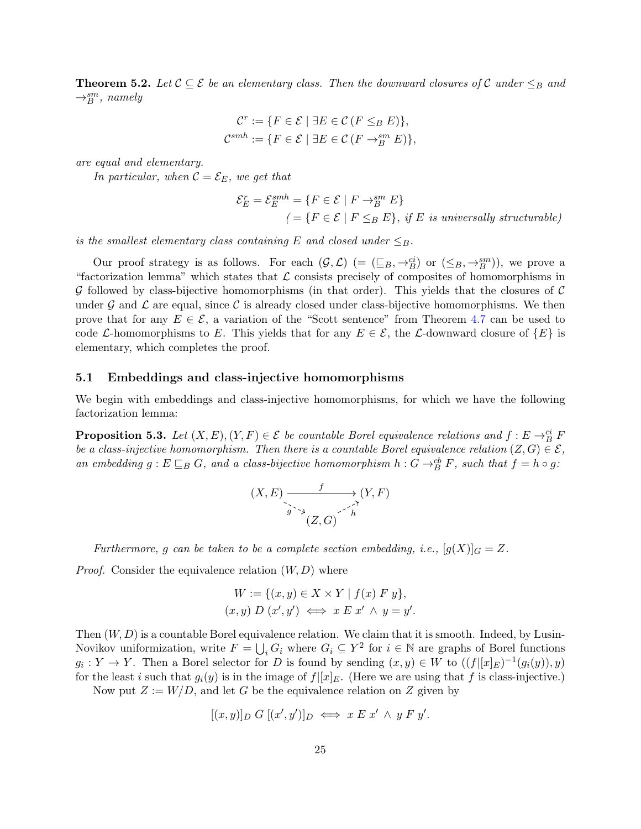**Theorem 5.2.** Let  $C \subseteq \mathcal{E}$  be an elementary class. Then the downward closures of C under  $\leq_B$  and  $\rightarrow_B^{sm}$ , namely

$$
\mathcal{C}^r := \{ F \in \mathcal{E} \mid \exists E \in \mathcal{C} \left( F \leq_B E \right) \},
$$
  

$$
\mathcal{C}^{smh} := \{ F \in \mathcal{E} \mid \exists E \in \mathcal{C} \left( F \to_B^{sm} E \right) \},
$$

are equal and elementary.

In particular, when  $\mathcal{C} = \mathcal{E}_E$ , we get that

$$
\mathcal{E}_E^r = \mathcal{E}_E^{smh} = \{ F \in \mathcal{E} \mid F \to_B^{sm} E \}
$$
  

$$
(= \{ F \in \mathcal{E} \mid F \leq_B E \}, \text{ if } E \text{ is universally structureable})
$$

is the smallest elementary class containing E and closed under  $\leq_B$ .

Our proof strategy is as follows. For each  $(\mathcal{G}, \mathcal{L})$  (=  $(\sqsubseteq_B, \rightarrow_B^{ci})$  or  $(\leq_B, \rightarrow_B^{sm})$ ), we prove a "factorization lemma" which states that  $\mathcal L$  consists precisely of composites of homomorphisms in G followed by class-bijective homomorphisms (in that order). This yields that the closures of  $\mathcal C$ under  $\mathcal G$  and  $\mathcal L$  are equal, since  $\mathcal C$  is already closed under class-bijective homomorphisms. We then prove that for any  $E \in \mathcal{E}$ , a variation of the "Scott sentence" from Theorem [4.7](#page-16-0) can be used to code L-homomorphisms to E. This yields that for any  $E \in \mathcal{E}$ , the L-downward closure of  $\{E\}$  is elementary, which completes the proof.

#### <span id="page-24-0"></span>5.1 Embeddings and class-injective homomorphisms

We begin with embeddings and class-injective homomorphisms, for which we have the following factorization lemma:

<span id="page-24-1"></span>**Proposition 5.3.** Let  $(X, E), (Y, F) \in \mathcal{E}$  be countable Borel equivalence relations and  $f : E \rightarrow_B^{\text{ci}} F$ be a class-injective homomorphism. Then there is a countable Borel equivalence relation  $(Z, G) \in \mathcal{E}$ , an embedding  $g : E \sqsubseteq_B G$ , and a class-bijective homomorphism  $h : G \rightarrow_B^{\text{cb}} F$ , such that  $f = h \circ g$ :

$$
(X, E) \xrightarrow{\qquad f} (Y, F)
$$

$$
\xrightarrow{\qquad \qquad \searrow} (X, F) \xrightarrow{\qquad \qquad \searrow} (Y, F)
$$

$$
(Z, G) \xrightarrow{\qquad \searrow} (I, G)
$$

Furthermore, g can be taken to be a complete section embedding, i.e.,  $[g(X)]_G = Z$ .

*Proof.* Consider the equivalence relation  $(W, D)$  where

$$
W := \{(x, y) \in X \times Y \mid f(x) \in Y\},\
$$

$$
(x, y) \in D \ (x', y') \iff x \in x' \land y = y'.
$$

Then  $(W, D)$  is a countable Borel equivalence relation. We claim that it is smooth. Indeed, by Lusin-Novikov uniformization, write  $F = \bigcup_i G_i$  where  $G_i \subseteq Y^2$  for  $i \in \mathbb{N}$  are graphs of Borel functions  $g_i: Y \to Y$ . Then a Borel selector for D is found by sending  $(x, y) \in W$  to  $((f|[x]_E)^{-1}(g_i(y)), y)$ for the least i such that  $g_i(y)$  is in the image of  $f||x|_E$ . (Here we are using that f is class-injective.)

Now put  $Z := W/D$ , and let G be the equivalence relation on Z given by

$$
[(x,y)]_D G [(x',y')]_D \iff x E x' \land y F y'.
$$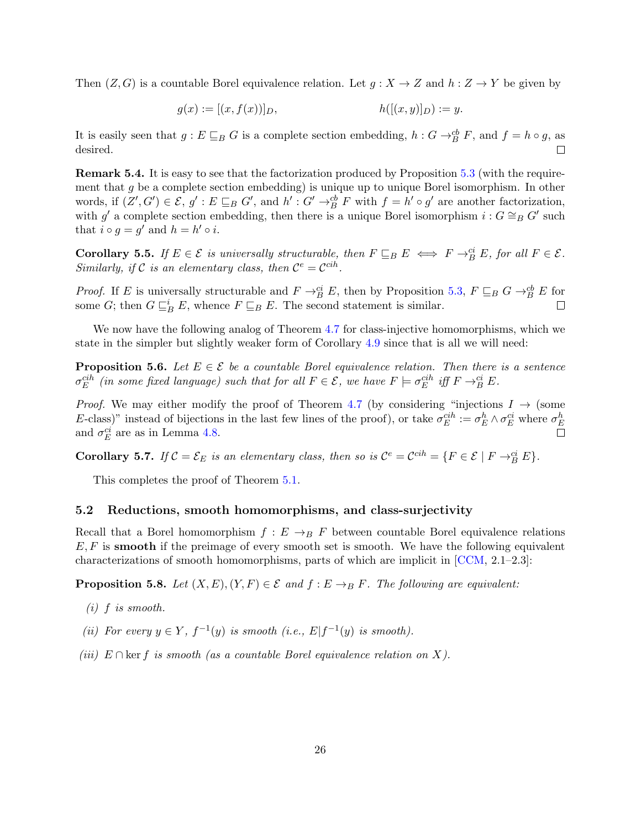Then  $(Z, G)$  is a countable Borel equivalence relation. Let  $g: X \to Z$  and  $h: Z \to Y$  be given by

$$
g(x) := [(x, f(x))]_D, \qquad h([(x, y)]_D) := y.
$$

It is easily seen that  $g : E \sqsubseteq_B G$  is a complete section embedding,  $h : G \to_B^{\text{cb}} F$ , and  $f = h \circ g$ , as desired.

Remark 5.4. It is easy to see that the factorization produced by Proposition [5.3](#page-24-1) (with the requirement that  $q$  be a complete section embedding) is unique up to unique Borel isomorphism. In other words, if  $(Z', G') \in \mathcal{E}, g' : E \sqsubseteq_B G'$ , and  $h' : G' \rightarrow_B^{cb} F$  with  $f = h' \circ g'$  are another factorization, with g' a complete section embedding, then there is a unique Borel isomorphism  $i : G \cong_B G'$  such that  $i \circ g = g'$  and  $h = h' \circ i$ .

**Corollary 5.5.** If  $E \in \mathcal{E}$  is universally structurable, then  $F \sqsubseteq_B E \iff F \to_B^{ci} E$ , for all  $F \in \mathcal{E}$ . Similarly, if C is an elementary class, then  $C^e = C^{ch}$ .

*Proof.* If E is universally structurable and  $F \rightarrow_B^{ci} E$ , then by Proposition [5.3,](#page-24-1)  $F \sqsubseteq_B G \rightarrow_B^{cb} E$  for some G; then  $G \sqsubseteq_B^i E$ , whence  $F \sqsubseteq_B E$ . The second statement is similar.

We now have the following analog of Theorem [4.7](#page-16-0) for class-injective homomorphisms, which we state in the simpler but slightly weaker form of Corollary [4.9](#page-17-2) since that is all we will need:

**Proposition 5.6.** Let  $E \in \mathcal{E}$  be a countable Borel equivalence relation. Then there is a sentence  $\sigma_E^{cih}$  (in some fixed language) such that for all  $F \in \mathcal{E}$ , we have  $F \models \sigma_E^{cih}$  iff  $F \rightarrow_B^{ci} E$ .

*Proof.* We may either modify the proof of Theorem [4.7](#page-16-0) (by considering "injections  $I \rightarrow$  (some E-class)" instead of bijections in the last few lines of the proof), or take  $\sigma_E^{cih} := \sigma_E^h \wedge \sigma_E^{ci}$  where  $\sigma_E^h$ and  $\sigma_E^{ci}$  are as in Lemma [4.8.](#page-17-3)

**Corollary 5.7.** If  $C = \mathcal{E}_E$  is an elementary class, then so is  $C^e = C^{cih} = \{F \in \mathcal{E} \mid F \rightarrow_B^{ci} E\}$ .

This completes the proof of Theorem [5.1.](#page-23-1)

#### <span id="page-25-0"></span>5.2 Reductions, smooth homomorphisms, and class-surjectivity

Recall that a Borel homomorphism  $f : E \to_B F$  between countable Borel equivalence relations  $E, F$  is smooth if the preimage of every smooth set is smooth. We have the following equivalent characterizations of smooth homomorphisms, parts of which are implicit in [\[CCM,](#page-70-13) 2.1–2.3]:

<span id="page-25-1"></span>**Proposition 5.8.** Let  $(X, E), (Y, F) \in \mathcal{E}$  and  $f : E \rightarrow_B F$ . The following are equivalent:

- $(i)$  f is smooth.
- (ii) For every  $y \in Y$ ,  $f^{-1}(y)$  is smooth (i.e.,  $E|f^{-1}(y)$  is smooth).
- (iii)  $E \cap \text{ker } f$  is smooth (as a countable Borel equivalence relation on X).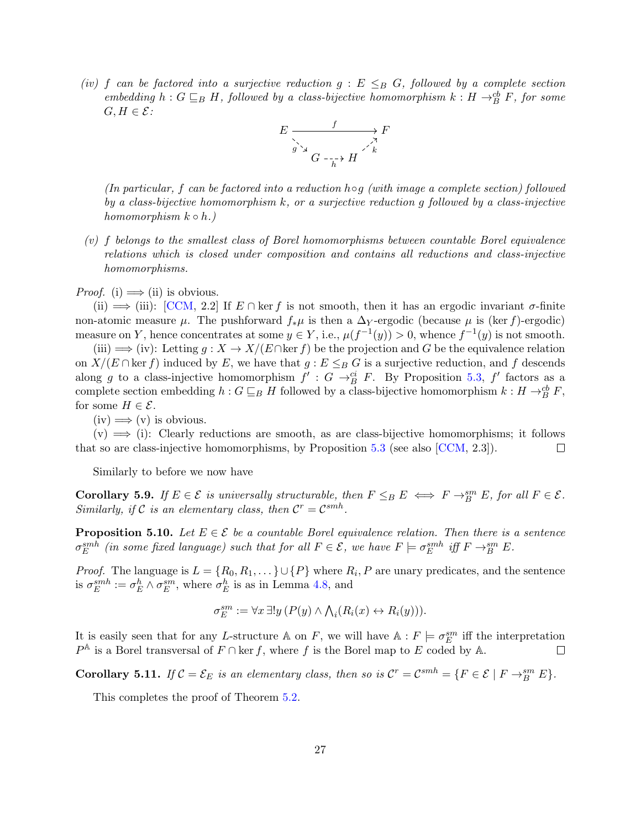(iv) f can be factored into a surjective reduction  $g: E \leq_B G$ , followed by a complete section embedding  $h : G \sqsubseteq_B H$ , followed by a class-bijective homomorphism  $k : H \to_B^{\text{cb}} F$ , for some  $G, H \in \mathcal{E}$ :



(In particular, f can be factored into a reduction  $h \circ q$  (with image a complete section) followed by a class-bijective homomorphism  $k$ , or a surjective reduction g followed by a class-injective homomorphism  $k \circ h$ .)

(v) f belongs to the smallest class of Borel homomorphisms between countable Borel equivalence relations which is closed under composition and contains all reductions and class-injective homomorphisms.

*Proof.* (i)  $\implies$  (ii) is obvious.

(ii)  $\Rightarrow$  (iii): [\[CCM,](#page-70-13) 2.2] If  $E \cap \text{ker } f$  is not smooth, then it has an ergodic invariant  $\sigma$ -finite non-atomic measure  $\mu$ . The pushforward  $f_*\mu$  is then a  $\Delta_Y$ -ergodic (because  $\mu$  is (ker f)-ergodic) measure on Y, hence concentrates at some  $y \in Y$ , i.e.,  $\mu(f^{-1}(y)) > 0$ , whence  $f^{-1}(y)$  is not smooth.

(iii)  $\implies$  (iv): Letting  $g: X \to X/(E \cap \ker f)$  be the projection and G be the equivalence relation on  $X/(E \cap \ker f)$  induced by E, we have that  $g : E \leq_B G$  is a surjective reduction, and f descends along g to a class-injective homomorphism  $f': G \to_B^{ci} F$ . By Proposition [5.3,](#page-24-1) f' factors as a complete section embedding  $h : G \sqsubseteq_B H$  followed by a class-bijective homomorphism  $k : H \to_B^{cb} F$ , for some  $H \in \mathcal{E}$ .

 $(iv) \Longrightarrow (v)$  is obvious.

 $(v) \implies (i)$ : Clearly reductions are smooth, as are class-bijective homomorphisms; it follows t so are class-injective homomorphisms, by Proposition 5.3 (see also [CCM, 2.3]). that so are class-injective homomorphisms, by Proposition [5.3](#page-24-1) (see also [\[CCM,](#page-70-13) 2.3]).

Similarly to before we now have

**Corollary 5.9.** If  $E \in \mathcal{E}$  is universally structurable, then  $F \leq_B E \iff F \to_B^{sm} E$ , for all  $F \in \mathcal{E}$ . Similarly, if C is an elementary class, then  $C^r = C^{smh}$ .

<span id="page-26-0"></span>**Proposition 5.10.** Let  $E \in \mathcal{E}$  be a countable Borel equivalence relation. Then there is a sentence  $\sigma_E^{smh}$  (in some fixed language) such that for all  $F \in \mathcal{E}$ , we have  $F \models \sigma_E^{smh}$  iff  $F \rightarrow_B^{sm} E$ .

*Proof.* The language is  $L = \{R_0, R_1, \dots\} \cup \{P\}$  where  $R_i, P$  are unary predicates, and the sentence is  $\sigma_E^{smh} := \sigma_E^h \wedge \sigma_E^{sm}$ , where  $\sigma_E^h$  is as in Lemma [4.8,](#page-17-3) and

$$
\sigma_E^{sm} := \forall x \, \exists! y \, (P(y) \land \bigwedge_i (R_i(x) \leftrightarrow R_i(y))).
$$

It is easily seen that for any L-structure A on F, we will have  $\mathbb{A}: F \models \sigma_E^{sm}$  iff the interpretation  $P^{\mathbb{A}}$  is a Borel transversal of  $F \cap \ker f$ , where f is the Borel map to E coded by A.  $\Box$ 

**Corollary 5.11.** If  $C = \mathcal{E}_E$  is an elementary class, then so is  $C^r = C^{smh} = \{F \in \mathcal{E} \mid F \to_B^{sm} E\}.$ 

This completes the proof of Theorem [5.2.](#page-23-0)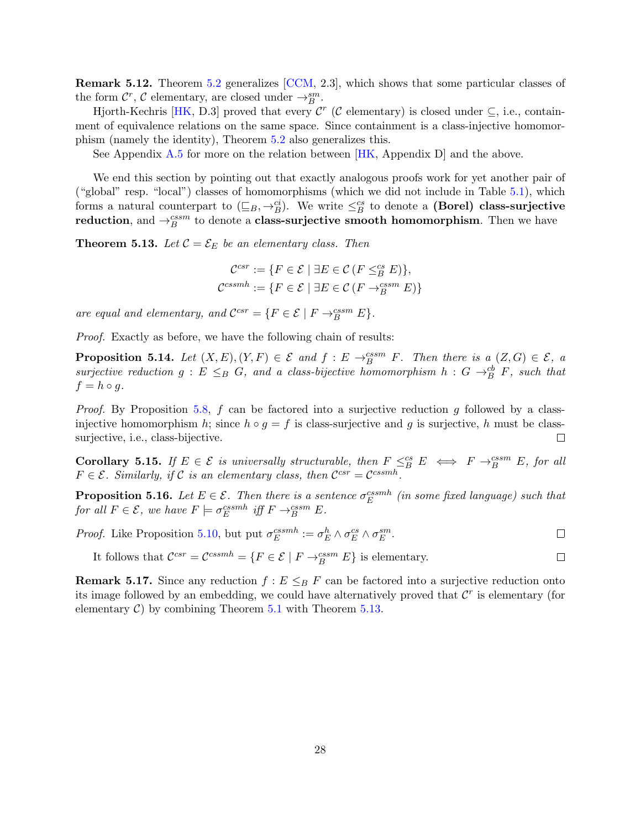Remark 5.12. Theorem [5.2](#page-23-0) generalizes [\[CCM,](#page-70-13) 2.3], which shows that some particular classes of the form  $\mathcal{C}^r$ ,  $\mathcal{C}$  elementary, are closed under  $\rightarrow_B^{sm}$ .

Hjorth-Kechris [\[HK,](#page-70-2) D.3] proved that every  $\mathcal{C}^r$  ( $\mathcal{C}$  elementary) is closed under  $\subseteq$ , i.e., containment of equivalence relations on the same space. Since containment is a class-injective homomorphism (namely the identity), Theorem [5.2](#page-23-0) also generalizes this.

See Appendix [A.5](#page-58-0) for more on the relation between [\[HK,](#page-70-2) Appendix D] and the above.

We end this section by pointing out that exactly analogous proofs work for yet another pair of ("global" resp. "local") classes of homomorphisms (which we did not include in Table [5.1\)](#page-23-3), which forms a natural counterpart to  $(\sqsubseteq_B, \rightarrow_B^{ci})$ . We write  $\leq_B^{cs}$  to denote a (Borel) class-surjective reduction, and  $\rightarrow_B^{cssm}$  to denote a class-surjective smooth homomorphism. Then we have

<span id="page-27-0"></span>**Theorem 5.13.** Let  $C = \mathcal{E}_E$  be an elementary class. Then

 $\mathcal{C}^{csr} := \{ F \in \mathcal{E} \mid \exists E \in \mathcal{C} \left( F \leq_B^{cs} E \right) \},\$  $\mathcal{C}^{cssmh} := \{ F \in \mathcal{E} \mid \exists E \in \mathcal{C} \left( F \rightarrow_B^{cssm} E \right) \}$ 

are equal and elementary, and  $C^{csr} = \{ F \in \mathcal{E} \mid F \rightarrow_B^{cssm} E \}.$ 

Proof. Exactly as before, we have the following chain of results:

**Proposition 5.14.** Let  $(X, E), (Y, F) \in \mathcal{E}$  and  $f : E \rightarrow_B^{\text{cssm}} F$ . Then there is  $a (Z, G) \in \mathcal{E}$ , a surjective reduction  $g : E \leq_B G$ , and a class-bijective homomorphism  $h : G \to_B^{cb} F$ , such that  $f = h \circ g$ .

*Proof.* By Proposition [5.8,](#page-25-1) f can be factored into a surjective reduction g followed by a classinjective homomorphism h; since  $h \circ g = f$  is class-surjective and g is surjective, h must be class-surjective, i.e., class-bijective. surjective, i.e., class-bijective.

**Corollary 5.15.** If  $E \in \mathcal{E}$  is universally structurable, then  $F \underset{i}{\leq} E \iff F \to_B^{\text{cssm}} E$ , for all  $F \in \mathcal{E}$ . Similarly, if C is an elementary class, then  $\mathcal{C}^{csr} = \mathcal{C}^{cssmh}$ .

**Proposition 5.16.** Let  $E \in \mathcal{E}$ . Then there is a sentence  $\sigma_E^{cssmh}$  (in some fixed language) such that for all  $F \in \mathcal{E}$ , we have  $F \models \sigma_E^{cssmh}$  iff  $F \rightarrow_B^{cssm} E$ .

*Proof.* Like Proposition [5.10,](#page-26-0) but put  $\sigma_E^{cssmh} := \sigma_E^h \wedge \sigma_E^{cs} \wedge \sigma_E^{sm}$ .  $\Box$ 

It follows that  $C^{csr} = C^{cssmh} = \{F \in \mathcal{E} \mid F \to_B^{cssm} E\}$  is elementary.  $\Box$ 

**Remark 5.17.** Since any reduction  $f : E \leq_B F$  can be factored into a surjective reduction onto its image followed by an embedding, we could have alternatively proved that  $\mathcal{C}^r$  is elementary (for elementary  $C$ ) by combining Theorem [5.1](#page-23-1) with Theorem [5.13.](#page-27-0)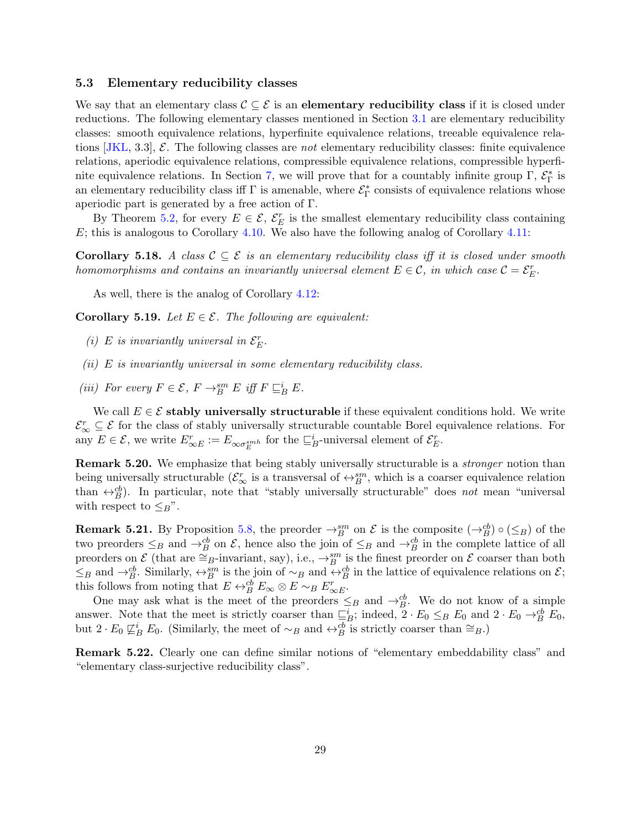#### <span id="page-28-1"></span>5.3 Elementary reducibility classes

We say that an elementary class  $\mathcal{C} \subseteq \mathcal{E}$  is an **elementary reducibility class** if it is closed under reductions. The following elementary classes mentioned in Section [3.1](#page-11-1) are elementary reducibility classes: smooth equivalence relations, hyperfinite equivalence relations, treeable equivalence relations  $[JKL, 3.3], \mathcal{E}$ . The following classes are not elementary reducibility classes: finite equivalence relations, aperiodic equivalence relations, compressible equivalence relations, compressible hyperfi-nite equivalence relations. In Section [7,](#page-38-0) we will prove that for a countably infinite group  $\Gamma$ ,  $\mathcal{E}_{\Gamma}^*$  is an elementary reducibility class iff  $\Gamma$  is amenable, where  $\mathcal{E}_{\Gamma}^*$  consists of equivalence relations whose aperiodic part is generated by a free action of Γ.

By Theorem [5.2,](#page-23-0) for every  $E \in \mathcal{E}$ ,  $\mathcal{E}_E^r$  is the smallest elementary reducibility class containing  $E$ ; this is analogous to Corollary [4.10.](#page-17-0) We also have the following analog of Corollary [4.11:](#page-18-0)

<span id="page-28-0"></span>**Corollary 5.18.** A class  $C \subseteq \mathcal{E}$  is an elementary reducibility class iff it is closed under smooth homomorphisms and contains an invariantly universal element  $E \in \mathcal{C}$ , in which case  $\mathcal{C} = \mathcal{E}_E^r$ .

As well, there is the analog of Corollary [4.12:](#page-18-1)

**Corollary 5.19.** Let  $E \in \mathcal{E}$ . The following are equivalent:

- (i) E is invariantly universal in  $\mathcal{E}_E^r$ .
- $(ii)$  E is invariantly universal in some elementary reducibility class.
- (iii) For every  $F \in \mathcal{E}$ ,  $F \to_B^{sm} E$  iff  $F \sqsubseteq_B^i E$ .

We call  $E \in \mathcal{E}$  stably universally structurable if these equivalent conditions hold. We write  $\mathcal{E}^r_\infty \subseteq \mathcal{E}$  for the class of stably universally structurable countable Borel equivalence relations. For any  $E \in \mathcal{E}$ , we write  $E_{\infty E}^r := E_{\infty \sigma_E^{smh}}$  for the  $\underline{\sqsubseteq_E^i}$ -universal element of  $\mathcal{E}_E^r$ .

Remark 5.20. We emphasize that being stably universally structurable is a *stronger* notion than being universally structurable  $(\mathcal{E}^r_\infty)$  is a transversal of  $\leftrightarrow^{sm}_B$ , which is a coarser equivalence relation than  $\leftrightarrow_B^{\text{cb}}$ . In particular, note that "stably universally structurable" does not mean "universal with respect to  $\leq_B$ ".

**Remark 5.21.** By Proposition [5.8,](#page-25-1) the preorder  $\rightarrow_B^{sm}$  on  $\mathcal{E}$  is the composite  $(\rightarrow_B^{cb}) \circ (\leq_B)$  of the two preorders  $\leq_B$  and  $\rightarrow_B^{\text{cb}}$  on  $\mathcal{E}$ , hence also the join of  $\leq_B$  and  $\rightarrow_B^{\text{cb}}$  in the complete lattice of all preorders on  $\mathcal E$  (that are ≅<sub>B</sub>-invariant, say), i.e.,  $\rightarrow_B^{sm}$  is the finest preorder on  $\mathcal E$  coarser than both  $\leq_B$  and  $\rightarrow_B^{cb}$ . Similarly,  $\leftrightarrow_B^{sm}$  is the join of  $\sim_B$  and  $\leftrightarrow_B^{cb}$  in the lattice of equivalence relations on  $\mathcal{E};$ this follows from noting that  $E \leftrightarrow_B^{\text{cb}} E_{\infty} \otimes E \sim_B E_{\infty}^r$ .

One may ask what is the meet of the preorders  $\leq_B$  and  $\rightarrow_B^{\text{cb}}$ . We do not know of a simple answer. Note that the meet is strictly coarser than  $\underline{\sqsubseteq}^i_B$ ; indeed,  $2 \cdot E_0 \leq_B E_0$  and  $2 \cdot E_0 \rightarrow_B^{\text{cb}} E_0$ , but  $2 \cdot E_0 \not\sqsubseteq_B^i E_0$ . (Similarly, the meet of  $\sim_B$  and  $\leftrightarrow_B^{cb}$  is strictly coarser than  $\cong_B$ .)

Remark 5.22. Clearly one can define similar notions of "elementary embeddability class" and "elementary class-surjective reducibility class".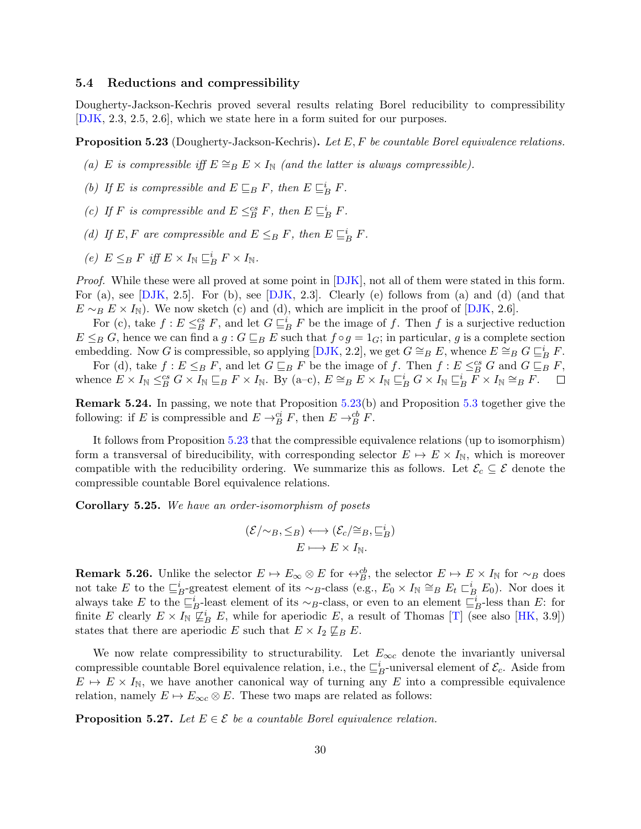#### <span id="page-29-0"></span>5.4 Reductions and compressibility

Dougherty-Jackson-Kechris proved several results relating Borel reducibility to compressibility [\[DJK,](#page-70-10) 2.3, 2.5, 2.6], which we state here in a form suited for our purposes.

<span id="page-29-1"></span>**Proposition 5.23** (Dougherty-Jackson-Kechris). Let  $E, F$  be countable Borel equivalence relations.

- (a) E is compressible iff  $E \cong_B E \times I_{\mathbb{N}}$  (and the latter is always compressible).
- (b) If E is compressible and  $E \sqsubseteq_B F$ , then  $E \sqsubseteq_B^i F$ .
- (c) If F is compressible and  $E \leq_B^{cs} F$ , then  $E \sqsubseteq_B^i F$ .
- (d) If E, F are compressible and  $E \leq_B F$ , then  $E \sqsubseteq_B^i F$ .
- (e)  $E \leq_B F$  iff  $E \times I_{\mathbb{N}} \sqsubseteq_B^i F \times I_{\mathbb{N}}$ .

Proof. While these were all proved at some point in [\[DJK\]](#page-70-10), not all of them were stated in this form. For (a), see [\[DJK,](#page-70-10) 2.5]. For (b), see [\[DJK,](#page-70-10) 2.3]. Clearly (e) follows from (a) and (d) (and that  $E \sim_B E \times I_{\rm N}$ . We now sketch (c) and (d), which are implicit in the proof of [\[DJK,](#page-70-10) 2.6].

For (c), take  $f: E \leq_B^{\text{cs}} F$ , and let  $G \sqsubseteq_B^i F$  be the image of f. Then f is a surjective reduction  $E \leq_B G$ , hence we can find a  $g : G \sqsubseteq_B E$  such that  $f \circ g = 1_G$ ; in particular, g is a complete section embedding. Now G is compressible, so applying [\[DJK,](#page-70-10) 2.2], we get  $G \cong_B E$ , whence  $E \cong_B G \sqsubseteq_B^i F$ .

For (d), take  $f : E \leq_B F$ , and let  $G \sqsubseteq_B F$  be the image of f. Then  $f : E \leq_B^{\text{cs}} G$  and  $G \sqsubseteq_B F$ , whence  $E \times I_{\mathbb{N}} \leq_{B}^{cs} G \times I_{\mathbb{N}} \sqsubseteq_{B} F \times I_{\mathbb{N}}$ . By (a-c),  $E \cong_{B} E \times I_{\mathbb{N}} \sqsubseteq_{B}^{i} G \times I_{\mathbb{N}} \sqsubseteq_{B}^{i} \overline{F} \times I_{\mathbb{N}} \cong_{B} F$ .  $\Box$ 

Remark 5.24. In passing, we note that Proposition [5.23\(](#page-29-1)b) and Proposition [5.3](#page-24-1) together give the following: if E is compressible and  $E \rightarrow_B^{ci} F$ , then  $E \rightarrow_B^{cb} F$ .

It follows from Proposition [5.23](#page-29-1) that the compressible equivalence relations (up to isomorphism) form a transversal of bireducibility, with corresponding selector  $E \to E \times I_{\rm N}$ , which is moreover compatible with the reducibility ordering. We summarize this as follows. Let  $\mathcal{E}_c \subseteq \mathcal{E}$  denote the compressible countable Borel equivalence relations.

Corollary 5.25. We have an order-isomorphism of posets

$$
(\mathcal{E}/\sim_B, \leq_B) \longleftrightarrow (\mathcal{E}_c/\cong_B, \sqsubseteq_B^i)
$$

$$
E \longmapsto E \times I_{\mathbb{N}}.
$$

**Remark 5.26.** Unlike the selector  $E \to E_{\infty} \otimes E$  for  $\leftrightarrow_{B}^{cb}$ , the selector  $E \to E \times I_{\mathbb{N}}$  for  $\sim_B$  does not take E to the  $\sqsubseteq_B^i$ -greatest element of its ∼B-class (e.g.,  $E_0 \times I_{\mathbb{N}} \cong_B E_t \sqsubset_B^i E_0$ ). Nor does it always take E to the  $\sqsubseteq_B^i$ -least element of its ∼B-class, or even to an element  $\sqsubseteq_B^i$ -less than E: for finite E clearly  $E \times I_{\mathbb{N}} \not\sqsubseteq_B^i E$ , while for aperiodic E, a result of Thomas [\[T\]](#page-71-6) (see also [\[HK,](#page-70-2) 3.9]) states that there are aperiodic E such that  $E \times I_2 \not\sqsubseteq_B E$ .

We now relate compressibility to structurability. Let  $E_{\infty c}$  denote the invariantly universal compressible countable Borel equivalence relation, i.e., the  $\sqsubseteq_B^i$ -universal element of  $\mathcal{E}_c$ . Aside from  $E \mapsto E \times I_{\mathbb{N}}$ , we have another canonical way of turning any E into a compressible equivalence relation, namely  $E \mapsto E_{\infty c} \otimes E$ . These two maps are related as follows:

<span id="page-29-2"></span>**Proposition 5.27.** Let  $E \in \mathcal{E}$  be a countable Borel equivalence relation.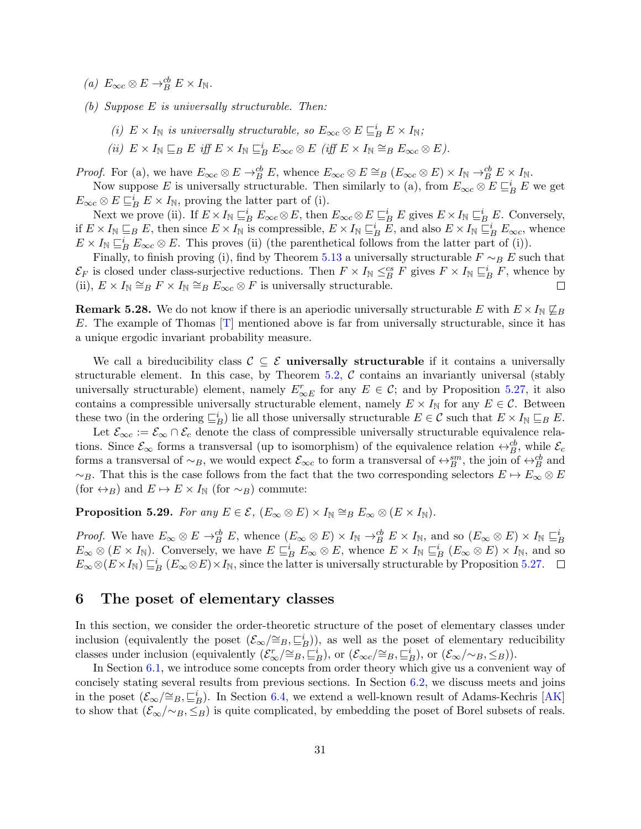- (a)  $E_{\infty c} \otimes E \to_B^{cb} E \times I_{\mathbb{N}}$ .
- (b) Suppose E is universally structurable. Then:
	- (i)  $E \times I_{\mathbb{N}}$  is universally structurable, so  $E_{\infty c} \otimes E \sqsubseteq_B^i E \times I_{\mathbb{N}};$
	- (ii)  $E \times I_{\mathbb{N}} \sqsubseteq_B E$  iff  $E \times I_{\mathbb{N}} \sqsubseteq_B^i E_{\infty c} \otimes E$  (iff  $E \times I_{\mathbb{N}} \cong_B E_{\infty c} \otimes E$ ).

*Proof.* For (a), we have  $E_{\infty c} \otimes E \to_B^{\text{cb}} E$ , whence  $E_{\infty c} \otimes E \cong_B (E_{\infty c} \otimes E) \times I_{\mathbb{N}} \to_B^{\text{cb}} E \times I_{\mathbb{N}}$ .

Now suppose E is universally structurable. Then similarly to (a), from  $E_{\infty c} \otimes E \sqsubseteq_B^i E$  we get  $E_{\infty c} \otimes E \sqsubseteq_B^i E \times I_{\mathbb{N}}$ , proving the latter part of (i).

Next we prove (ii). If  $E \times I_{\mathbb{N}} \sqsubseteq_B^i E_{\infty c} \otimes E$ , then  $E_{\infty c} \otimes E \sqsubseteq_B^i E$  gives  $E \times I_{\mathbb{N}} \sqsubseteq_B^i E$ . Conversely, if  $E \times I_{\mathbb{N}} \sqsubseteq_B E$ , then since  $E \times I_{\mathbb{N}}$  is compressible,  $E \times I_{\mathbb{N}} \sqsubseteq_B^i E$ , and also  $E \times I_{\mathbb{N}} \sqsubseteq_B^i E_{\infty c}$ , whence  $E \times I_{\mathbb{N}} \sqsubseteq_B^i E_{\infty c} \otimes E$ . This proves (ii) (the parenthetical follows from the latter part of (i)).

Finally, to finish proving (i), find by Theorem [5.13](#page-27-0) a universally structurable  $F \sim_B E$  such that  $\mathcal{E}_F$  is closed under class-surjective reductions. Then  $F \times I_{\mathbb{N}} \leq^c_B F$  gives  $F \times I_{\mathbb{N}} \subseteq^i_B F$ , whence by (ii),  $E \times I_{\mathbb{N}} \cong_B F \times I_{\mathbb{N}} \cong_B E_{\infty c} \otimes F$  is universally structurable. П

**Remark 5.28.** We do not know if there is an aperiodic universally structurable E with  $E \times I_{\mathbb{N}} \not\sqsubseteq_B$ E. The example of Thomas  $[T]$  mentioned above is far from universally structurable, since it has a unique ergodic invariant probability measure.

We call a bireducibility class  $\mathcal{C} \subseteq \mathcal{E}$  universally structurable if it contains a universally structurable element. In this case, by Theorem  $5.2$ ,  $C$  contains an invariantly universal (stably universally structurable) element, namely  $E_{\infty E}^r$  for any  $E \in \mathcal{C}$ ; and by Proposition [5.27,](#page-29-2) it also contains a compressible universally structurable element, namely  $E \times I_{\mathbb{N}}$  for any  $E \in \mathcal{C}$ . Between these two (in the ordering  $\sqsubseteq_B^i$ ) lie all those universally structurable  $E \in \mathcal{C}$  such that  $E \times I_{\mathbb{N}} \sqsubseteq_B E$ .

Let  $\mathcal{E}_{\infty}$  :=  $\mathcal{E}_{\infty} \cap \mathcal{E}_{c}$  denote the class of compressible universally structurable equivalence relations. Since  $\mathcal{E}_{\infty}$  forms a transversal (up to isomorphism) of the equivalence relation  $\leftrightarrow_B^{\text{cb}}$ , while  $\mathcal{E}_{\infty}$ forms a transversal of  $\sim_B$ , we would expect  $\mathcal{E}_{\infty c}$  to form a transversal of  $\leftrightarrow_B^{sm}$ , the join of  $\leftrightarrow_B^{cb}$  and  $\sim_B$ . That this is the case follows from the fact that the two corresponding selectors  $E \mapsto E_\infty \otimes E$ (for  $\leftrightarrow_B$ ) and  $E \mapsto E \times I_{\mathbb{N}}$  (for  $\sim_B$ ) commute:

<span id="page-30-1"></span>**Proposition 5.29.** For any  $E \in \mathcal{E}$ ,  $(E_{\infty} \otimes E) \times I_{\mathbb{N}} \cong_B E_{\infty} \otimes (E \times I_{\mathbb{N}})$ .

*Proof.* We have  $E_{\infty} \otimes E \to_B^{cb} E$ , whence  $(E_{\infty} \otimes E) \times I_{\mathbb{N}} \to_B^{cb} E \times I_{\mathbb{N}}$ , and so  $(E_{\infty} \otimes E) \times I_{\mathbb{N}} \sqsubseteq_B^{t} E$  $E_{\infty} \otimes (E \times I_{\mathbb{N}})$ . Conversely, we have  $E \subseteq_B^i E_{\infty} \otimes E$ , whence  $E \times I_{\mathbb{N}} \subseteq_B^i (E_{\infty} \otimes E) \times I_{\mathbb{N}}$ , and so  $E_{\infty} \otimes (E \times I_{\mathbb{N}}) \sqsubseteq_B^i (E_{\infty} \otimes E) \times I_{\mathbb{N}},$  since the latter is universally structurable by Proposition [5.27.](#page-29-2)

## <span id="page-30-0"></span>6 The poset of elementary classes

In this section, we consider the order-theoretic structure of the poset of elementary classes under inclusion (equivalently the poset  $(\mathcal{E}_{\infty}/\cong_B, \sqsubseteq_B^i)$ ), as well as the poset of elementary reducibility classes under inclusion (equivalently  $(\mathcal{E}_{\infty}^r/\cong_B,\sqsubseteq_B^i)$ , or  $(\mathcal{E}_{\infty}^r/\cong_B,\sqsubseteq_B^i)$ , or  $(\mathcal{E}_{\infty}^r/\sim_B,\le_B)$ ).

In Section [6.1,](#page-31-0) we introduce some concepts from order theory which give us a convenient way of concisely stating several results from previous sections. In Section [6.2,](#page-32-1) we discuss meets and joins in the poset  $(\mathcal{E}_{\infty}/\cong_B, \sqsubseteq_B^i)$ . In Section [6.4,](#page-36-0) we extend a well-known result of Adams-Kechris [\[AK\]](#page-69-0) to show that  $(\mathcal{E}_{\infty}/\sim_B, \leq_B)$  is quite complicated, by embedding the poset of Borel subsets of reals.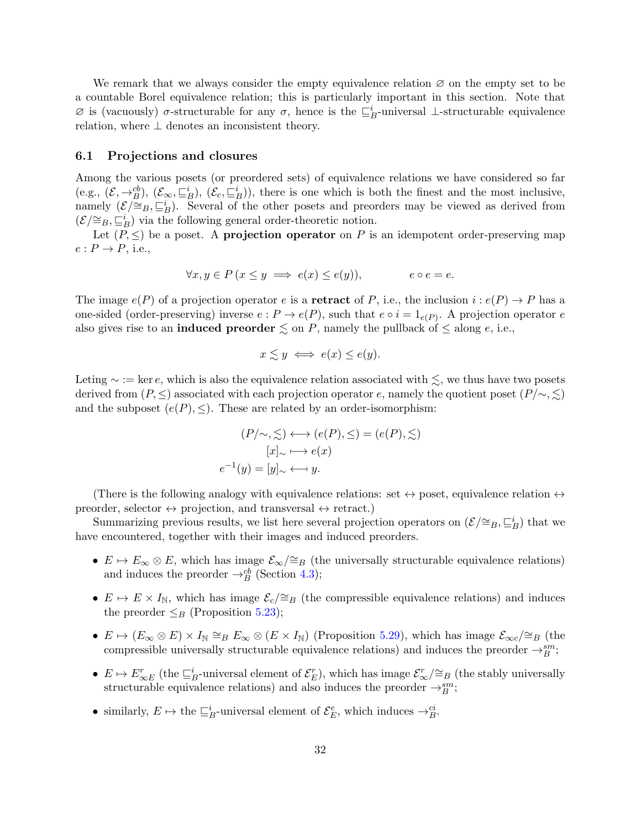We remark that we always consider the empty equivalence relation  $\varnothing$  on the empty set to be a countable Borel equivalence relation; this is particularly important in this section. Note that  $\varnothing$  is (vacuously)  $\sigma$ -structurable for any  $\sigma$ , hence is the  $\sqsubseteq_B^i$ -universal  $\bot$ -structurable equivalence relation, where  $\perp$  denotes an inconsistent theory.

#### <span id="page-31-0"></span>6.1 Projections and closures

Among the various posets (or preordered sets) of equivalence relations we have considered so far (e.g.,  $(\mathcal{E}, \rightarrow_B^{\text{cb}}), (\mathcal{E}_{\infty}, \sqsubseteq_B^i), (\mathcal{E}_c, \sqsubseteq_B^i)$ ), there is one which is both the finest and the most inclusive, namely  $(\mathcal{E}/\cong_B,\sqsubseteq_B^i)$ . Several of the other posets and preorders may be viewed as derived from  $(\mathcal{E}/\cong_B, \sqsubseteq_B^i)$  via the following general order-theoretic notion.

Let  $(P, \leq)$  be a poset. A **projection operator** on P is an idempotent order-preserving map  $e: P \to P$ , i.e.,

$$
\forall x, y \in P \, (x \le y \implies e(x) \le e(y)), \qquad e \circ e = e.
$$

The image  $e(P)$  of a projection operator e is a **retract** of P, i.e., the inclusion  $i : e(P) \to P$  has a one-sided (order-preserving) inverse  $e: P \to e(P)$ , such that  $e \circ i = 1_{e(P)}$ . A projection operator e also gives rise to an **induced preorder**  $\leq$  on P, namely the pullback of  $\leq$  along e, i.e.,

$$
x \lesssim y \iff e(x) \le e(y).
$$

Leting  $\sim$  := ker e, which is also the equivalence relation associated with  $\leq$ , we thus have two posets derived from  $(P, \leq)$  associated with each projection operator e, namely the quotient poset  $(P/\sim, \leq)$ and the subposet  $(e(P), \leq)$ . These are related by an order-isomorphism:

$$
(P/\sim, \leq) \longleftrightarrow (e(P), \leq) = (e(P), \leq)
$$

$$
[x]_{\sim} \longmapsto e(x)
$$

$$
e^{-1}(y) = [y]_{\sim} \longleftrightarrow y.
$$

(There is the following analogy with equivalence relations: set  $\leftrightarrow$  poset, equivalence relation  $\leftrightarrow$ preorder, selector  $\leftrightarrow$  projection, and transversal  $\leftrightarrow$  retract.)

Summarizing previous results, we list here several projection operators on  $(\mathcal{E}/\cong_B,\sqsubseteq_B^i)$  that we have encountered, together with their images and induced preorders.

- $E \mapsto E_{\infty} \otimes E$ , which has image  $\mathcal{E}_{\infty}/\cong_B$  (the universally structurable equivalence relations) and induces the preorder  $\rightarrow_B^{cb}$  (Section [4.3\)](#page-17-1);
- $E \mapsto E \times I_{\mathbb{N}}$ , which has image  $\mathcal{E}_c/\cong_B$  (the compressible equivalence relations) and induces the preorder  $\leq_B$  (Proposition [5.23\)](#page-29-1);
- $E \mapsto (E_{\infty} \otimes E) \times I_{\mathbb{N}} \cong_B E_{\infty} \otimes (E \times I_{\mathbb{N}})$  (Proposition [5.29\)](#page-30-1), which has image  $\mathcal{E}_{\infty c} / \cong_B$  (the compressible universally structurable equivalence relations) and induces the preorder  $\rightarrow_B^{sm}$ ;
- $E \mapsto E_{\infty E}^r$  (the  $\sqsubseteq_B^i$ -universal element of  $\mathcal{E}_E^r$ ), which has image  $\mathcal{E}_{\infty}^r/\cong_B$  (the stably universally structurable equivalence relations) and also induces the preorder  $\rightarrow_B^{sm}$ ;
- similarly,  $E \mapsto$  the  $\sqsubseteq_B^i$ -universal element of  $\mathcal{E}_E^e$ , which induces  $\rightarrow_B^{ci}$ .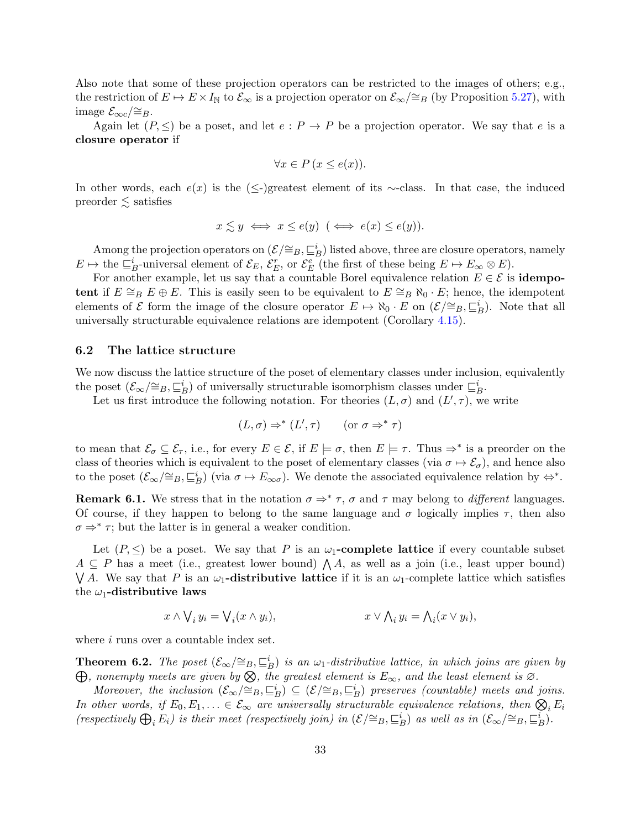Also note that some of these projection operators can be restricted to the images of others; e.g., the restriction of  $E \to E \times I_{\mathbb{N}}$  to  $\mathcal{E}_{\infty}$  is a projection operator on  $\mathcal{E}_{\infty}/\cong_B$  (by Proposition [5.27\)](#page-29-2), with image  $\mathcal{E}_{\infty c}/\cong_B$ .

Again let  $(P, \leq)$  be a poset, and let  $e : P \to P$  be a projection operator. We say that e is a closure operator if

$$
\forall x \in P \, (x \le e(x)).
$$

In other words, each  $e(x)$  is the (≤-)greatest element of its ∼-class. In that case, the induced preorder  $\lesssim$  satisfies

$$
x \lesssim y \iff x \leq e(y) \ \ (\iff e(x) \leq e(y)).
$$

Among the projection operators on  $(\mathcal{E}/\cong_B, \sqsubseteq_B^i)$  listed above, three are closure operators, namely  $E \mapsto$  the  $\sqsubseteq_B^i$ -universal element of  $\mathcal{E}_E$ ,  $\mathcal{E}_E^r$ , or  $\mathcal{E}_E^e$  (the first of these being  $E \mapsto E_\infty \otimes E$ ).

For another example, let us say that a countable Borel equivalence relation  $E \in \mathcal{E}$  is **idempo**tent if  $E \cong_B E \oplus E$ . This is easily seen to be equivalent to  $E \cong_B \aleph_0 \cdot E$ ; hence, the idempotent elements of  $\mathcal E$  form the image of the closure operator  $E \mapsto \aleph_0 \cdot E$  on  $(\mathcal E/\cong_{B,\sqsubseteq_{B}^{i}})$ . Note that all universally structurable equivalence relations are idempotent (Corollary [4.15\)](#page-18-2).

#### <span id="page-32-1"></span>6.2 The lattice structure

We now discuss the lattice structure of the poset of elementary classes under inclusion, equivalently the poset  $(\mathcal{E}_{\infty}/\cong_B, \sqsubseteq_B^i)$  of universally structurable isomorphism classes under  $\sqsubseteq_B^i$ .

Let us first introduce the following notation. For theories  $(L, \sigma)$  and  $(L', \tau)$ , we write

$$
(L,\sigma)\Rightarrow^*(L',\tau)\qquad(\text{or }\sigma\Rightarrow^*\tau)
$$

to mean that  $\mathcal{E}_{\sigma} \subseteq \mathcal{E}_{\tau}$ , i.e., for every  $E \in \mathcal{E}$ , if  $E \models \sigma$ , then  $E \models \tau$ . Thus  $\Rightarrow^*$  is a preorder on the class of theories which is equivalent to the poset of elementary classes (via  $\sigma \mapsto \mathcal{E}_{\sigma}$ ), and hence also to the poset  $(\mathcal{E}_{\infty}/\cong_B, \sqsubseteq_B^i)$  (via  $\sigma \mapsto E_{\infty \sigma}$ ). We denote the associated equivalence relation by  $\Leftrightarrow^*$ .

**Remark 6.1.** We stress that in the notation  $\sigma \Rightarrow^* \tau$ ,  $\sigma$  and  $\tau$  may belong to *different* languages. Of course, if they happen to belong to the same language and  $\sigma$  logically implies  $\tau$ , then also  $\sigma \Rightarrow^* \tau$ ; but the latter is in general a weaker condition.

Let  $(P, \leq)$  be a poset. We say that P is an  $\omega_1$ -complete lattice if every countable subset  $A \subseteq P$  has a meet (i.e., greatest lower bound)  $\bigwedge A$ , as well as a join (i.e., least upper bound)  $\bigvee A$ . We say that P is an  $\omega_1$ -distributive lattice if it is an  $\omega_1$ -complete lattice which satisfies the  $\omega_1$ -distributive laws

$$
x \wedge \bigvee_i y_i = \bigvee_i (x \wedge y_i), \qquad x \vee \bigwedge_i y_i = \bigwedge_i (x \vee y_i),
$$

<span id="page-32-0"></span>where i runs over a countable index set.

**Theorem 6.2.** The poset  $(\mathcal{E}_{\infty}/\cong_B, \subseteq_B^i)$  is an  $\omega_1$ -distributive lattice, in which joins are given by  $\bigoplus$ , nonempty meets are given by  $\bigotimes$ , the greatest element is  $E_\infty$ , and the least element is  $\varnothing$ .

Moreover, the inclusion  $(\mathcal{E}_{\infty}/\cong_B, \subseteq_B') \subseteq (\mathcal{E}/\cong_B, \subseteq_B')$  preserves (countable) meets and joins. In other words, if  $E_0, E_1, \ldots \in \mathcal{E}_{\infty}$  are universally structurable equivalence relations, then  $\bigotimes_i E_i$ (respectively  $\bigoplus_i E_i$ ) is their meet (respectively join) in  $(\mathcal{E}/\cong_B, \sqsubseteq_B^i)$  as well as in  $(\mathcal{E}_{\infty}/\cong_B, \sqsubseteq_B^i)$ .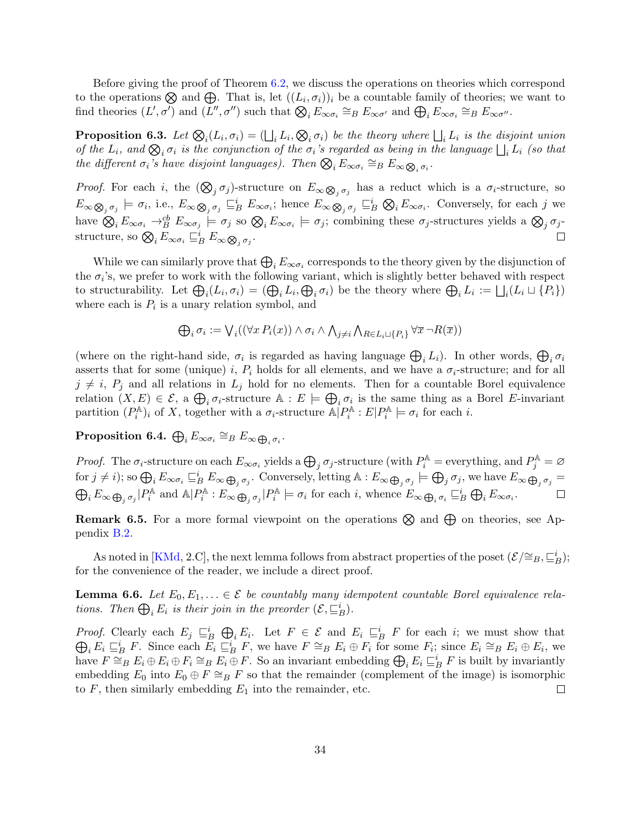Before giving the proof of Theorem [6.2,](#page-32-0) we discuss the operations on theories which correspond to the operations  $\otimes$  and  $\bigoplus$ . That is, let  $((L_i, \sigma_i))_i$  be a countable family of theories; we want to find theories  $(L', \sigma')$  and  $(L'', \sigma'')$  such that  $\bigotimes_i E_{\infty \sigma_i} \cong_B E_{\infty \sigma'}$  and  $\bigoplus_i E_{\infty \sigma_i} \cong_B E_{\infty \sigma''}$ .

<span id="page-33-0"></span>**Proposition 6.3.** Let  $\mathcal{Q}_i(L_i, \sigma_i) = (\bigsqcup_i L_i, \mathcal{Q}_i, \sigma_i)$  be the theory where  $\bigsqcup_i L_i$  is the disjoint union of the  $L_i$ , and  $\bigotimes_i \sigma_i$  is the conjunction of the  $\sigma_i$ 's regarded as being in the language  $\bigsqcup_i L_i$  (so that the different  $\sigma_i$ 's have disjoint languages). Then  $\bigotimes_i E_{\infty \sigma_i} \cong_B E_{\infty \bigotimes_i \sigma_i}$ .

*Proof.* For each *i*, the  $(\bigotimes_j \sigma_j)$ -structure on  $E_{\infty} \bigotimes_j \sigma_j$  has a reduct which is a  $\sigma_i$ -structure, so  $E_{\infty} \otimes_{j} \sigma_j \models \sigma_i$ , i.e.,  $E_{\infty} \otimes_{j} \sigma_j \sqsubseteq_B^i E_{\infty} \sigma_i$ ; hence  $E_{\infty} \otimes_{j} \sigma_j \sqsubseteq_B^i \otimes_i E_{\infty} \sigma_i$ . Conversely, for each j we have  $\bigotimes_i E_{\infty \sigma_i} \to_B^{cb} E_{\infty \sigma_j} \models \sigma_j$  so  $\bigotimes_i E_{\infty \sigma_i} \models \sigma_j$ ; combining these  $\sigma_j$ -structures yields a  $\bigotimes_j \sigma_j$ structure, so  $\bigotimes_i E_{\infty \sigma_i} \sqsubseteq_B^i E_{\infty \bigotimes_j \sigma_j}$ .  $\Box$ 

While we can similarly prove that  $\bigoplus_i E_{\infty \sigma_i}$  corresponds to the theory given by the disjunction of the  $\sigma_i$ 's, we prefer to work with the following variant, which is slightly better behaved with respect to structurability. Let  $\bigoplus_i (L_i, \sigma_i) = (\bigoplus_i L_i, \bigoplus_i \sigma_i)$  be the theory where  $\bigoplus_i L_i := \bigsqcup_i (L_i \sqcup \{P_i\})$ where each is  $P_i$  is a unary relation symbol, and

$$
\bigoplus_i \sigma_i := \bigvee_i ((\forall x P_i(x)) \land \sigma_i \land \bigwedge_{j \neq i} \bigwedge_{R \in L_i \sqcup \{P_i\}} \forall \overline{x} \ \neg R(\overline{x}))
$$

(where on the right-hand side,  $\sigma_i$  is regarded as having language  $\bigoplus_i L_i$ ). In other words,  $\bigoplus_i \sigma_i$ asserts that for some (unique) i,  $P_i$  holds for all elements, and we have a  $\sigma_i$ -structure; and for all  $j \neq i$ ,  $P_j$  and all relations in  $L_j$  hold for no elements. Then for a countable Borel equivalence relation  $(X, E) \in \mathcal{E}$ , a  $\bigoplus_i \sigma_i$ -structure  $\mathbb{A}: E \models \bigoplus_i \sigma_i$  is the same thing as a Borel E-invariant partition  $(P_i^{\mathbb{A}})_i$  of X, together with a  $\sigma_i$ -structure  $\mathbb{A}|P_i^{\mathbb{A}}:E|P_i^{\mathbb{A}}\models \sigma_i$  for each i.

<span id="page-33-1"></span> $\textbf{Proposition 6.4.} \bigoplus_i E_{\infty \sigma_i} \cong_B E_{\infty \bigoplus_i \sigma_i}.$ 

*Proof.* The  $\sigma_i$ -structure on each  $E_{\infty \sigma_i}$  yields a  $\bigoplus_j \sigma_j$ -structure (with  $P_i^{\mathbb{A}}$  = everything, and  $P_j^{\mathbb{A}} = \varnothing$ for  $j \neq i$ ); so  $\bigoplus_i E_{\infty \sigma_i} \sqsubseteq_B^i E_{\infty \bigoplus_j \sigma_j}$ . Conversely, letting  $\mathbb{A} : E_{\infty \bigoplus_j \sigma_j} \models \bigoplus_j \sigma_j$ , we have  $E_{\infty \bigoplus_j \sigma_j} =$  $\bigoplus_i E_{\infty} \bigoplus_j \sigma_j | P_i^{\mathbb{A}} \text{ and } \mathbb{A} | P_i^{\mathbb{A}} : E_{\infty} \bigoplus_j \sigma_j | P_i^{\mathbb{A}} \models \sigma_i \text{ for each } i, \text{ whence } E_{\infty} \bigoplus_i \sigma_i \subseteq_B^i \bigoplus_i E_{\infty \sigma_i}.$  $\Box$ 

**Remark 6.5.** For a more formal viewpoint on the operations  $\otimes$  and  $\oplus$  on theories, see Appendix [B.2.](#page-62-0)

As noted in [\[KMd,](#page-70-3) 2.C], the next lemma follows from abstract properties of the poset  $(\mathcal{E}/\cong_B, \sqsubseteq_B^i);$ for the convenience of the reader, we include a direct proof.

<span id="page-33-2"></span>**Lemma 6.6.** Let  $E_0, E_1, \ldots \in \mathcal{E}$  be countably many idempotent countable Borel equivalence relations. Then  $\bigoplus_i E_i$  is their join in the preorder  $(\mathcal{E}, \sqsubseteq_B^i)$ .

*Proof.* Clearly each  $E_j \subseteq_B^i \bigoplus_i E_i$ . Let  $F \in \mathcal{E}$  and  $E_i \subseteq_B^i F$  for each i; we must show that  $\bigoplus_i E_i \sqsubseteq_B^i F$ . Since each  $E_i \sqsubseteq_B^i F$ , we have  $F \cong_B E_i \oplus F_i$  for some  $F_i$ ; since  $E_i \cong_B E_i \oplus E_i$ , we have  $F \cong_B E_i \oplus E_i \oplus F_i \cong_B E_i \oplus F$ . So an invariant embedding  $\bigoplus_i E_i \sqsubseteq_B^i F$  is built by invariantly embedding  $E_0$  into  $E_0 \oplus F \cong_B F$  so that the remainder (complement of the image) is isomorphic to F, then similarly embedding  $E_1$  into the remainder, etc. to  $F$ , then similarly embedding  $E_1$  into the remainder, etc.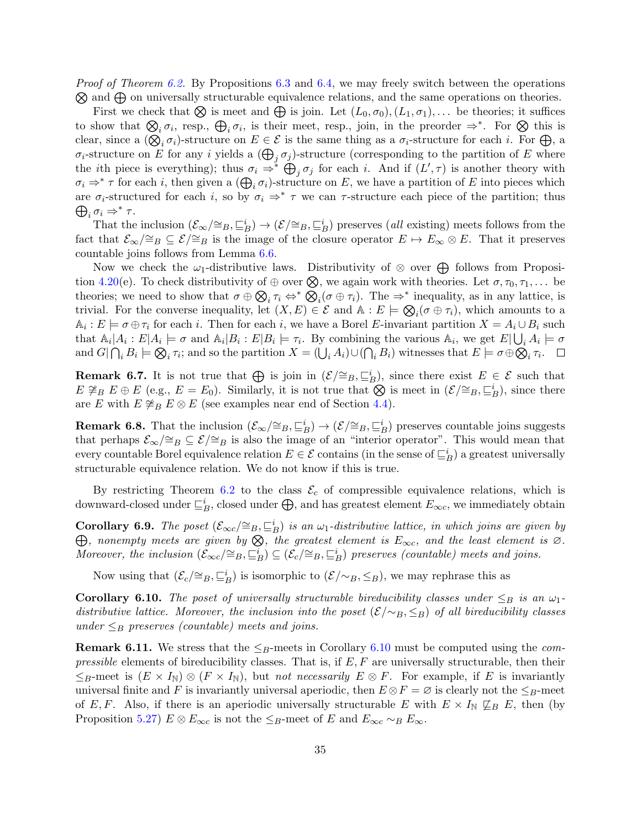Proof of Theorem [6.2.](#page-32-0) By Propositions [6.3](#page-33-0) and [6.4,](#page-33-1) we may freely switch between the operations  $\otimes$  and  $\oplus$  on universally structurable equivalence relations, and the same operations on theories.

First we check that  $\otimes$  is meet and  $\oplus$  is join. Let  $(L_0, \sigma_0), (L_1, \sigma_1), \ldots$  be theories; it suffices to show that  $\bigotimes_i \sigma_i$ , resp.,  $\bigoplus_i \sigma_i$ , is their meet, resp., join, in the preorder  $\Rightarrow^*$ . For  $\bigotimes$  this is clear, since a  $(\bigotimes_i \sigma_i)$ -structure on  $E \in \mathcal{E}$  is the same thing as a  $\sigma_i$ -structure for each i. For  $\bigoplus$ , a  $\sigma_i$ -structure on E for any i yields a  $(\bigoplus_j \sigma_j)$ -structure (corresponding to the partition of E where the *i*th piece is everything); thus  $\sigma_i \Rightarrow^* \bigoplus_j \sigma_j$  for each *i*. And if  $(L', \tau)$  is another theory with  $\sigma_i \Rightarrow^* \tau$  for each i, then given a  $(\bigoplus_i \sigma_i)$ -structure on E, we have a partition of E into pieces which are  $\sigma_i$ -structured for each i, so by  $\sigma_i \Rightarrow^* \tau$  we can  $\tau$ -structure each piece of the partition; thus  $\bigoplus_i \sigma_i \Rightarrow^* \tau.$ 

That the inclusion  $(\mathcal{E}_{\infty}/\cong_B,\sqsubseteq_B^i)\to(\mathcal{E}/\cong_B,\sqsubseteq_B^i)$  preserves (all existing) meets follows from the fact that  $\mathcal{E}_{\infty}/\cong_B \subseteq \mathcal{E}/\cong_B$  is the image of the closure operator  $E \mapsto E_{\infty} \otimes E$ . That it preserves countable joins follows from Lemma [6.6.](#page-33-2)

Now we check the  $\omega_1$ -distributive laws. Distributivity of ⊗ over  $\bigoplus$  follows from Proposi-tion [4.20\(](#page-20-0)e). To check distributivity of  $\oplus$  over  $\otimes$ , we again work with theories. Let  $\sigma, \tau_0, \tau_1, \ldots$  be theories; we need to show that  $\sigma \oplus \bigotimes_i \tau_i \Leftrightarrow^* \bigotimes_i (\sigma \oplus \tau_i)$ . The  $\Rightarrow^*$  inequality, as in any lattice, is trivial. For the converse inequality, let  $(X, E) \in \mathcal{E}$  and  $\mathbb{A}: E \models \bigotimes_i (\sigma \oplus \tau_i)$ , which amounts to a  $\mathbb{A}_i : E \models \sigma \oplus \tau_i$  for each i. Then for each i, we have a Borel E-invariant partition  $X = A_i \cup B_i$  such that  $\mathbb{A}_i | A_i : E | A_i \models \sigma$  and  $\mathbb{A}_i | B_i : E | B_i \models \tau_i$ . By combining the various  $\mathbb{A}_i$ , we get  $E | \bigcup_i A_i \models \sigma$ and  $G \cap \bigcap_i B_i \models \bigotimes_i \tau_i$ ; and so the partition  $X = (\bigcup_i A_i) \cup (\bigcap_i B_i)$  witnesses that  $E \models \sigma \oplus \bigotimes_i \tau_i$ .

**Remark 6.7.** It is not true that  $\bigoplus$  is join in  $(\mathcal{E}/\cong_B,\sqsubseteq_B^i)$ , since there exist  $E \in \mathcal{E}$  such that  $E \not\cong_B E \oplus E$  (e.g.,  $E = E_0$ ). Similarly, it is not true that  $\bigotimes$  is meet in  $(\mathcal{E}/\cong_B,\sqsubseteq_B^i)$ , since there are E with  $E \not\cong_B E \otimes E$  (see examples near end of Section [4.4\)](#page-19-0).

**Remark 6.8.** That the inclusion  $(\mathcal{E}_{\infty}/\cong_B, \sqsubseteq_B^i) \to (\mathcal{E}/\cong_B, \sqsubseteq_B^i)$  preserves countable joins suggests that perhaps  $\mathcal{E}_{\infty}/\cong_B \subseteq \mathcal{E}/\cong_B$  is also the image of an "interior operator". This would mean that every countable Borel equivalence relation  $E \in \mathcal{E}$  contains (in the sense of  $\Xi_B^i$ ) a greatest universally structurable equivalence relation. We do not know if this is true.

By restricting Theorem [6.2](#page-32-0) to the class  $\mathcal{E}_c$  of compressible equivalence relations, which is downward-closed under  $\sqsubseteq_B^i$ , closed under  $\bigoplus$ , and has greatest element  $E_{\infty c}$ , we immediately obtain

**Corollary 6.9.** The poset  $(\mathcal{E}_{\infty c}/\cong_B, \sqsubseteq_B^i)$  is an  $\omega_1$ -distributive lattice, in which joins are given by  $\bigoplus$ , nonempty meets are given by  $\bigotimes$ , the greatest element is  $E_{\infty c}$ , and the least element is  $\varnothing$ . Moreover, the inclusion  $(\mathcal{E}_{\infty c}/\cong_B, \sqsubseteq_B^i) \subseteq (\mathcal{E}_c/\cong_B, \sqsubseteq_B^i)$  preserves (countable) meets and joins.

Now using that  $(\mathcal{E}_c/\cong_B, \sqsubseteq_B^i)$  is isomorphic to  $(\mathcal{E}/\sim_B, \leq_B)$ , we may rephrase this as

<span id="page-34-0"></span>Corollary 6.10. The poset of universally structurable bireducibility classes under  $\leq_B$  is an  $\omega_1$ distributive lattice. Moreover, the inclusion into the poset  $(\mathcal{E}/\sim_B, \leq_B)$  of all bireducibility classes under  $\leq_B$  preserves (countable) meets and joins.

**Remark 6.11.** We stress that the  $\leq_B$ -meets in Corollary [6.10](#page-34-0) must be computed using the *com*pressible elements of bireducibility classes. That is, if  $E, F$  are universally structurable, then their  $\leq_B$ -meet is  $(E \times I_N) \otimes (F \times I_N)$ , but *not necessarily*  $E \otimes F$ . For example, if E is invariantly universal finite and F is invariantly universal aperiodic, then  $E \otimes F = \varnothing$  is clearly not the  $\leq_B$ -meet of E, F. Also, if there is an aperiodic universally structurable E with  $E \times I_N \not\sqsubseteq_B E$ , then (by Proposition [5.27\)](#page-29-2)  $E \otimes E_{\infty c}$  is not the  $\leq_B$ -meet of E and  $E_{\infty c} \sim_B E_{\infty}$ .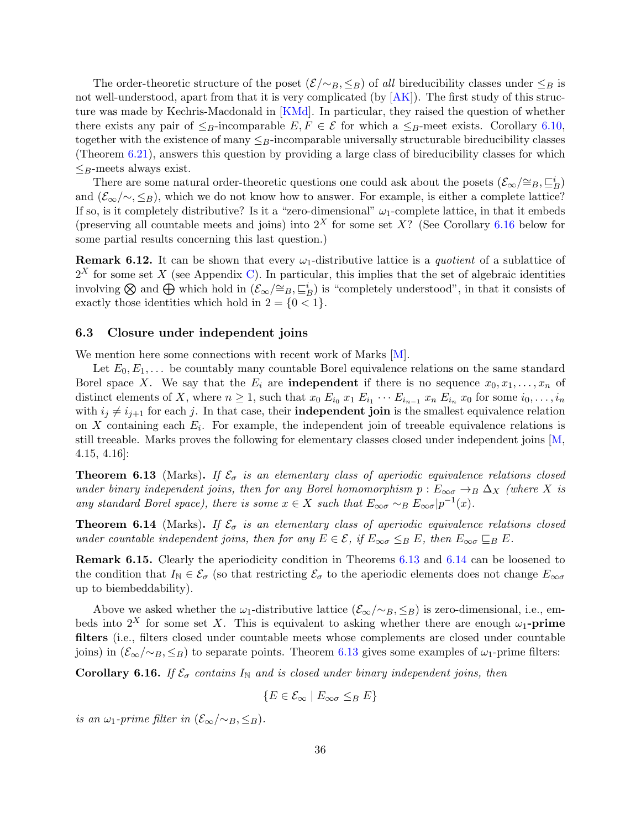The order-theoretic structure of the poset  $(\mathcal{E}/\sim_B, \leq_B)$  of all bireducibility classes under  $\leq_B$  is not well-understood, apart from that it is very complicated (by  $[AK]$ ). The first study of this structure was made by Kechris-Macdonald in [\[KMd\]](#page-70-3). In particular, they raised the question of whether there exists any pair of  $\leq_B$ -incomparable  $E, F \in \mathcal{E}$  for which a  $\leq_B$ -meet exists. Corollary [6.10,](#page-34-0) together with the existence of many  $\leq_B$ -incomparable universally structurable bireducibility classes (Theorem [6.21\)](#page-37-0), answers this question by providing a large class of bireducibility classes for which  $\leq_B$ -meets always exist.

There are some natural order-theoretic questions one could ask about the posets  $(\mathcal{E}_{\infty}/\cong_B, \sqsubseteq_B^i)$ and  $(\mathcal{E}_{\infty}/\sim, \leq_B)$ , which we do not know how to answer. For example, is either a complete lattice? If so, is it completely distributive? Is it a "zero-dimensional"  $\omega_1$ -complete lattice, in that it embeds (preserving all countable meets and joins) into  $2^X$  for some set X? (See Corollary [6.16](#page-35-0) below for some partial results concerning this last question.)

**Remark 6.12.** It can be shown that every  $\omega_1$ -distributive lattice is a *quotient* of a sublattice of  $2^X$  for some set X (see Appendix [C\)](#page-68-0). In particular, this implies that the set of algebraic identities involving  $\otimes$  and  $\bigoplus$  which hold in  $(\mathcal{E}_{\infty}/\cong_B,\sqsubseteq_B^i)$  is "completely understood", in that it consists of exactly those identities which hold in  $2 = \{0, 1\}.$ 

#### 6.3 Closure under independent joins

We mention here some connections with recent work of Marks [\[M\]](#page-71-1).

Let  $E_0, E_1, \ldots$  be countably many countable Borel equivalence relations on the same standard Borel space X. We say that the  $E_i$  are **independent** if there is no sequence  $x_0, x_1, \ldots, x_n$  of distinct elements of X, where  $n \geq 1$ , such that  $x_0 E_{i_0} x_1 E_{i_1} \cdots E_{i_{n-1}} x_n E_{i_n} x_0$  for some  $i_0, \ldots, i_n$ with  $i_j \neq i_{j+1}$  for each j. In that case, their **independent join** is the smallest equivalence relation on X containing each  $E_i$ . For example, the independent join of treeable equivalence relations is still treeable. Marks proves the following for elementary classes closed under independent joins [\[M,](#page-71-1) 4.15, 4.16]:

<span id="page-35-1"></span>**Theorem 6.13** (Marks). If  $\mathcal{E}_{\sigma}$  is an elementary class of aperiodic equivalence relations closed under binary independent joins, then for any Borel homomorphism  $p: E_{\infty \sigma} \to_B \Delta_X$  (where X is any standard Borel space), there is some  $x \in X$  such that  $E_{\infty \sigma} \sim_B E_{\infty \sigma} |p^{-1}(x)|$ .

<span id="page-35-2"></span>**Theorem 6.14** (Marks). If  $\mathcal{E}_{\sigma}$  is an elementary class of aperiodic equivalence relations closed under countable independent joins, then for any  $E \in \mathcal{E}$ , if  $E_{\infty \sigma} \leq_B E$ , then  $E_{\infty \sigma} \sqsubseteq_B E$ .

Remark 6.15. Clearly the aperiodicity condition in Theorems [6.13](#page-35-1) and [6.14](#page-35-2) can be loosened to the condition that  $I_N \in \mathcal{E}_{\sigma}$  (so that restricting  $\mathcal{E}_{\sigma}$  to the aperiodic elements does not change  $E_{\infty \sigma}$ up to biembeddability).

Above we asked whether the  $\omega_1$ -distributive lattice  $(\mathcal{E}_{\infty}/\sim_B, \leq_B)$  is zero-dimensional, i.e., embeds into  $2^X$  for some set X. This is equivalent to asking whether there are enough  $\omega_1$ -prime filters (i.e., filters closed under countable meets whose complements are closed under countable joins) in  $(\mathcal{E}_{\infty}/\sim_B, \leq_B)$  to separate points. Theorem [6.13](#page-35-1) gives some examples of  $\omega_1$ -prime filters:

<span id="page-35-0"></span>**Corollary 6.16.** If  $\mathcal{E}_{\sigma}$  contains  $I_N$  and is closed under binary independent joins, then

$$
\{E \in \mathcal{E}_{\infty} \mid E_{\infty \sigma} \leq_B E\}
$$

is an  $\omega_1$ -prime filter in  $(\mathcal{E}_{\infty}/\sim_B, \leq_B)$ .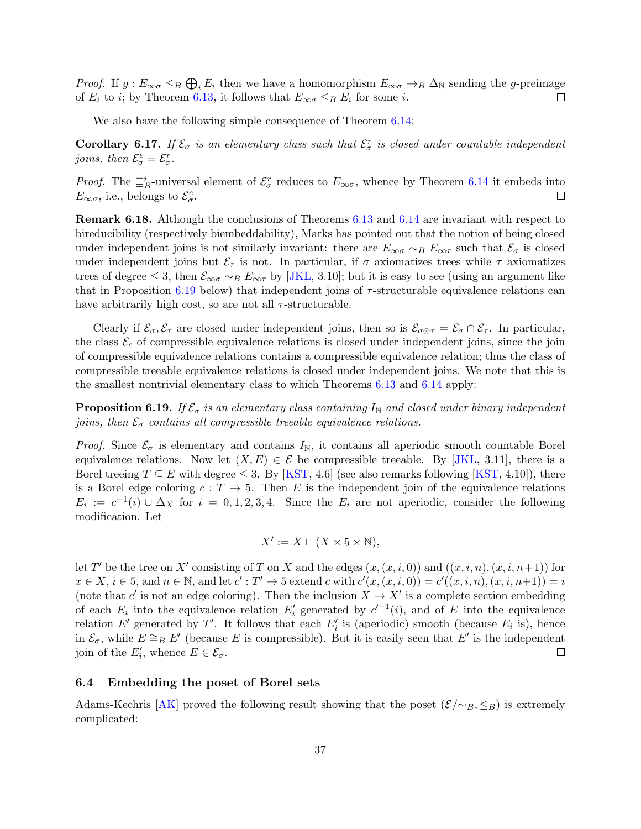*Proof.* If  $g: E_{\infty \sigma} \leq_B \bigoplus_i E_i$  then we have a homomorphism  $E_{\infty \sigma} \to_B \Delta_{\mathbb{N}}$  sending the g-preimage of  $E_i$  to *i*; by Theorem [6.13,](#page-35-0) it follows that  $E_{\infty \sigma} \leq_B E_i$  for some *i*.

We also have the following simple consequence of Theorem  $6.14$ :

**Corollary 6.17.** If  $\mathcal{E}_{\sigma}$  is an elementary class such that  $\mathcal{E}_{\sigma}^{r}$  is closed under countable independent joins, then  $\mathcal{E}_{\sigma}^e = \mathcal{E}_{\sigma}^r$ .

*Proof.* The  $\sqsubseteq^i_B$ -universal element of  $\mathcal{E}^r_\sigma$  reduces to  $E_{\infty\sigma}$ , whence by Theorem [6.14](#page-35-1) it embeds into  $E_{\infty\sigma}$ , i.e., belongs to  $\mathcal{E}_{\sigma}^e$ .  $\Box$ 

Remark 6.18. Although the conclusions of Theorems [6.13](#page-35-0) and [6.14](#page-35-1) are invariant with respect to bireducibility (respectively biembeddability), Marks has pointed out that the notion of being closed under independent joins is not similarly invariant: there are  $E_{\infty\sigma} \sim_B E_{\infty\tau}$  such that  $\mathcal{E}_{\sigma}$  is closed under independent joins but  $\mathcal{E}_{\tau}$  is not. In particular, if  $\sigma$  axiomatizes trees while  $\tau$  axiomatizes trees of degree  $\leq 3$ , then  $\mathcal{E}_{\infty\sigma} \sim_B E_{\infty\tau}$  by [\[JKL,](#page-70-0) 3.10]; but it is easy to see (using an argument like that in Proposition [6.19](#page-36-0) below) that independent joins of  $\tau$ -structurable equivalence relations can have arbitrarily high cost, so are not all  $\tau$ -structurable.

Clearly if  $\mathcal{E}_{\sigma}, \mathcal{E}_{\tau}$  are closed under independent joins, then so is  $\mathcal{E}_{\sigma \otimes \tau} = \mathcal{E}_{\sigma} \cap \mathcal{E}_{\tau}$ . In particular, the class  $\mathcal{E}_c$  of compressible equivalence relations is closed under independent joins, since the join of compressible equivalence relations contains a compressible equivalence relation; thus the class of compressible treeable equivalence relations is closed under independent joins. We note that this is the smallest nontrivial elementary class to which Theorems [6.13](#page-35-0) and [6.14](#page-35-1) apply:

<span id="page-36-0"></span>**Proposition 6.19.** If  $\mathcal{E}_{\sigma}$  is an elementary class containing  $I_{\mathbb{N}}$  and closed under binary independent joins, then  $\mathcal{E}_{\sigma}$  contains all compressible treeable equivalence relations.

*Proof.* Since  $\mathcal{E}_{\sigma}$  is elementary and contains  $I_{\rm N}$ , it contains all aperiodic smooth countable Borel equivalence relations. Now let  $(X, E) \in \mathcal{E}$  be compressible treeable. By [\[JKL,](#page-70-0) 3.11], there is a Borel treeing  $T \subseteq E$  with degree  $\leq 3$ . By [\[KST,](#page-70-1) 4.6] (see also remarks following [KST, 4.10]), there is a Borel edge coloring  $c: T \to 5$ . Then E is the independent join of the equivalence relations  $E_i := c^{-1}(i) \cup \Delta_X$  for  $i = 0, 1, 2, 3, 4$ . Since the  $E_i$  are not aperiodic, consider the following modification. Let

$$
X' := X \sqcup (X \times 5 \times \mathbb{N}),
$$

let T' be the tree on X' consisting of T on X and the edges  $(x,(x,i,0))$  and  $((x,i,n),(x,i,n+1))$  for  $x \in X$ ,  $i \in 5$ , and  $n \in \mathbb{N}$ , and let  $c' : T' \to 5$  extend c with  $c'(x, (x, i, 0)) = c'((x, i, n), (x, i, n+1)) = i$ (note that c' is not an edge coloring). Then the inclusion  $X \to X'$  is a complete section embedding of each  $E_i$  into the equivalence relation  $E'_i$  generated by  $c'^{-1}(i)$ , and of E into the equivalence relation E' generated by T'. It follows that each  $E_i'$  is (aperiodic) smooth (because  $E_i$  is), hence in  $\mathcal{E}_{\sigma}$ , while  $E \cong_B E'$  (because E is compressible). But it is easily seen that E' is the independent join of the  $E'_i$ , whence  $E \in \mathcal{E}_{\sigma}$ .  $\Box$ 

#### 6.4 Embedding the poset of Borel sets

Adams-Kechris [\[AK\]](#page-69-0) proved the following result showing that the poset  $(\mathcal{E}/\sim_B, \leq_B)$  is extremely complicated: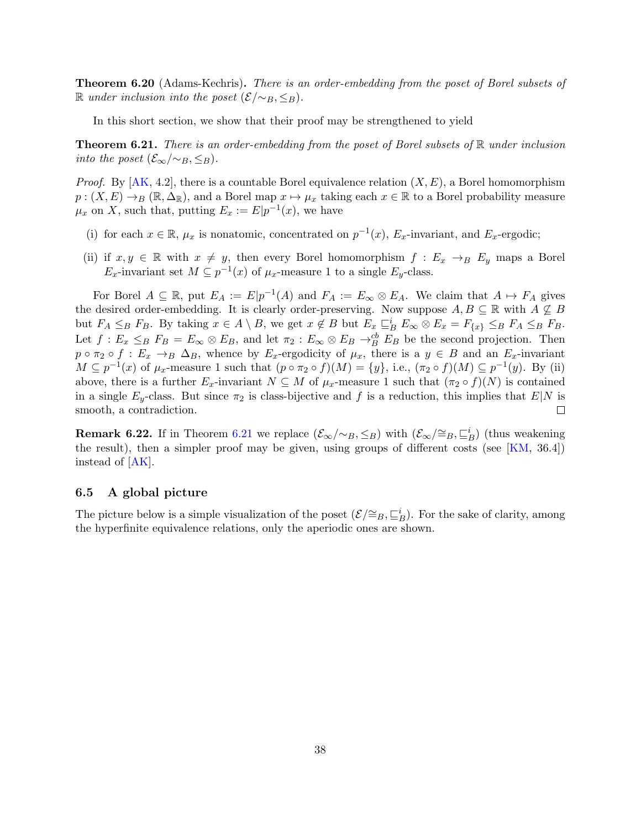**Theorem 6.20** (Adams-Kechris). There is an order-embedding from the poset of Borel subsets of R under inclusion into the poset  $(\mathcal{E}/\sim_B, \leq_B)$ .

In this short section, we show that their proof may be strengthened to yield

<span id="page-37-0"></span>**Theorem 6.21.** There is an order-embedding from the poset of Borel subsets of  $\mathbb{R}$  under inclusion into the poset  $(\mathcal{E}_{\infty}/\sim_B, \leq_B)$ .

*Proof.* By  $AK$ , 4.2, there is a countable Borel equivalence relation  $(X, E)$ , a Borel homomorphism  $p:(X, E) \to_B (\mathbb{R}, \Delta_{\mathbb{R}})$ , and a Borel map  $x \mapsto \mu_x$  taking each  $x \in \mathbb{R}$  to a Borel probability measure  $\mu_x$  on X, such that, putting  $E_x := E|p^{-1}(x)$ , we have

- (i) for each  $x \in \mathbb{R}$ ,  $\mu_x$  is nonatomic, concentrated on  $p^{-1}(x)$ ,  $E_x$ -invariant, and  $E_x$ -ergodic;
- (ii) if  $x, y \in \mathbb{R}$  with  $x \neq y$ , then every Borel homomorphism  $f : E_x \rightarrow_B E_y$  maps a Borel  $E_x$ -invariant set  $M \subseteq p^{-1}(x)$  of  $\mu_x$ -measure 1 to a single  $E_y$ -class.

For Borel  $A \subseteq \mathbb{R}$ , put  $E_A := E|p^{-1}(A)$  and  $F_A := E_\infty \otimes E_A$ . We claim that  $A \mapsto F_A$  gives the desired order-embedding. It is clearly order-preserving. Now suppose  $A, B \subseteq \mathbb{R}$  with  $A \not\subseteq B$ but  $F_A \leq_B F_B$ . By taking  $x \in A \setminus B$ , we get  $x \notin B$  but  $E_x \sqsubseteq_B^i E_\infty \otimes E_x = F_{\{x\}} \leq_B F_A \leq_B F_B$ . Let  $f: E_x \leq_B F_B = E_\infty \otimes E_B$ , and let  $\pi_2: E_\infty \otimes E_B \to_B^{cb} E_B$  be the second projection. Then  $p \circ \pi_2 \circ f : E_x \to_B \Delta_B$ , whence by  $E_x$ -ergodicity of  $\mu_x$ , there is a  $y \in B$  and an  $E_x$ -invariant  $M \subseteq p^{-1}(x)$  of  $\mu_x$ -measure 1 such that  $(p \circ \pi_2 \circ f)(M) = \{y\}$ , i.e.,  $(\pi_2 \circ f)(M) \subseteq p^{-1}(y)$ . By (ii) above, there is a further  $E_x$ -invariant  $N \subseteq M$  of  $\mu_x$ -measure 1 such that  $(\pi_2 \circ f)(N)$  is contained in a single  $E_y$ -class. But since  $\pi_2$  is class-bijective and f is a reduction, this implies that  $E|N$  is smooth, a contradiction. smooth, a contradiction.

**Remark 6.22.** If in Theorem [6.21](#page-37-0) we replace  $(\mathcal{E}_{\infty}/\sim_B, \leq_B)$  with  $(\mathcal{E}_{\infty}/\cong_B, \subseteq_B^i)$  (thus weakening the result), then a simpler proof may be given, using groups of different costs (see [\[KM,](#page-70-2) 36.4]) instead of [\[AK\]](#page-69-0).

#### 6.5 A global picture

The picture below is a simple visualization of the poset  $(\mathcal{E}/\cong_B,\sqsubseteq_B^i)$ . For the sake of clarity, among the hyperfinite equivalence relations, only the aperiodic ones are shown.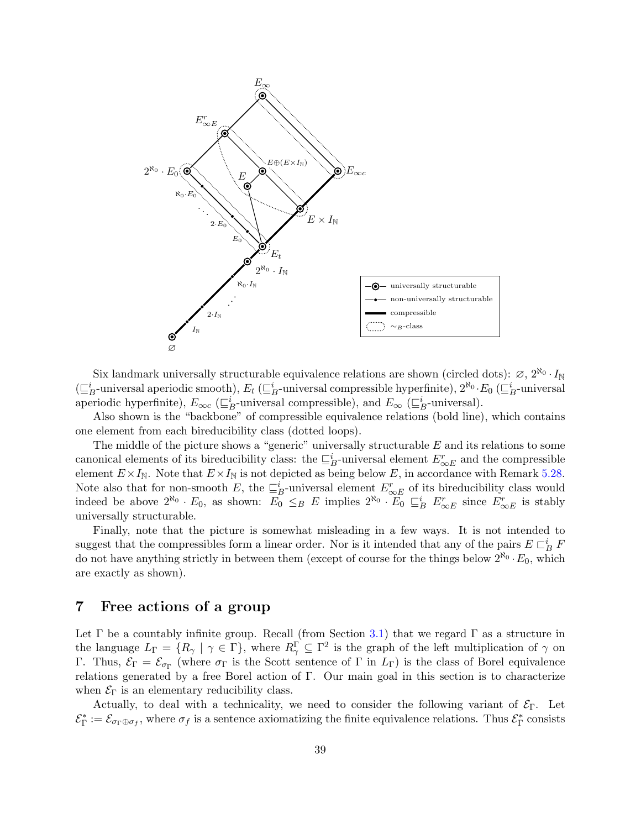

Six landmark universally structurable equivalence relations are shown (circled dots):  $\varnothing$ ,  $2^{\aleph_0} \cdot I_{\mathbb{N}}$  $(\sqsubseteq_B^i$ -universal aperiodic smooth),  $E_t$  ( $\sqsubseteq_B^i$ -universal compressible hyperfinite),  $2^{\aleph_0} \cdot E_0$  ( $\sqsubseteq_B^i$ -universal aperiodic hyperfinite),  $E_{\infty}$  ( $\sqsubseteq_B^i$ -universal compressible), and  $E_{\infty}$  ( $\sqsubseteq_B^i$ -universal).

Also shown is the "backbone" of compressible equivalence relations (bold line), which contains one element from each bireducibility class (dotted loops).

The middle of the picture shows a "generic" universally structurable  $E$  and its relations to some canonical elements of its bireducibility class: the  $\sqsubseteq_B^i$ -universal element  $E_{\infty E}^r$  and the compressible element  $E \times I_N$ . Note that  $E \times I_N$  is not depicted as being below E, in accordance with Remark [5.28.](#page-30-0) Note also that for non-smooth E, the  $\sqsubseteq_B^i$ -universal element  $E_{\infty}^r$  of its bireducibility class would indeed be above  $2^{\aleph_0} \cdot E_0$ , as shown:  $E_0 \leq_B E$  implies  $2^{\aleph_0} \cdot E_0 \subseteq_B^i E_{\infty E}^r$  since  $E_{\infty E}^r$  is stably universally structurable.

Finally, note that the picture is somewhat misleading in a few ways. It is not intended to suggest that the compressibles form a linear order. Nor is it intended that any of the pairs  $E \sqsubset_B^i F$ do not have anything strictly in between them (except of course for the things below  $2^{\aleph_0} \cdot E_0$ , which are exactly as shown).

# 7 Free actions of a group

Let  $\Gamma$  be a countably infinite group. Recall (from Section [3.1\)](#page-11-0) that we regard  $\Gamma$  as a structure in the language  $L_{\Gamma} = \{ R_{\gamma} \mid \gamma \in \Gamma \}$ , where  $R_{\gamma}^{\Gamma} \subseteq \Gamma^2$  is the graph of the left multiplication of  $\gamma$  on Γ. Thus,  $\mathcal{E}_{\Gamma} = \mathcal{E}_{\sigma_{\Gamma}}$  (where  $\sigma_{\Gamma}$  is the Scott sentence of Γ in  $L_{\Gamma}$ ) is the class of Borel equivalence relations generated by a free Borel action of  $\Gamma$ . Our main goal in this section is to characterize when  $\mathcal{E}_{\Gamma}$  is an elementary reducibility class.

Actually, to deal with a technicality, we need to consider the following variant of  $\mathcal{E}_{\Gamma}$ . Let  $\mathcal{E}_{\Gamma}^* := \mathcal{E}_{\sigma_{\Gamma} \oplus \sigma_f}$ , where  $\sigma_f$  is a sentence axiomatizing the finite equivalence relations. Thus  $\mathcal{E}_{\Gamma}^*$  consists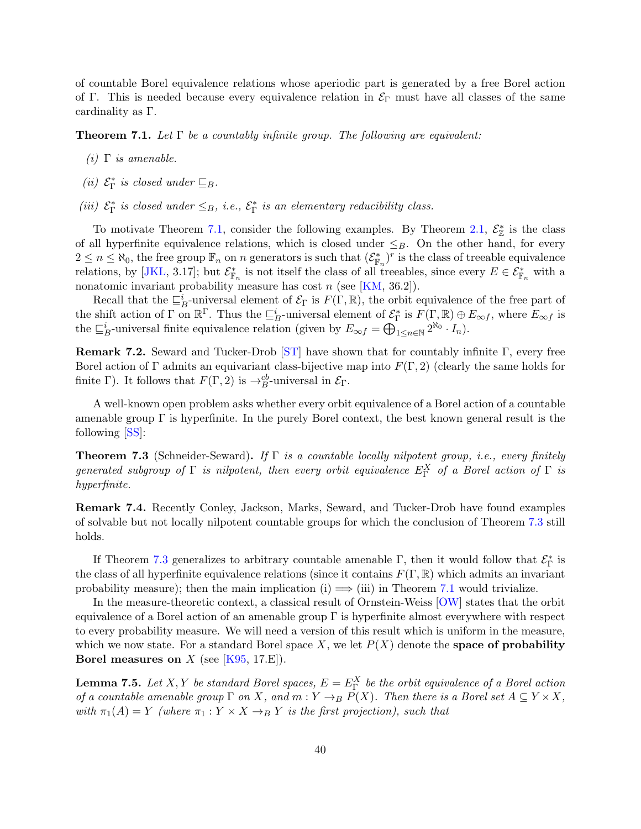of countable Borel equivalence relations whose aperiodic part is generated by a free Borel action of Γ. This is needed because every equivalence relation in  $\mathcal{E}_{\Gamma}$  must have all classes of the same cardinality as Γ.

<span id="page-39-0"></span>**Theorem 7.1.** Let  $\Gamma$  be a countably infinite group. The following are equivalent:

- (i)  $\Gamma$  is amenable.
- (ii)  $\mathcal{E}_{\Gamma}^{*}$  is closed under  $\sqsubseteq_{B}$ .

(iii)  $\mathcal{E}_{\Gamma}^*$  is closed under  $\leq_B$ , i.e.,  $\mathcal{E}_{\Gamma}^*$  is an elementary reducibility class.

To motivate Theorem [7.1,](#page-39-0) consider the following examples. By Theorem [2.1,](#page-9-0)  $\mathcal{E}_{\mathbb{Z}}^*$  $\mathbb{Z}^*$  is the class of all hyperfinite equivalence relations, which is closed under  $\leq_B$ . On the other hand, for every  $2 \leq n \leq \aleph_0$ , the free group  $\mathbb{F}_n$  on n generators is such that  $(\mathcal{E}_{\mathbb{F}}^*)$  $(\mathbb{F}_n)^r$  is the class of treeable equivalence relations, by [\[JKL,](#page-70-0) 3.17]; but  $\mathcal{E}^*_{\mathbb{F}}$ <sup>\*</sup><sub>F<sub>n</sub></sub> is not itself the class of all treeables, since every  $E \in \mathcal{E}_{\mathbb{F}_n}^*$  with a nonatomic invariant probability measure has cost  $n$  (see [\[KM,](#page-70-2) 36.2]).

Recall that the  $\sqsubseteq_B^i$ -universal element of  $\mathcal{E}_{\Gamma}$  is  $F(\Gamma,\mathbb{R})$ , the orbit equivalence of the free part of the shift action of  $\Gamma$  on  $\mathbb{R}^{\Gamma}$ . Thus the  $\sqsubseteq_B^i$ -universal element of  $\mathcal{E}_{\Gamma}^*$  is  $F(\Gamma,\mathbb{R})\oplus E_{\infty f}$ , where  $E_{\infty f}$  is the  $\sqsubseteq_B^i$ -universal finite equivalence relation (given by  $E_{\infty f} = \bigoplus_{1 \le n \in \mathbb{N}} 2^{\aleph_0} \cdot I_n$ ).

Remark 7.2. Seward and Tucker-Drob [\[ST\]](#page-71-0) have shown that for countably infinite Γ, every free Borel action of Γ admits an equivariant class-bijective map into  $F(\Gamma, 2)$  (clearly the same holds for finite Γ). It follows that  $F(\Gamma, 2)$  is  $\rightarrow_B^{cb}$ -universal in  $\mathcal{E}_{\Gamma}$ .

A well-known open problem asks whether every orbit equivalence of a Borel action of a countable amenable group Γ is hyperfinite. In the purely Borel context, the best known general result is the following [\[SS\]](#page-71-1):

<span id="page-39-1"></span>**Theorem 7.3** (Schneider-Seward). If  $\Gamma$  is a countable locally nilpotent group, i.e., every finitely generated subgroup of  $\Gamma$  is nilpotent, then every orbit equivalence  $E_{\Gamma}^X$  of a Borel action of  $\Gamma$  is hyperfinite.

Remark 7.4. Recently Conley, Jackson, Marks, Seward, and Tucker-Drob have found examples of solvable but not locally nilpotent countable groups for which the conclusion of Theorem [7.3](#page-39-1) still holds.

If Theorem [7.3](#page-39-1) generalizes to arbitrary countable amenable  $\Gamma$ , then it would follow that  $\mathcal{E}_{\Gamma}^*$  is the class of all hyperfinite equivalence relations (since it contains  $F(\Gamma,\mathbb{R})$ ) which admits an invariant probability measure); then the main implication (i)  $\implies$  (iii) in Theorem [7.1](#page-39-0) would trivialize.

In the measure-theoretic context, a classical result of Ornstein-Weiss [\[OW\]](#page-71-2) states that the orbit equivalence of a Borel action of an amenable group  $\Gamma$  is hyperfinite almost everywhere with respect to every probability measure. We will need a version of this result which is uniform in the measure, which we now state. For a standard Borel space X, we let  $P(X)$  denote the space of probability Borel measures on  $X$  (see [\[K95,](#page-70-3) 17.E]).

<span id="page-39-2"></span>**Lemma 7.5.** Let X, Y be standard Borel spaces,  $E = E_{\Gamma}^{X}$  be the orbit equivalence of a Borel action of a countable amenable group  $\Gamma$  on X, and  $m: Y \to_B P(X)$ . Then there is a Borel set  $A \subseteq Y \times X$ , with  $\pi_1(A) = Y$  (where  $\pi_1 : Y \times X \to_B Y$  is the first projection), such that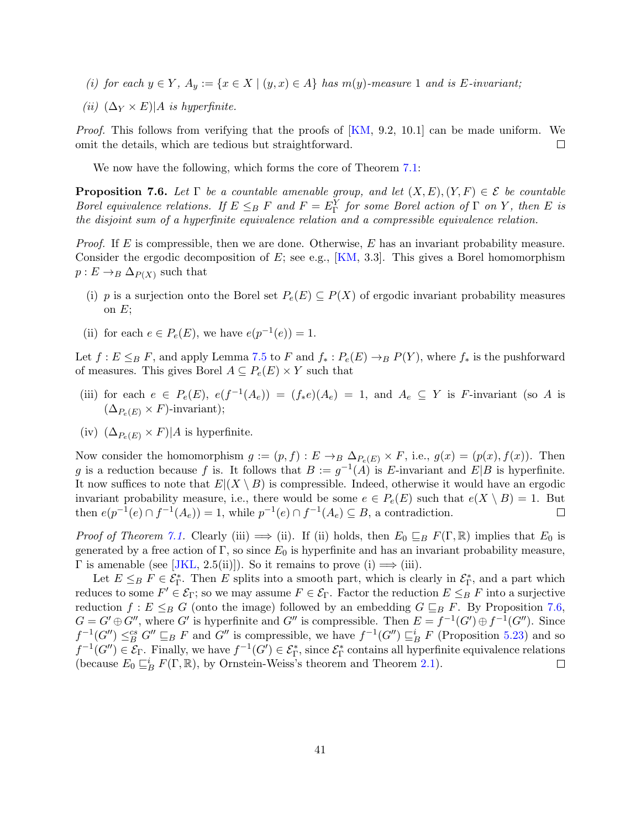- (i) for each  $y \in Y$ ,  $A_y := \{x \in X \mid (y, x) \in A\}$  has  $m(y)$ -measure 1 and is E-invariant;
- (ii)  $(\Delta_Y \times E)|A$  is hyperfinite.

*Proof.* This follows from verifying that the proofs of  $|KM, 9.2, 10.1|$  can be made uniform. We omit the details, which are tedious but straightforward.  $\Box$ 

We now have the following, which forms the core of Theorem [7.1:](#page-39-0)

<span id="page-40-0"></span>**Proposition 7.6.** Let  $\Gamma$  be a countable amenable group, and let  $(X, E), (Y, F) \in \mathcal{E}$  be countable Borel equivalence relations. If  $E \leq_B F$  and  $F = E_{\Gamma}^Y$  for some Borel action of  $\Gamma$  on  $Y$ , then  $E$  is the disjoint sum of a hyperfinite equivalence relation and a compressible equivalence relation.

*Proof.* If  $E$  is compressible, then we are done. Otherwise,  $E$  has an invariant probability measure. Consider the ergodic decomposition of  $E$ ; see e.g., [\[KM,](#page-70-2) 3.3]. This gives a Borel homomorphism  $p: E \to_B \Delta_{P(X)}$  such that

- (i) p is a surjection onto the Borel set  $P_e(E) \subseteq P(X)$  of ergodic invariant probability measures on  $E$ ;
- (ii) for each  $e \in P_e(E)$ , we have  $e(p^{-1}(e)) = 1$ .

Let  $f: E \leq_B F$ , and apply Lemma [7.5](#page-39-2) to F and  $f_*: P_e(E) \to_B P(Y)$ , where  $f_*$  is the pushforward of measures. This gives Borel  $A \subseteq P_e(E) \times Y$  such that

- (iii) for each  $e \in P_e(E)$ ,  $e(f^{-1}(A_e)) = (f_*e)(A_e) = 1$ , and  $A_e \subseteq Y$  is F-invariant (so A is  $(\Delta_{P_e(E)} \times F)$ -invariant);
- (iv)  $(\Delta_{P_e(E)} \times F)|A$  is hyperfinite.

Now consider the homomorphism  $g := (p, f) : E \to_B \Delta_{P_e(E)} \times F$ , i.e.,  $g(x) = (p(x), f(x))$ . Then g is a reduction because f is. It follows that  $B := g^{-1}(A)$  is E-invariant and  $E|B$  is hyperfinite. It now suffices to note that  $E|(X \setminus B)$  is compressible. Indeed, otherwise it would have an ergodic invariant probability measure, i.e., there would be some  $e \in P_e(E)$  such that  $e(X \setminus B) = 1$ . But then  $e(p^{-1}(e) \cap f^{-1}(A_e)) = 1$ , while  $p^{-1}(e) \cap f^{-1}(A_e) \subseteq B$ , a contradiction. then  $e(p^{-1}(e) \cap f^{-1}(A_e)) = 1$ , while  $p^{-1}(e) \cap f^{-1}(A_e) \subseteq B$ , a contradiction.

*Proof of Theorem [7.1.](#page-39-0)* Clearly (iii)  $\implies$  (ii). If (ii) holds, then  $E_0 \subseteq_B F(\Gamma, \mathbb{R})$  implies that  $E_0$  is generated by a free action of  $\Gamma$ , so since  $E_0$  is hyperfinite and has an invariant probability measure,  $\Gamma$  is amenable (see [\[JKL,](#page-70-0) 2.5(ii)]). So it remains to prove (i)  $\Longrightarrow$  (iii).

Let  $E \leq_B F \in \mathcal{E}_{\Gamma}^*$ . Then E splits into a smooth part, which is clearly in  $\mathcal{E}_{\Gamma}^*$ , and a part which reduces to some  $F' \in \mathcal{E}_{\Gamma}$ ; so we may assume  $F \in \mathcal{E}_{\Gamma}$ . Factor the reduction  $E \leq_B F$  into a surjective reduction  $f : E \leq_B G$  (onto the image) followed by an embedding  $G \sqsubseteq_B F$ . By Proposition [7.6,](#page-40-0)  $G = G' \oplus G''$ , where G' is hyperfinite and G'' is compressible. Then  $E = f^{-1}(G') \oplus f^{-1}(G'')$ . Since  $f^{-1}(G'') \leq_B^s G'' \sqsubseteq_B F$  and  $G''$  is compressible, we have  $f^{-1}(G'') \sqsubseteq_B^i F$  (Proposition [5.23\)](#page-29-0) and so  $f^{-1}(G'') \in \mathcal{E}_{\Gamma}$ . Finally, we have  $f^{-1}(G') \in \mathcal{E}_{\Gamma}^*$ , since  $\mathcal{E}_{\Gamma}^*$  contains all hyperfinite equivalence relations (because  $E_0 \sqsubseteq_B^i F(\Gamma, \mathbb{R})$ , by Ornstein-Weiss's theorem and Theorem [2.1\)](#page-9-0).  $\Box$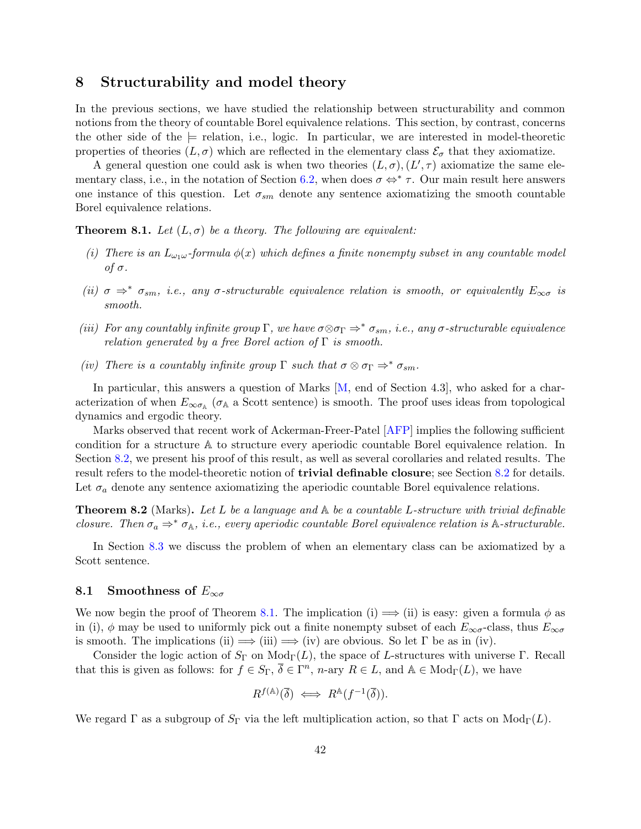# 8 Structurability and model theory

In the previous sections, we have studied the relationship between structurability and common notions from the theory of countable Borel equivalence relations. This section, by contrast, concerns the other side of the  $\models$  relation, i.e., logic. In particular, we are interested in model-theoretic properties of theories  $(L, \sigma)$  which are reflected in the elementary class  $\mathcal{E}_{\sigma}$  that they axiomatize.

A general question one could ask is when two theories  $(L, \sigma)$ ,  $(L', \tau)$  axiomatize the same ele-mentary class, i.e., in the notation of Section [6.2,](#page-32-0) when does  $\sigma \Leftrightarrow^* \tau$ . Our main result here answers one instance of this question. Let  $\sigma_{sm}$  denote any sentence axiomatizing the smooth countable Borel equivalence relations.

<span id="page-41-0"></span>**Theorem 8.1.** Let  $(L, \sigma)$  be a theory. The following are equivalent:

- (i) There is an  $L_{\omega_1\omega}$ -formula  $\phi(x)$  which defines a finite nonempty subset in any countable model of σ.
- (ii)  $\sigma \Rightarrow^* \sigma_{sm}$ , i.e., any  $\sigma$ -structurable equivalence relation is smooth, or equivalently  $E_{\infty\sigma}$  is smooth.
- (iii) For any countably infinite group  $\Gamma$ , we have  $\sigma \otimes \sigma_{\Gamma} \Rightarrow^* \sigma_{sm}$ , i.e., any  $\sigma$ -structurable equivalence relation generated by a free Borel action of  $\Gamma$  is smooth.
- (iv) There is a countably infinite group  $\Gamma$  such that  $\sigma \otimes \sigma_{\Gamma} \Rightarrow^* \sigma_{sm}$ .

In particular, this answers a question of Marks  $[M, end of Section 4.3]$ , who asked for a characterization of when  $E_{\infty \sigma_{\mathbb{A}}}$  ( $\sigma_{\mathbb{A}}$  a Scott sentence) is smooth. The proof uses ideas from topological dynamics and ergodic theory.

Marks observed that recent work of Ackerman-Freer-Patel [\[AFP\]](#page-69-1) implies the following sufficient condition for a structure A to structure every aperiodic countable Borel equivalence relation. In Section [8.2,](#page-46-0) we present his proof of this result, as well as several corollaries and related results. The result refers to the model-theoretic notion of trivial definable closure; see Section [8.2](#page-46-0) for details. Let  $\sigma_a$  denote any sentence axiomatizing the aperiodic countable Borel equivalence relations.

<span id="page-41-2"></span>**Theorem 8.2** (Marks). Let L be a language and  $\mathbb{A}$  be a countable L-structure with trivial definable closure. Then  $\sigma_a \Rightarrow^* \sigma_{\mathbb{A}}, i.e., every aperiodic countable Borel equivalence relation is \mathbb{A}\text{-}structurable.$ 

In Section [8.3](#page-49-0) we discuss the problem of when an elementary class can be axiomatized by a Scott sentence.

## 8.1 Smoothness of  $E_{\infty}$

We now begin the proof of Theorem [8.1.](#page-41-0) The implication (i)  $\implies$  (ii) is easy: given a formula  $\phi$  as in (i),  $\phi$  may be used to uniformly pick out a finite nonempty subset of each  $E_{\infty\sigma}$ -class, thus  $E_{\infty\sigma}$ is smooth. The implications (ii)  $\implies$  (iii)  $\implies$  (iv) are obvious. So let  $\Gamma$  be as in (iv).

Consider the logic action of  $S_{\Gamma}$  on  $Mod_{\Gamma}(L)$ , the space of L-structures with universe Γ. Recall that this is given as follows: for  $f \in S_{\Gamma}$ ,  $\overline{\delta} \in \Gamma^n$ ,  $n$ -ary  $R \in L$ , and  $\mathbb{A} \in Mod_{\Gamma}(L)$ , we have

$$
R^{f(\mathbb{A})}(\overline{\delta}) \iff R^{\mathbb{A}}(f^{-1}(\overline{\delta})).
$$

<span id="page-41-1"></span>We regard  $\Gamma$  as a subgroup of  $S_{\Gamma}$  via the left multiplication action, so that  $\Gamma$  acts on  $\text{Mod}_{\Gamma}(L)$ .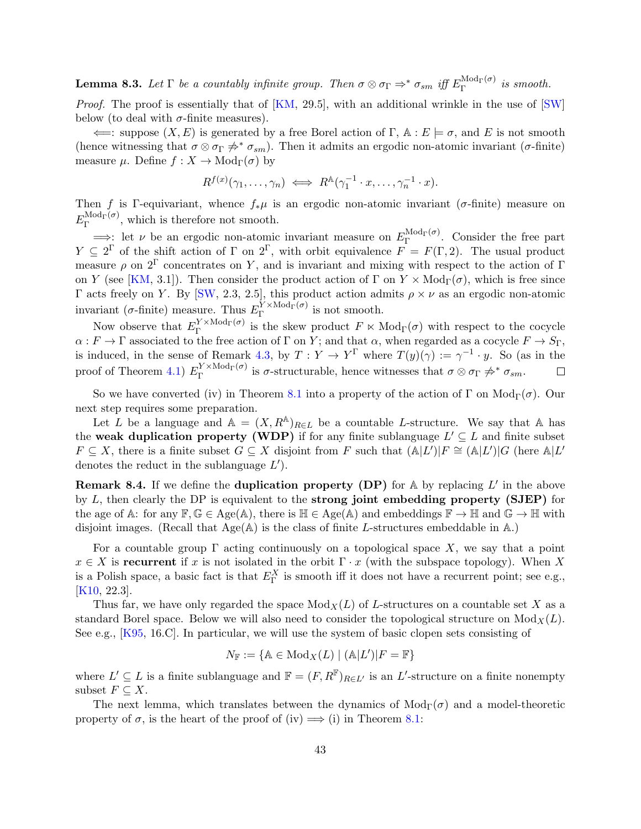**Lemma 8.3.** Let  $\Gamma$  be a countably infinite group. Then  $\sigma \otimes \sigma_{\Gamma} \Rightarrow^* \sigma_{sm}$  iff  $E_{\Gamma}^{\text{Mod}_{\Gamma}(\sigma)}$  $\Gamma$ <sup>noa</sup>r<sup>(*σ*)</sup> is smooth.

Proof. The proof is essentially that of [\[KM,](#page-70-2) 29.5], with an additional wrinkle in the use of [\[SW\]](#page-71-4) below (to deal with  $\sigma$ -finite measures).

 $\iff$ : suppose  $(X, E)$  is generated by a free Borel action of  $\Gamma$ ,  $\mathbb{A} : E \models \sigma$ , and E is not smooth (hence witnessing that  $\sigma \otimes \sigma_{\Gamma} \not\Rightarrow^* \sigma_{sm}$ ). Then it admits an ergodic non-atomic invariant ( $\sigma$ -finite) measure  $\mu$ . Define  $f: X \to \text{Mod}_{\Gamma}(\sigma)$  by

$$
R^{f(x)}(\gamma_1,\ldots,\gamma_n) \iff R^{\mathbb{A}}(\gamma_1^{-1}\cdot x,\ldots,\gamma_n^{-1}\cdot x).
$$

Then f is Γ-equivariant, whence  $f_*\mu$  is an ergodic non-atomic invariant ( $\sigma$ -finite) measure on  $E^{\text{Mod}_\Gamma(\sigma)}_\Gamma$  $\Gamma$ <sup>Mod<sub> $\Gamma$ </sub><sup>(*o*</sup>)</sup>, which is therefore not smooth.

 $\implies$ : let  $\nu$  be an ergodic non-atomic invariant measure on  $E_{\Gamma}^{\text{Mod}_{\Gamma}(\sigma)}$  $\Gamma$ <sup>NIOO</sup><sub>I</sub><sup>(0)</sup>. Consider the free part  $Y \subseteq 2^{\Gamma}$  of the shift action of  $\Gamma$  on  $2^{\Gamma}$ , with orbit equivalence  $F = F(\Gamma, 2)$ . The usual product measure  $\rho$  on  $2^{\Gamma}$  concentrates on Y, and is invariant and mixing with respect to the action of  $\Gamma$ on Y (see [\[KM,](#page-70-2) 3.1]). Then consider the product action of  $\Gamma$  on  $Y \times \text{Mod}_{\Gamma}(\sigma)$ , which is free since Γ acts freely on Y. By [\[SW,](#page-71-4) 2.3, 2.5], this product action admits  $ρ \times ν$  as an ergodic non-atomic invariant ( $\sigma$ -finite) measure. Thus  $E_{\Gamma}^{Y \times \text{Mod}_{\Gamma}(\sigma)}$  $\Gamma$ <sup> $\overline{\Gamma}$ </sup>  $\times$ <sup>nod</sup> $\Gamma$ <sup>o</sup> is not smooth.

Now observe that  $E_{\Gamma}^{Y \times \text{Mod}_{\Gamma}(\sigma)}$  $\Gamma$ <sup>i</sup>  $\lambda$  Mod<sub> $\Gamma$ </sub><sup>i</sup>  $\lambda$  Mod<sub> $\Gamma$ </sub> is the skew product  $F \ltimes Mod_{\Gamma}(\sigma)$  with respect to the cocycle  $\alpha : F \to \Gamma$  associated to the free action of  $\Gamma$  on Y; and that  $\alpha$ , when regarded as a cocycle  $F \to S_{\Gamma}$ , is induced, in the sense of Remark [4.3,](#page-14-0) by  $T: Y \to Y^{\Gamma}$  where  $T(y)(\gamma) := \gamma^{-1} \cdot y$ . So (as in the proof of Theorem [4.1\)](#page-13-0)  $E_{\Gamma}^{Y \times \text{Mod}_{\Gamma}(\sigma)}$  $I^{\chi \times \text{Mod}_{\Gamma}(\sigma)}$  is  $\sigma$ -structurable, hence witnesses that  $\sigma \otimes \sigma_{\Gamma} \not\Rightarrow^* \sigma_{sm}$ .  $\Box$ 

So we have converted (iv) in Theorem [8.1](#page-41-0) into a property of the action of Γ on Mod<sub>Γ</sub>( $\sigma$ ). Our next step requires some preparation.

Let L be a language and  $A = (X, R^{\mathbb{A}})_{R \in L}$  be a countable L-structure. We say that A has the weak duplication property (WDP) if for any finite sublanguage  $L' \subseteq L$  and finite subset  $F \subseteq X$ , there is a finite subset  $G \subseteq X$  disjoint from F such that  $(\mathbb{A}|L')|F \cong (\mathbb{A}|L')|G$  (here  $\mathbb{A}|L'$ ) denotes the reduct in the sublanguage  $L'$ ).

**Remark 8.4.** If we define the **duplication property (DP)** for A by replacing  $L'$  in the above by  $L$ , then clearly the DP is equivalent to the strong joint embedding property (SJEP) for the age of A: for any  $\mathbb{F}, \mathbb{G} \in \mathrm{Age}(\mathbb{A})$ , there is  $\mathbb{H} \in \mathrm{Age}(\mathbb{A})$  and embeddings  $\mathbb{F} \to \mathbb{H}$  and  $\mathbb{G} \to \mathbb{H}$  with disjoint images. (Recall that  $Age(A)$  is the class of finite L-structures embeddable in A.)

For a countable group  $\Gamma$  acting continuously on a topological space X, we say that a point  $x \in X$  is recurrent if x is not isolated in the orbit  $\Gamma \cdot x$  (with the subspace topology). When X is a Polish space, a basic fact is that  $E_{\Gamma}^X$  is smooth iff it does not have a recurrent point; see e.g., [\[K10,](#page-70-4) 22.3].

Thus far, we have only regarded the space  $Mod_X(L)$  of L-structures on a countable set X as a standard Borel space. Below we will also need to consider the topological structure on  $Mod_X(L)$ . See e.g., [\[K95,](#page-70-3) 16.C]. In particular, we will use the system of basic clopen sets consisting of

$$
N_{\mathbb{F}}:=\{\mathbb{A}\in\mathrm{Mod}_X(L)\mid (\mathbb{A}|L')|F=\mathbb{F}\}
$$

where  $L' \subseteq L$  is a finite sublanguage and  $\mathbb{F} = (F, R^{\mathbb{F}})_{R \in L'}$  is an  $L'$ -structure on a finite nonempty subset  $F \subset X$ .

<span id="page-42-0"></span>The next lemma, which translates between the dynamics of  $Mod_{\Gamma}(\sigma)$  and a model-theoretic property of  $\sigma$ , is the heart of the proof of (iv)  $\Longrightarrow$  (i) in Theorem [8.1:](#page-41-0)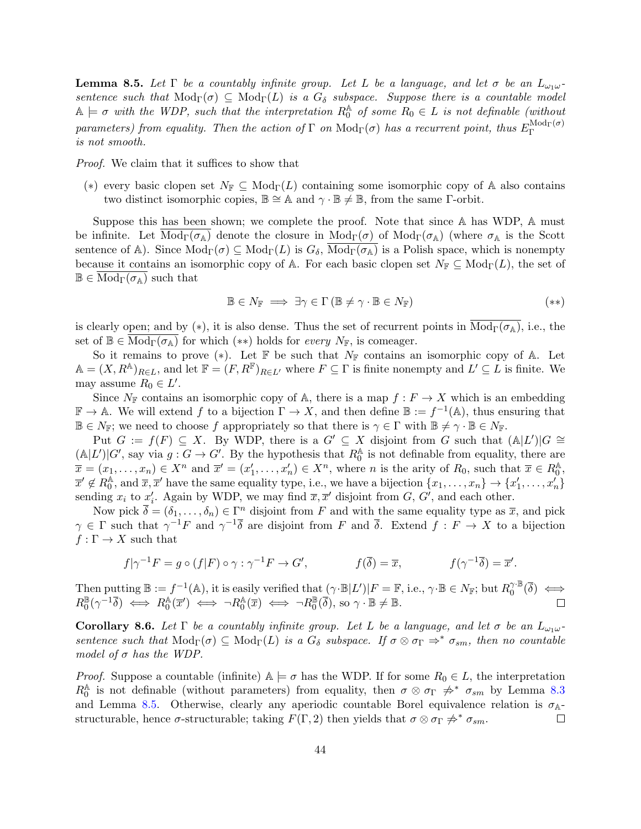**Lemma 8.5.** Let  $\Gamma$  be a countably infinite group. Let L be a language, and let  $\sigma$  be an  $L_{\omega_1\omega}$ sentence such that  $Mod_{\Gamma}(\sigma) \subseteq Mod_{\Gamma}(L)$  is a  $G_{\delta}$  subspace. Suppose there is a countable model  $\mathbb{A} \models \sigma$  with the WDP, such that the interpretation  $R_0^{\mathbb{A}}$  of some  $R_0 \in L$  is not definable (without parameters) from equality. Then the action of  $\Gamma$  on  $\text{Mod}_{\Gamma}(\sigma)$  has a recurrent point, thus  $E_{\Gamma}^{\text{Mod}_{\Gamma}(\sigma)}$ Γ is not smooth.

Proof. We claim that it suffices to show that

(\*) every basic clopen set  $N_F \subseteq Mod_{\Gamma}(L)$  containing some isomorphic copy of A also contains two distinct isomorphic copies,  $\mathbb{B} \cong \mathbb{A}$  and  $\gamma \cdot \mathbb{B} \neq \mathbb{B}$ , from the same Γ-orbit.

Suppose this has been shown; we complete the proof. Note that since A has WDP, A must be infinite. Let  $Mod_{\Gamma}(\sigma_{A})$  denote the closure in  $Mod_{\Gamma}(\sigma)$  of  $Mod_{\Gamma}(\sigma_{A})$  (where  $\sigma_{A}$  is the Scott sentence of A). Since  $Mod_{\Gamma}(\sigma) \subseteq Mod_{\Gamma}(L)$  is  $G_{\delta}$ ,  $Mod_{\Gamma}(\sigma_{A})$  is a Polish space, which is nonempty because it contains an isomorphic copy of A. For each basic clopen set  $N_F \subseteq Mod_{\Gamma}(L)$ , the set of  $\mathbb{B} \in \text{Mod}_{\Gamma}(\sigma_{\mathbb{A}})$  such that

$$
\mathbb{B} \in N_{\mathbb{F}} \implies \exists \gamma \in \Gamma \left( \mathbb{B} \neq \gamma \cdot \mathbb{B} \in N_{\mathbb{F}} \right) \tag{**}
$$

is clearly open; and by (\*), it is also dense. Thus the set of recurrent points in  $Mod_{\Gamma}(\sigma_{\mathbb{A}})$ , i.e., the set of  $\mathbb{B} \in \text{Mod}_{\Gamma}(\sigma_{\mathbb{A}})$  for which  $(**)$  holds for *every*  $N_{\mathbb{F}}$ , is comeager.

So it remains to prove  $(*)$ . Let F be such that  $N_F$  contains an isomorphic copy of A. Let  $\mathbb{A} = (X, R^{\mathbb{A}})_{R \in L}$ , and let  $\mathbb{F} = (F, R^{\mathbb{F}})_{R \in L'}$  where  $F \subseteq \Gamma$  is finite nonempty and  $L' \subseteq L$  is finite. We may assume  $R_0 \in L'.$ 

Since  $N_F$  contains an isomorphic copy of A, there is a map  $f : F \to X$  which is an embedding  $\mathbb{F} \to \mathbb{A}$ . We will extend f to a bijection  $\Gamma \to X$ , and then define  $\mathbb{B} := f^{-1}(\mathbb{A})$ , thus ensuring that  $\mathbb{B} \in N_{\mathbb{F}}$ ; we need to choose f appropriately so that there is  $\gamma \in \Gamma$  with  $\mathbb{B} \neq \gamma \cdot \mathbb{B} \in N_{\mathbb{F}}$ .

Put  $G := f(F) \subseteq X$ . By WDP, there is a  $G' \subseteq X$  disjoint from G such that  $(\mathbb{A}|L')|G \cong$  $(A|L')|G'$ , say via  $g: G \to G'$ . By the hypothesis that  $R_0^{\mathbb{A}}$  is not definable from equality, there are  $\overline{x} = (x_1, \ldots, x_n) \in X^n$  and  $\overline{x}' = (x'_1, \ldots, x'_n) \in X^n$ , where *n* is the arity of  $R_0$ , such that  $\overline{x} \in R_0^{\mathbb{A}}$ ,  $\overline{x}' \notin R_0^{\mathbb{A}}, \text{ and } \overline{x}, \overline{x}' \text{ have the same equality type, i.e., we have a bijection } \{x_1, \ldots, x_n\} \to \{x'_1, \ldots, x'_n\}$ sending  $x_i$  to  $\underline{x}'_i$ . Again by WDP, we may find  $\overline{x}, \overline{x}'$  disjoint from  $G, G'$ , and each other.

Now pick  $\overline{\delta} = (\delta_1, \ldots, \delta_n) \in \Gamma^n$  disjoint from F and with the same equality type as  $\overline{x}$ , and pick  $\gamma \in \Gamma$  such that  $\gamma^{-1}F$  and  $\gamma^{-1}\overline{\delta}$  are disjoint from F and  $\overline{\delta}$ . Extend  $f: F \to X$  to a bijection  $f:\Gamma\to X$  such that

$$
f|\gamma^{-1}F = g \circ (f|F) \circ \gamma : \gamma^{-1}F \to G',
$$
  $f(\overline{\delta}) = \overline{x},$   $f(\gamma^{-1}\overline{\delta}) = \overline{x}'.$ 

Then putting  $\mathbb{B} := f^{-1}(\mathbb{A})$ , it is easily verified that  $(\gamma \cdot \mathbb{B}|L')|F = \mathbb{F}$ , i.e.,  $\gamma \cdot \mathbb{B} \in N_{\mathbb{F}}$ ; but  $R_0^{\gamma \cdot \mathbb{B}}(\overline{\delta}) \iff$  $R_0^{\mathbb{B}}(\gamma^{-1}\overline{\delta}) \iff R_0^{\mathbb{A}}(\overline{x}') \iff \neg R_0^{\mathbb{A}}(\overline{x}) \iff \neg R_0^{\mathbb{B}}(\overline{\delta}), \text{ so } \gamma \cdot \mathbb{B} \neq \mathbb{B}.$ 

<span id="page-43-0"></span>**Corollary 8.6.** Let  $\Gamma$  be a countably infinite group. Let L be a language, and let  $\sigma$  be an  $L_{\omega_1\omega}$ sentence such that  $Mod_{\Gamma}(\sigma) \subseteq Mod_{\Gamma}(L)$  is a  $G_{\delta}$  subspace. If  $\sigma \otimes \sigma_{\Gamma} \Rightarrow^* \sigma_{sm}$ , then no countable model of  $\sigma$  has the WDP.

*Proof.* Suppose a countable (infinite)  $\mathbb{A} \models \sigma$  has the WDP. If for some  $R_0 \in L$ , the interpretation  $R_0^{\mathbb{A}}$  is not definable (without parameters) from equality, then  $\sigma \otimes \sigma_{\Gamma} \not\Rightarrow^* \sigma_{sm}$  by Lemma [8.3](#page-41-1) and Lemma [8.5.](#page-42-0) Otherwise, clearly any aperiodic countable Borel equivalence relation is  $\sigma_{\mathbb{A}}$ structurable, hence  $\sigma$ -structurable; taking  $F(\Gamma, 2)$  then yields that  $\sigma \otimes \sigma_{\Gamma} \not\Rightarrow^* \sigma_{sm}$ .  $\Box$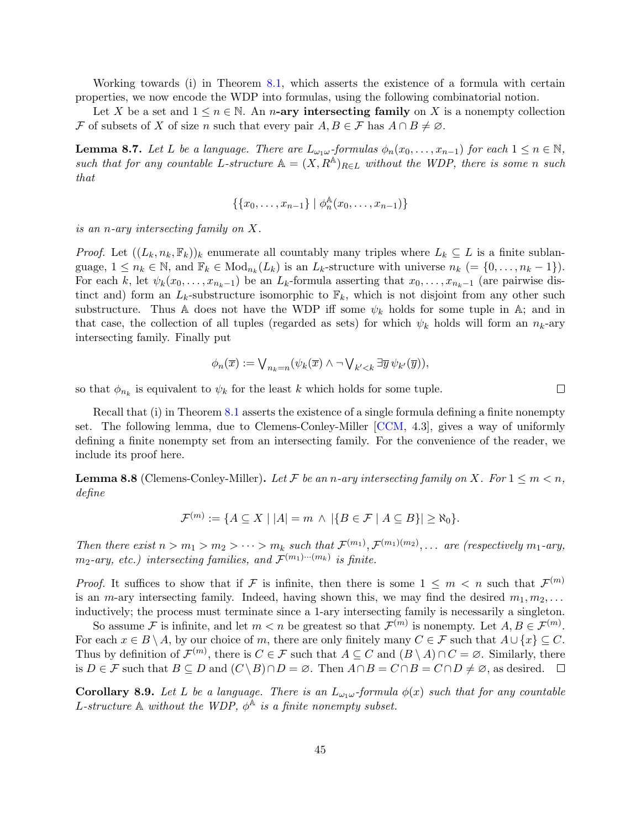Working towards (i) in Theorem [8.1,](#page-41-0) which asserts the existence of a formula with certain properties, we now encode the WDP into formulas, using the following combinatorial notion.

Let X be a set and  $1 \le n \in \mathbb{N}$ . An *n*-ary intersecting family on X is a nonempty collection F of subsets of X of size n such that every pair  $A, B \in \mathcal{F}$  has  $A \cap B \neq \emptyset$ .

<span id="page-44-0"></span>**Lemma 8.7.** Let L be a language. There are  $L_{\omega_1\omega}$ -formulas  $\phi_n(x_0,\ldots,x_{n-1})$  for each  $1 \le n \in \mathbb{N}$ , such that for any countable L-structure  $\mathbb{A} = (X, R^{\mathbb{A}})_{R \in L}$  without the WDP, there is some n such that

$$
\{\{x_0,\ldots,x_{n-1}\}\mid\phi_n^{\mathbb{A}}(x_0,\ldots,x_{n-1})\}
$$

is an n-ary intersecting family on X.

*Proof.* Let  $((L_k, n_k, \mathbb{F}_k))_k$  enumerate all countably many triples where  $L_k \subseteq L$  is a finite sublanguage,  $1 \leq n_k \in \mathbb{N}$ , and  $\mathbb{F}_k \in \text{Mod}_{n_k}(L_k)$  is an  $L_k$ -structure with universe  $n_k \ (= \{0, \ldots, n_k - 1\}).$ For each k, let  $\psi_k(x_0,\ldots,x_{n_k-1})$  be an  $L_k$ -formula asserting that  $x_0,\ldots,x_{n_k-1}$  (are pairwise distinct and) form an  $L_k$ -substructure isomorphic to  $\mathbb{F}_k$ , which is not disjoint from any other such substructure. Thus A does not have the WDP iff some  $\psi_k$  holds for some tuple in A; and in that case, the collection of all tuples (regarded as sets) for which  $\psi_k$  holds will form an  $n_k$ -ary intersecting family. Finally put

$$
\phi_n(\overline{x}) := \bigvee_{n_k=n} (\psi_k(\overline{x}) \wedge \neg \bigvee_{k' < k} \exists \overline{y} \, \psi_{k'}(\overline{y})),
$$

so that  $\phi_{n_k}$  is equivalent to  $\psi_k$  for the least k which holds for some tuple.

Recall that (i) in Theorem [8.1](#page-41-0) asserts the existence of a single formula defining a finite nonempty set. The following lemma, due to Clemens-Conley-Miller [\[CCM,](#page-70-5) 4.3], gives a way of uniformly defining a finite nonempty set from an intersecting family. For the convenience of the reader, we include its proof here.

<span id="page-44-1"></span>**Lemma 8.8** (Clemens-Conley-Miller). Let F be an n-ary intersecting family on X. For  $1 \leq m \leq n$ , define

$$
\mathcal{F}^{(m)} := \{ A \subseteq X \mid |A| = m \land |\{ B \in \mathcal{F} \mid A \subseteq B \}| \ge \aleph_0 \}.
$$

Then there exist  $n > m_1 > m_2 > \cdots > m_k$  such that  $\mathcal{F}^{(m_1)}, \mathcal{F}^{(m_1)(m_2)}, \ldots$  are (respectively  $m_1$ -ary,  $m_2$ -ary, etc.) intersecting families, and  $\mathcal{F}^{(m_1)\cdots(m_k)}$  is finite.

*Proof.* It suffices to show that if F is infinite, then there is some  $1 \leq m < n$  such that  $\mathcal{F}^{(m)}$ is an m-ary intersecting family. Indeed, having shown this, we may find the desired  $m_1, m_2, \ldots$ inductively; the process must terminate since a 1-ary intersecting family is necessarily a singleton.

So assume F is infinite, and let  $m < n$  be greatest so that  $\mathcal{F}^{(m)}$  is nonempty. Let  $A, B \in \mathcal{F}^{(m)}$ . For each  $x \in B \setminus A$ , by our choice of m, there are only finitely many  $C \in \mathcal{F}$  such that  $A \cup \{x\} \subseteq C$ . Thus by definition of  $\mathcal{F}^{(m)}$ , there is  $C \in \mathcal{F}$  such that  $A \subseteq C$  and  $(B \setminus A) \cap C = \emptyset$ . Similarly, there is  $D \in \mathcal{F}$  such that  $B \subseteq D$  and  $(C \setminus B) \cap D = \emptyset$ . Then  $A \cap B = C \cap B = C \cap D \neq \emptyset$ , as desired. □

<span id="page-44-2"></span>**Corollary 8.9.** Let L be a language. There is an  $L_{\omega_1\omega}$ -formula  $\phi(x)$  such that for any countable L-structure  $\mathbb A$  without the WDP,  $\phi^{\mathbb A}$  is a finite nonempty subset.

 $\Box$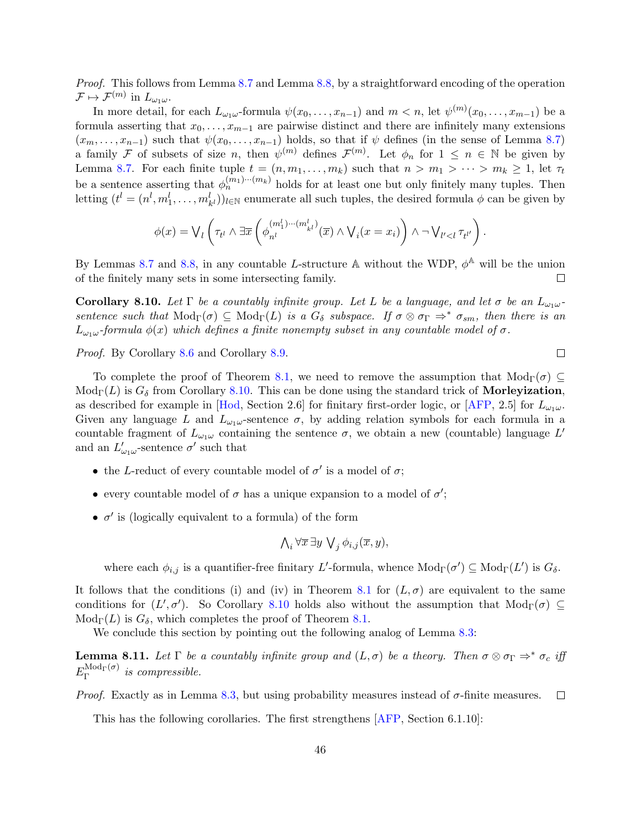Proof. This follows from Lemma [8.7](#page-44-0) and Lemma [8.8,](#page-44-1) by a straightforward encoding of the operation  $\mathcal{F} \mapsto \mathcal{F}^{(m)}$  in  $L_{\omega_1\omega}$ .

In more detail, for each  $L_{\omega_1\omega}$ -formula  $\psi(x_0,\ldots,x_{n-1})$  and  $m < n$ , let  $\psi^{(m)}(x_0,\ldots,x_{m-1})$  be a formula asserting that  $x_0, \ldots, x_{m-1}$  are pairwise distinct and there are infinitely many extensions  $(x_m, \ldots, x_{n-1})$  such that  $\psi(x_0, \ldots, x_{n-1})$  holds, so that if  $\psi$  defines (in the sense of Lemma [8.7\)](#page-44-0) a family F of subsets of size n, then  $\psi^{(m)}$  defines  $\mathcal{F}^{(m)}$ . Let  $\phi_n$  for  $1 \leq n \in \mathbb{N}$  be given by Lemma [8.7.](#page-44-0) For each finite tuple  $t = (n, m_1, \ldots, m_k)$  such that  $n > m_1 > \cdots > m_k \geq 1$ , let  $\tau_t$ be a sentence asserting that  $\phi_n^{(m_1)\cdots(m_k)}$  holds for at least one but only finitely many tuples. Then letting  $(t^l = (n^l, m_1^l, \ldots, m_{k^l}^l))_{l \in \mathbb{N}}$  enumerate all such tuples, the desired formula  $\phi$  can be given by

$$
\phi(x) = \bigvee_l \left( \tau_{t^l} \wedge \exists \overline{x} \left( \phi_{n^l}^{(m_1^l) \cdots (m_{k^l}^l)}(\overline{x}) \wedge \bigvee_i (x = x_i) \right) \wedge \neg \bigvee_{l' < l} \tau_{t^{l'}} \right).
$$

By Lemmas [8.7](#page-44-0) and [8.8,](#page-44-1) in any countable L-structure A without the WDP,  $\phi^{\mathbb{A}}$  will be the union of the finitely many sets in some intersecting family.  $\Box$ 

<span id="page-45-0"></span>**Corollary 8.10.** Let  $\Gamma$  be a countably infinite group. Let L be a language, and let  $\sigma$  be an  $L_{\omega_1\omega}$ sentence such that  $Mod_{\Gamma}(\sigma) \subseteq Mod_{\Gamma}(L)$  is a  $G_{\delta}$  subspace. If  $\sigma \otimes \sigma_{\Gamma} \Rightarrow^* \sigma_{sm}$ , then there is an  $L_{\omega_1\omega}$ -formula  $\phi(x)$  which defines a finite nonempty subset in any countable model of  $\sigma$ .

Proof. By Corollary [8.6](#page-43-0) and Corollary [8.9.](#page-44-2)

To complete the proof of Theorem [8.1,](#page-41-0) we need to remove the assumption that  $Mod_{\Gamma}(\sigma) \subseteq$ Mod<sub>Γ</sub>(L) is  $G_{\delta}$  from Corollary [8.10.](#page-45-0) This can be done using the standard trick of **Morleyization**, as described for example in [\[Hod,](#page-70-6) Section 2.6] for finitary first-order logic, or [\[AFP,](#page-69-1) 2.5] for  $L_{\omega_1\omega}$ . Given any language L and  $L_{\omega_1\omega}$ -sentence  $\sigma$ , by adding relation symbols for each formula in a countable fragment of  $L_{\omega_1\omega}$  containing the sentence  $\sigma$ , we obtain a new (countable) language  $L'$ and an  $L'_{\omega_1\omega}$ -sentence  $\sigma'$  such that

- the L-reduct of every countable model of  $\sigma'$  is a model of  $\sigma$ ;
- every countable model of  $\sigma$  has a unique expansion to a model of  $\sigma'$ ;
- $\bullet\,$   $\sigma'$  is (logically equivalent to a formula) of the form

$$
\bigwedge_i \forall \overline{x} \,\exists y \bigvee_j \phi_{i,j}(\overline{x}, y),
$$

where each  $\phi_{i,j}$  is a quantifier-free finitary L'-formula, whence  $Mod_{\Gamma}(\sigma') \subseteq Mod_{\Gamma}(L')$  is  $G_{\delta}$ .

It follows that the conditions (i) and (iv) in Theorem [8.1](#page-41-0) for  $(L, \sigma)$  are equivalent to the same conditions for  $(L', \sigma')$ . So Corollary [8.10](#page-45-0) holds also without the assumption that  $Mod_{\Gamma}(\sigma) \subseteq$  $Mod_{\Gamma}(L)$  is  $G_{\delta}$ , which completes the proof of Theorem [8.1.](#page-41-0)

We conclude this section by pointing out the following analog of Lemma [8.3:](#page-41-1)

<span id="page-45-1"></span>**Lemma 8.11.** Let  $\Gamma$  be a countably infinite group and  $(L, \sigma)$  be a theory. Then  $\sigma \otimes \sigma_{\Gamma} \Rightarrow^* \sigma_c$  iff  $E_{\Gamma}^{\rm Mod_{\Gamma}(\sigma)}$  $\Gamma$ <sup>NOQ</sup>T<sup>(0)</sup> is compressible.

*Proof.* Exactly as in Lemma [8.3,](#page-41-1) but using probability measures instead of  $\sigma$ -finite measures.  $\Box$ 

This has the following corollaries. The first strengthens [\[AFP,](#page-69-1) Section 6.1.10]:

 $\Box$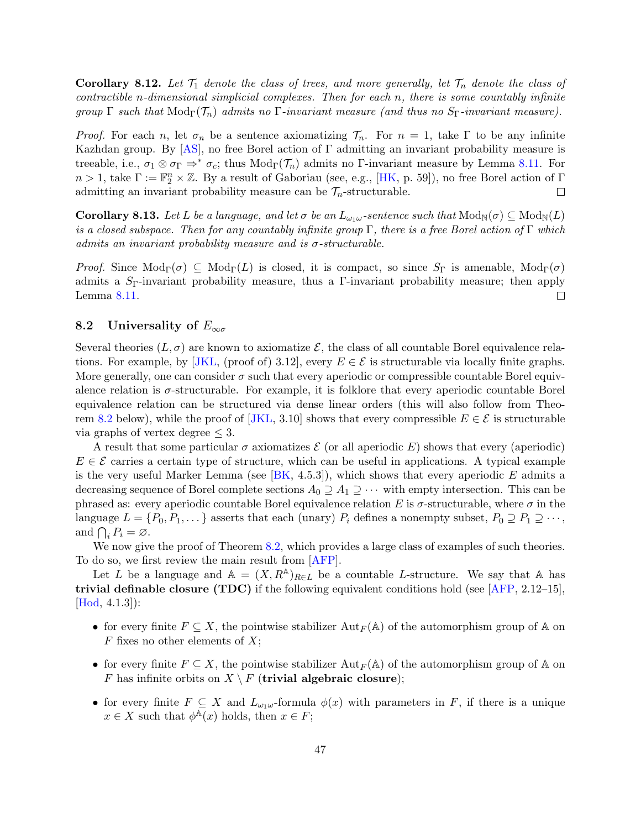**Corollary 8.12.** Let  $\mathcal{T}_1$  denote the class of trees, and more generally, let  $\mathcal{T}_n$  denote the class of contractible n-dimensional simplicial complexes. Then for each n, there is some countably infinite group  $\Gamma$  such that  $\text{Mod}_{\Gamma}(\mathcal{T}_n)$  admits no  $\Gamma$ -invariant measure (and thus no  $S_{\Gamma}$ -invariant measure).

*Proof.* For each n, let  $\sigma_n$  be a sentence axiomatizing  $\mathcal{T}_n$ . For  $n = 1$ , take  $\Gamma$  to be any infinite Kazhdan group. By  $[AS]$ , no free Borel action of  $\Gamma$  admitting an invariant probability measure is treeable, i.e.,  $\sigma_1 \otimes \sigma_\Gamma \Rightarrow^* \sigma_c$ ; thus Mod<sub>Γ</sub>( $\mathcal{T}_n$ ) admits no Γ-invariant measure by Lemma [8.11.](#page-45-1) For  $n > 1$ , take  $\Gamma := \mathbb{F}_2^n \times \mathbb{Z}$ . By a result of Gaboriau (see, e.g., [\[HK,](#page-70-7) p. 59]), no free Borel action of  $\Gamma$ admitting an invariant probability measure can be  $\mathcal{T}_n$ -structurable.

**Corollary 8.13.** Let L be a language, and let  $\sigma$  be an  $L_{\omega_1\omega}$ -sentence such that  $\text{Mod}_{\mathbb{N}}(\sigma) \subseteq \text{Mod}_{\mathbb{N}}(L)$ is a closed subspace. Then for any countably infinite group  $\Gamma$ , there is a free Borel action of  $\Gamma$  which admits an invariant probability measure and is  $\sigma$ -structurable.

Proof. Since  $Mod_{\Gamma}(\sigma) \subseteq Mod_{\Gamma}(L)$  is closed, it is compact, so since  $S_{\Gamma}$  is amenable,  $Mod_{\Gamma}(\sigma)$ admits a SΓ-invariant probability measure, thus a Γ-invariant probability measure; then apply Lemma [8.11.](#page-45-1)  $\Box$ 

## <span id="page-46-0"></span>8.2 Universality of  $E_{\infty}$

Several theories  $(L, \sigma)$  are known to axiomatize  $\mathcal{E}$ , the class of all countable Borel equivalence rela-tions. For example, by [\[JKL,](#page-70-0) (proof of) 3.12], every  $E \in \mathcal{E}$  is structurable via locally finite graphs. More generally, one can consider  $\sigma$  such that every aperiodic or compressible countable Borel equivalence relation is  $\sigma$ -structurable. For example, it is folklore that every aperiodic countable Borel equivalence relation can be structured via dense linear orders (this will also follow from Theo-rem [8.2](#page-41-2) below), while the proof of [\[JKL,](#page-70-0) 3.10] shows that every compressible  $E \in \mathcal{E}$  is structurable via graphs of vertex degree  $\leq 3$ .

A result that some particular  $\sigma$  axiomatizes  $\mathcal E$  (or all aperiodic E) shows that every (aperiodic)  $E \in \mathcal{E}$  carries a certain type of structure, which can be useful in applications. A typical example is the very useful Marker Lemma (see  $[BK, 4.5.3]$ ), which shows that every aperiodic E admits a decreasing sequence of Borel complete sections  $A_0 \supseteq A_1 \supseteq \cdots$  with empty intersection. This can be phrased as: every aperiodic countable Borel equivalence relation E is  $\sigma$ -structurable, where  $\sigma$  in the language  $L = \{P_0, P_1, \dots\}$  asserts that each (unary)  $P_i$  defines a nonempty subset,  $P_0 \supseteq P_1 \supseteq \cdots$ , and  $\bigcap_i P_i = \emptyset$ .

We now give the proof of Theorem [8.2,](#page-41-2) which provides a large class of examples of such theories. To do so, we first review the main result from [\[AFP\]](#page-69-1).

Let L be a language and  $A = (X, R^{\mathbb{A}})_{R \in L}$  be a countable L-structure. We say that A has trivial definable closure (TDC) if the following equivalent conditions hold (see [\[AFP,](#page-69-1) 2.12–15], [\[Hod,](#page-70-6) 4.1.3]):

- for every finite  $F \subseteq X$ , the pointwise stabilizer  $\mathrm{Aut}_F(\mathbb{A})$  of the automorphism group of  $\mathbb A$  on F fixes no other elements of  $X$ ;
- for every finite  $F \subseteq X$ , the pointwise stabilizer  $\mathrm{Aut}_F(\mathbb{A})$  of the automorphism group of  $\mathbb A$  on F has infinite orbits on  $X \setminus F$  (trivial algebraic closure);
- for every finite  $F \subseteq X$  and  $L_{\omega_1\omega}$ -formula  $\phi(x)$  with parameters in F, if there is a unique  $x \in X$  such that  $\phi^{\mathbb{A}}(x)$  holds, then  $x \in F$ ;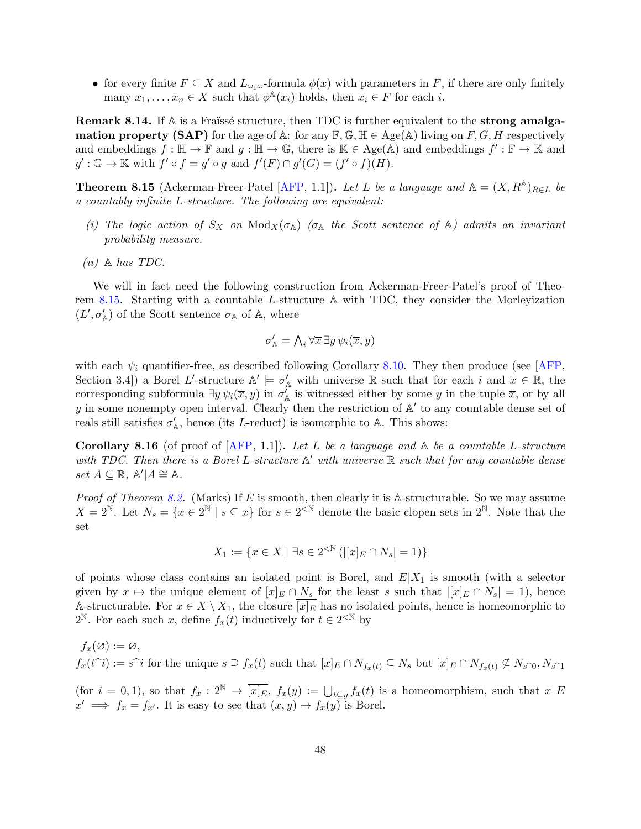• for every finite  $F \subseteq X$  and  $L_{\omega_1\omega}$ -formula  $\phi(x)$  with parameters in F, if there are only finitely many  $x_1, \ldots, x_n \in X$  such that  $\phi^{\mathbb{A}}(x_i)$  holds, then  $x_i \in F$  for each *i*.

**Remark 8.14.** If  $\mathbb A$  is a Fraüssé structure, then TDC is further equivalent to the strong amalga**mation property (SAP)** for the age of A: for any  $\mathbb{F}, \mathbb{G}, \mathbb{H} \in \text{Age}(\mathbb{A})$  living on  $F, G, H$  respectively and embeddings  $f : \mathbb{H} \to \mathbb{F}$  and  $g : \mathbb{H} \to \mathbb{G}$ , there is  $\mathbb{K} \in \mathrm{Age}(\mathbb{A})$  and embeddings  $f' : \mathbb{F} \to \mathbb{K}$  and  $g' : \mathbb{G} \to \mathbb{K}$  with  $f' \circ f = g' \circ g$  and  $f'(F) \cap g'(G) = (f' \circ f)(H)$ .

<span id="page-47-0"></span>**Theorem 8.15** (Ackerman-Freer-Patel [\[AFP,](#page-69-1) 1.1]). Let L be a language and  $A = (X, R^A)_{R \in L}$  be a countably infinite L-structure. The following are equivalent:

- (i) The logic action of  $S_X$  on  $Mod_X(\sigma_{\mathbb{A}})$  ( $\sigma_{\mathbb{A}}$  the Scott sentence of  $\mathbb{A}$ ) admits an invariant probability measure.
- $(ii)$  A has TDC.

We will in fact need the following construction from Ackerman-Freer-Patel's proof of Theorem [8.15.](#page-47-0) Starting with a countable L-structure A with TDC, they consider the Morleyization  $(L',\sigma'_{\mathbb{A}})$  of the Scott sentence  $\sigma_{\mathbb{A}}$  of  $\mathbb{A},$  where

$$
\sigma'_{\mathbb{A}} = \bigwedge_i \forall \overline{x} \,\exists y \, \psi_i(\overline{x}, y)
$$

with each  $\psi_i$  quantifier-free, as described following Corollary [8.10.](#page-45-0) They then produce (see [\[AFP,](#page-69-1) Section 3.4) a Borel L'-structure  $\mathbb{A}' \models \sigma'_{\mathbb{A}}$  with universe R such that for each i and  $\overline{x} \in \mathbb{R}$ , the corresponding subformula  $\exists y \psi_i(\overline{x}, y)$  in  $\sigma'_i$  $\chi'$  is witnessed either by some y in the tuple  $\overline{x}$ , or by all y in some nonempty open interval. Clearly then the restriction of  $\mathbb{A}'$  to any countable dense set of reals still satisfies  $\sigma'$  $\chi'_{A}$ , hence (its *L*-reduct) is isomorphic to *A*. This shows:

<span id="page-47-1"></span>**Corollary 8.16** (of proof of  $[AFP, 1.1]$ ). Let L be a language and A be a countable L-structure with TDC. Then there is a Borel L-structure  $\mathbb{A}'$  with universe  $\mathbb R$  such that for any countable dense  $set A \subseteq \mathbb{R}, \mathbb{A}' | A \cong \mathbb{A}.$ 

*Proof of Theorem [8.2.](#page-41-2)* (Marks) If E is smooth, then clearly it is A-structurable. So we may assume  $X = 2^{\mathbb{N}}$ . Let  $N_s = \{x \in 2^{\mathbb{N}} \mid s \subseteq x\}$  for  $s \in 2^{ denote the basic clopen sets in  $2^{\mathbb{N}}$ . Note that the$ set

$$
X_1 := \{ x \in X \mid \exists s \in 2^{< N} \left( |[x]_E \cap N_s| = 1 \right) \}
$$

of points whose class contains an isolated point is Borel, and  $E|X_1$  is smooth (with a selector given by  $x \mapsto$  the unique element of  $[x]_E \cap N_s$  for the least s such that  $|[x]_E \cap N_s| = 1$ , hence A-structurable. For  $x \in X \setminus X_1$ , the closure  $\overline{[x]_E}$  has no isolated points, hence is homeomorphic to  $2^{\mathbb{N}}$ . For each such x, define  $f_x(t)$  inductively for  $t \in 2^{\mathbb{N}}$  by

 $f_r(\varnothing) := \varnothing$ ,  $f_x(t^i) := s^i$  for the unique  $s \supseteq f_x(t)$  such that  $[x]_E \cap N_{f_x(t)} \subseteq N_s$  but  $[x]_E \cap N_{f_x(t)} \not\subseteq N_s^0$ ,  $N_s^1$ 

(for  $i = 0, 1$ ), so that  $f_x : 2^{\mathbb{N}} \to \overline{[x]_E}$ ,  $f_x(y) := \bigcup_{t \subseteq y} f_x(t)$  is a homeomorphism, such that x E  $x' \implies f_x = f_{x'}$ . It is easy to see that  $(x, y) \mapsto f_x(y)$  is Borel.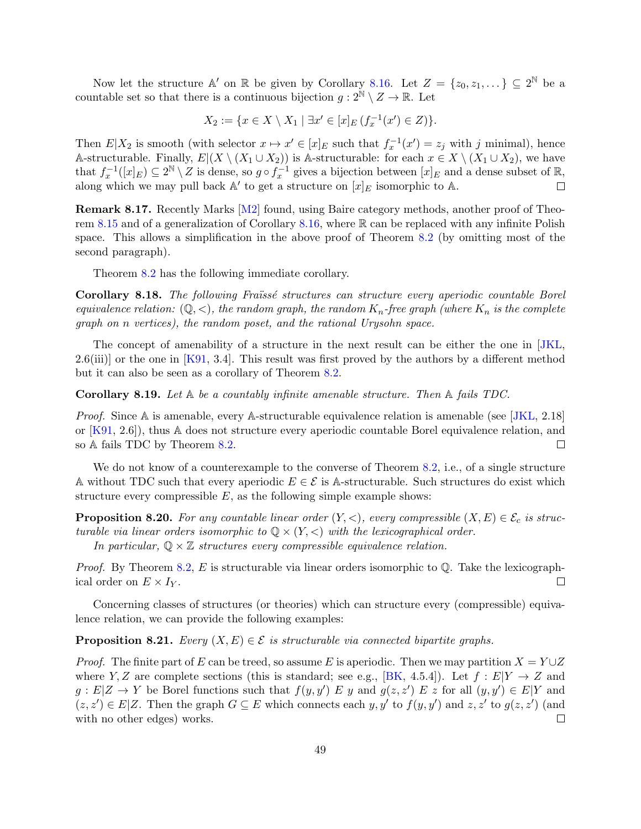Now let the structure  $\mathbb{A}'$  on  $\mathbb{R}$  be given by Corollary [8.16.](#page-47-1) Let  $Z = \{z_0, z_1, \dots\} \subseteq 2^{\mathbb{N}}$  be a countable set so that there is a continuous bijection  $g: 2^{\mathbb{N}} \setminus Z \to \mathbb{R}$ . Let

$$
X_2 := \{ x \in X \setminus X_1 \mid \exists x' \in [x]_E \, (f_x^{-1}(x') \in Z) \}.
$$

Then  $E|X_2$  is smooth (with selector  $x \mapsto x' \in [x]_E$  such that  $f_x^{-1}(x') = z_j$  with j minimal), hence A-structurable. Finally,  $E|(X \setminus (X_1 \cup X_2))$  is A-structurable: for each  $x \in X \setminus (X_1 \cup X_2)$ , we have that  $f_x^{-1}([x]_E) \subseteq 2^{\mathbb{N}} \setminus Z$  is dense, so  $g \circ f_x^{-1}$  gives a bijection between  $[x]_E$  and a dense subset of  $\mathbb{R}$ , along which we may pull back  $\mathbb{A}'$  to get a structure on  $[x]_E$  isomorphic to  $\mathbb{A}$ .  $\Box$ 

Remark 8.17. Recently Marks [\[M2\]](#page-71-5) found, using Baire category methods, another proof of Theorem [8.15](#page-47-0) and of a generalization of Corollary [8.16,](#page-47-1) where R can be replaced with any infinite Polish space. This allows a simplification in the above proof of Theorem [8.2](#page-41-2) (by omitting most of the second paragraph).

Theorem [8.2](#page-41-2) has the following immediate corollary.

**Corollary 8.18.** The following Fraïssé structures can structure every aperiodic countable Borel equivalence relation:  $(\mathbb{Q}, \leq)$ , the random graph, the random  $K_n$ -free graph (where  $K_n$  is the complete graph on n vertices), the random poset, and the rational Urysohn space.

The concept of amenability of a structure in the next result can be either the one in [\[JKL,](#page-70-0)  $2.6(iii)$  or the one in [\[K91,](#page-70-8) 3.4]. This result was first proved by the authors by a different method but it can also be seen as a corollary of Theorem [8.2.](#page-41-2)

Corollary 8.19. Let A be a countably infinite amenable structure. Then A fails TDC.

Proof. Since A is amenable, every A-structurable equivalence relation is amenable (see [\[JKL,](#page-70-0) 2.18] or [\[K91,](#page-70-8) 2.6]), thus A does not structure every aperiodic countable Borel equivalence relation, and so A fails TDC by Theorem [8.2.](#page-41-2)  $\Box$ 

We do not know of a counterexample to the converse of Theorem [8.2,](#page-41-2) i.e., of a single structure A without TDC such that every aperiodic  $E \in \mathcal{E}$  is A-structurable. Such structures do exist which structure every compressible  $E$ , as the following simple example shows:

**Proposition 8.20.** For any countable linear order  $(Y, <)$ , every compressible  $(X, E) \in \mathcal{E}_c$  is structurable via linear orders isomorphic to  $\mathbb{Q} \times (Y, \leq)$  with the lexicographical order.

In particular,  $\mathbb{Q} \times \mathbb{Z}$  structures every compressible equivalence relation.

*Proof.* By Theorem [8.2,](#page-41-2) E is structurable via linear orders isomorphic to  $\mathbb{Q}$ . Take the lexicographical order on  $E \times I_Y$ .  $\Box$ 

Concerning classes of structures (or theories) which can structure every (compressible) equivalence relation, we can provide the following examples:

**Proposition 8.21.** Every  $(X, E) \in \mathcal{E}$  is structurable via connected bipartite graphs.

*Proof.* The finite part of E can be treed, so assume E is aperiodic. Then we may partition  $X = Y \cup Z$ where Y, Z are complete sections (this is standard; see e.g., [\[BK,](#page-69-3) 4.5.4]). Let  $f: E|Y \to Z$  and  $g: E|Z \to Y$  be Borel functions such that  $f(y, y') \not\to y$  and  $g(z, z') \not\to z$  for all  $(y, y') \in E|Y$  and  $(z, z') \in E|Z$ . Then the graph  $G \subseteq E$  which connects each y, y' to  $f(y, y')$  and  $z, z'$  to  $g(z, z')$  (and with no other edges) works.  $\Box$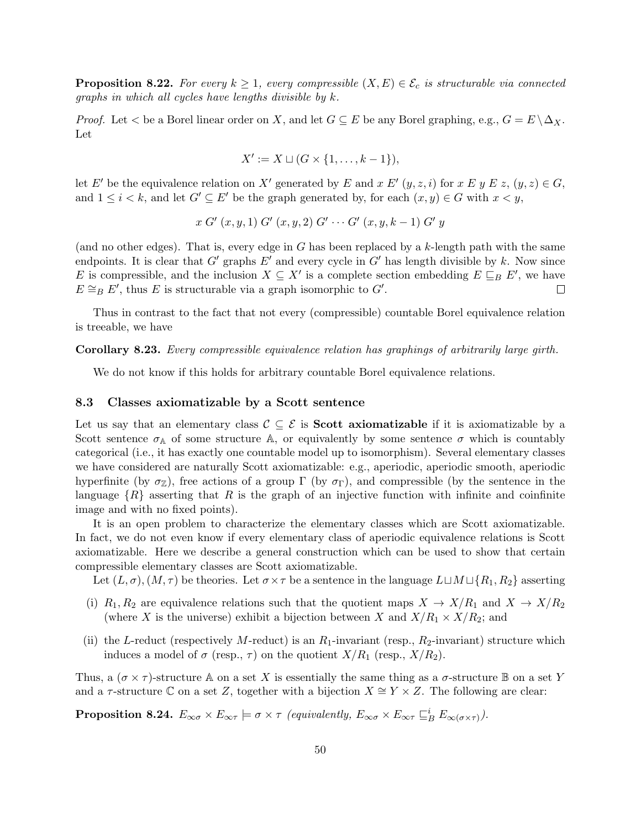**Proposition 8.22.** For every  $k \geq 1$ , every compressible  $(X, E) \in \mathcal{E}_c$  is structurable via connected graphs in which all cycles have lengths divisible by k.

*Proof.* Let  $\lt$  be a Borel linear order on X, and let  $G \subseteq E$  be any Borel graphing, e.g.,  $G = E \setminus \Delta_X$ . Let

$$
X':=X\sqcup (G\times\{1,\ldots,k-1\}),
$$

let E' be the equivalence relation on X' generated by E and x E'  $(y, z, i)$  for x E y E z,  $(y, z) \in G$ , and  $1 \leq i \leq k$ , and let  $G' \subseteq E'$  be the graph generated by, for each  $(x, y) \in G$  with  $x \leq y$ ,

$$
x G'(x, y, 1) G'(x, y, 2) G' \cdots G'(x, y, k-1) G' y
$$

(and no other edges). That is, every edge in  $G$  has been replaced by a  $k$ -length path with the same endpoints. It is clear that G' graphs E' and every cycle in G' has length divisible by k. Now since E is compressible, and the inclusion  $X \subseteq X'$  is a complete section embedding  $E \sqsubseteq_B E'$ , we have  $E \cong_B E'$ , thus E is structurable via a graph isomorphic to  $G'$ .  $\Box$ 

Thus in contrast to the fact that not every (compressible) countable Borel equivalence relation is treeable, we have

#### Corollary 8.23. Every compressible equivalence relation has graphings of arbitrarily large girth.

We do not know if this holds for arbitrary countable Borel equivalence relations.

### <span id="page-49-0"></span>8.3 Classes axiomatizable by a Scott sentence

Let us say that an elementary class  $\mathcal{C} \subseteq \mathcal{E}$  is **Scott axiomatizable** if it is axiomatizable by a Scott sentence  $\sigma_A$  of some structure A, or equivalently by some sentence  $\sigma$  which is countably categorical (i.e., it has exactly one countable model up to isomorphism). Several elementary classes we have considered are naturally Scott axiomatizable: e.g., aperiodic, aperiodic smooth, aperiodic hyperfinite (by  $\sigma_{\mathbb{Z}}$ ), free actions of a group Γ (by  $\sigma_{\Gamma}$ ), and compressible (by the sentence in the language  $\{R\}$  asserting that R is the graph of an injective function with infinite and coinfinite image and with no fixed points).

It is an open problem to characterize the elementary classes which are Scott axiomatizable. In fact, we do not even know if every elementary class of aperiodic equivalence relations is Scott axiomatizable. Here we describe a general construction which can be used to show that certain compressible elementary classes are Scott axiomatizable.

Let  $(L, \sigma), (M, \tau)$  be theories. Let  $\sigma \times \tau$  be a sentence in the language  $L \sqcup M \sqcup \{R_1, R_2\}$  asserting

- (i)  $R_1, R_2$  are equivalence relations such that the quotient maps  $X \to X/R_1$  and  $X \to X/R_2$ (where X is the universe) exhibit a bijection between X and  $X/R_1 \times X/R_2$ ; and
- (ii) the L-reduct (respectively M-reduct) is an  $R_1$ -invariant (resp.,  $R_2$ -invariant) structure which induces a model of  $\sigma$  (resp.,  $\tau$ ) on the quotient  $X/R_1$  (resp.,  $X/R_2$ ).

Thus, a  $(\sigma \times \tau)$ -structure A on a set X is essentially the same thing as a  $\sigma$ -structure B on a set Y and a  $\tau$ -structure C on a set Z, together with a bijection  $X \cong Y \times Z$ . The following are clear:

**Proposition 8.24.**  $E_{\infty \sigma} \times E_{\infty \tau} \models \sigma \times \tau$  (equivalently,  $E_{\infty \sigma} \times E_{\infty \tau} \sqsubseteq_B^i E_{\infty (\sigma \times \tau)}$ ).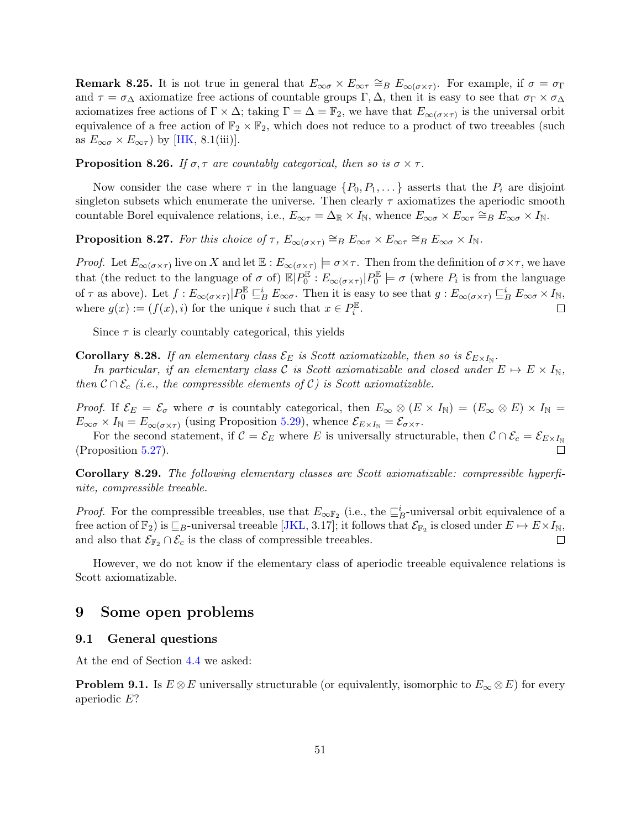**Remark 8.25.** It is not true in general that  $E_{\infty\sigma} \times E_{\infty\tau} \cong_B E_{\infty(\sigma \times \tau)}$ . For example, if  $\sigma = \sigma_{\Gamma}$ and  $\tau = \sigma_{\Delta}$  axiomatize free actions of countable groups  $\Gamma, \Delta$ , then it is easy to see that  $\sigma_{\Gamma} \times \sigma_{\Delta}$ axiomatizes free actions of  $\Gamma \times \Delta$ ; taking  $\Gamma = \Delta = \mathbb{F}_2$ , we have that  $E_{\infty(\sigma \times \tau)}$  is the universal orbit equivalence of a free action of  $\mathbb{F}_2 \times \mathbb{F}_2$ , which does not reduce to a product of two treeables (such as  $E_{\infty \sigma} \times E_{\infty \tau}$  by [\[HK,](#page-70-7) 8.1(iii)].

**Proposition 8.26.** If  $\sigma$ ,  $\tau$  are countably categorical, then so is  $\sigma \times \tau$ .

Now consider the case where  $\tau$  in the language  $\{P_0, P_1, \dots\}$  asserts that the  $P_i$  are disjoint singleton subsets which enumerate the universe. Then clearly  $\tau$  axiomatizes the aperiodic smooth countable Borel equivalence relations, i.e.,  $E_{\infty\tau} = \Delta_{\mathbb{R}} \times I_{\mathbb{N}}$ , whence  $E_{\infty\sigma} \times E_{\infty\tau} \cong_B E_{\infty\sigma} \times I_{\mathbb{N}}$ .

**Proposition 8.27.** For this choice of  $\tau$ ,  $E_{\infty(\sigma \times \tau)} \cong_B E_{\infty \sigma} \times E_{\infty \tau} \cong_B E_{\infty \sigma} \times I_N$ .

*Proof.* Let  $E_{\infty(\sigma \times \tau)}$  live on X and let  $\mathbb{E}: E_{\infty(\sigma \times \tau)} \models \sigma \times \tau$ . Then from the definition of  $\sigma \times \tau$ , we have that (the reduct to the language of  $\sigma$  of)  $\mathbb{E}[P_0^{\mathbb{E}} : E_{\infty(\sigma \times \tau)} | P_0^{\mathbb{E}} \models \sigma$  (where  $P_i$  is from the language of  $\tau$  as above). Let  $f: E_{\infty(\sigma \times \tau)} | P_0^{\mathbb{E}} \sqsubseteq_B^i E_{\infty \sigma}$ . Then it is easy to see that  $g: E_{\infty(\sigma \times \tau)} \sqsubseteq_B^i E_{\infty \sigma} \times I_{\mathbb{N}}$ , where  $g(x) := (f(x), i)$  for the unique i such that  $x \in P_i^{\mathbb{E}}$ .  $\Box$ 

Since  $\tau$  is clearly countably categorical, this yields

**Corollary 8.28.** If an elementary class  $\mathcal{E}_E$  is Scott axiomatizable, then so is  $\mathcal{E}_{E\times I_N}$ .

In particular, if an elementary class C is Scott axiomatizable and closed under  $E \mapsto E \times I_{\mathbb{N}},$ then  $C \cap \mathcal{E}_c$  (i.e., the compressible elements of C) is Scott axiomatizable.

Proof. If  $\mathcal{E}_E = \mathcal{E}_{\sigma}$  where  $\sigma$  is countably categorical, then  $E_{\infty} \otimes (E \times I_{\mathbb{N}}) = (E_{\infty} \otimes E) \times I_{\mathbb{N}} =$  $E_{\infty\sigma} \times I_{\mathbb{N}} = E_{\infty(\sigma \times \tau)}$  (using Proposition [5.29\)](#page-30-1), whence  $\mathcal{E}_{E \times I_{\mathbb{N}}} = \mathcal{E}_{\sigma \times \tau}$ .

For the second statement, if  $C = \mathcal{E}_E$  where E is universally structurable, then  $C \cap \mathcal{E}_c = \mathcal{E}_{E \times I_N}$ (Proposition [5.27\)](#page-29-1).

<span id="page-50-0"></span>Corollary 8.29. The following elementary classes are Scott axiomatizable: compressible hyperfinite, compressible treeable.

*Proof.* For the compressible treeables, use that  $E_{\infty \mathbb{F}_2}$  (i.e., the  $\sqsubseteq_B^i$ -universal orbit equivalence of a free action of  $\mathbb{F}_2$ ) is  $\sqsubseteq_B$ -universal treeable [\[JKL,](#page-70-0) 3.17]; it follows that  $\mathcal{E}_{\mathbb{F}_2}$  is closed under  $E \mapsto E \times I_N$ , and also that  $\mathcal{E}_{\mathbb{F}_2} \cap \mathcal{E}_c$  is the class of compressible treeables.

However, we do not know if the elementary class of aperiodic treeable equivalence relations is Scott axiomatizable.

# 9 Some open problems

### 9.1 General questions

At the end of Section [4.4](#page-19-0) we asked:

**Problem 9.1.** Is  $E \otimes E$  universally structurable (or equivalently, isomorphic to  $E_{\infty} \otimes E$ ) for every aperiodic E?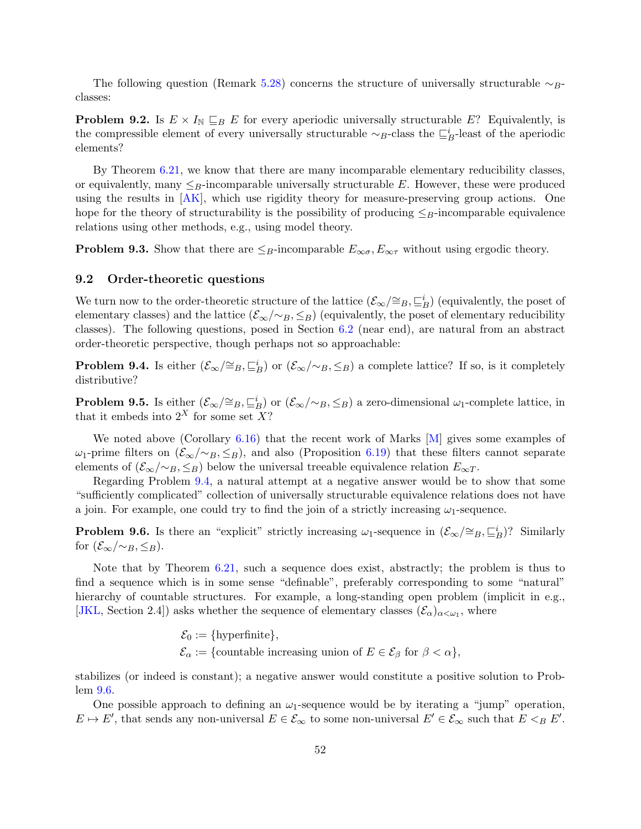The following question (Remark [5.28\)](#page-30-0) concerns the structure of universally structurable  $\sim_B$ classes:

**Problem 9.2.** Is  $E \times I_{\mathbb{N}} \subseteq_B E$  for every aperiodic universally structurable E? Equivalently, is the compressible element of every universally structurable  $\sim_B$ -class the  $\sqsubseteq_B^i$ -least of the aperiodic elements?

By Theorem [6.21,](#page-37-0) we know that there are many incomparable elementary reducibility classes, or equivalently, many  $\leq_B$ -incomparable universally structurable E. However, these were produced using the results in [\[AK\]](#page-69-0), which use rigidity theory for measure-preserving group actions. One hope for the theory of structurability is the possibility of producing  $\leq_B$ -incomparable equivalence relations using other methods, e.g., using model theory.

**Problem 9.3.** Show that there are  $\leq_B$ -incomparable  $E_{\infty}$ ,  $E_{\infty}$ , without using ergodic theory.

#### 9.2 Order-theoretic questions

We turn now to the order-theoretic structure of the lattice  $(\mathcal{E}_{\infty}/\cong_B, \sqsubseteq_B^i)$  (equivalently, the poset of elementary classes) and the lattice  $(\mathcal{E}_{\infty}/\sim_B, \leq_B)$  (equivalently, the poset of elementary reducibility classes). The following questions, posed in Section [6.2](#page-32-0) (near end), are natural from an abstract order-theoretic perspective, though perhaps not so approachable:

<span id="page-51-0"></span>**Problem 9.4.** Is either  $(\mathcal{E}_{\infty}/\cong_B, \sqsubseteq_B^i)$  or  $(\mathcal{E}_{\infty}/\sim_B, \leq_B)$  a complete lattice? If so, is it completely distributive?

**Problem 9.5.** Is either  $(\mathcal{E}_{\infty}/\cong_B, \sqsubseteq_B^i)$  or  $(\mathcal{E}_{\infty}/\sim_B, \leq_B)$  a zero-dimensional  $\omega_1$ -complete lattice, in that it embeds into  $2^X$  for some set X?

We noted above (Corollary [6.16\)](#page-35-2) that the recent work of Marks [\[M\]](#page-71-3) gives some examples of  $ω_1$ -prime filters on  $(\mathcal{E}_{\infty}/\sim_B, \leq_B)$ , and also (Proposition [6.19\)](#page-36-0) that these filters cannot separate elements of  $(\mathcal{E}_{\infty}/\sim_B, \leq_B)$  below the universal treeable equivalence relation  $E_{\infty}$ .

Regarding Problem [9.4,](#page-51-0) a natural attempt at a negative answer would be to show that some "sufficiently complicated" collection of universally structurable equivalence relations does not have a join. For example, one could try to find the join of a strictly increasing  $\omega_1$ -sequence.

<span id="page-51-1"></span>**Problem 9.6.** Is there an "explicit" strictly increasing  $\omega_1$ -sequence in  $(\mathcal{E}_{\infty}/\cong_B, \sqsubseteq_B^i)$ ? Similarly for  $(\mathcal{E}_{\infty}/\!\!\sim_B, \leq_B)$ .

Note that by Theorem [6.21,](#page-37-0) such a sequence does exist, abstractly; the problem is thus to find a sequence which is in some sense "definable", preferably corresponding to some "natural" hierarchy of countable structures. For example, a long-standing open problem (implicit in e.g., [\[JKL,](#page-70-0) Section 2.4]) asks whether the sequence of elementary classes  $(\mathcal{E}_{\alpha})_{\alpha<\omega_1}$ , where

$$
\mathcal{E}_0 := \{ \text{hyperfinite} \},
$$
  

$$
\mathcal{E}_{\alpha} := \{ \text{countable increasing union of } E \in \mathcal{E}_{\beta} \text{ for } \beta < \alpha \},
$$

stabilizes (or indeed is constant); a negative answer would constitute a positive solution to Problem [9.6.](#page-51-1)

One possible approach to defining an  $\omega_1$ -sequence would be by iterating a "jump" operation,  $E \mapsto E'$ , that sends any non-universal  $E \in \mathcal{E}_{\infty}$  to some non-universal  $E' \in \mathcal{E}_{\infty}$  such that  $E \leq_B E'$ .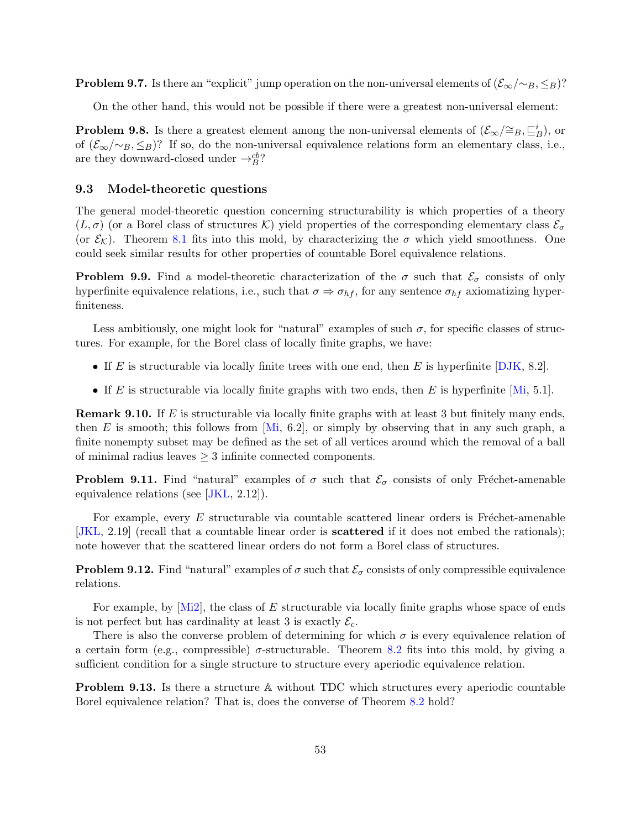**Problem 9.7.** Is there an "explicit" jump operation on the non-universal elements of  $(\mathcal{E}_{\infty}/\sim_B, \leq_B)$ ?

On the other hand, this would not be possible if there were a greatest non-universal element:

**Problem 9.8.** Is there a greatest element among the non-universal elements of  $(\mathcal{E}_{\infty}/\cong_B, \sqsubseteq_B^i)$ , or of  $(\mathcal{E}_{\infty}/\sim_B, \leq_B)$ ? If so, do the non-universal equivalence relations form an elementary class, i.e., are they downward-closed under  $\rightarrow_B^{cb}$ ?

# 9.3 Model-theoretic questions

The general model-theoretic question concerning structurability is which properties of a theory  $(L, \sigma)$  (or a Borel class of structures K) yield properties of the corresponding elementary class  $\mathcal{E}_{\sigma}$ (or  $\mathcal{E}_{\mathcal{K}}$ ). Theorem [8.1](#page-41-0) fits into this mold, by characterizing the  $\sigma$  which yield smoothness. One could seek similar results for other properties of countable Borel equivalence relations.

**Problem 9.9.** Find a model-theoretic characterization of the  $\sigma$  such that  $\mathcal{E}_{\sigma}$  consists of only hyperfinite equivalence relations, i.e., such that  $\sigma \Rightarrow \sigma_{hf}$ , for any sentence  $\sigma_{hf}$  axiomatizing hyperfiniteness.

Less ambitiously, one might look for "natural" examples of such  $\sigma$ , for specific classes of structures. For example, for the Borel class of locally finite graphs, we have:

- If E is structurable via locally finite trees with one end, then E is hyperfinite  $[DJK, 8.2]$ .
- If E is structurable via locally finite graphs with two ends, then E is hyperfinite  $[M_i, 5.1]$ .

**Remark 9.10.** If E is structurable via locally finite graphs with at least 3 but finitely many ends, then E is smooth; this follows from  $\vert$ Mi, 6.2, or simply by observing that in any such graph, a finite nonempty subset may be defined as the set of all vertices around which the removal of a ball of minimal radius leaves  $\geq 3$  infinite connected components.

**Problem 9.11.** Find "natural" examples of  $\sigma$  such that  $\mathcal{E}_{\sigma}$  consists of only Fréchet-amenable equivalence relations (see [\[JKL,](#page-70-0) 2.12]).

For example, every  $E$  structurable via countable scattered linear orders is Fréchet-amenable [\[JKL,](#page-70-0) 2.19] (recall that a countable linear order is **scattered** if it does not embed the rationals); note however that the scattered linear orders do not form a Borel class of structures.

**Problem 9.12.** Find "natural" examples of  $\sigma$  such that  $\mathcal{E}_{\sigma}$  consists of only compressible equivalence relations.

For example, by  $[M_12]$ , the class of E structurable via locally finite graphs whose space of ends is not perfect but has cardinality at least 3 is exactly  $\mathcal{E}_c$ .

There is also the converse problem of determining for which  $\sigma$  is every equivalence relation of a certain form (e.g., compressible)  $\sigma$ -structurable. Theorem [8.2](#page-41-2) fits into this mold, by giving a sufficient condition for a single structure to structure every aperiodic equivalence relation.

**Problem 9.13.** Is there a structure A without TDC which structures every aperiodic countable Borel equivalence relation? That is, does the converse of Theorem [8.2](#page-41-2) hold?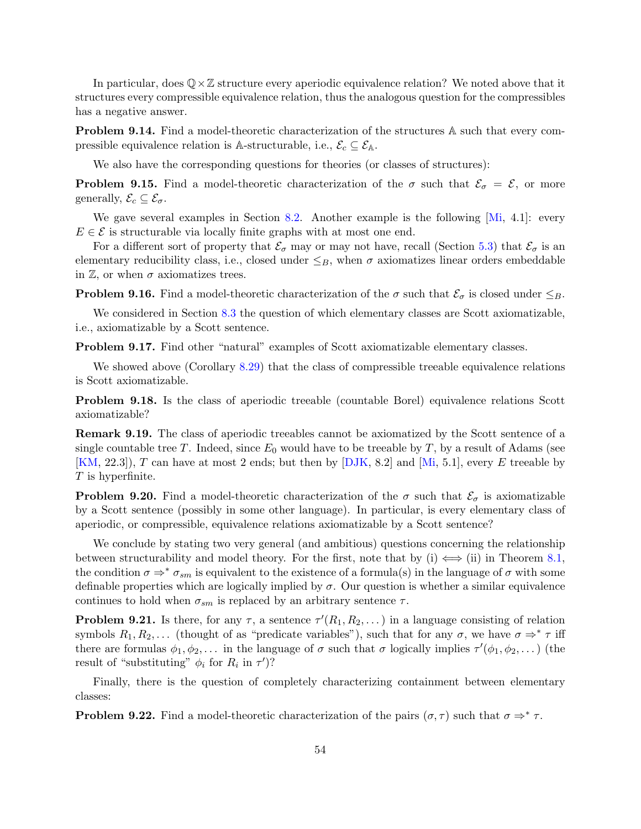In particular, does  $\mathbb{Q}\times\mathbb{Z}$  structure every aperiodic equivalence relation? We noted above that it structures every compressible equivalence relation, thus the analogous question for the compressibles has a negative answer.

Problem 9.14. Find a model-theoretic characterization of the structures A such that every compressible equivalence relation is A-structurable, i.e.,  $\mathcal{E}_c \subseteq \mathcal{E}_A$ .

We also have the corresponding questions for theories (or classes of structures):

**Problem 9.15.** Find a model-theoretic characterization of the  $\sigma$  such that  $\mathcal{E}_{\sigma} = \mathcal{E}$ , or more generally,  $\mathcal{E}_c \subseteq \mathcal{E}_{\sigma}$ .

We gave several examples in Section [8.2.](#page-46-0) Another example is the following  $[M_i, 4.1]$ : every  $E \in \mathcal{E}$  is structurable via locally finite graphs with at most one end.

For a different sort of property that  $\mathcal{E}_{\sigma}$  may or may not have, recall (Section [5.3\)](#page-28-0) that  $\mathcal{E}_{\sigma}$  is an elementary reducibility class, i.e., closed under  $\leq_B$ , when  $\sigma$  axiomatizes linear orders embeddable in  $\mathbb{Z}$ , or when  $\sigma$  axiomatizes trees.

**Problem 9.16.** Find a model-theoretic characterization of the  $\sigma$  such that  $\mathcal{E}_{\sigma}$  is closed under  $\leq_B$ .

We considered in Section [8.3](#page-49-0) the question of which elementary classes are Scott axiomatizable, i.e., axiomatizable by a Scott sentence.

Problem 9.17. Find other "natural" examples of Scott axiomatizable elementary classes.

We showed above (Corollary [8.29\)](#page-50-0) that the class of compressible treeable equivalence relations is Scott axiomatizable.

Problem 9.18. Is the class of aperiodic treeable (countable Borel) equivalence relations Scott axiomatizable?

Remark 9.19. The class of aperiodic treeables cannot be axiomatized by the Scott sentence of a single countable tree T. Indeed, since  $E_0$  would have to be treeable by T, by a result of Adams (see  $[KM, 22.3]$  $[KM, 22.3]$ , T can have at most 2 ends; but then by [\[DJK,](#page-70-9) 8.2] and [\[Mi,](#page-71-6) 5.1], every E treeable by  $T$  is hyperfinite.

**Problem 9.20.** Find a model-theoretic characterization of the  $\sigma$  such that  $\mathcal{E}_{\sigma}$  is axiomatizable by a Scott sentence (possibly in some other language). In particular, is every elementary class of aperiodic, or compressible, equivalence relations axiomatizable by a Scott sentence?

We conclude by stating two very general (and ambitious) questions concerning the relationship between structurability and model theory. For the first, note that by (i)  $\iff$  (ii) in Theorem [8.1,](#page-41-0) the condition  $\sigma \Rightarrow^* \sigma_{sm}$  is equivalent to the existence of a formula(s) in the language of  $\sigma$  with some definable properties which are logically implied by  $\sigma$ . Our question is whether a similar equivalence continues to hold when  $\sigma_{sm}$  is replaced by an arbitrary sentence  $\tau$ .

<span id="page-53-0"></span>**Problem 9.21.** Is there, for any  $\tau$ , a sentence  $\tau'(R_1, R_2, \ldots)$  in a language consisting of relation symbols  $R_1, R_2, \ldots$  (thought of as "predicate variables"), such that for any  $\sigma$ , we have  $\sigma \Rightarrow^* \tau$  iff there are formulas  $\phi_1, \phi_2, \ldots$  in the language of  $\sigma$  such that  $\sigma$  logically implies  $\tau'(\phi_1, \phi_2, \ldots)$  (the result of "substituting"  $\phi_i$  for  $R_i$  in  $\tau$ "?

Finally, there is the question of completely characterizing containment between elementary classes:

**Problem 9.22.** Find a model-theoretic characterization of the pairs  $(\sigma, \tau)$  such that  $\sigma \Rightarrow^* \tau$ .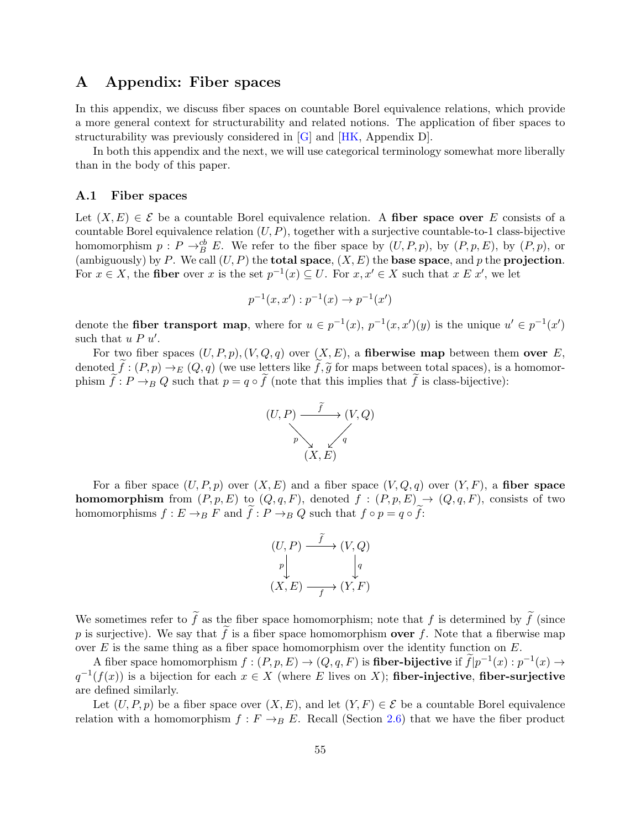# A Appendix: Fiber spaces

In this appendix, we discuss fiber spaces on countable Borel equivalence relations, which provide a more general context for structurability and related notions. The application of fiber spaces to structurability was previously considered in [\[G\]](#page-70-10) and [\[HK,](#page-70-7) Appendix D].

In both this appendix and the next, we will use categorical terminology somewhat more liberally than in the body of this paper.

### A.1 Fiber spaces

Let  $(X, E) \in \mathcal{E}$  be a countable Borel equivalence relation. A fiber space over E consists of a countable Borel equivalence relation  $(U, P)$ , together with a surjective countable-to-1 class-bijective homomorphism  $p: P \to_B^{\text{cb}} E$ . We refer to the fiber space by  $(U, P, p)$ , by  $(P, p, E)$ , by  $(P, p)$ , or (ambiguously) by P. We call  $(U, P)$  the **total space**,  $(X, E)$  the **base space**, and p the **projection**. For  $x \in X$ , the **fiber** over x is the set  $p^{-1}(x) \subseteq U$ . For  $x, x' \in X$  such that  $x \in X'$ , we let

$$
p^{-1}(x, x') : p^{-1}(x) \to p^{-1}(x')
$$

denote the **fiber transport map**, where for  $u \in p^{-1}(x)$ ,  $p^{-1}(x, x')(y)$  is the unique  $u' \in p^{-1}(x')$ such that  $u P u'$ .

For two fiber spaces  $(U, P, p), (V, Q, q)$  over  $(X, E)$ , a **fiberwise map** between them **over** E, denoted  $f: (P, p) \to_E (Q, q)$  (we use letters like  $f, \tilde{g}$  for maps between total spaces), is a homomorphism  $\tilde{f}: P \to_B Q$  such that  $p = q \circ \tilde{f}$  (note that this implies that  $\tilde{f}$  is class-bijective):



For a fiber space  $(U, P, p)$  over  $(X, E)$  and a fiber space  $(V, Q, q)$  over  $(Y, F)$ , a fiber space **homomorphism** from  $(P, p, E)$  to  $(Q, q, F)$ , denoted  $f : (P, p, E) \rightarrow (Q, q, F)$ , consists of two homomorphisms  $f : E \to_B F$  and  $\widetilde{f} : P \to_B Q$  such that  $f \circ p = q \circ \widetilde{f}$ :

$$
(U, P) \xrightarrow{f} (V, Q)
$$
  
\n
$$
\downarrow^{p}
$$
  
\n
$$
(X, E) \xrightarrow{f} (Y, F)
$$

We sometimes refer to  $\tilde{f}$  as the fiber space homomorphism; note that f is determined by  $\tilde{f}$  (since p is surjective). We say that f is a fiber space homomorphism over f. Note that a fiberwise map over  $E$  is the same thing as a fiber space homomorphism over the identity function on  $E$ .

A fiber space homomorphism  $f : (P, p, E) \to (Q, q, F)$  is **fiber-bijective** if  $\tilde{f}|p^{-1}(x) : p^{-1}(x) \to (q, q, F)$  $q^{-1}(f(x))$  is a bijection for each  $x \in X$  (where E lives on X); **fiber-injective**, **fiber-surjective** are defined similarly.

Let  $(U, P, p)$  be a fiber space over  $(X, E)$ , and let  $(Y, F) \in \mathcal{E}$  be a countable Borel equivalence relation with a homomorphism  $f : F \to_B E$ . Recall (Section [2.6\)](#page-9-1) that we have the fiber product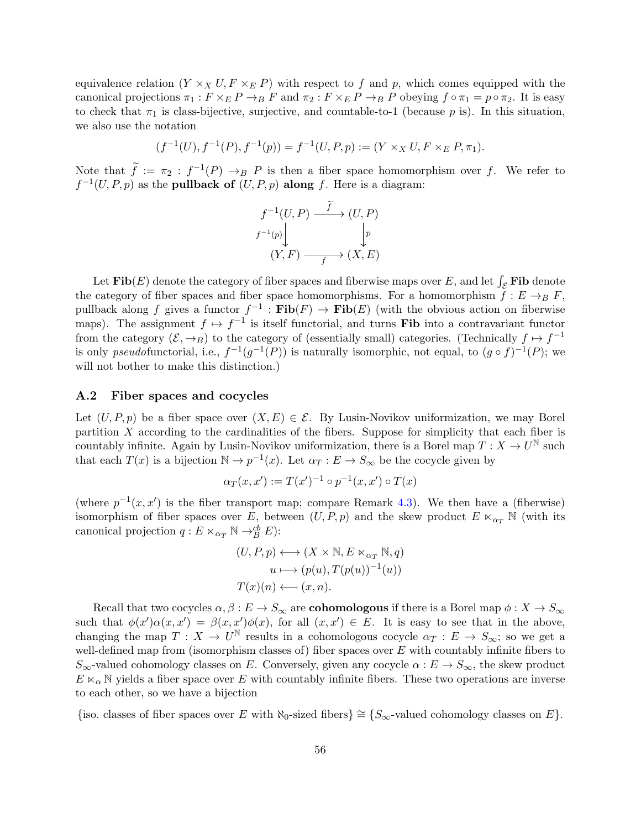equivalence relation  $(Y \times_X U, F \times_E P)$  with respect to f and p, which comes equipped with the canonical projections  $\pi_1 : F \times_E P \to_B F$  and  $\pi_2 : F \times_E P \to_B P$  obeying  $f \circ \pi_1 = p \circ \pi_2$ . It is easy to check that  $\pi_1$  is class-bijective, surjective, and countable-to-1 (because p is). In this situation, we also use the notation

$$
(f^{-1}(U), f^{-1}(P), f^{-1}(p)) = f^{-1}(U, P, p) := (Y \times_X U, F \times_E P, \pi_1).
$$

Note that  $\tilde{f} := \pi_2 : f^{-1}(P) \to_B P$  is then a fiber space homomorphism over f. We refer to  $f^{-1}(U, P, p)$  as the **pullback of**  $(U, P, p)$  along f. Here is a diagram:

$$
f^{-1}(U, P) \xrightarrow{f} (U, P)
$$
  

$$
f^{-1}(p) \downarrow \qquad \qquad \downarrow p
$$
  

$$
(Y, F) \xrightarrow{f} (X, E)
$$

Let  $\mathbf{Fib}(E)$  denote the category of fiber spaces and fiberwise maps over  $E,$  and let  $\int_{\mathcal{E}} \mathbf{Fib}$  denote the category of fiber spaces and fiber space homomorphisms. For a homomorphism  $f: E \to_B F$ , pullback along f gives a functor  $f^{-1}$ :  $\textbf{Fib}(F) \to \textbf{Fib}(E)$  (with the obvious action on fiberwise maps). The assignment  $f \mapsto f^{-1}$  is itself functorial, and turns Fib into a contravariant functor from the category  $(\mathcal{E}, \to_B)$  to the category of (essentially small) categories. (Technically  $f \mapsto f^{-1}$ is only *pseudofunctorial*, i.e.,  $f^{-1}(g^{-1}(P))$  is naturally isomorphic, not equal, to  $(g \circ f)^{-1}(P)$ ; we will not bother to make this distinction.)

#### A.2 Fiber spaces and cocycles

Let  $(U, P, p)$  be a fiber space over  $(X, E) \in \mathcal{E}$ . By Lusin-Novikov uniformization, we may Borel partition  $X$  according to the cardinalities of the fibers. Suppose for simplicity that each fiber is countably infinite. Again by Lusin-Novikov uniformization, there is a Borel map  $T: X \to U^{\mathbb{N}}$  such that each  $T(x)$  is a bijection  $\mathbb{N} \to p^{-1}(x)$ . Let  $\alpha_T : E \to S_\infty$  be the cocycle given by

$$
\alpha_T(x, x') := T(x')^{-1} \circ p^{-1}(x, x') \circ T(x)
$$

(where  $p^{-1}(x, x')$  is the fiber transport map; compare Remark [4.3\)](#page-14-0). We then have a (fiberwise) isomorphism of fiber spaces over E, between  $(U, P, p)$  and the skew product  $E \ltimes_{\alpha_T} \mathbb{N}$  (with its canonical projection  $q: E \ltimes_{\alpha_T} \mathbb{N} \to_B^{cb} E$ :

$$
(U, P, p) \longleftrightarrow (X \times \mathbb{N}, E \ltimes_{\alpha_T} \mathbb{N}, q)
$$

$$
u \longmapsto (p(u), T(p(u))^{-1}(u))
$$

$$
T(x)(n) \longleftrightarrow (x, n).
$$

Recall that two cocycles  $\alpha, \beta : E \to S_{\infty}$  are **cohomologous** if there is a Borel map  $\phi : X \to S_{\infty}$ such that  $\phi(x')\alpha(x,x') = \beta(x,x')\phi(x)$ , for all  $(x,x') \in E$ . It is easy to see that in the above, changing the map  $T: X \to U^{\mathbb{N}}$  results in a cohomologous cocycle  $\alpha_T: E \to S_{\infty}$ ; so we get a well-defined map from (isomorphism classes of) fiber spaces over  $E$  with countably infinite fibers to  $S_{\infty}$ -valued cohomology classes on E. Conversely, given any cocycle  $\alpha : E \to S_{\infty}$ , the skew product  $E \ltimes_{\alpha} N$  yields a fiber space over E with countably infinite fibers. These two operations are inverse to each other, so we have a bijection

{iso. classes of fiber spaces over E with  $\aleph_0$ -sized fibers}  $\cong$  {S<sub>∞</sub>-valued cohomology classes on E}.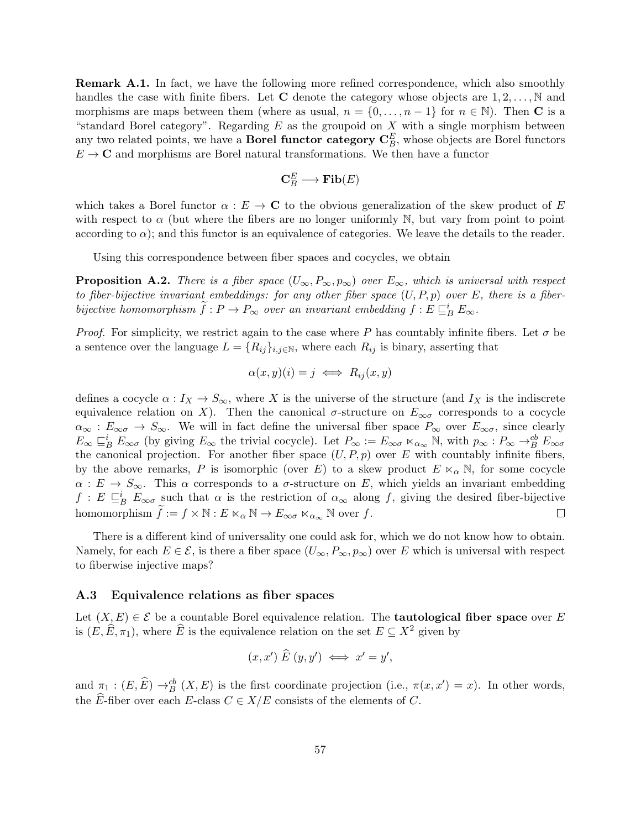Remark A.1. In fact, we have the following more refined correspondence, which also smoothly handles the case with finite fibers. Let **C** denote the category whose objects are  $1, 2, \ldots, N$  and morphisms are maps between them (where as usual,  $n = \{0, \ldots, n-1\}$  for  $n \in \mathbb{N}$ ). Then **C** is a "standard Borel category". Regarding  $E$  as the groupoid on  $X$  with a single morphism between any two related points, we have a Borel functor category  $\mathbf{C}^E_B$ , whose objects are Borel functors  $E \to \mathbf{C}$  and morphisms are Borel natural transformations. We then have a functor

$$
\mathbf{C}_B^E \longrightarrow \mathbf{Fib}(E)
$$

which takes a Borel functor  $\alpha : E \to \mathbf{C}$  to the obvious generalization of the skew product of E with respect to  $\alpha$  (but where the fibers are no longer uniformly N, but vary from point to point according to  $\alpha$ ); and this functor is an equivalence of categories. We leave the details to the reader.

Using this correspondence between fiber spaces and cocycles, we obtain

<span id="page-56-1"></span>**Proposition A.2.** There is a fiber space  $(U_{\infty}, P_{\infty}, p_{\infty})$  over  $E_{\infty}$ , which is universal with respect to fiber-bijective invariant embeddings: for any other fiber space  $(U, P, p)$  over E, there is a fiberbijective homomorphism  $\tilde{f}: P \to P_{\infty}$  over an invariant embedding  $f: E \sqsubseteq_B^i E_{\infty}$ .

*Proof.* For simplicity, we restrict again to the case where P has countably infinite fibers. Let  $\sigma$  be a sentence over the language  $L = \{R_{ij}\}_{i,j\in\mathbb{N}}$ , where each  $R_{ij}$  is binary, asserting that

$$
\alpha(x,y)(i) = j \iff R_{ij}(x,y)
$$

defines a cocycle  $\alpha: I_X \to S_{\infty}$ , where X is the universe of the structure (and  $I_X$  is the indiscrete equivalence relation on X). Then the canonical  $\sigma$ -structure on  $E_{\infty\sigma}$  corresponds to a cocycle  $\alpha_{\infty}: E_{\infty} \to S_{\infty}$ . We will in fact define the universal fiber space  $P_{\infty}$  over  $E_{\infty}$ , since clearly  $E_{\infty} \sqsubseteq_B^i E_{\infty \sigma}$  (by giving  $E_{\infty}$  the trivial cocycle). Let  $P_{\infty} := E_{\infty \sigma} \ltimes_{\alpha_{\infty}} \mathbb{N}$ , with  $p_{\infty} : P_{\infty} \to_B^{cb} E_{\infty \sigma}$ the canonical projection. For another fiber space  $(U, P, p)$  over E with countably infinite fibers, by the above remarks, P is isomorphic (over E) to a skew product  $E \ltimes_{\alpha} \mathbb{N}$ , for some cocycle  $\alpha: E \to S_{\infty}$ . This  $\alpha$  corresponds to a  $\sigma$ -structure on E, which yields an invariant embedding  $f: E \sqsubseteq_B^i E_{\infty \sigma}$  such that  $\alpha$  is the restriction of  $\alpha_{\infty}$  along f, giving the desired fiber-bijective homomorphism  $\widetilde{f} := f \times \mathbb{N} : E \ltimes_{\alpha} \mathbb{N} \to E_{\infty} \ltimes_{\alpha_{\infty}} \mathbb{N}$  over f.  $\Box$ 

There is a different kind of universality one could ask for, which we do not know how to obtain. Namely, for each  $E \in \mathcal{E}$ , is there a fiber space  $(U_{\infty}, P_{\infty}, p_{\infty})$  over E which is universal with respect to fiberwise injective maps?

#### <span id="page-56-0"></span>A.3 Equivalence relations as fiber spaces

Let  $(X, E) \in \mathcal{E}$  be a countable Borel equivalence relation. The **tautological fiber space** over E is  $(E, \widehat{E}, \pi_1)$ , where  $\widehat{E}$  is the equivalence relation on the set  $E \subseteq X^2$  given by

$$
(x, x') \widehat{E} (y, y') \iff x' = y',
$$

and  $\pi_1 : (E, \widehat{E}) \to_B^{\text{cb}} (X, E)$  is the first coordinate projection (i.e.,  $\pi(x, x') = x$ ). In other words, the  $\widehat{E}$ -fiber over each E-class  $C \in X/E$  consists of the elements of C.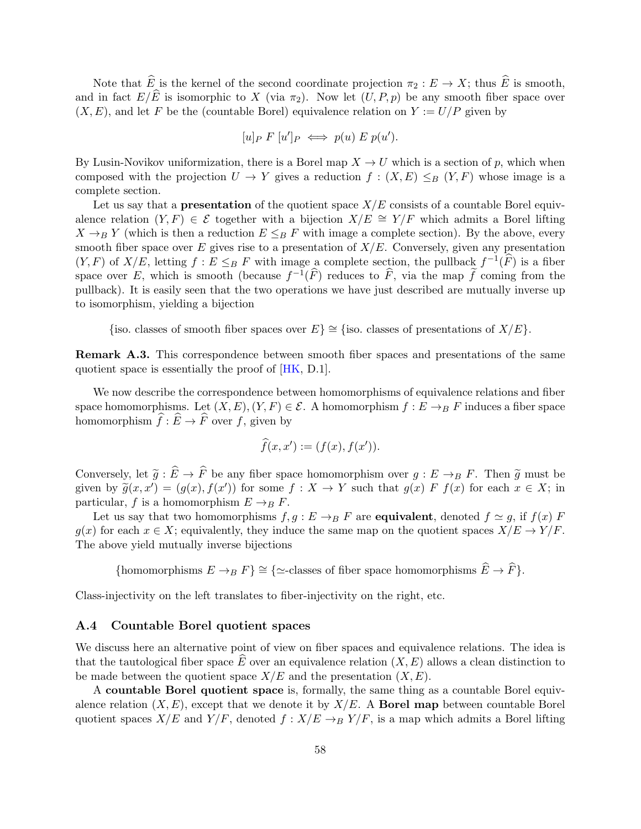Note that  $\widehat{E}$  is the kernel of the second coordinate projection  $\pi_2 : E \to X$ ; thus  $\widehat{E}$  is smooth, and in fact  $E/\widehat{E}$  is isomorphic to X (via  $\pi_2$ ). Now let  $(U, P, p)$  be any smooth fiber space over  $(X, E)$ , and let F be the (countable Borel) equivalence relation on  $Y := U/P$  given by

$$
[u]_P F [u']_P \iff p(u) E p(u').
$$

By Lusin-Novikov uniformization, there is a Borel map  $X \to U$  which is a section of p, which when composed with the projection  $U \to Y$  gives a reduction  $f : (X, E) \leq_B (Y, F)$  whose image is a complete section.

Let us say that a **presentation** of the quotient space  $X/E$  consists of a countable Borel equivalence relation  $(Y, F) \in \mathcal{E}$  together with a bijection  $X/E \cong Y/F$  which admits a Borel lifting  $X \rightarrow_B Y$  (which is then a reduction  $E \leq_B F$  with image a complete section). By the above, every smooth fiber space over E gives rise to a presentation of  $X/E$ . Conversely, given any presentation  $(Y, F)$  of  $X/E$ , letting  $f : E \leq_B F$  with image a complete section, the pullback  $f^{-1}(\widehat{F})$  is a fiber space over E, which is smooth (because  $f^{-1}(\widehat{F})$  reduces to  $\widehat{F}$ , via the map  $\widetilde{f}$  coming from the pullback). It is easily seen that the two operations we have just described are mutually inverse up to isomorphism, yielding a bijection

{iso. classes of smooth fiber spaces over  $E$ } ≅ {iso. classes of presentations of  $X/E$ }.

Remark A.3. This correspondence between smooth fiber spaces and presentations of the same quotient space is essentially the proof of [\[HK,](#page-70-7) D.1].

We now describe the correspondence between homomorphisms of equivalence relations and fiber space homomorphisms. Let  $(X, E), (Y, F) \in \mathcal{E}$ . A homomorphism  $f : E \to_B F$  induces a fiber space homomorphism  $\hat{f}: \hat{E} \to \hat{F}$  over f, given by

$$
\widehat{f}(x,x') := (f(x), f(x')).
$$

Conversely, let  $\tilde{g}$ :  $\hat{E} \to \hat{F}$  be any fiber space homomorphism over  $g : E \to_B F$ . Then  $\tilde{g}$  must be given by  $\tilde{g}(x, x') = (g(x), f(x'))$  for some  $f : X \to Y$  such that  $g(x) \in f(x)$  for each  $x \in X$ ; in particular f is a homomorphism  $F \to F$ particular, f is a homomorphism  $E \rightarrow_B F$ .

Let us say that two homomorphisms  $f, g : E \to_B F$  are equivalent, denoted  $f \simeq g$ , if  $f(x)$  F  $g(x)$  for each  $x \in X$ ; equivalently, they induce the same map on the quotient spaces  $X/E \to Y/F$ . The above yield mutually inverse bijections

{homomorphisms  $E \to_B F$ } ≅ { $\simeq$ -classes of fiber space homomorphisms  $\widehat{E} \to \widehat{F}$ }.

Class-injectivity on the left translates to fiber-injectivity on the right, etc.

#### A.4 Countable Borel quotient spaces

We discuss here an alternative point of view on fiber spaces and equivalence relations. The idea is that the tautological fiber space  $\hat{E}$  over an equivalence relation  $(X, E)$  allows a clean distinction to be made between the quotient space  $X/E$  and the presentation  $(X, E)$ .

A countable Borel quotient space is, formally, the same thing as a countable Borel equivalence relation  $(X, E)$ , except that we denote it by  $X/E$ . A **Borel map** between countable Borel quotient spaces  $X/E$  and  $Y/F$ , denoted  $f: X/E \to_B Y/F$ , is a map which admits a Borel lifting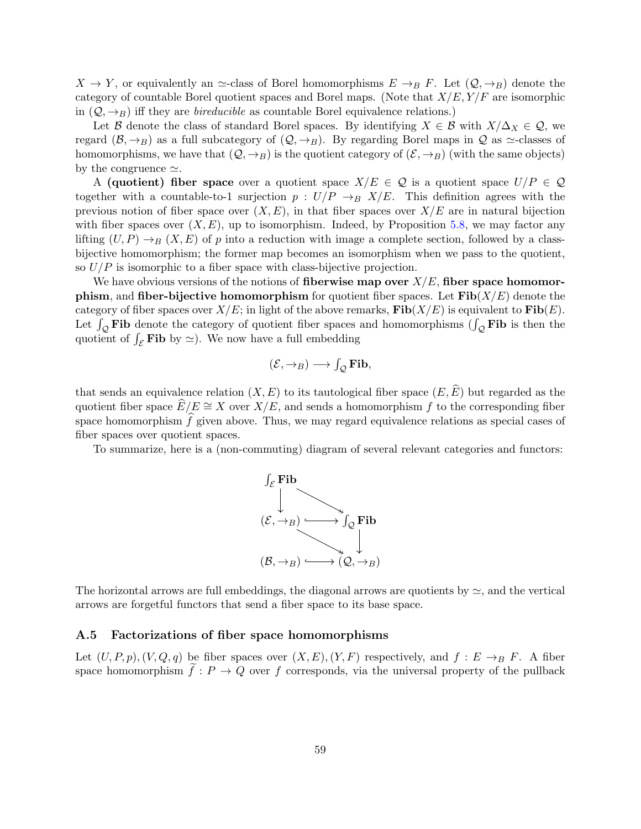$X \to Y$ , or equivalently an  $\simeq$ -class of Borel homomorphisms  $E \to_B F$ . Let  $(Q, \to_B)$  denote the category of countable Borel quotient spaces and Borel maps. (Note that  $X/E, Y/F$  are isomorphic in  $(Q, \rightarrow_B)$  iff they are *bireducible* as countable Borel equivalence relations.)

Let B denote the class of standard Borel spaces. By identifying  $X \in \mathcal{B}$  with  $X/\Delta_X \in \mathcal{Q}$ , we regard  $(\mathcal{B}, \rightarrow_B)$  as a full subcategory of  $(Q, \rightarrow_B)$ . By regarding Borel maps in Q as  $\simeq$ -classes of homomorphisms, we have that  $(Q, \rightarrow_B)$  is the quotient category of  $(\mathcal{E}, \rightarrow_B)$  (with the same objects) by the congruence  $\simeq$ .

A (quotient) fiber space over a quotient space  $X/E \in \mathcal{Q}$  is a quotient space  $U/P \in \mathcal{Q}$ together with a countable-to-1 surjection  $p: U/P \to_B X/E$ . This definition agrees with the previous notion of fiber space over  $(X, E)$ , in that fiber spaces over  $X/E$  are in natural bijection with fiber spaces over  $(X, E)$ , up to isomorphism. Indeed, by Proposition [5.8,](#page-25-0) we may factor any lifting  $(U, P) \to_B (X, E)$  of p into a reduction with image a complete section, followed by a classbijective homomorphism; the former map becomes an isomorphism when we pass to the quotient, so  $U/P$  is isomorphic to a fiber space with class-bijective projection.

We have obvious versions of the notions of fiberwise map over  $X/E$ , fiber space homomor**phism**, and **fiber-bijective homomorphism** for quotient fiber spaces. Let  $\text{Fib}(X/E)$  denote the category of fiber spaces over  $X/E$ ; in light of the above remarks,  $\text{Fib}(X/E)$  is equivalent to  $\text{Fib}(E)$ . Let  $\int_{Q}$  Fib denote the category of quotient fiber spaces and homomorphisms  $(\int_{Q}$  Fib is then the quotient of  $\int_{\mathcal{E}}$  Fib by  $\simeq$ ). We now have a full embedding

$$
(\mathcal{E}, \rightarrow_B) \longrightarrow \int_{\mathcal{Q}} \mathbf{Fib},
$$

that sends an equivalence relation  $(X, E)$  to its tautological fiber space  $(E, \widehat{E})$  but regarded as the quotient fiber space  $\widehat{E}/E \cong X$  over  $X/E$ , and sends a homomorphism f to the corresponding fiber space homomorphism  $\hat{f}$  given above. Thus, we may regard equivalence relations as special cases of fiber spaces over quotient spaces.

To summarize, here is a (non-commuting) diagram of several relevant categories and functors:



The horizontal arrows are full embeddings, the diagonal arrows are quotients by  $\approx$ , and the vertical arrows are forgetful functors that send a fiber space to its base space.

#### A.5 Factorizations of fiber space homomorphisms

Let  $(U, P, p), (V, Q, q)$  be fiber spaces over  $(X, E), (Y, F)$  respectively, and  $f : E \to_B F$ . A fiber space homomorphism  $\tilde{f}: P \to Q$  over f corresponds, via the universal property of the pullback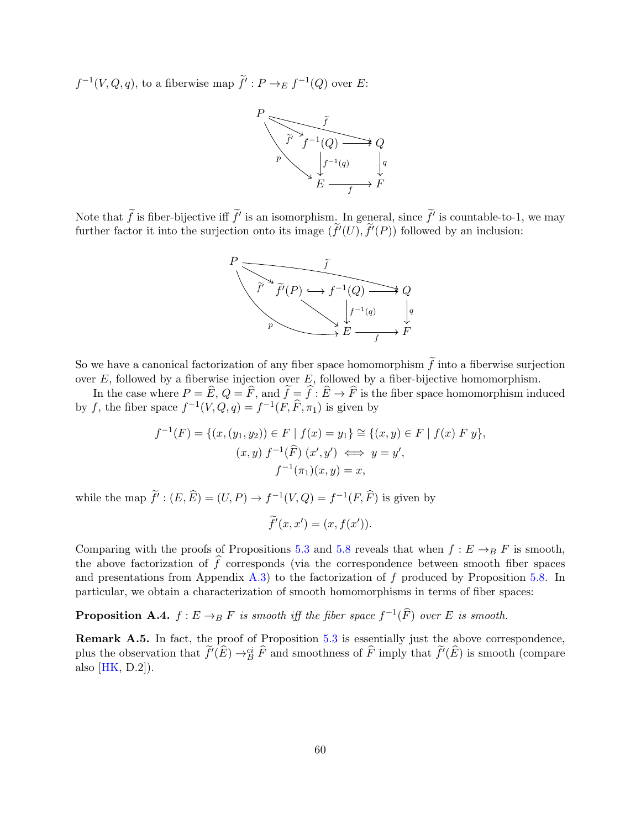$f^{-1}(V, Q, q)$ , to a fiberwise map  $\tilde{f}' : P \to_E f^{-1}(Q)$  over E:



Note that  $\tilde{f}$  is fiber-bijective iff  $\tilde{f}'$  is an isomorphism. In general, since  $\tilde{f}'$  is countable-to-1, we may further factor it into the surjection onto its image  $(\tilde{f}'(U), \tilde{f}'(P))$  followed by an inclusion:



So we have a canonical factorization of any fiber space homomorphism  $\tilde{f}$  into a fiberwise surjection over  $E$ , followed by a fiberwise injection over  $E$ , followed by a fiber-bijective homomorphism.

In the case where  $P = E$ ,  $Q = F$ , and  $f = f : E \to F$  is the fiber space homomorphism induced by f, the fiber space  $f^{-1}(V, Q, q) = f^{-1}(F, \widehat{F}, \pi_1)$  is given by

$$
f^{-1}(F) = \{(x, (y_1, y_2)) \in F \mid f(x) = y_1\} \cong \{(x, y) \in F \mid f(x) \in F \mid f(x) \in F \}
$$
\n
$$
(x, y) f^{-1}(\widehat{F}) (x', y') \iff y = y',
$$
\n
$$
f^{-1}(\pi_1)(x, y) = x,
$$

while the map  $\tilde{f}'$ :  $(E, \hat{E}) = (U, P) \rightarrow f^{-1}(V, Q) = f^{-1}(F, \hat{F})$  is given by

$$
\widetilde{f}'(x, x') = (x, f(x')).
$$

Comparing with the proofs of Propositions [5.3](#page-24-0) and [5.8](#page-25-0) reveals that when  $f: E \rightarrow_B F$  is smooth, the above factorization of  $\hat{f}$  corresponds (via the correspondence between smooth fiber spaces and presentations from Appendix [A.3\)](#page-56-0) to the factorization of  $f$  produced by Proposition [5.8.](#page-25-0) In particular, we obtain a characterization of smooth homomorphisms in terms of fiber spaces:

**Proposition A.4.**  $f: E \to_B F$  is smooth iff the fiber space  $f^{-1}(\widehat{F})$  over E is smooth.

Remark A.5. In fact, the proof of Proposition [5.3](#page-24-0) is essentially just the above correspondence, plus the observation that  $\tilde{f}'(\tilde{E}) \to_B^{\tilde{e}} \tilde{F}$  and smoothness of  $\tilde{F}$  imply that  $\tilde{f}'(\tilde{E})$  is smooth (compare also [\[HK,](#page-70-7) D.2]).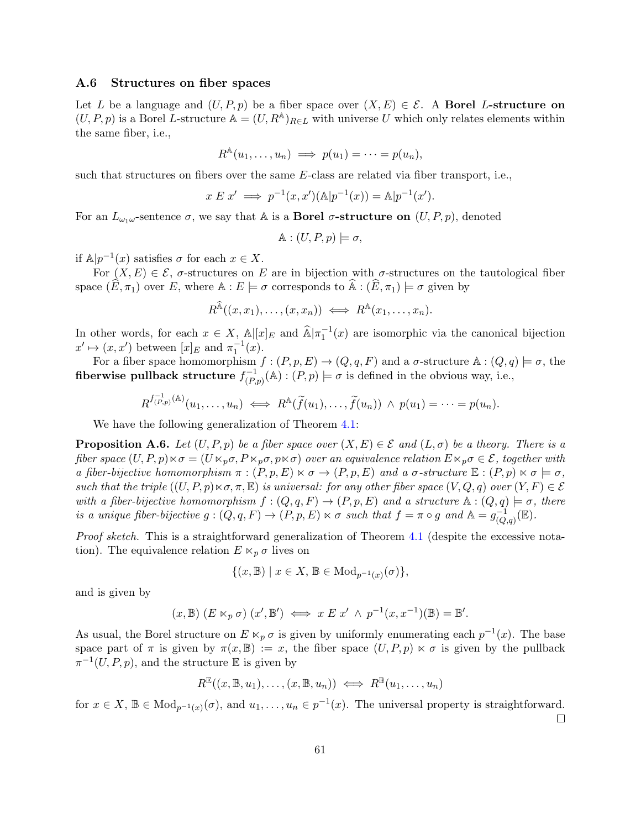## A.6 Structures on fiber spaces

Let L be a language and  $(U, P, p)$  be a fiber space over  $(X, E) \in \mathcal{E}$ . A **Borel L-structure on**  $(U, P, p)$  is a Borel L-structure  $\mathbb{A} = (U, R^{\mathbb{A}})_{R \in L}$  with universe U which only relates elements within the same fiber, i.e.,

$$
R^{\mathbb{A}}(u_1,\ldots,u_n) \implies p(u_1)=\cdots=p(u_n),
$$

such that structures on fibers over the same  $E$ -class are related via fiber transport, i.e.,

$$
x E x' \implies p^{-1}(x, x')(\mathbb{A}|p^{-1}(x)) = \mathbb{A}|p^{-1}(x').
$$

For an  $L_{\omega_1\omega}$ -sentence  $\sigma$ , we say that A is a **Borel**  $\sigma$ -structure on  $(U, P, p)$ , denoted

$$
\mathbb{A}:(U,P,p)\models\sigma,
$$

if  $\mathbb{A}|p^{-1}(x)$  satisfies  $\sigma$  for each  $x \in X$ .

For  $(X, E) \in \mathcal{E}$ , σ-structures on E are in bijection with σ-structures on the tautological fiber space  $(\widehat{E}, \pi_1)$  over E, where  $\mathbb{A} : E \models \sigma$  corresponds to  $\widehat{\mathbb{A}} : (\widehat{E}, \pi_1) \models \sigma$  given by

$$
R^{\mathbb{A}}((x,x_1),\ldots,(x,x_n)) \iff R^{\mathbb{A}}(x_1,\ldots,x_n).
$$

In other words, for each  $x \in X$ ,  $\mathbb{A}[[x]_E$  and  $\widehat{\mathbb{A}}[\pi_1^{-1}(x)]$  are isomorphic via the canonical bijection  $x' \mapsto (x, x')$  between  $[x]_E$  and  $\pi_1^{-1}(x)$ .

For a fiber space homomorphism  $f:(P, p, E) \to (Q, q, F)$  and a  $\sigma$ -structure  $\mathbb{A}:(Q, q) \models \sigma$ , the fiberwise pullback structure  $f^{-1}_{(P)}$  $C_{(P,p)}^{-1}(\mathbb{A}) : (P,p) \models \sigma$  is defined in the obvious way, i.e.,

$$
R^{f^{-1}_{(P,p)}(\mathbb{A})}(u_1,\ldots,u_n) \iff R^{\mathbb{A}}(\widetilde{f}(u_1),\ldots,\widetilde{f}(u_n)) \wedge p(u_1) = \cdots = p(u_n).
$$

We have the following generalization of Theorem [4.1:](#page-13-0)

**Proposition A.6.** Let  $(U, P, p)$  be a fiber space over  $(X, E) \in \mathcal{E}$  and  $(L, \sigma)$  be a theory. There is a fiber space  $(U, P, p) \lt \sigma = (U \ltimes_p \sigma, P \ltimes_p \sigma, p \lt \sigma)$  over an equivalence relation  $E \ltimes_p \sigma \in \mathcal{E}$ , together with a fiber-bijective homomorphism  $\pi : (P, p, E) \ltimes \sigma \to (P, p, E)$  and a  $\sigma$ -structure  $\mathbb{E} : (P, p) \ltimes \sigma \models \sigma$ , such that the triple  $((U, P, p) \ltimes \sigma, \pi, \mathbb{E})$  is universal: for any other fiber space  $(V, Q, q)$  over  $(Y, F) \in \mathcal{E}$ with a fiber-bijective homomorphism  $f:(Q,q,F) \to (P,p,E)$  and a structure  $\mathbb{A}:(Q,q) \models \sigma$ , there is a unique fiber-bijective  $g:(Q,q,F) \to (P,p,E) \ltimes \sigma$  such that  $f = \pi \circ g$  and  $\mathbb{A} = g_{(Q)}^{-1}$  $^{-1}_{(Q,q)}(\mathbb{E}).$ 

Proof sketch. This is a straightforward generalization of Theorem [4.1](#page-13-0) (despite the excessive notation). The equivalence relation  $E \ltimes_p \sigma$  lives on

$$
\{(x,\mathbb{B}) \mid x \in X, \mathbb{B} \in \text{Mod}_{p^{-1}(x)}(\sigma)\},\
$$

and is given by

$$
(x,\mathbb{B}) (E \ltimes_p \sigma) (x',\mathbb{B}') \iff x \to x' \wedge p^{-1}(x,x^{-1})(\mathbb{B}) = \mathbb{B}'.
$$

As usual, the Borel structure on  $E \ltimes_p \sigma$  is given by uniformly enumerating each  $p^{-1}(x)$ . The base space part of  $\pi$  is given by  $\pi(x, \mathbb{B}) := x$ , the fiber space  $(U, P, p) \ltimes \sigma$  is given by the pullback  $\pi^{-1}(U, P, p)$ , and the structure E is given by

$$
R^{\mathbb{E}}((x,\mathbb{B},u_1),\ldots,(x,\mathbb{B},u_n)) \iff R^{\mathbb{B}}(u_1,\ldots,u_n)
$$

for  $x \in X$ ,  $\mathbb{B} \in Mod_{p^{-1}(x)}(\sigma)$ , and  $u_1, \ldots, u_n \in p^{-1}(x)$ . The universal property is straightforward.  $\Box$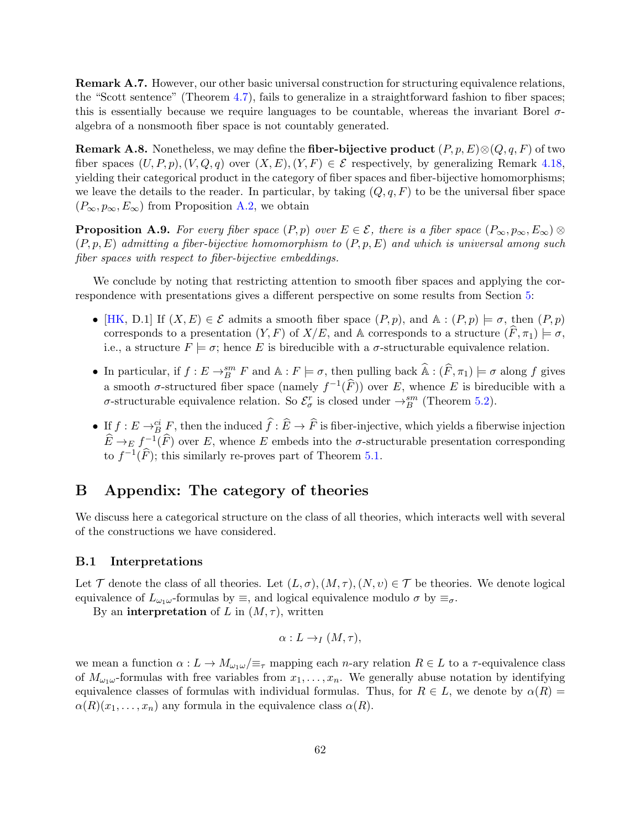Remark A.7. However, our other basic universal construction for structuring equivalence relations, the "Scott sentence" (Theorem [4.7\)](#page-16-0), fails to generalize in a straightforward fashion to fiber spaces; this is essentially because we require languages to be countable, whereas the invariant Borel  $\sigma$ algebra of a nonsmooth fiber space is not countably generated.

**Remark A.8.** Nonetheless, we may define the **fiber-bijective product**  $(P, p, E) \otimes (Q, q, F)$  of two fiber spaces  $(U, P, p), (V, Q, q)$  over  $(X, E), (Y, F) \in \mathcal{E}$  respectively, by generalizing Remark [4.18,](#page-19-1) yielding their categorical product in the category of fiber spaces and fiber-bijective homomorphisms; we leave the details to the reader. In particular, by taking  $(Q, q, F)$  to be the universal fiber space  $(P_{\infty}, p_{\infty}, E_{\infty})$  from Proposition [A.2,](#page-56-1) we obtain

**Proposition A.9.** For every fiber space  $(P, p)$  over  $E \in \mathcal{E}$ , there is a fiber space  $(P_{\infty}, p_{\infty}, E_{\infty}) \otimes$  $(P, p, E)$  admitting a fiber-bijective homomorphism to  $(P, p, E)$  and which is universal among such fiber spaces with respect to fiber-bijective embeddings.

We conclude by noting that restricting attention to smooth fiber spaces and applying the correspondence with presentations gives a different perspective on some results from Section [5:](#page-23-0)

- [\[HK,](#page-70-7) D.1] If  $(X, E) \in \mathcal{E}$  admits a smooth fiber space  $(P, p)$ , and  $\mathbb{A} : (P, p) \models \sigma$ , then  $(P, p)$ corresponds to a presentation  $(Y, F)$  of  $X/E$ , and A corresponds to a structure  $(F, \pi_1) \models \sigma$ , i.e., a structure  $F \models \sigma$ ; hence E is bireducible with a  $\sigma$ -structurable equivalence relation.
- In particular, if  $f : E \to_B^{sm} F$  and  $\mathbb{A} : F \models \sigma$ , then pulling back  $\widehat{\mathbb{A}} : (\widehat{F}, \pi_1) \models \sigma$  along f gives a smooth  $\sigma$ -structured fiber space (namely  $f^{-1}(\widehat{F})$ ) over E, whence E is bireducible with a σ-structurable equivalence relation. So  $\mathcal{E}_{\sigma}^{r}$  is closed under  $\rightarrow_{B}^{sm}$  (Theorem [5.2\)](#page-23-1).
- If  $f: E \to_{B}^{c_i} F$ , then the induced  $\widehat{f}: \widehat{E} \to \widehat{F}$  is fiber-injective, which yields a fiberwise injection  $\widehat{E} \to_E f^{-1}(\widehat{F})$  over E, whence E embeds into the  $\sigma$ -structurable presentation corresponding to  $f^{-1}(\widehat{F})$ ; this similarly re-proves part of Theorem [5.1.](#page-23-2)

# B Appendix: The category of theories

We discuss here a categorical structure on the class of all theories, which interacts well with several of the constructions we have considered.

#### B.1 Interpretations

Let T denote the class of all theories. Let  $(L, \sigma), (M, \tau), (N, \nu) \in \mathcal{T}$  be theories. We denote logical equivalence of  $L_{\omega_1\omega}$ -formulas by  $\equiv$ , and logical equivalence modulo  $\sigma$  by  $\equiv_{\sigma}$ .

By an interpretation of L in  $(M, \tau)$ , written

$$
\alpha: L \to_I (M, \tau),
$$

we mean a function  $\alpha: L \to M_{\omega_1\omega}/\equiv_{\tau}$  mapping each n-ary relation  $R \in L$  to a  $\tau$ -equivalence class of  $M_{\omega_1\omega}$ -formulas with free variables from  $x_1, \ldots, x_n$ . We generally abuse notation by identifying equivalence classes of formulas with individual formulas. Thus, for  $R \in L$ , we denote by  $\alpha(R)$  =  $\alpha(R)(x_1,\ldots,x_n)$  any formula in the equivalence class  $\alpha(R)$ .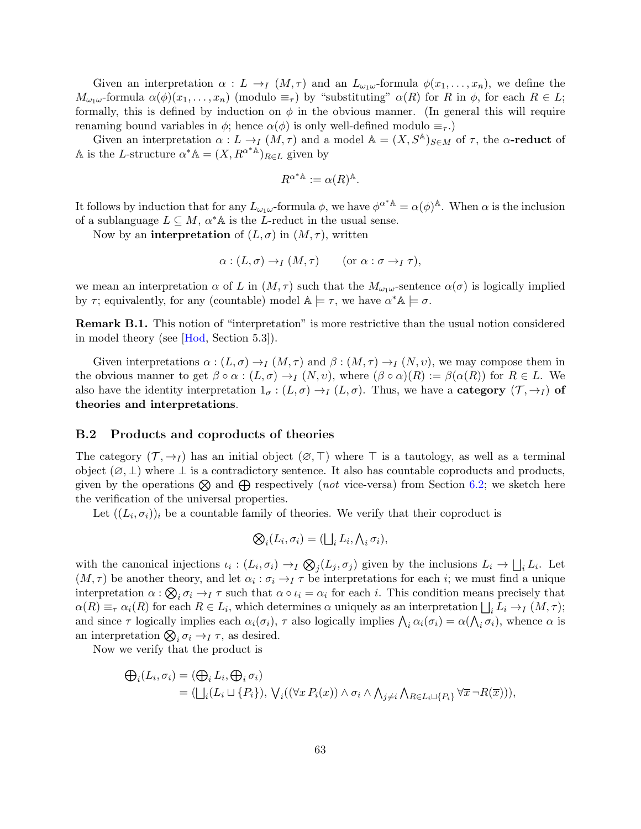Given an interpretation  $\alpha : L \to_I (M, \tau)$  and an  $L_{\omega_1\omega}$ -formula  $\phi(x_1, \ldots, x_n)$ , we define the  $M_{\omega_1\omega}$ -formula  $\alpha(\phi)(x_1,\ldots,x_n)$  (modulo  $\equiv_{\tau}$ ) by "substituting"  $\alpha(R)$  for R in  $\phi$ , for each  $R \in L$ ; formally, this is defined by induction on  $\phi$  in the obvious manner. (In general this will require renaming bound variables in  $\phi$ ; hence  $\alpha(\phi)$  is only well-defined modulo  $\equiv_{\tau}$ .)

Given an interpretation  $\alpha : L \to I$   $(M, \tau)$  and a model  $\mathbb{A} = (X, S^{\mathbb{A}})_{S \in M}$  of  $\tau$ , the  $\alpha$ -reduct of A is the L-structure  $\alpha^* A = (X, R^{\alpha^* A})_{R \in L}$  given by

$$
R^{\alpha^*\mathbb{A}} := \alpha(R)^{\mathbb{A}}.
$$

It follows by induction that for any  $L_{\omega_1\omega}$ -formula  $\phi$ , we have  $\phi^{\alpha^*\mathbb{A}} = \alpha(\phi)^{\mathbb{A}}$ . When  $\alpha$  is the inclusion of a sublanguage  $L \subseteq M$ ,  $\alpha^*$  Å is the L-reduct in the usual sense.

Now by an **interpretation** of  $(L, \sigma)$  in  $(M, \tau)$ , written

$$
\alpha: (L, \sigma) \to_I (M, \tau) \qquad (\text{or } \alpha: \sigma \to_I \tau),
$$

we mean an interpretation  $\alpha$  of L in  $(M, \tau)$  such that the  $M_{\omega_1\omega}$ -sentence  $\alpha(\sigma)$  is logically implied by  $\tau$ ; equivalently, for any (countable) model  $\mathbb{A} \models \tau$ , we have  $\alpha^* \mathbb{A} \models \sigma$ .

Remark B.1. This notion of "interpretation" is more restrictive than the usual notion considered in model theory (see [\[Hod,](#page-70-6) Section 5.3]).

Given interpretations  $\alpha : (L, \sigma) \to_I (M, \tau)$  and  $\beta : (M, \tau) \to_I (N, \nu)$ , we may compose them in the obvious manner to get  $\beta \circ \alpha : (L, \sigma) \to_I (N, v)$ , where  $(\beta \circ \alpha)(R) := \beta(\alpha(R))$  for  $R \in L$ . We also have the identity interpretation  $1_{\sigma}$ :  $(L, \sigma) \rightarrow_I (L, \sigma)$ . Thus, we have a **category**  $(\mathcal{T}, \rightarrow_I)$  of theories and interpretations.

### <span id="page-62-0"></span>B.2 Products and coproducts of theories

The category  $(\mathcal{T}, \rightarrow_I)$  has an initial object  $(\emptyset, \top)$  where  $\top$  is a tautology, as well as a terminal object  $(\emptyset, \perp)$  where  $\perp$  is a contradictory sentence. It also has countable coproducts and products, given by the operations  $\otimes$  and  $\oplus$  respectively (not vice-versa) from Section [6.2;](#page-32-0) we sketch here the verification of the universal properties.

Let  $((L_i, \sigma_i))_i$  be a countable family of theories. We verify that their coproduct is

$$
\bigotimes_i (L_i, \sigma_i) = (\bigsqcup_i L_i, \bigwedge_i \sigma_i),
$$

with the canonical injections  $\iota_i: (L_i, \sigma_i) \to_I \bigotimes_j (L_j, \sigma_j)$  given by the inclusions  $L_i \to \bigsqcup_i L_i$ . Let  $(M, \tau)$  be another theory, and let  $\alpha_i : \sigma_i \to_I \tau$  be interpretations for each *i*; we must find a unique interpretation  $\alpha$ :  $\bigotimes_i \sigma_i \to_I \tau$  such that  $\alpha \circ \iota_i = \alpha_i$  for each i. This condition means precisely that  $\alpha(R) \equiv_{\tau} \alpha_i(R)$  for each  $R \in L_i$ , which determines  $\alpha$  uniquely as an interpretation  $\bigsqcup_i L_i \to_I (M, \tau)$ ; and since  $\tau$  logically implies each  $\alpha_i(\sigma_i)$ ,  $\tau$  also logically implies  $\bigwedge_i \alpha_i(\sigma_i) = \alpha(\bigwedge_i \sigma_i)$ , whence  $\alpha$  is an interpretation  $\bigotimes_i \sigma_i \to_I \tau$ , as desired.

Now we verify that the product is

$$
\begin{aligned} \bigoplus_i (L_i, \sigma_i) &= (\bigoplus_i L_i, \bigoplus_i \sigma_i) \\ &= (\bigcup_i (L_i \sqcup \{P_i\}), \bigvee_i ((\forall x \, P_i(x)) \land \sigma_i \land \bigwedge_{j \neq i} \bigwedge_{R \in L_i \sqcup \{P_i\}} \forall \overline{x} \, \neg R(\overline{x}))), \end{aligned}
$$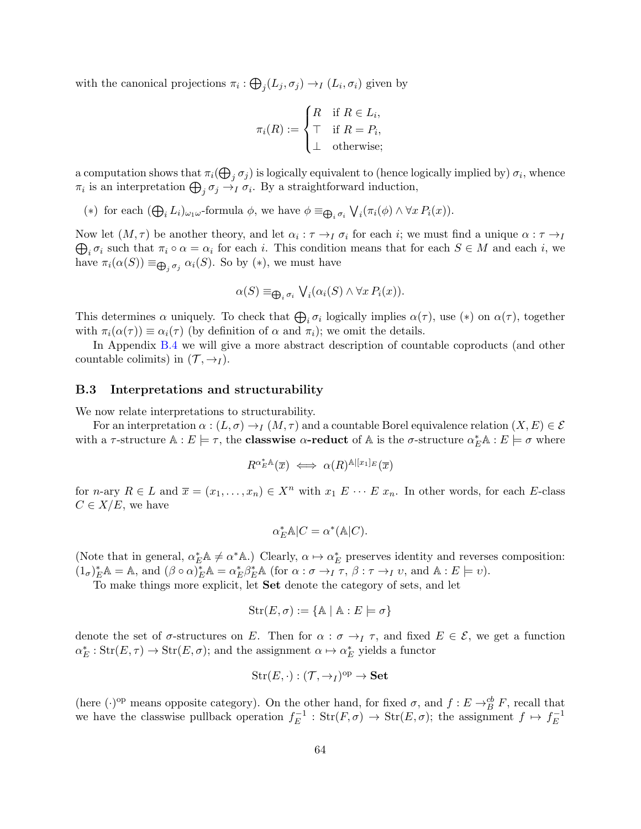with the canonical projections  $\pi_i : \bigoplus_j (L_j, \sigma_j) \to_I (L_i, \sigma_i)$  given by

$$
\pi_i(R) := \begin{cases} R & \text{if } R \in L_i, \\ \top & \text{if } R = P_i, \\ \bot & \text{otherwise}; \end{cases}
$$

a computation shows that  $\pi_i(\bigoplus_j \sigma_j)$  is logically equivalent to (hence logically implied by)  $\sigma_i$ , whence  $\pi_i$  is an interpretation  $\bigoplus_j \sigma_j \to_I \sigma_i$ . By a straightforward induction,

(\*) for each  $(\bigoplus_i L_i)_{\omega_1\omega}$ -formula  $\phi$ , we have  $\phi \equiv_{\bigoplus_i \sigma_i} \bigvee_i (\pi_i(\phi) \wedge \forall x P_i(x)).$ 

Now let  $(M, \tau)$  be another theory, and let  $\alpha_i : \tau \to_I \sigma_i$  for each i; we must find a unique  $\alpha : \tau \to_I \tau$  $\bigoplus_i \sigma_i$  such that  $\pi_i \circ \alpha = \alpha_i$  for each i. This condition means that for each  $S \in M$  and each i, we have  $\pi_i(\alpha(S)) \equiv_{\bigoplus_j \sigma_j} \alpha_i(S)$ . So by (\*), we must have

$$
\alpha(S) \equiv_{\bigoplus_i \sigma_i} \bigvee_i (\alpha_i(S) \wedge \forall x P_i(x)).
$$

This determines  $\alpha$  uniquely. To check that  $\bigoplus_i \sigma_i$  logically implies  $\alpha(\tau)$ , use  $(*)$  on  $\alpha(\tau)$ , together with  $\pi_i(\alpha(\tau)) \equiv \alpha_i(\tau)$  (by definition of  $\alpha$  and  $\pi_i$ ); we omit the details.

In Appendix [B.4](#page-65-0) we will give a more abstract description of countable coproducts (and other countable colimits) in  $(\mathcal{T}, \rightarrow_I)$ .

#### B.3 Interpretations and structurability

We now relate interpretations to structurability.

For an interpretation  $\alpha : (L, \sigma) \to_I (M, \tau)$  and a countable Borel equivalence relation  $(X, E) \in \mathcal{E}$ with a  $\tau$ -structure  $\mathbb{A}: E \models \tau$ , the **classwise**  $\alpha$ -**reduct** of  $\mathbb{A}$  is the  $\sigma$ -structure  $\alpha_E^* \mathbb{A}: E \models \sigma$  where

$$
R^{\alpha_E^*\mathbb{A}}(\overline{x}) \iff \alpha(R)^{\mathbb{A}[[x_1]_E}(\overline{x})
$$

for n-ary  $R \in L$  and  $\overline{x} = (x_1, \ldots, x_n) \in X^n$  with  $x_1 \ E \cdots E x_n$ . In other words, for each E-class  $C \in X/E$ , we have

$$
\alpha_E^*\mathbb{A}|C = \alpha^*(\mathbb{A}|C).
$$

(Note that in general,  $\alpha_E^* A \neq \alpha^* A$ .) Clearly,  $\alpha \mapsto \alpha_E^*$  preserves identity and reverses composition:  $(1_{\sigma})_{E}^{*}A = A$ , and  $(\beta \circ \alpha)_{E}^{*}A = \alpha_{E}^{*}\beta_{E}^{*}A$  (for  $\alpha : \sigma \to_{I} \tau$ ,  $\beta : \tau \to_{I} \nu$ , and  $A : E \models \nu$ ).

To make things more explicit, let Set denote the category of sets, and let

$$
Str(E, \sigma) := \{ \mathbb{A} \mid \mathbb{A} : E \models \sigma \}
$$

denote the set of  $\sigma$ -structures on E. Then for  $\alpha : \sigma \to_I \tau$ , and fixed  $E \in \mathcal{E}$ , we get a function  $\alpha_E^* : \text{Str}(E, \tau) \to \text{Str}(E, \sigma)$ ; and the assignment  $\alpha \mapsto \alpha_E^*$  yields a functor

$$
\mathrm{Str}(E,\cdot):(\mathcal{T},\rightarrow_I)^{\mathrm{op}}\to\mathbf{Set}
$$

(here  $(\cdot)$ <sup>op</sup> means opposite category). On the other hand, for fixed  $\sigma$ , and  $f: E \to_B^{\text{cb}} F$ , recall that we have the classwise pullback operation  $f_E^{-1}$  $E^{-1}: \operatorname{Str}(F,\sigma) \to \operatorname{Str}(E,\sigma)$ ; the assignment  $f \mapsto f_E^{-1}$ E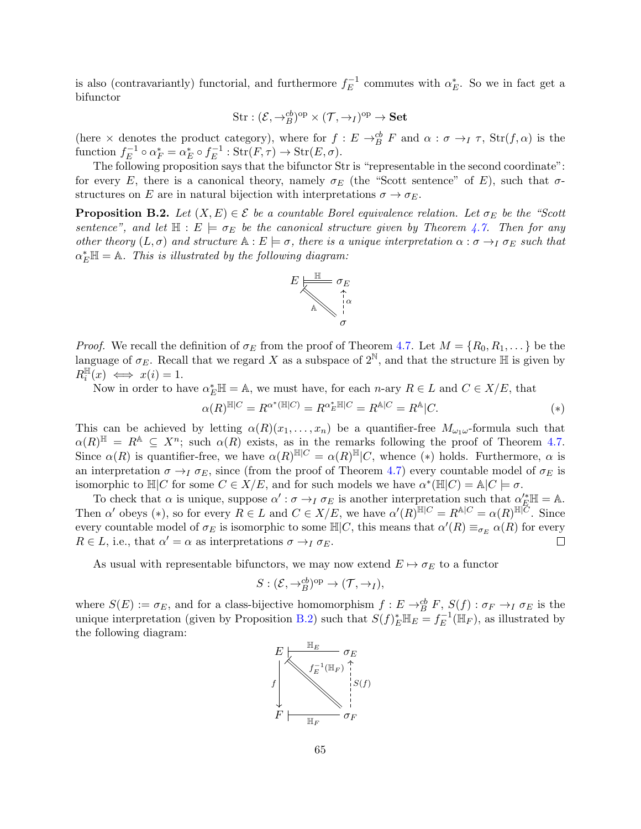is also (contravariantly) functorial, and furthermore  $f_E^{-1}$  $\varepsilon_E^{-1}$  commutes with  $\alpha_E^*$ . So we in fact get a bifunctor

$$
\text{Str} : (\mathcal{E}, \to_B^{cb})^{\text{op}} \times (\mathcal{T}, \to_I)^{\text{op}} \to \textbf{Set}
$$

(here  $\times$  denotes the product category), where for  $f: E \to_B^{cb} F$  and  $\alpha: \sigma \to_I \tau$ ,  $\text{Str}(f, \alpha)$  is the function  $f_E^{-1}$  $\alpha_F^{-1} \circ \alpha_F^* = \alpha_E^* \circ f_E^{-1}$  $E^{-1}: \operatorname{Str}(F,\tau) \to \operatorname{Str}(E,\sigma).$ 

The following proposition says that the bifunctor Str is "representable in the second coordinate": for every E, there is a canonical theory, namely  $\sigma_E$  (the "Scott sentence" of E), such that  $\sigma$ structures on E are in natural bijection with interpretations  $\sigma \to \sigma_E$ .

<span id="page-64-0"></span>**Proposition B.2.** Let  $(X, E) \in \mathcal{E}$  be a countable Borel equivalence relation. Let  $\sigma_E$  be the "Scott sentence", and let  $\mathbb{H}: E \models \sigma_E$  be the canonical structure given by Theorem [4.7.](#page-16-0) Then for any other theory  $(L, \sigma)$  and structure  $\mathbb{A}: E \models \sigma$ , there is a unique interpretation  $\alpha : \sigma \rightarrow_I \sigma_E$  such that  $\alpha_E^* \mathbb{H} = \mathbb{A}$ . This is illustrated by the following diagram:



*Proof.* We recall the definition of  $\sigma_E$  from the proof of Theorem [4.7.](#page-16-0) Let  $M = \{R_0, R_1, \dots\}$  be the language of  $\sigma_E$ . Recall that we regard X as a subspace of  $2^N$ , and that the structure  $\mathbb H$  is given by  $R_i^{\mathbb{H}}(x) \iff x(i) = 1.$ 

Now in order to have  $\alpha_E^* \mathbb{H} = \mathbb{A}$ , we must have, for each *n*-ary  $R \in L$  and  $C \in X/E$ , that

$$
\alpha(R)^{\mathbb{H}|C} = R^{\alpha^*(\mathbb{H}|C)} = R^{\alpha^*_E \mathbb{H}|C} = R^{\mathbb{A}|C} = R^{\mathbb{A}}|C.
$$
\n
$$
(*)
$$

This can be achieved by letting  $\alpha(R)(x_1,\ldots,x_n)$  be a quantifier-free  $M_{\omega_1\omega}$ -formula such that  $\alpha(R)^{\mathbb{H}} = R^{\mathbb{A}} \subseteq X^{n}$ ; such  $\alpha(R)$  exists, as in the remarks following the proof of Theorem [4.7.](#page-16-0) Since  $\alpha(R)$  is quantifier-free, we have  $\alpha(R)^{\mathbb{H}|C} = \alpha(R)^{\mathbb{H}|C}$ , whence (\*) holds. Furthermore,  $\alpha$  is an interpretation  $\sigma \rightarrow I \sigma_E$ , since (from the proof of Theorem [4.7\)](#page-16-0) every countable model of  $\sigma_E$  is isomorphic to  $\mathbb{H}|C$  for some  $C \in X/E$ , and for such models we have  $\alpha^*(\mathbb{H}|C) = \mathbb{A}|C \models \sigma$ .

To check that  $\alpha$  is unique, suppose  $\alpha' : \sigma \to_I \sigma_E$  is another interpretation such that  $\alpha_E^{\prime *} \mathbb{H} = \mathbb{A}$ . Then  $\alpha'$  obeys (\*), so for every  $R \in L$  and  $C \in X/E$ , we have  $\alpha'(R)^{\mathbb{H}|C} = R^{\mathbb{A}|C} = \alpha(R)^{\mathbb{H}|C}$ . Since every countable model of  $\sigma_E$  is isomorphic to some  $\mathbb{H}|C$ , this means that  $\alpha'(R) \equiv_{\sigma_E} \alpha(R)$  for every  $R \in L$ , i.e., that  $\alpha' = \alpha$  as interpretations  $\sigma \rightarrow_I \sigma_E$ .

As usual with representable bifunctors, we may now extend  $E \mapsto \sigma_E$  to a functor

$$
S: (\mathcal{E}, \to_B^{cb})^{\text{op}} \to (\mathcal{T}, \to_I),
$$

where  $S(E) := \sigma_E$ , and for a class-bijective homomorphism  $f : E \to_B^{\text{cb}} F$ ,  $S(f) : \sigma_F \to_I \sigma_E$  is the unique interpretation (given by Proposition [B.2\)](#page-64-0) such that  $S(f)_E^* \mathbb{H}_E = f_E^{-1}$  $E^{-1}(\mathbb{H}_F)$ , as illustrated by the following diagram:

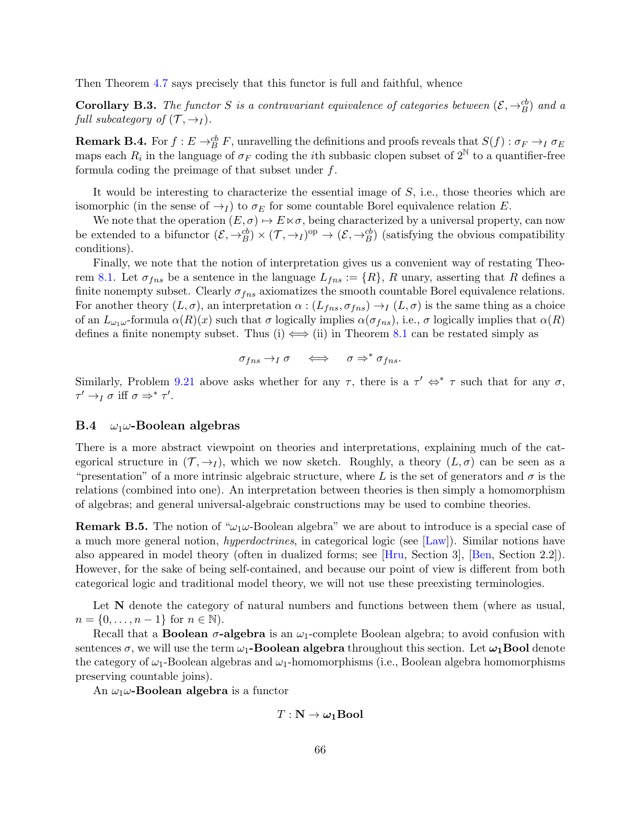Then Theorem [4.7](#page-16-0) says precisely that this functor is full and faithful, whence

**Corollary B.3.** The functor S is a contravariant equivalence of categories between  $(\mathcal{E}, \rightarrow_B^{\text{cb}})$  and a full subcategory of  $(\mathcal{T}, \rightarrow_I)$ .

**Remark B.4.** For  $f : E \to_B^{\text{cb}} F$ , unravelling the definitions and proofs reveals that  $S(f) : \sigma_F \to_I \sigma_E$ maps each  $R_i$  in the language of  $\sigma_F$  coding the *i*th subbasic clopen subset of  $2^{\mathbb{N}}$  to a quantifier-free formula coding the preimage of that subset under f.

It would be interesting to characterize the essential image of S, i.e., those theories which are isomorphic (in the sense of  $\rightarrow_I$ ) to  $\sigma_E$  for some countable Borel equivalence relation E.

We note that the operation  $(E, \sigma) \mapsto E \ltimes \sigma$ , being characterized by a universal property, can now be extended to a bifunctor  $(\mathcal{E}, \to_B^{\text{cb}}) \times (\mathcal{T}, \to_I)^{\text{op}} \to (\mathcal{E}, \to_B^{\text{cb}})$  (satisfying the obvious compatibility conditions).

Finally, we note that the notion of interpretation gives us a convenient way of restating Theo-rem [8.1.](#page-41-0) Let  $\sigma_{fns}$  be a sentence in the language  $L_{fns} := \{R\}$ , R unary, asserting that R defines a finite nonempty subset. Clearly  $\sigma_{fns}$  axiomatizes the smooth countable Borel equivalence relations. For another theory  $(L, \sigma)$ , an interpretation  $\alpha : (L_{fns}, \sigma_{fns}) \to_I (L, \sigma)$  is the same thing as a choice of an  $L_{\omega_1\omega}$ -formula  $\alpha(R)(x)$  such that  $\sigma$  logically implies  $\alpha(\sigma_{fns})$ , i.e.,  $\sigma$  logically implies that  $\alpha(R)$ defines a finite nonempty subset. Thus (i)  $\iff$  (ii) in Theorem [8.1](#page-41-0) can be restated simply as

$$
\sigma_{fns} \to_I \sigma \quad \iff \quad \sigma \Rightarrow^* \sigma_{fns}.
$$

Similarly, Problem [9.21](#page-53-0) above asks whether for any  $\tau$ , there is a  $\tau' \Leftrightarrow^* \tau$  such that for any  $\sigma$ ,  $\tau' \rightarrow_I \sigma$  iff  $\sigma \Rightarrow^* \tau'.$ 

## <span id="page-65-0"></span>B.4  $\omega_1\omega$ -Boolean algebras

There is a more abstract viewpoint on theories and interpretations, explaining much of the categorical structure in  $(\mathcal{T}, \rightarrow_I)$ , which we now sketch. Roughly, a theory  $(L, \sigma)$  can be seen as a "presentation" of a more intrinsic algebraic structure, where L is the set of generators and  $\sigma$  is the relations (combined into one). An interpretation between theories is then simply a homomorphism of algebras; and general universal-algebraic constructions may be used to combine theories.

**Remark B.5.** The notion of " $\omega_1 \omega$ -Boolean algebra" we are about to introduce is a special case of a much more general notion, hyperdoctrines, in categorical logic (see [\[Law\]](#page-70-11)). Similar notions have also appeared in model theory (often in dualized forms; see [\[Hru,](#page-70-12) Section 3], [\[Ben,](#page-69-4) Section 2.2]). However, for the sake of being self-contained, and because our point of view is different from both categorical logic and traditional model theory, we will not use these preexisting terminologies.

Let N denote the category of natural numbers and functions between them (where as usual,  $n = \{0, \ldots, n-1\}$  for  $n \in \mathbb{N}$ .

Recall that a **Boolean**  $\sigma$ **-algebra** is an  $\omega_1$ -complete Boolean algebra; to avoid confusion with sentences  $\sigma$ , we will use the term  $\omega_1$ -Boolean algebra throughout this section. Let  $\omega_1$ Bool denote the category of  $\omega_1$ -Boolean algebras and  $\omega_1$ -homomorphisms (i.e., Boolean algebra homomorphisms preserving countable joins).

An  $\omega_1\omega$ -**Boolean algebra** is a functor

$$
T:\mathbf{N}\to\boldsymbol{\omega_1}\mathbf{Bool}
$$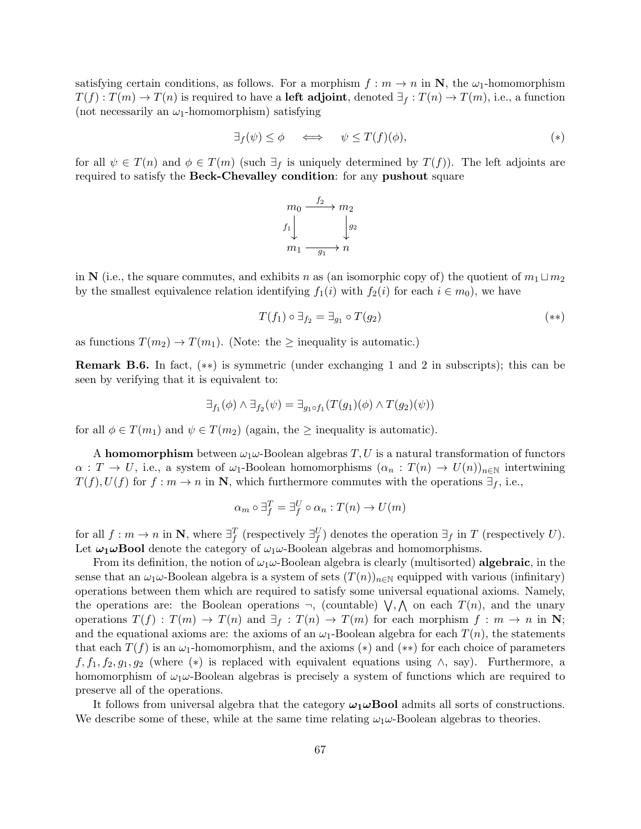satisfying certain conditions, as follows. For a morphism  $f : m \to n$  in  $\mathbb{N}$ , the  $\omega_1$ -homomorphism  $T(f): T(m) \to T(n)$  is required to have a **left adjoint**, denoted  $\exists_f : T(n) \to T(m)$ , i.e., a function (not necessarily an  $\omega_1$ -homomorphism) satisfying

$$
\exists f(\psi) \le \phi \iff \psi \le T(f)(\phi), \tag{*}
$$

for all  $\psi \in T(n)$  and  $\phi \in T(m)$  (such  $\exists f$  is uniquely determined by  $T(f)$ ). The left adjoints are required to satisfy the Beck-Chevalley condition: for any pushout square



in N (i.e., the square commutes, and exhibits n as (an isomorphic copy of) the quotient of  $m_1 \sqcup m_2$ by the smallest equivalence relation identifying  $f_1(i)$  with  $f_2(i)$  for each  $i \in m_0$ , we have

$$
T(f_1) \circ \exists_{f_2} = \exists_{g_1} \circ T(g_2) \tag{**}
$$

as functions  $T(m_2) \rightarrow T(m_1)$ . (Note: the  $\geq$  inequality is automatic.)

Remark B.6. In fact, (∗∗) is symmetric (under exchanging 1 and 2 in subscripts); this can be seen by verifying that it is equivalent to:

$$
\exists_{f_1}(\phi) \land \exists_{f_2}(\psi) = \exists_{g_1 \circ f_1}(T(g_1)(\phi) \land T(g_2)(\psi))
$$

for all  $\phi \in T(m_1)$  and  $\psi \in T(m_2)$  (again, the  $\geq$  inequality is automatic).

A homomorphism between  $\omega_1\omega$ -Boolean algebras T, U is a natural transformation of functors  $\alpha: T \to U$ , i.e., a system of  $\omega_1$ -Boolean homomorphisms  $(\alpha_n: T(n) \to U(n))_{n \in \mathbb{N}}$  intertwining  $T(f), U(f)$  for  $f : m \to n$  in N, which furthermore commutes with the operations  $\exists_f$ , i.e.,

$$
\alpha_m \circ \exists_f^T = \exists_f^U \circ \alpha_n : T(n) \to U(m)
$$

for all  $f: m \to n$  in  $\mathbb{N}$ , where  $\exists_f^T$  (respectively  $\exists_f^U$ ) denotes the operation  $\exists_f$  in  $T$  (respectively  $U$ ). Let  $\omega_1 \omega$ Bool denote the category of  $\omega_1 \omega$ -Boolean algebras and homomorphisms.

From its definition, the notion of  $\omega_1\omega$ -Boolean algebra is clearly (multisorted) algebraic, in the sense that an  $\omega_1\omega$ -Boolean algebra is a system of sets  $(T(n))_{n\in\mathbb{N}}$  equipped with various (infinitary) operations between them which are required to satisfy some universal equational axioms. Namely, the operations are: the Boolean operations  $\neg$ , (countable)  $\forall$ ,  $\wedge$  on each  $T(n)$ , and the unary operations  $T(f) : T(m) \to T(n)$  and  $\exists_f : T(n) \to T(m)$  for each morphism  $f : m \to n$  in N; and the equational axioms are: the axioms of an  $\omega_1$ -Boolean algebra for each  $T(n)$ , the statements that each  $T(f)$  is an  $\omega_1$ -homomorphism, and the axioms (\*) and (\*\*) for each choice of parameters  $f, f_1, f_2, g_1, g_2$  (where  $(*)$ ) is replaced with equivalent equations using  $\wedge$ , say). Furthermore, a homomorphism of  $\omega_1\omega$ -Boolean algebras is precisely a system of functions which are required to preserve all of the operations.

It follows from universal algebra that the category  $\omega_1 \omega$  **Bool** admits all sorts of constructions. We describe some of these, while at the same time relating  $\omega_1\omega$ -Boolean algebras to theories.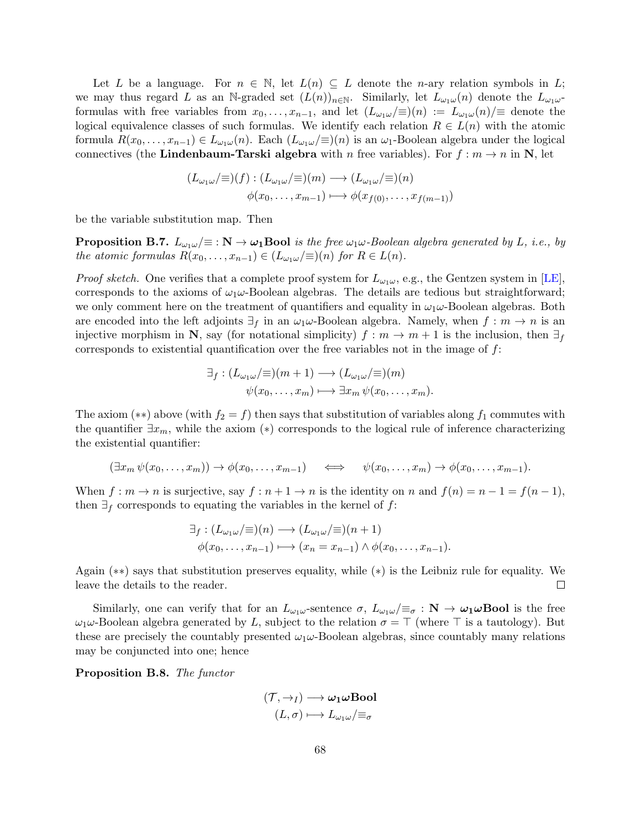Let L be a language. For  $n \in \mathbb{N}$ , let  $L(n) \subseteq L$  denote the n-ary relation symbols in L; we may thus regard L as an N-graded set  $(L(n))_{n\in\mathbb{N}}$ . Similarly, let  $L_{\omega_1\omega}(n)$  denote the  $L_{\omega_1\omega}$ formulas with free variables from  $x_0, \ldots, x_{n-1}$ , and let  $(L_{\omega_1\omega}/\equiv)(n) := L_{\omega_1\omega}(n)/\equiv$  denote the logical equivalence classes of such formulas. We identify each relation  $R \in L(n)$  with the atomic formula  $R(x_0, \ldots, x_{n-1}) \in L_{\omega_1\omega}(n)$ . Each  $(L_{\omega_1\omega}/\equiv)(n)$  is an  $\omega_1$ -Boolean algebra under the logical connectives (the Lindenbaum-Tarski algebra with n free variables). For  $f : m \to n$  in N, let

$$
(L_{\omega_1\omega}/\equiv)(f) : (L_{\omega_1\omega}/\equiv)(m) \longrightarrow (L_{\omega_1\omega}/\equiv)(n)
$$
  

$$
\phi(x_0, \dots, x_{m-1}) \longmapsto \phi(x_{f(0)}, \dots, x_{f(m-1)})
$$

be the variable substitution map. Then

**Proposition B.7.**  $L_{\omega_1\omega}/\equiv \mathbf{N} \to \omega_1$ **Bool** is the free  $\omega_1\omega$ -Boolean algebra generated by L, i.e., by the atomic formulas  $R(x_0, \ldots, x_{n-1}) \in (L_{\omega_1 \omega}/\equiv)(n)$  for  $R \in L(n)$ .

*Proof sketch.* One verifies that a complete proof system for  $L_{\omega_1\omega}$ , e.g., the Gentzen system in [\[LE\]](#page-71-8), corresponds to the axioms of  $\omega_1\omega$ -Boolean algebras. The details are tedious but straightforward; we only comment here on the treatment of quantifiers and equality in  $\omega_1\omega$ -Boolean algebras. Both are encoded into the left adjoints  $\exists_f$  in an  $\omega_1\omega$ -Boolean algebra. Namely, when  $f : m \to n$  is an injective morphism in N, say (for notational simplicity)  $f : m \to m + 1$  is the inclusion, then  $\exists f$ corresponds to existential quantification over the free variables not in the image of  $f$ :

$$
\exists_f : (L_{\omega_1 \omega}/\equiv)(m+1) \longrightarrow (L_{\omega_1 \omega}/\equiv)(m)
$$
  

$$
\psi(x_0, \dots, x_m) \longmapsto \exists x_m \psi(x_0, \dots, x_m).
$$

The axiom (\*\*) above (with  $f_2 = f$ ) then says that substitution of variables along  $f_1$  commutes with the quantifier  $\exists x_m$ , while the axiom (\*) corresponds to the logical rule of inference characterizing the existential quantifier:

$$
(\exists x_m \, \psi(x_0, \ldots, x_m)) \to \phi(x_0, \ldots, x_{m-1}) \quad \iff \quad \psi(x_0, \ldots, x_m) \to \phi(x_0, \ldots, x_{m-1}).
$$

When  $f : m \to n$  is surjective, say  $f : n + 1 \to n$  is the identity on n and  $f(n) = n - 1 = f(n - 1)$ , then  $\exists_f$  corresponds to equating the variables in the kernel of f:

$$
\exists_f : (L_{\omega_1 \omega}/\equiv)(n) \longrightarrow (L_{\omega_1 \omega}/\equiv)(n+1) \n\phi(x_0, \dots, x_{n-1}) \longmapsto (x_n = x_{n-1}) \land \phi(x_0, \dots, x_{n-1}).
$$

Again (\*\*) says that substitution preserves equality, while (\*) is the Leibniz rule for equality. We leave the details to the reader. leave the details to the reader.

Similarly, one can verify that for an  $L_{\omega_1\omega}$ -sentence  $\sigma$ ,  $L_{\omega_1\omega}/\equiv_{\sigma} : \mathbb{N} \to \omega_1\omega$ Bool is the free  $\omega_1\omega$ -Boolean algebra generated by L, subject to the relation  $\sigma = \top$  (where  $\top$  is a tautology). But these are precisely the countably presented  $\omega_1 \omega$ -Boolean algebras, since countably many relations may be conjuncted into one; hence

Proposition B.8. The functor

$$
(\mathcal{T}, \rightarrow_I) \longrightarrow \omega_1 \omega \text{Bool}
$$

$$
(L, \sigma) \longmapsto L_{\omega_1 \omega}/\equiv_{\sigma}
$$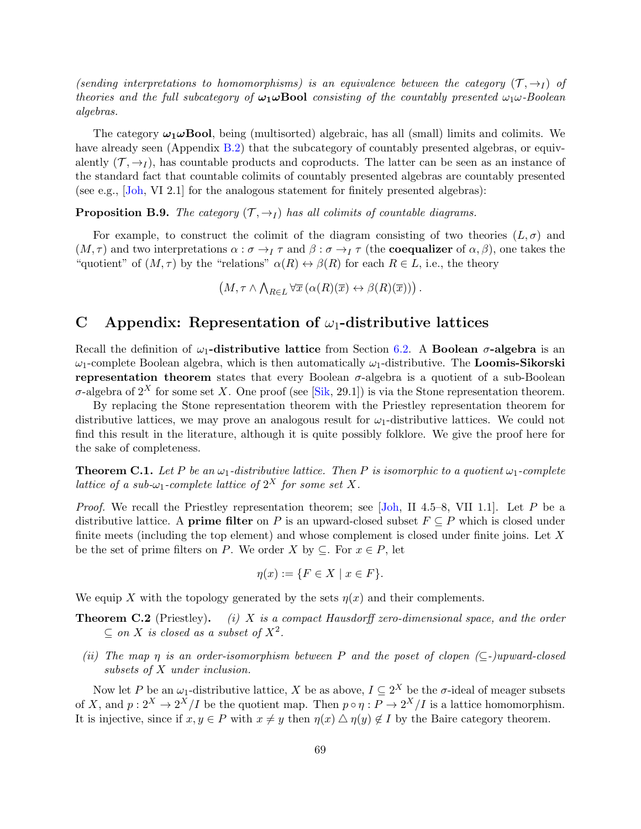(sending interpretations to homomorphisms) is an equivalence between the category  $(\mathcal{T}, \rightarrow_I)$  of theories and the full subcategory of  $\omega_1 \omega \text{Bool}$  consisting of the countably presented  $\omega_1 \omega$ -Boolean algebras.

The category  $\omega_1 \omega$  Bool, being (multisorted) algebraic, has all (small) limits and colimits. We have already seen (Appendix [B.2\)](#page-62-0) that the subcategory of countably presented algebras, or equivalently  $(\mathcal{T}, \rightarrow_I)$ , has countable products and coproducts. The latter can be seen as an instance of the standard fact that countable colimits of countably presented algebras are countably presented (see e.g., [\[Joh,](#page-70-13) VI 2.1] for the analogous statement for finitely presented algebras):

**Proposition B.9.** The category  $(\mathcal{T}, \rightarrow_I)$  has all colimits of countable diagrams.

For example, to construct the colimit of the diagram consisting of two theories  $(L, \sigma)$  and  $(M, \tau)$  and two interpretations  $\alpha : \sigma \to_I \tau$  and  $\beta : \sigma \to_I \tau$  (the **coequalizer** of  $\alpha, \beta$ ), one takes the "quotient" of  $(M, \tau)$  by the "relations"  $\alpha(R) \leftrightarrow \beta(R)$  for each  $R \in L$ , i.e., the theory

 $(M, \tau \wedge \bigwedge_{R \in L} \forall \overline{x} \left( \alpha(R)(\overline{x}) \leftrightarrow \beta(R)(\overline{x}) \right)$ .

# C Appendix: Representation of  $\omega_1$ -distributive lattices

Recall the definition of  $\omega_1$ -distributive lattice from Section [6.2.](#page-32-0) A Boolean  $\sigma$ -algebra is an  $\omega_1$ -complete Boolean algebra, which is then automatically  $\omega_1$ -distributive. The **Loomis-Sikorski** representation theorem states that every Boolean  $\sigma$ -algebra is a quotient of a sub-Boolean σ-algebra of  $2^X$  for some set X. One proof (see [\[Sik,](#page-71-9) 29.1]) is via the Stone representation theorem.

By replacing the Stone representation theorem with the Priestley representation theorem for distributive lattices, we may prove an analogous result for  $\omega_1$ -distributive lattices. We could not find this result in the literature, although it is quite possibly folklore. We give the proof here for the sake of completeness.

<span id="page-68-0"></span>**Theorem C.1.** Let P be an  $\omega_1$ -distributive lattice. Then P is isomorphic to a quotient  $\omega_1$ -complete lattice of a sub- $\omega_1$ -complete lattice of  $2^X$  for some set X.

*Proof.* We recall the Priestley representation theorem; see [\[Joh,](#page-70-13) II 4.5–8, VII 1.1]. Let P be a distributive lattice. A **prime filter** on P is an upward-closed subset  $F \subseteq P$  which is closed under finite meets (including the top element) and whose complement is closed under finite joins. Let  $X$ be the set of prime filters on P. We order X by  $\subseteq$ . For  $x \in P$ , let

$$
\eta(x) := \{ F \in X \mid x \in F \}.
$$

We equip X with the topology generated by the sets  $\eta(x)$  and their complements.

- **Theorem C.2** (Priestley). (i) X is a compact Hausdorff zero-dimensional space, and the order  $\subseteq$  on X is closed as a subset of  $X^2$ .
- (ii) The map  $\eta$  is an order-isomorphism between P and the poset of clopen ( $\subseteq$ -)upward-closed subsets of X under inclusion.

Now let P be an  $\omega_1$ -distributive lattice, X be as above,  $I \subseteq 2^X$  be the  $\sigma$ -ideal of meager subsets of X, and  $p: 2^X \to 2^X/I$  be the quotient map. Then  $p \circ \eta: P \to 2^X/I$  is a lattice homomorphism. It is injective, since if  $x, y \in P$  with  $x \neq y$  then  $\eta(x) \bigtriangleup \eta(y) \notin I$  by the Baire category theorem.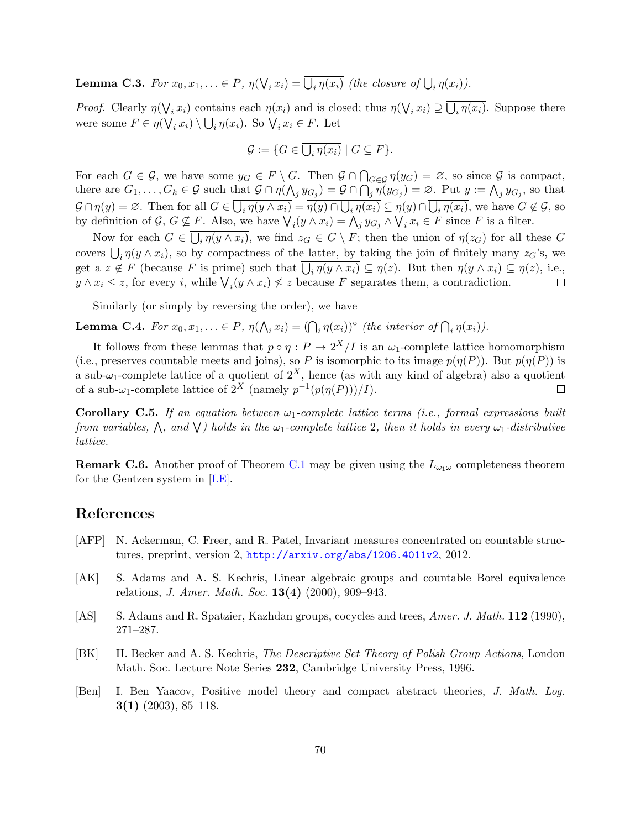**Lemma C.3.** For  $x_0, x_1, \ldots \in P$ ,  $\eta(\bigvee_i x_i) = \bigcup_i \eta(x_i)$  (the closure of  $\bigcup_i \eta(x_i)$ ).

*Proof.* Clearly  $\eta(\bigvee_i x_i)$  contains each  $\eta(x_i)$  and is closed; thus  $\eta(\bigvee_i x_i) \supseteq \bigcup_i \eta(x_i)$ . Suppose there were some  $F \in \eta(\bigvee_i x_i) \setminus \bigcup_i \eta(x_i)$ . So  $\bigvee_i x_i \in F$ . Let

$$
\mathcal{G}:=\{G\in \overline{\bigcup_i \eta(x_i)}\mid G\subseteq F\}.
$$

For each  $G \in \mathcal{G}$ , we have some  $y_G \in F \setminus G$ . Then  $\mathcal{G} \cap \bigcap_{G \in \mathcal{G}} \eta(y_G) = \emptyset$ , so since  $\mathcal{G}$  is compact, there are  $G_1,\ldots,G_k\in\mathcal{G}$  such that  $\mathcal{G}\cap\eta(\bigwedge_j y_{G_j})=\mathcal{G}\cap\bigcap_j\eta(y_{G_j})=\varnothing$ . Put  $y:=\bigwedge_j y_{G_j}$ , so that  $\mathcal{G} \cap \eta(y) = \varnothing$ . Then for all  $G \in \bigcup_i \eta(y \wedge x_i) = \eta(y) \cap \bigcup_i \eta(x_i) \subseteq \eta(y) \cap \bigcup_i \eta(x_i)$ , we have  $G \notin \mathcal{G}$ , so by definition of  $\mathcal{G}, G \not\subseteq F$ . Also, we have  $\bigvee_i (y \wedge x_i) = \bigwedge_j y_{G_j} \wedge \bigvee_i x_i \in F$  since F is a filter.

Now for each  $G \in \bigcup_i \eta(y \wedge x_i)$ , we find  $z_G \in G \setminus F$ ; then the union of  $\eta(z_G)$  for all these G covers  $\bigcup_i \eta(y \wedge x_i)$ , so by compactness of the <u>latter, by</u> taking the join of finitely many  $z_G$ 's, we get a  $z \notin F$  (because F is prime) such that  $\bigcup_i \eta(y \wedge x_i) \subseteq \eta(z)$ . But then  $\eta(y \wedge x_i) \subseteq \eta(z)$ , i.e.,  $y \wedge x_i \leq z$ , for every i, while  $\bigvee_i (y \wedge x_i) \not\leq z$  because F separates them, a contradiction.

Similarly (or simply by reversing the order), we have

**Lemma C.4.** For  $x_0, x_1, \ldots \in P$ ,  $\eta(\bigwedge_i x_i) = (\bigcap_i \eta(x_i))^{\circ}$  (the interior of  $\bigcap_i \eta(x_i)$ ).

It follows from these lemmas that  $p \circ \eta : P \to 2^X/I$  is an  $\omega_1$ -complete lattice homomorphism (i.e., preserves countable meets and joins), so P is isomorphic to its image  $p(\eta(P))$ . But  $p(\eta(P))$  is a sub- $\omega_1$ -complete lattice of a quotient of  $2^X$ , hence (as with any kind of algebra) also a quotient of a sub- $\omega_1$ -complete lattice of  $2^X$  (namely  $p^{-1}(p(\eta(P)))/I$ ).  $\Box$ 

Corollary C.5. If an equation between  $\omega_1$ -complete lattice terms (i.e., formal expressions built from variables,  $\wedge$ , and  $\vee$ ) holds in the  $\omega_1$ -complete lattice 2, then it holds in every  $\omega_1$ -distributive lattice.

**Remark C.6.** Another proof of Theorem [C.1](#page-68-0) may be given using the  $L_{\omega_1\omega}$  completeness theorem for the Gentzen system in [\[LE\]](#page-71-8).

# References

- <span id="page-69-1"></span>[AFP] N. Ackerman, C. Freer, and R. Patel, Invariant measures concentrated on countable structures, preprint, version 2, <http://arxiv.org/abs/1206.4011v2>, 2012.
- <span id="page-69-0"></span>[AK] S. Adams and A. S. Kechris, Linear algebraic groups and countable Borel equivalence relations, J. Amer. Math. Soc. 13(4) (2000), 909–943.
- <span id="page-69-2"></span>[AS] S. Adams and R. Spatzier, Kazhdan groups, cocycles and trees, Amer. J. Math. 112 (1990), 271–287.
- <span id="page-69-3"></span>[BK] H. Becker and A. S. Kechris, The Descriptive Set Theory of Polish Group Actions, London Math. Soc. Lecture Note Series 232, Cambridge University Press, 1996.
- <span id="page-69-4"></span>[Ben] I. Ben Yaacov, Positive model theory and compact abstract theories, J. Math. Log.  $3(1)$  (2003), 85–118.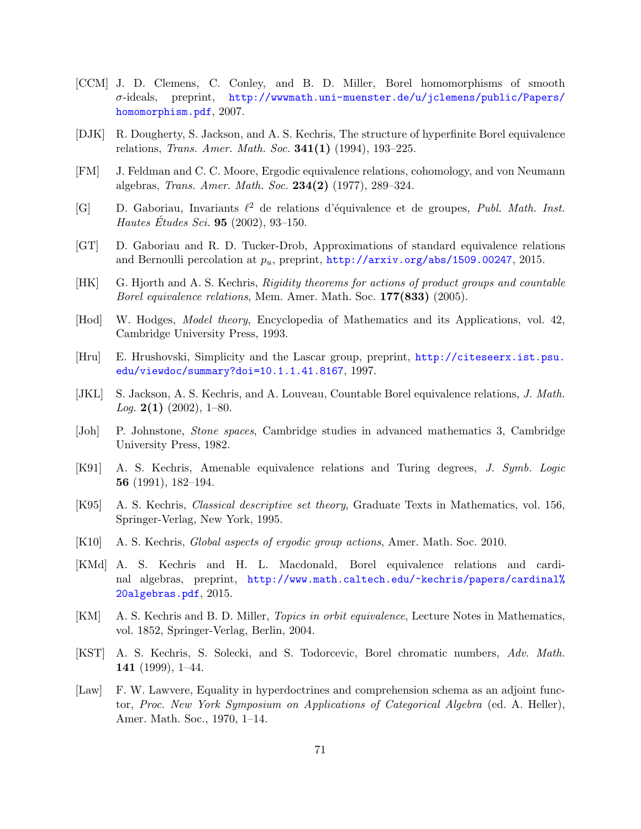- <span id="page-70-5"></span>[CCM] J. D. Clemens, C. Conley, and B. D. Miller, Borel homomorphisms of smooth σ-ideals, preprint, [http://wwwmath.uni-muenster.de/u/jclemens/public/Papers/](http://wwwmath.uni-muenster.de/u/jclemens/public/Papers/homomorphism.pdf) [homomorphism.pdf](http://wwwmath.uni-muenster.de/u/jclemens/public/Papers/homomorphism.pdf), 2007.
- <span id="page-70-9"></span>[DJK] R. Dougherty, S. Jackson, and A. S. Kechris, The structure of hyperfinite Borel equivalence relations, Trans. Amer. Math. Soc. 341(1) (1994), 193–225.
- [FM] J. Feldman and C. C. Moore, Ergodic equivalence relations, cohomology, and von Neumann algebras, Trans. Amer. Math. Soc. 234(2) (1977), 289–324.
- <span id="page-70-10"></span>[G] D. Gaboriau, Invariants  $\ell^2$  de relations d'équivalence et de groupes, Publ. Math. Inst. Hautes Études Sci. **95** (2002), 93-150.
- [GT] D. Gaboriau and R. D. Tucker-Drob, Approximations of standard equivalence relations and Bernoulli percolation at  $p_u$ , preprint, <http://arxiv.org/abs/1509.00247>, 2015.
- <span id="page-70-7"></span>[HK] G. Hjorth and A. S. Kechris, Rigidity theorems for actions of product groups and countable Borel equivalence relations, Mem. Amer. Math. Soc. 177(833) (2005).
- <span id="page-70-6"></span>[Hod] W. Hodges, Model theory, Encyclopedia of Mathematics and its Applications, vol. 42, Cambridge University Press, 1993.
- <span id="page-70-12"></span>[Hru] E. Hrushovski, Simplicity and the Lascar group, preprint, [http://citeseerx.ist.psu.](http://citeseerx.ist.psu.edu/viewdoc/summary?doi=10.1.1.41.8167) [edu/viewdoc/summary?doi=10.1.1.41.8167](http://citeseerx.ist.psu.edu/viewdoc/summary?doi=10.1.1.41.8167), 1997.
- <span id="page-70-0"></span>[JKL] S. Jackson, A. S. Kechris, and A. Louveau, Countable Borel equivalence relations, J. Math.  $Log. 2(1)$  (2002), 1–80.
- <span id="page-70-13"></span>[Joh] P. Johnstone, Stone spaces, Cambridge studies in advanced mathematics 3, Cambridge University Press, 1982.
- <span id="page-70-8"></span>[K91] A. S. Kechris, Amenable equivalence relations and Turing degrees, J. Symb. Logic 56 (1991), 182–194.
- <span id="page-70-3"></span>[K95] A. S. Kechris, Classical descriptive set theory, Graduate Texts in Mathematics, vol. 156, Springer-Verlag, New York, 1995.
- <span id="page-70-4"></span>[K10] A. S. Kechris, Global aspects of ergodic group actions, Amer. Math. Soc. 2010.
- [KMd] A. S. Kechris and H. L. Macdonald, Borel equivalence relations and cardinal algebras, preprint, [http://www.math.caltech.edu/~kechris/papers/cardinal%](http://www.math.caltech.edu/~kechris/papers/cardinal%20algebras.pdf) [20algebras.pdf](http://www.math.caltech.edu/~kechris/papers/cardinal%20algebras.pdf), 2015.
- <span id="page-70-2"></span>[KM] A. S. Kechris and B. D. Miller, Topics in orbit equivalence, Lecture Notes in Mathematics, vol. 1852, Springer-Verlag, Berlin, 2004.
- <span id="page-70-1"></span>[KST] A. S. Kechris, S. Solecki, and S. Todorcevic, Borel chromatic numbers, Adv. Math. 141 (1999), 1–44.
- <span id="page-70-11"></span>[Law] F. W. Lawvere, Equality in hyperdoctrines and comprehension schema as an adjoint functor, Proc. New York Symposium on Applications of Categorical Algebra (ed. A. Heller), Amer. Math. Soc., 1970, 1–14.